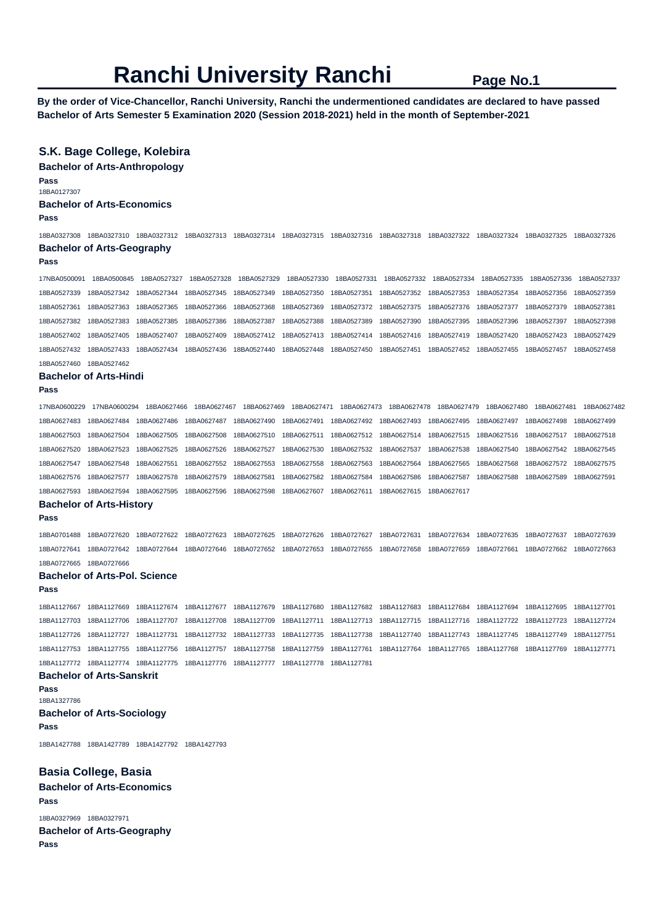**By the order of Vice-Chancellor, Ranchi University, Ranchi the undermentioned candidates are declared to have passed Bachelor of Arts Semester 5 Examination 2020 (Session 2018-2021) held in the month of September-2021** 

## **S.K. Bage College, Kolebira**

**Bachelor of Arts-Anthropology** 

**Pass**  18BA0127307

#### **Bachelor of Arts-Economics**

**Pass** 

18BA0327308 18BA0327310 18BA0327312 18BA0327313 18BA0327314 18BA0327315 18BA0327316 18BA0327318 18BA0327322 18BA0327324 18BA0327325 18BA0327326 **Bachelor of Arts-Geography** 

#### **Pass**

17NBA0500091 18BA0500845 18BA0527327 18BA0527328 18BA0527329 18BA0527330 18BA0527331 18BA0527332 18BA0527334 18BA0527335 18BA0527336 18BA0527337 18BA0527339 18BA0527342 18BA0527344 18BA0527345 18BA0527349 18BA0527350 18BA0527351 18BA0527352 18BA0527353 18BA0527354 18BA0527356 18BA0527359 18BA0527361 18BA0527363 18BA0527365 18BA0527366 18BA0527368 18BA0527369 18BA0527372 18BA0527375 18BA0527376 18BA0527377 18BA0527379 18BA0527381 18BA0527382 18BA0527383 18BA0527385 18BA0527386 18BA0527387 18BA0527388 18BA0527389 18BA0527390 18BA0527395 18BA0527396 18BA0527397 18BA0527398 18BA0527402 18BA0527405 18BA0527407 18BA0527409 18BA0527412 18BA0527413 18BA0527414 18BA0527416 18BA0527419 18BA0527420 18BA0527423 18BA0527429 18BA0527432 18BA0527433 18BA0527434 18BA0527436 18BA0527440 18BA0527448 18BA0527450 18BA0527451 18BA0527452 18BA0527455 18BA0527457 18BA0527458 18BA0527460 18BA0527462

#### **Bachelor of Arts-Hindi**

**Pass** 

17NBA0600229 17NBA0600294 18BA0627466 18BA0627467 18BA0627469 18BA0627471 18BA0627473 18BA0627478 18BA0627479 18BA0627480 18BA0627481 18BA0627482 18BA0627483 18BA0627484 18BA0627486 18BA0627487 18BA0627490 18BA0627491 18BA0627492 18BA0627493 18BA0627495 18BA0627497 18BA0627498 18BA0627499 18BA0627503 18BA0627504 18BA0627505 18BA0627508 18BA0627510 18BA0627511 18BA0627512 18BA0627514 18BA0627515 18BA0627516 18BA0627517 18BA0627518 18BA0627520 18BA0627523 18BA0627525 18BA0627526 18BA0627527 18BA0627530 18BA0627532 18BA0627537 18BA0627538 18BA0627540 18BA0627542 18BA0627545 18BA0627547 18BA0627548 18BA0627551 18BA0627552 18BA0627553 18BA0627558 18BA0627563 18BA0627564 18BA0627565 18BA0627568 18BA0627572 18BA0627575 18BA0627576 18BA0627577 18BA0627578 18BA0627579 18BA0627581 18BA0627582 18BA0627584 18BA0627586 18BA0627587 18BA0627588 18BA0627589 18BA0627591 18BA0627593 18BA0627594 18BA0627595 18BA0627596 18BA0627598 18BA0627607 18BA0627611 18BA0627615 18BA0627617

## **Bachelor of Arts-History**

**Pass** 

18BA0701488 18BA0727620 18BA0727622 18BA0727623 18BA0727625 18BA0727626 18BA0727627 18BA0727631 18BA0727634 18BA0727635 18BA0727637 18BA0727639 18BA0727641 18BA0727642 18BA0727644 18BA0727646 18BA0727652 18BA0727653 18BA0727655 18BA0727658 18BA0727659 18BA0727661 18BA0727662 18BA0727663

## 18BA0727665 18BA0727666

### **Bachelor of Arts-Pol. Science**

```
Pass
```
18BA1127667 18BA1127669 18BA1127674 18BA1127677 18BA1127679 18BA1127680 18BA1127682 18BA1127683 18BA1127684 18BA1127694 18BA1127695 18BA1127701 18BA1127703 18BA1127706 18BA1127707 18BA1127708 18BA1127709 18BA1127711 18BA1127713 18BA1127715 18BA1127716 18BA1127722 18BA1127723 18BA1127724 18BA1127726 18BA1127727 18BA1127731 18BA1127732 18BA1127733 18BA1127735 18BA1127738 18BA1127740 18BA1127743 18BA1127745 18BA1127749 18BA1127751 18BA1127753 18BA1127755 18BA1127756 18BA1127757 18BA1127758 18BA1127759 18BA1127761 18BA1127764 18BA1127765 18BA1127768 18BA1127769 18BA1127771 18BA1127772 18BA1127774 18BA1127775 18BA1127776 18BA1127777 18BA1127778 18BA1127781

#### **Bachelor of Arts-Sanskrit**

**Pass** 

18BA1327786

#### **Bachelor of Arts-Sociology**

**Pass** 

18BA1427788 18BA1427789 18BA1427792 18BA1427793

#### **Basia College, Basia**

**Bachelor of Arts-Economics Pass**  18BA0327969 18BA0327971 **Bachelor of Arts-Geography**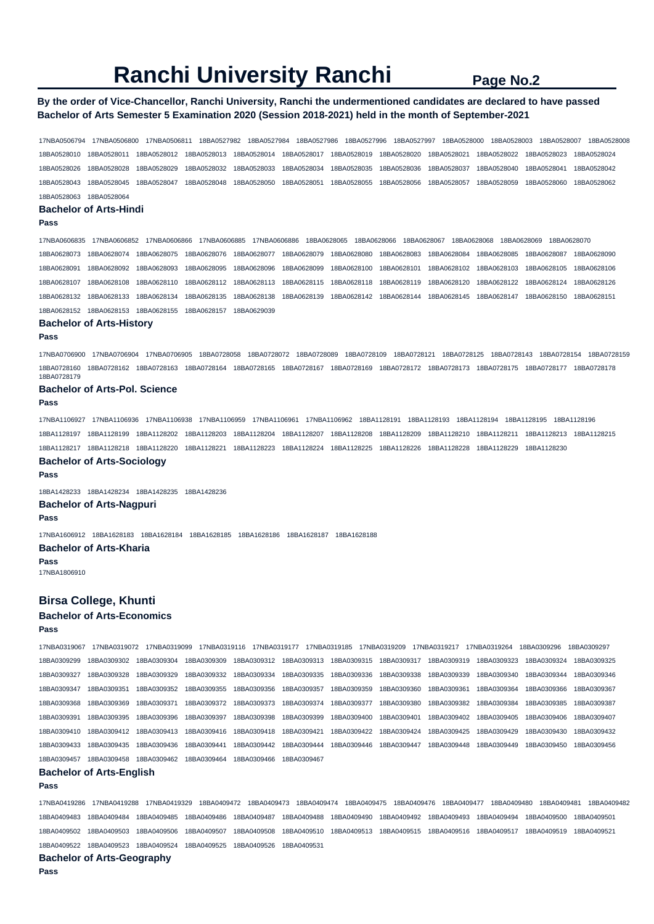## **By the order of Vice-Chancellor, Ranchi University, Ranchi the undermentioned candidates are declared to have passed Bachelor of Arts Semester 5 Examination 2020 (Session 2018-2021) held in the month of September-2021**

17NBA0506794 17NBA0506800 17NBA0506811 18BA0527982 18BA0527984 18BA0527986 18BA0527996 18BA0527997 18BA0528000 18BA0528003 18BA0528007 18BA0528008 18BA0528010 18BA0528011 18BA0528012 18BA0528013 18BA0528014 18BA0528017 18BA0528019 18BA0528020 18BA0528021 18BA0528022 18BA0528023 18BA0528024 18BA0528026 18BA0528028 18BA0528029 18BA0528032 18BA0528033 18BA0528034 18BA0528035 18BA0528036 18BA0528037 18BA0528040 18BA0528041 18BA0528042 18BA0528043 18BA0528045 18BA0528047 18BA0528048 18BA0528050 18BA0528051 18BA0528055 18BA0528056 18BA0528057 18BA0528059 18BA0528060 18BA0528062

### 18BA0528063 18BA0528064 **Bachelor of Arts-Hindi**

#### **Pass**

17NBA0606835 17NBA0606852 17NBA0606866 17NBA0606885 17NBA0606886 18BA0628065 18BA0628066 18BA0628067 18BA0628068 18BA0628069 18BA0628070 18BA0628073 18BA0628074 18BA0628075 18BA0628076 18BA0628077 18BA0628079 18BA0628080 18BA0628083 18BA0628084 18BA0628085 18BA0628087 18BA0628090 18BA0628091 18BA0628092 18BA0628093 18BA0628095 18BA0628096 18BA0628099 18BA0628100 18BA0628101 18BA0628102 18BA0628103 18BA0628105 18BA0628106 18BA0628107 18BA0628108 18BA0628110 18BA0628112 18BA0628113 18BA0628115 18BA0628118 18BA0628119 18BA0628120 18BA0628122 18BA0628124 18BA0628126 18BA0628132 18BA0628133 18BA0628134 18BA0628135 18BA0628138 18BA0628139 18BA0628142 18BA0628144 18BA0628145 18BA0628147 18BA0628150 18BA0628151 18BA0628152 18BA0628153 18BA0628155 18BA0628157 18BA0629039

#### **Bachelor of Arts-History**

#### **Pass**

17NBA0706900 17NBA0706904 17NBA0706905 18BA0728058 18BA0728072 18BA0728089 18BA0728109 18BA0728121 18BA0728125 18BA0728143 18BA0728154 18BA0728159 18BA0728160 18BA0728162 18BA0728163 18BA0728164 18BA0728165 18BA0728167 18BA0728169 18BA0728172 18BA0728173 18BA0728175 18BA0728177 18BA0728178 18BA0728179

#### **Bachelor of Arts-Pol. Science**

#### **Pass**

17NBA1106927 17NBA1106936 17NBA1106938 17NBA1106959 17NBA1106961 17NBA1106962 18BA1128191 18BA1128193 18BA1128194 18BA1128195 18BA1128196 18BA1128197 18BA1128199 18BA1128202 18BA1128203 18BA1128204 18BA1128207 18BA1128208 18BA1128209 18BA1128210 18BA1128211 18BA1128213 18BA1128215 18BA1128217 18BA1128218 18BA1128220 18BA1128221 18BA1128223 18BA1128224 18BA1128225 18BA1128226 18BA1128228 18BA1128229 18BA1128230 **Bachelor of Arts-Sociology** 

#### **Pass**

18BA1428233 18BA1428234 18BA1428235 18BA1428236 **Bachelor of Arts-Nagpuri** 

#### **Pass**

17NBA1606912 18BA1628183 18BA1628184 18BA1628185 18BA1628186 18BA1628187 18BA1628188 **Bachelor of Arts-Kharia** 

**Pass** 

17NBA1806910

## **Birsa College, Khunti**

### **Bachelor of Arts-Economics**

#### **Pass**

17NBA0319067 17NBA0319072 17NBA0319099 17NBA0319116 17NBA0319177 17NBA0319185 17NBA0319209 17NBA0319217 17NBA0319264 18BA0309296 18BA0309297 18BA0309299 18BA0309302 18BA0309304 18BA0309309 18BA0309312 18BA0309313 18BA0309315 18BA0309317 18BA0309319 18BA0309323 18BA0309324 18BA0309325 18BA0309327 18BA0309328 18BA0309329 18BA0309332 18BA0309334 18BA0309335 18BA0309336 18BA0309338 18BA0309339 18BA0309340 18BA0309344 18BA0309346 18BA0309347 18BA0309351 18BA0309352 18BA0309355 18BA0309356 18BA0309357 18BA0309359 18BA0309360 18BA0309361 18BA0309364 18BA0309366 18BA0309367 18BA0309368 18BA0309369 18BA0309371 18BA0309372 18BA0309373 18BA0309374 18BA0309377 18BA0309380 18BA0309382 18BA0309384 18BA0309385 18BA0309387 18BA0309391 18BA0309395 18BA0309396 18BA0309397 18BA0309398 18BA0309399 18BA0309400 18BA0309401 18BA0309402 18BA0309405 18BA0309406 18BA0309407 18BA0309410 18BA0309412 18BA0309413 18BA0309416 18BA0309418 18BA0309421 18BA0309422 18BA0309424 18BA0309425 18BA0309429 18BA0309430 18BA0309432 18BA0309433 18BA0309435 18BA0309436 18BA0309441 18BA0309442 18BA0309444 18BA0309446 18BA0309447 18BA0309448 18BA0309449 18BA0309450 18BA0309456 18BA0309457 18BA0309458 18BA0309462 18BA0309464 18BA0309466 18BA0309467

#### **Bachelor of Arts-English**

### **Pass**

17NBA0419286 17NBA0419288 17NBA0419329 18BA0409472 18BA0409473 18BA0409474 18BA0409475 18BA0409476 18BA0409477 18BA0409480 18BA0409481 18BA0409482 18BA0409483 18BA0409484 18BA0409485 18BA0409486 18BA0409487 18BA0409488 18BA0409490 18BA0409492 18BA0409493 18BA0409494 18BA0409500 18BA0409501 18BA0409502 18BA0409503 18BA0409506 18BA0409507 18BA0409508 18BA0409510 18BA0409513 18BA0409515 18BA0409516 18BA0409517 18BA0409519 18BA0409521 18BA0409522 18BA0409523 18BA0409524 18BA0409525 18BA0409526 18BA0409531

#### **Bachelor of Arts-Geography**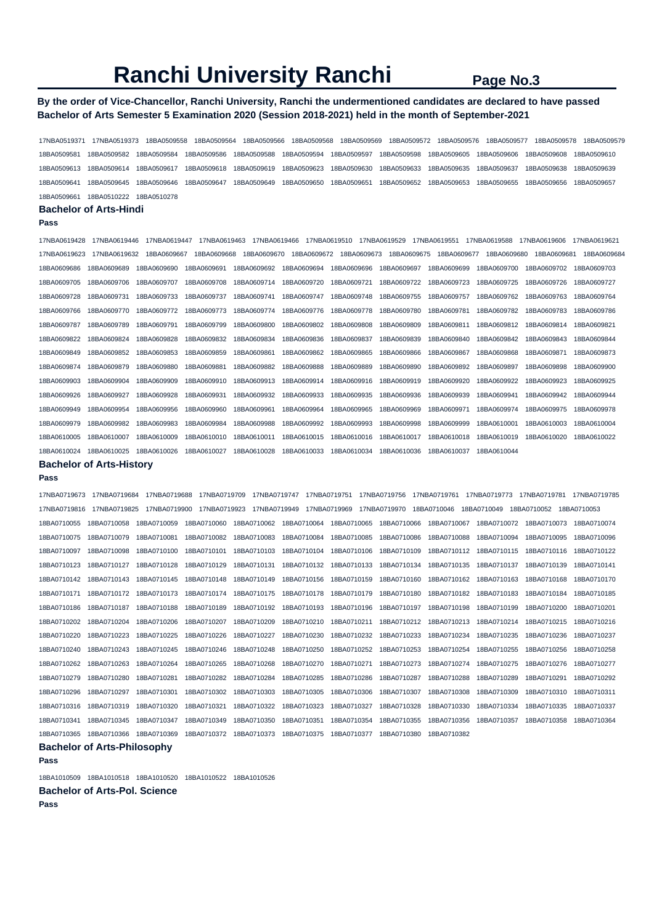## **By the order of Vice-Chancellor, Ranchi University, Ranchi the undermentioned candidates are declared to have passed Bachelor of Arts Semester 5 Examination 2020 (Session 2018-2021) held in the month of September-2021**

17NBA0519371 17NBA0519373 18BA0509558 18BA0509564 18BA0509566 18BA0509568 18BA0509569 18BA0509572 18BA0509576 18BA0509577 18BA0509578 18BA0509579 18BA0509581 18BA0509582 18BA0509584 18BA0509586 18BA0509588 18BA0509594 18BA0509597 18BA0509598 18BA0509605 18BA0509606 18BA0509608 18BA0509610 18BA0509613 18BA0509614 18BA0509617 18BA0509618 18BA0509619 18BA0509623 18BA0509630 18BA0509633 18BA0509635 18BA0509637 18BA0509638 18BA0509639 18BA0509641 18BA0509645 18BA0509646 18BA0509647 18BA0509649 18BA0509650 18BA0509651 18BA0509652 18BA0509653 18BA0509655 18BA0509656 18BA0509657 18BA0509661 18BA0510222 18BA0510278 **Bachelor of Arts-Hindi Pass**  17NBA0619428 17NBA0619446 17NBA0619447 17NBA0619463 17NBA0619466 17NBA0619510 17NBA0619529 17NBA0619551 17NBA0619588 17NBA0619606 17NBA0619621 17NBA0619623 17NBA0619632 18BA0609667 18BA0609668 18BA0609670 18BA0609672 18BA0609673 18BA0609675 18BA0609677 18BA0609680 18BA0609681 18BA0609684

| 18BA0609686 | 18BA0609689 | 18BA0609690 | 18BA0609691 | 18BA0609692 | 18BA0609694 | 18BA0609696 | 18BA0609697 | 18BA0609699 | 18BA0609700 | 18BA0609702 | 18BA0609703 |
|-------------|-------------|-------------|-------------|-------------|-------------|-------------|-------------|-------------|-------------|-------------|-------------|
| 18BA0609705 | 18BA0609706 | 18BA0609707 | 18BA0609708 | 18BA0609714 | 18BA0609720 | 18BA0609721 | 18BA0609722 | 18BA0609723 | 18BA0609725 | 18BA0609726 | 18BA0609727 |
| 18BA0609728 | 18BA0609731 | 18BA0609733 | 18BA0609737 | 18BA0609741 | 18BA0609747 | 18BA0609748 | 18BA0609755 | 18BA0609757 | 18BA0609762 | 18BA0609763 | 18BA0609764 |
| 18BA0609766 | 18BA0609770 | 18BA0609772 | 18BA0609773 | 18BA0609774 | 18BA0609776 | 18BA0609778 | 18BA0609780 | 18BA0609781 | 18BA0609782 | 18BA0609783 | 18BA0609786 |
| 18BA0609787 | 18BA0609789 | 18BA0609791 | 18BA0609799 | 18BA0609800 | 18BA0609802 | 18BA0609808 | 18BA0609809 | 18BA0609811 | 18BA0609812 | 18BA0609814 | 18BA0609821 |
| 18BA0609822 | 18BA0609824 | 18BA0609828 | 18BA0609832 | 18BA0609834 | 18BA0609836 | 18BA0609837 | 18BA0609839 | 18BA0609840 | 18BA0609842 | 18BA0609843 | 18BA0609844 |
| 18BA0609849 | 18BA0609852 | 18BA0609853 | 18BA0609859 | 18BA0609861 | 18BA0609862 | 18BA0609865 | 18BA0609866 | 18BA0609867 | 18BA0609868 | 18BA0609871 | 18BA0609873 |
| 18BA0609874 | 18BA0609879 | 18BA0609880 | 18BA0609881 | 18BA0609882 | 18BA0609888 | 18BA0609889 | 18BA0609890 | 18BA0609892 | 18BA0609897 | 18BA0609898 | 18BA0609900 |
| 18BA0609903 | 18BA0609904 | 18BA0609909 | 18BA0609910 | 18BA0609913 | 18BA0609914 | 18BA0609916 | 18BA0609919 | 18BA0609920 | 18BA0609922 | 18BA0609923 | 18BA0609925 |
| 18BA0609926 | 18BA0609927 | 18BA0609928 | 18BA0609931 | 18BA0609932 | 18BA0609933 | 18BA0609935 | 18BA0609936 | 18BA0609939 | 18BA0609941 | 18BA0609942 | 18BA0609944 |
| 18BA0609949 | 18BA0609954 | 18BA0609956 | 18BA0609960 | 18BA0609961 | 18BA0609964 | 18BA0609965 | 18BA0609969 | 18BA0609971 | 18BA0609974 | 18BA0609975 | 18BA0609978 |
| 18BA0609979 | 18BA0609982 | 18BA0609983 | 18BA0609984 | 18BA0609988 | 18BA0609992 | 18BA0609993 | 18BA0609998 | 18BA0609999 | 18BA0610001 | 18BA0610003 | 18BA0610004 |
| 18BA0610005 | 18BA0610007 | 18BA0610009 | 18BA0610010 | 18BA0610011 | 18BA0610015 | 18BA0610016 | 18BA0610017 | 18BA0610018 | 18BA0610019 | 18BA0610020 | 18BA0610022 |
| 18BA0610024 | 18BA0610025 | 18BA0610026 | 18BA0610027 | 18BA0610028 | 18BA0610033 | 18BA0610034 | 18BA0610036 | 18BA0610037 | 18BA0610044 |             |             |
|             |             |             |             |             |             |             |             |             |             |             |             |

## **Bachelor of Arts-History**

**Pass** 

17NBA0719673 17NBA0719684 17NBA0719688 17NBA0719709 17NBA0719747 17NBA0719751 17NBA0719756 17NBA0719761 17NBA0719773 17NBA0719781 17NBA0719785 17NBA0719816 17NBA0719825 17NBA0719900 17NBA0719923 17NBA0719949 17NBA0719969 17NBA0719970 18BA0710046 18BA0710049 18BA0710052 18BA0710053 18BA0710055 18BA0710058 18BA0710059 18BA0710060 18BA0710062 18BA0710064 18BA0710065 18BA0710066 18BA0710067 18BA0710072 18BA0710073 18BA0710074 18BA0710075 18BA0710079 18BA0710081 18BA0710082 18BA0710083 18BA0710084 18BA0710085 18BA0710086 18BA0710088 18BA0710094 18BA0710095 18BA0710096 18BA0710097 18BA0710098 18BA0710100 18BA0710101 18BA0710103 18BA0710104 18BA0710106 18BA0710109 18BA0710112 18BA0710115 18BA0710116 18BA0710122 18BA0710123 18BA0710127 18BA0710128 18BA0710129 18BA0710131 18BA0710132 18BA0710133 18BA0710134 18BA0710135 18BA0710137 18BA0710139 18BA0710141 18BA0710142 18BA0710143 18BA0710145 18BA0710148 18BA0710149 18BA0710156 18BA0710159 18BA0710160 18BA0710162 18BA0710163 18BA0710168 18BA0710170 18BA0710171 18BA0710172 18BA0710173 18BA0710174 18BA0710175 18BA0710178 18BA0710179 18BA0710180 18BA0710182 18BA0710183 18BA0710184 18BA0710185 18BA0710186 18BA0710187 18BA0710188 18BA0710189 18BA0710192 18BA0710193 18BA0710196 18BA0710197 18BA0710198 18BA0710199 18BA0710200 18BA0710201 18BA0710202 18BA0710204 18BA0710206 18BA0710207 18BA0710209 18BA0710210 18BA0710211 18BA0710212 18BA0710213 18BA0710214 18BA0710215 18BA0710216 18BA0710220 18BA0710223 18BA0710225 18BA0710226 18BA0710227 18BA0710230 18BA0710232 18BA0710233 18BA0710234 18BA0710235 18BA0710236 18BA0710237 18BA0710240 18BA0710243 18BA0710245 18BA0710246 18BA0710248 18BA0710250 18BA0710252 18BA0710253 18BA0710254 18BA0710255 18BA0710256 18BA0710258 18BA0710262 18BA0710263 18BA0710264 18BA0710265 18BA0710268 18BA0710270 18BA0710271 18BA0710273 18BA0710274 18BA0710275 18BA0710276 18BA0710277 18BA0710279 18BA0710280 18BA0710281 18BA0710282 18BA0710284 18BA0710285 18BA0710286 18BA0710287 18BA0710288 18BA0710289 18BA0710291 18BA0710292 18BA0710296 18BA0710297 18BA0710301 18BA0710302 18BA0710303 18BA0710305 18BA0710306 18BA0710307 18BA0710308 18BA0710309 18BA0710310 18BA0710311 18BA0710316 18BA0710319 18BA0710320 18BA0710321 18BA0710322 18BA0710323 18BA0710327 18BA0710328 18BA0710330 18BA0710334 18BA0710335 18BA0710337 18BA0710341 18BA0710345 18BA0710347 18BA0710349 18BA0710350 18BA0710351 18BA0710354 18BA0710355 18BA0710356 18BA0710357 18BA0710358 18BA0710364 18BA0710365 18BA0710366 18BA0710369 18BA0710372 18BA0710373 18BA0710375 18BA0710377 18BA0710380 18BA0710382

```
Bachelor of Arts-Philosophy
```
**Pass** 

18BA1010509 18BA1010518 18BA1010520 18BA1010522 18BA1010526

**Bachelor of Arts-Pol. Science**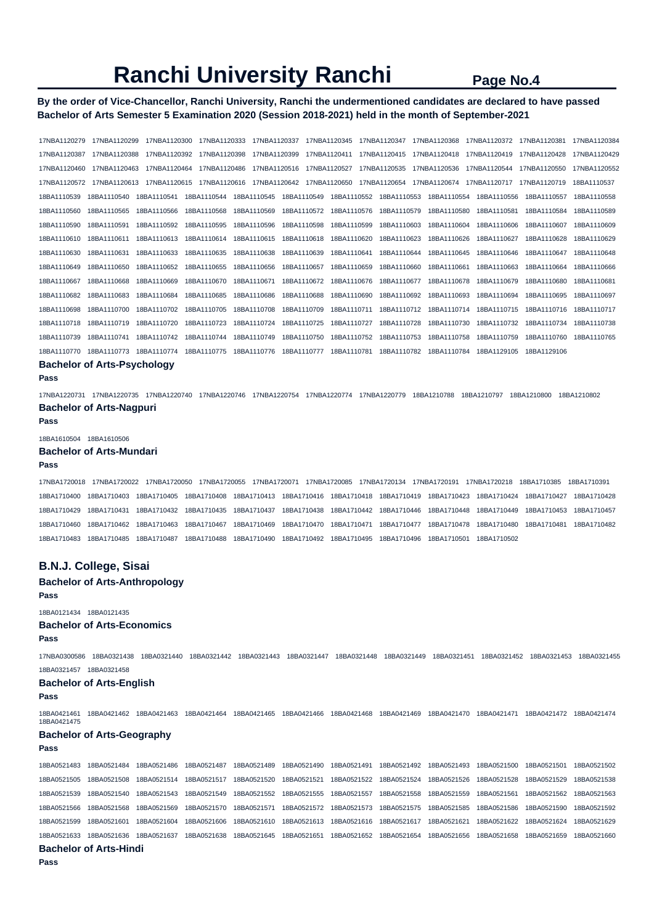## **By the order of Vice-Chancellor, Ranchi University, Ranchi the undermentioned candidates are declared to have passed Bachelor of Arts Semester 5 Examination 2020 (Session 2018-2021) held in the month of September-2021**

17NBA1120279 17NBA1120299 17NBA1120300 17NBA1120333 17NBA1120337 17NBA1120345 17NBA1120347 17NBA1120368 17NBA1120372 17NBA1120381 17NBA1120384 17NBA1120387 17NBA1120388 17NBA1120392 17NBA1120398 17NBA1120399 17NBA1120411 17NBA1120415 17NBA1120418 17NBA1120419 17NBA1120428 17NBA1120429 17NBA1120460 17NBA1120463 17NBA1120464 17NBA1120486 17NBA1120516 17NBA1120527 17NBA1120535 17NBA1120536 17NBA1120544 17NBA1120550 17NBA1120552 17NBA1120572 17NBA1120613 17NBA1120615 17NBA1120616 17NBA1120642 17NBA1120650 17NBA1120654 17NBA1120674 17NBA1120717 17NBA1120719 18BA1110537 18BA1110539 18BA1110540 18BA1110541 18BA1110544 18BA1110545 18BA1110549 18BA1110552 18BA1110553 18BA1110554 18BA1110556 18BA1110557 18BA1110558 18BA1110560 18BA1110565 18BA1110566 18BA1110568 18BA1110569 18BA1110572 18BA1110576 18BA1110579 18BA1110580 18BA1110581 18BA1110584 18BA1110589 18BA1110590 18BA1110591 18BA1110592 18BA1110595 18BA1110596 18BA1110598 18BA1110599 18BA1110603 18BA1110604 18BA1110606 18BA1110607 18BA1110609 18BA1110610 18BA1110611 18BA1110613 18BA1110614 18BA1110615 18BA1110618 18BA1110620 18BA1110623 18BA1110626 18BA1110627 18BA1110628 18BA1110629 18BA1110630 18BA1110631 18BA1110633 18BA1110635 18BA1110638 18BA1110639 18BA1110641 18BA1110644 18BA1110645 18BA1110646 18BA1110647 18BA1110648 18BA1110649 18BA1110650 18BA1110652 18BA1110655 18BA1110656 18BA1110657 18BA1110659 18BA1110660 18BA1110661 18BA1110663 18BA1110664 18BA1110666 18BA1110667 18BA1110668 18BA1110669 18BA1110670 18BA1110671 18BA1110672 18BA1110676 18BA1110677 18BA1110678 18BA1110679 18BA1110680 18BA1110681 18BA1110682 18BA1110683 18BA1110684 18BA1110685 18BA1110686 18BA1110688 18BA1110690 18BA1110692 18BA1110693 18BA1110694 18BA1110695 18BA1110697 18BA1110698 18BA1110700 18BA1110702 18BA1110705 18BA1110708 18BA1110709 18BA1110711 18BA1110712 18BA1110714 18BA1110715 18BA1110716 18BA1110717 18BA1110718 18BA1110719 18BA1110720 18BA1110723 18BA1110724 18BA1110725 18BA1110727 18BA1110728 18BA1110730 18BA1110732 18BA1110734 18BA1110738 18BA1110739 18BA1110741 18BA1110742 18BA1110744 18BA1110749 18BA1110750 18BA1110752 18BA1110753 18BA1110758 18BA1110759 18BA1110760 18BA1110765 18BA1110770 18BA1110773 18BA1110774 18BA1110775 18BA1110776 18BA1110777 18BA1110781 18BA1110782 18BA1110784 18BA1129105 18BA1129106

### **Bachelor of Arts-Psychology**

**Pass** 

17NBA1220731 17NBA1220735 17NBA1220740 17NBA1220746 17NBA1220754 17NBA1220774 17NBA1220779 18BA1210788 18BA1210797 18BA1210800 18BA1210802 **Bachelor of Arts-Nagpuri** 

#### **Pass**

18BA1610504 18BA1610506

## **Bachelor of Arts-Mundari**

#### **Pass**

17NBA1720018 17NBA1720022 17NBA1720050 17NBA1720055 17NBA1720071 17NBA1720085 17NBA1720134 17NBA1720191 17NBA1720218 18BA1710385 18BA1710391 18BA1710400 18BA1710403 18BA1710405 18BA1710408 18BA1710413 18BA1710416 18BA1710418 18BA1710419 18BA1710423 18BA1710424 18BA1710427 18BA1710428 18BA1710429 18BA1710431 18BA1710432 18BA1710435 18BA1710437 18BA1710438 18BA1710442 18BA1710446 18BA1710448 18BA1710449 18BA1710453 18BA1710457 18BA1710460 18BA1710462 18BA1710463 18BA1710467 18BA1710469 18BA1710470 18BA1710471 18BA1710477 18BA1710478 18BA1710480 18BA1710481 18BA1710482 18BA1710483 18BA1710485 18BA1710487 18BA1710488 18BA1710490 18BA1710492 18BA1710495 18BA1710496 18BA1710501 18BA1710502

#### **B.N.J. College, Sisai**

**Bachelor of Arts-Anthropology** 

#### **Pass**

18BA0121434 18BA0121435

#### **Bachelor of Arts-Economics**

**Pass** 

17NBA0300586 18BA0321438 18BA0321440 18BA0321442 18BA0321443 18BA0321447 18BA0321448 18BA0321449 18BA0321451 18BA0321452 18BA0321453 18BA0321455 18BA0321457 18BA0321458

#### **Bachelor of Arts-English**

**Pass** 

18BA0421461 18BA0421462 18BA0421463 18BA0421464 18BA0421465 18BA0421466 18BA0421468 18BA0421469 18BA0421470 18BA0421471 18BA0421472 18BA0421474 18BA0421475

#### **Bachelor of Arts-Geography**

#### **Pass**

18BA0521483 18BA0521484 18BA0521486 18BA0521487 18BA0521489 18BA0521490 18BA0521491 18BA0521492 18BA0521493 18BA0521500 18BA0521501 18BA0521502 18BA0521505 18BA0521508 18BA0521514 18BA0521517 18BA0521520 18BA0521521 18BA0521522 18BA0521524 18BA0521526 18BA0521528 18BA0521529 18BA0521538 18BA0521539 18BA0521540 18BA0521543 18BA0521549 18BA0521552 18BA0521555 18BA0521557 18BA0521558 18BA0521559 18BA0521561 18BA0521562 18BA0521563 18BA0521566 18BA0521568 18BA0521569 18BA0521570 18BA0521571 18BA0521572 18BA0521573 18BA0521575 18BA0521585 18BA0521586 18BA0521590 18BA0521592 18BA0521599 18BA0521601 18BA0521604 18BA0521606 18BA0521610 18BA0521613 18BA0521616 18BA0521617 18BA0521621 18BA0521622 18BA0521624 18BA0521629 18BA0521633 18BA0521636 18BA0521637 18BA0521638 18BA0521645 18BA0521651 18BA0521652 18BA0521654 18BA0521656 18BA0521658 18BA0521659 18BA0521660 **Bachelor of Arts-Hindi**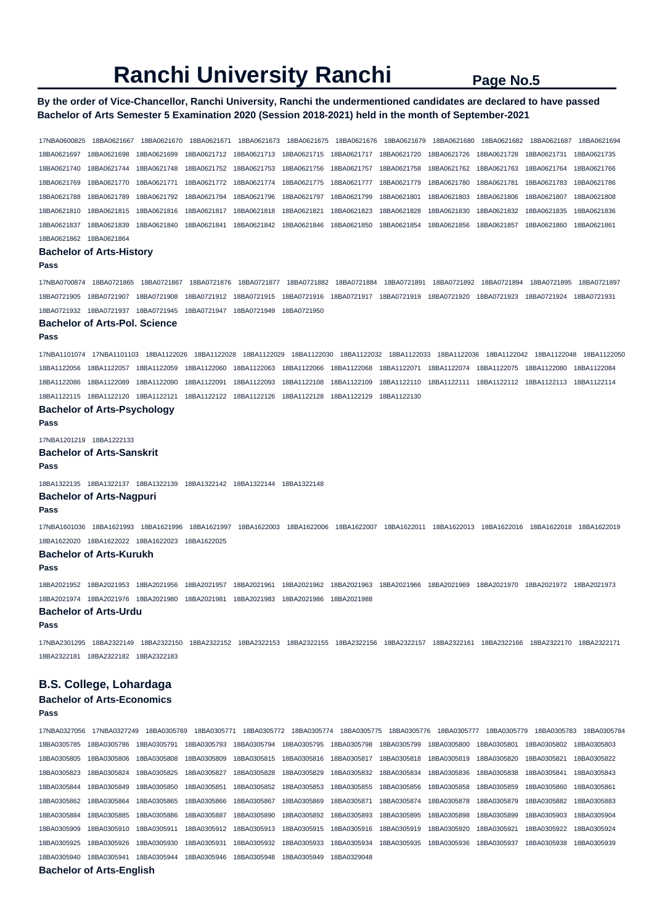## **By the order of Vice-Chancellor, Ranchi University, Ranchi the undermentioned candidates are declared to have passed Bachelor of Arts Semester 5 Examination 2020 (Session 2018-2021) held in the month of September-2021**

17NBA0600825 18BA0621667 18BA0621670 18BA0621671 18BA0621673 18BA0621675 18BA0621676 18BA0621679 18BA0621680 18BA0621682 18BA0621687 18BA0621694 18BA0621697 18BA0621698 18BA0621699 18BA0621712 18BA0621713 18BA0621715 18BA0621717 18BA0621720 18BA0621726 18BA0621728 18BA0621731 18BA0621735

18BA0621740 18BA0621744 18BA0621748 18BA0621752 18BA0621753 18BA0621756 18BA0621757 18BA0621758 18BA0621762 18BA0621763 18BA0621764 18BA0621766 18BA0621769 18BA0621770 18BA0621771 18BA0621772 18BA0621774 18BA0621775 18BA0621777 18BA0621779 18BA0621780 18BA0621781 18BA0621783 18BA0621786 18BA0621788 18BA0621789 18BA0621792 18BA0621794 18BA0621796 18BA0621797 18BA0621799 18BA0621801 18BA0621803 18BA0621806 18BA0621807 18BA0621808 18BA0621810 18BA0621815 18BA0621816 18BA0621817 18BA0621818 18BA0621821 18BA0621823 18BA0621828 18BA0621830 18BA0621832 18BA0621835 18BA0621836 18BA0621837 18BA0621839 18BA0621840 18BA0621841 18BA0621842 18BA0621846 18BA0621850 18BA0621854 18BA0621856 18BA0621857 18BA0621860 18BA0621861 18BA0621862 18BA0621864 **Bachelor of Arts-History Pass**  17NBA0700874 18BA0721865 18BA0721867 18BA0721876 18BA0721877 18BA0721882 18BA0721884 18BA0721891 18BA0721892 18BA0721894 18BA0721895 18BA0721897 18BA0721905 18BA0721907 18BA0721908 18BA0721912 18BA0721915 18BA0721916 18BA0721917 18BA0721919 18BA0721920 18BA0721923 18BA0721924 18BA0721931 18BA0721932 18BA0721937 18BA0721945 18BA0721947 18BA0721949 18BA0721950 **Bachelor of Arts-Pol. Science Pass**  17NBA1101074 17NBA1101103 18BA1122026 18BA1122028 18BA1122029 18BA1122030 18BA1122032 18BA1122033 18BA1122036 18BA1122042 18BA1122048 18BA1122050 18BA1122056 18BA1122057 18BA1122059 18BA1122060 18BA1122063 18BA1122066 18BA1122068 18BA1122071 18BA1122074 18BA1122075 18BA1122080 18BA1122084 18BA1122086 18BA1122089 18BA1122090 18BA1122091 18BA1122093 18BA1122108 18BA1122109 18BA1122110 18BA1122111 18BA1122112 18BA1122113 18BA1122114 18BA1122115 18BA1122120 18BA1122121 18BA1122122 18BA1122126 18BA1122128 18BA1122129 18BA1122130 **Bachelor of Arts-Psychology Pass**  17NBA1201219 18BA1222133 **Bachelor of Arts-Sanskrit Pass**  18BA1322135 18BA1322137 18BA1322139 18BA1322142 18BA1322144 18BA1322148 **Bachelor of Arts-Nagpuri Pass**  17NBA1601036 18BA1621993 18BA1621996 18BA1621997 18BA1622003 18BA1622006 18BA1622007 18BA1622011 18BA1622013 18BA1622016 18BA1622018 18BA1622019 18BA1622020 18BA1622022 18BA1622023 18BA1622025 **Bachelor of Arts-Kurukh Pass**  18BA2021952 18BA2021953 18BA2021956 18BA2021957 18BA2021961 18BA2021962 18BA2021963 18BA2021966 18BA2021969 18BA2021970 18BA2021972 18BA2021973 18BA2021974 18BA2021976 18BA2021980 18BA2021981 18BA2021983 18BA2021986 18BA2021988 **Bachelor of Arts-Urdu Pass**  17NBA2301295 18BA2322149 18BA2322150 18BA2322152 18BA2322153 18BA2322155 18BA2322156 18BA2322157 18BA2322161 18BA2322166 18BA2322170 18BA2322171 18BA2322181 18BA2322182 18BA2322183 **B.S. College, Lohardaga Bachelor of Arts-Economics Pass**  17NBA0327056 17NBA0327249 18BA0305769 18BA0305771 18BA0305772 18BA0305774 18BA0305775 18BA0305776 18BA0305777 18BA0305779 18BA0305783 18BA0305784 18BA0305785 18BA0305786 18BA0305791 18BA0305793 18BA0305794 18BA0305795 18BA0305798 18BA0305799 18BA0305800 18BA0305801 18BA0305802 18BA0305803 18BA0305805 18BA0305806 18BA0305808 18BA0305809 18BA0305815 18BA0305816 18BA0305817 18BA0305818 18BA0305819 18BA0305820 18BA0305821 18BA0305822 18BA0305823 18BA0305824 18BA0305825 18BA0305827 18BA0305828 18BA0305829 18BA0305832 18BA0305834 18BA0305836 18BA0305838 18BA0305841 18BA0305843 18BA0305844 18BA0305849 18BA0305850 18BA0305851 18BA0305852 18BA0305853 18BA0305855 18BA0305856 18BA0305858 18BA0305859 18BA0305860 18BA0305861 18BA0305862 18BA0305864 18BA0305865 18BA0305866 18BA0305867 18BA0305869 18BA0305871 18BA0305874 18BA0305878 18BA0305879 18BA0305882 18BA0305883 18BA0305884 18BA0305885 18BA0305886 18BA0305887 18BA0305890 18BA0305892 18BA0305893 18BA0305895 18BA0305898 18BA0305899 18BA0305903 18BA0305904 18BA0305909 18BA0305910 18BA0305911 18BA0305912 18BA0305913 18BA0305915 18BA0305916 18BA0305919 18BA0305920 18BA0305921 18BA0305922 18BA0305924 18BA0305925 18BA0305926 18BA0305930 18BA0305931 18BA0305932 18BA0305933 18BA0305934 18BA0305935 18BA0305936 18BA0305937 18BA0305938 18BA0305939 18BA0305940 18BA0305941 18BA0305944 18BA0305946 18BA0305948 18BA0305949 18BA0329048

**Bachelor of Arts-English**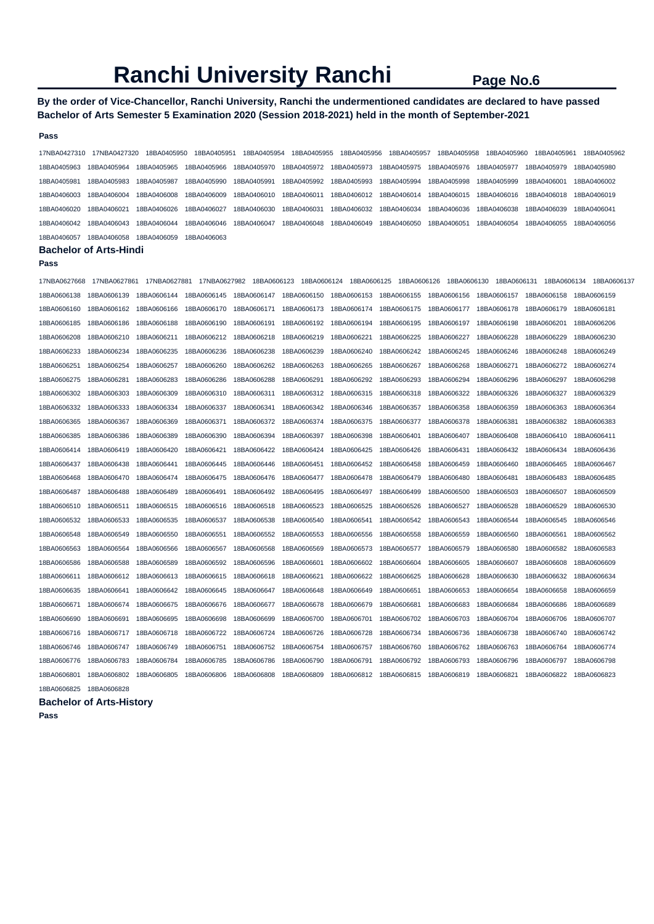## **By the order of Vice-Chancellor, Ranchi University, Ranchi the undermentioned candidates are declared to have passed Bachelor of Arts Semester 5 Examination 2020 (Session 2018-2021) held in the month of September-2021**

**Pass** 

17NBA0427310 17NBA0427320 18BA0405950 18BA0405951 18BA0405954 18BA0405955 18BA0405956 18BA0405957 18BA0405958 18BA0405960 18BA0405961 18BA0405962 18BA0405963 18BA0405964 18BA0405965 18BA0405966 18BA0405970 18BA0405972 18BA0405973 18BA0405975 18BA0405976 18BA0405977 18BA0405979 18BA0405980 18BA0405981 18BA0405983 18BA0405987 18BA0405990 18BA0405991 18BA0405992 18BA0405993 18BA0405994 18BA0405998 18BA0405999 18BA0406001 18BA0406002 18BA0406003 18BA0406004 18BA0406008 18BA0406009 18BA0406010 18BA0406011 18BA0406012 18BA0406014 18BA0406015 18BA0406016 18BA0406018 18BA0406019 18BA0406020 18BA0406021 18BA0406026 18BA0406027 18BA0406030 18BA0406031 18BA0406032 18BA0406034 18BA0406036 18BA0406038 18BA0406039 18BA0406041 18BA0406042 18BA0406043 18BA0406044 18BA0406046 18BA0406047 18BA0406048 18BA0406049 18BA0406050 18BA0406051 18BA0406054 18BA0406055 18BA0406056 18BA0406057 18BA0406058 18BA0406059 18BA0406063 **Bachelor of Arts-Hindi Pass** 

| 17NBA0627668 | 17NBA0627861 | 17NBA0627881 | 17NBA0627982 | 18BA0606123 | 18BA0606124 | 18BA0606125 | 18BA0606126 | 18BA0606130 | 18BA0606131 | 18BA0606134 | 18BA0606137 |
|--------------|--------------|--------------|--------------|-------------|-------------|-------------|-------------|-------------|-------------|-------------|-------------|
| 18BA0606138  | 18BA0606139  | 18BA0606144  | 18BA0606145  | 18BA0606147 | 18BA0606150 | 18BA0606153 | 18BA0606155 | 18BA0606156 | 18BA0606157 | 18BA0606158 | 18BA0606159 |
| 18BA0606160  | 18BA0606162  | 18BA0606166  | 18BA0606170  | 18BA0606171 | 18BA0606173 | 18BA0606174 | 18BA0606175 | 18BA0606177 | 18BA0606178 | 18BA0606179 | 18BA0606181 |
| 18BA0606185  | 18BA0606186  | 18BA0606188  | 18BA0606190  | 18BA0606191 | 18BA0606192 | 18BA0606194 | 18BA0606195 | 18BA0606197 | 18BA0606198 | 18BA0606201 | 18BA0606206 |
| 18BA0606208  | 18BA0606210  | 18BA0606211  | 18BA0606212  | 18BA0606218 | 18BA0606219 | 18BA0606221 | 18BA0606225 | 18BA0606227 | 18BA0606228 | 18BA0606229 | 18BA0606230 |
| 18BA0606233  | 18BA0606234  | 18BA0606235  | 18BA0606236  | 18BA0606238 | 18BA0606239 | 18BA0606240 | 18BA0606242 | 18BA0606245 | 18BA0606246 | 18BA0606248 | 18BA0606249 |
| 18BA0606251  | 18BA0606254  | 18BA0606257  | 18BA0606260  | 18BA0606262 | 18BA0606263 | 18BA0606265 | 18BA0606267 | 18BA0606268 | 18BA0606271 | 18BA0606272 | 18BA0606274 |
| 18BA0606275  | 18BA0606281  | 18BA0606283  | 18BA0606286  | 18BA0606288 | 18BA0606291 | 18BA0606292 | 18BA0606293 | 18BA0606294 | 18BA0606296 | 18BA0606297 | 18BA0606298 |
| 18BA0606302  | 18BA0606303  | 18BA0606309  | 18BA0606310  | 18BA0606311 | 18BA0606312 | 18BA0606315 | 18BA0606318 | 18BA0606322 | 18BA0606326 | 18BA0606327 | 18BA0606329 |
| 18BA0606332  | 18BA0606333  | 18BA0606334  | 18BA0606337  | 18BA0606341 | 18BA0606342 | 18BA0606346 | 18BA0606357 | 18BA0606358 | 18BA0606359 | 18BA0606363 | 18BA0606364 |
| 18BA0606365  | 18BA0606367  | 18BA0606369  | 18BA0606371  | 18BA0606372 | 18BA0606374 | 18BA0606375 | 18BA0606377 | 18BA0606378 | 18BA0606381 | 18BA0606382 | 18BA0606383 |
| 18BA0606385  | 18BA0606386  | 18BA0606389  | 18BA0606390  | 18BA0606394 | 18BA0606397 | 18BA0606398 | 18BA0606401 | 18BA0606407 | 18BA0606408 | 18BA0606410 | 18BA0606411 |
| 18BA0606414  | 18BA0606419  | 18BA0606420  | 18BA0606421  | 18BA0606422 | 18BA0606424 | 18BA0606425 | 18BA0606426 | 18BA0606431 | 18BA0606432 | 18BA0606434 | 18BA0606436 |
| 18BA0606437  | 18BA0606438  | 18BA0606441  | 18BA0606445  | 18BA0606446 | 18BA0606451 | 18BA0606452 | 18BA0606458 | 18BA0606459 | 18BA0606460 | 18BA0606465 | 18BA0606467 |
| 18BA0606468  | 18BA0606470  | 18BA0606474  | 18BA0606475  | 18BA0606476 | 18BA0606477 | 18BA0606478 | 18BA0606479 | 18BA0606480 | 18BA0606481 | 18BA0606483 | 18BA0606485 |
| 18BA0606487  | 18BA0606488  | 18BA0606489  | 18BA0606491  | 18BA0606492 | 18BA0606495 | 18BA0606497 | 18BA0606499 | 18BA0606500 | 18BA0606503 | 18BA0606507 | 18BA0606509 |
| 18BA0606510  | 18BA0606511  | 18BA0606515  | 18BA0606516  | 18BA0606518 | 18BA0606523 | 18BA0606525 | 18BA0606526 | 18BA0606527 | 18BA0606528 | 18BA0606529 | 18BA0606530 |
| 18BA0606532  | 18BA0606533  | 18BA0606535  | 18BA0606537  | 18BA0606538 | 18BA0606540 | 18BA0606541 | 18BA0606542 | 18BA0606543 | 18BA0606544 | 18BA0606545 | 18BA0606546 |
| 18BA0606548  | 18BA0606549  | 18BA0606550  | 18BA0606551  | 18BA0606552 | 18BA0606553 | 18BA0606556 | 18BA0606558 | 18BA0606559 | 18BA0606560 | 18BA0606561 | 18BA0606562 |
| 18BA0606563  | 18BA0606564  | 18BA0606566  | 18BA0606567  | 18BA0606568 | 18BA0606569 | 18BA0606573 | 18BA0606577 | 18BA0606579 | 18BA0606580 | 18BA0606582 | 18BA0606583 |
| 18BA0606586  | 18BA0606588  | 18BA0606589  | 18BA0606592  | 18BA0606596 | 18BA0606601 | 18BA0606602 | 18BA0606604 | 18BA0606605 | 18BA0606607 | 18BA0606608 | 18BA0606609 |
| 18BA0606611  | 18BA0606612  | 18BA0606613  | 18BA0606615  | 18BA0606618 | 18BA0606621 | 18BA0606622 | 18BA0606625 | 18BA0606628 | 18BA0606630 | 18BA0606632 | 18BA0606634 |
| 18BA0606635  | 18BA0606641  | 18BA0606642  | 18BA0606645  | 18BA0606647 | 18BA0606648 | 18BA0606649 | 18BA0606651 | 18BA0606653 | 18BA0606654 | 18BA0606658 | 18BA0606659 |
| 18BA0606671  | 18BA0606674  | 18BA0606675  | 18BA0606676  | 18BA0606677 | 18BA0606678 | 18BA0606679 | 18BA0606681 | 18BA0606683 | 18BA0606684 | 18BA0606686 | 18BA0606689 |
| 18BA0606690  | 18BA0606691  | 18BA0606695  | 18BA0606698  | 18BA0606699 | 18BA0606700 | 18BA0606701 | 18BA0606702 | 18BA0606703 | 18BA0606704 | 18BA0606706 | 18BA0606707 |
| 18BA0606716  | 18BA0606717  | 18BA0606718  | 18BA0606722  | 18BA0606724 | 18BA0606726 | 18BA0606728 | 18BA0606734 | 18BA0606736 | 18BA0606738 | 18BA0606740 | 18BA0606742 |
| 18BA0606746  | 18BA0606747  | 18BA0606749  | 18BA0606751  | 18BA0606752 | 18BA0606754 | 18BA0606757 | 18BA0606760 | 18BA0606762 | 18BA0606763 | 18BA0606764 | 18BA0606774 |
| 18BA0606776  | 18BA0606783  | 18BA0606784  | 18BA0606785  | 18BA0606786 | 18BA0606790 | 18BA0606791 | 18BA0606792 | 18BA0606793 | 18BA0606796 | 18BA0606797 | 18BA0606798 |
| 18BA0606801  | 18BA0606802  | 18BA0606805  | 18BA0606806  | 18BA0606808 | 18BA0606809 | 18BA0606812 | 18BA0606815 | 18BA0606819 | 18BA0606821 | 18BA0606822 | 18BA0606823 |
| 18BA0606825  | 18BA0606828  |              |              |             |             |             |             |             |             |             |             |

#### **Bachelor of Arts-History**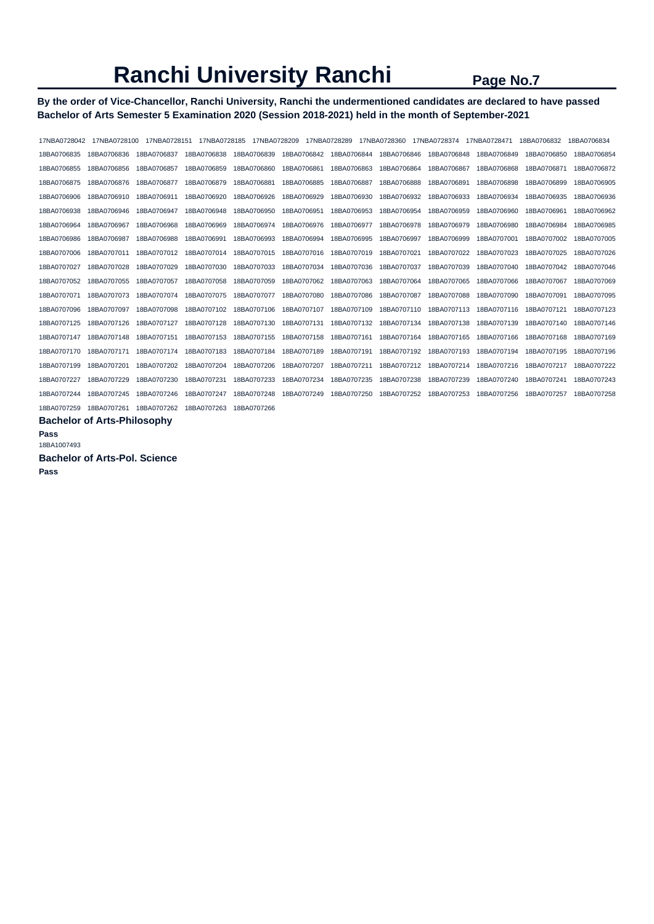**By the order of Vice-Chancellor, Ranchi University, Ranchi the undermentioned candidates are declared to have passed Bachelor of Arts Semester 5 Examination 2020 (Session 2018-2021) held in the month of September-2021** 

| 17NBA0728042 | 17NBA0728100 | 17NBA0728151 | 17NBA0728185 | 17NBA0728209 |             | 17NBA0728289 | 17NBA0728360 | 17NBA0728374 | 17NBA0728471 | 18BA0706832 | 18BA0706834 |
|--------------|--------------|--------------|--------------|--------------|-------------|--------------|--------------|--------------|--------------|-------------|-------------|
| 18BA0706835  | 18BA0706836  | 18BA0706837  | 18BA0706838  | 18BA0706839  | 18BA0706842 | 18BA0706844  | 18BA0706846  | 18BA0706848  | 18BA0706849  | 18BA0706850 | 18BA0706854 |
| 18BA0706855  | 18BA0706856  | 18BA0706857  | 18BA0706859  | 18BA0706860  | 18BA0706861 | 18BA0706863  | 18BA0706864  | 18BA0706867  | 18BA0706868  | 18BA0706871 | 18BA0706872 |
| 18BA0706875  | 18BA0706876  | 18BA0706877  | 18BA0706879  | 18BA0706881  | 18BA0706885 | 18BA0706887  | 18BA0706888  | 18BA0706891  | 18BA0706898  | 18BA0706899 | 18BA0706905 |
| 18BA0706906  | 18BA0706910  | 18BA0706911  | 18BA0706920  | 18BA0706926  | 18BA0706929 | 18BA0706930  | 18BA0706932  | 18BA0706933  | 18BA0706934  | 18BA0706935 | 18BA0706936 |
| 18BA0706938  | 18BA0706946  | 18BA0706947  | 18BA0706948  | 18BA0706950  | 18BA0706951 | 18BA0706953  | 18BA0706954  | 18BA0706959  | 18BA0706960  | 18BA0706961 | 18BA0706962 |
| 18BA0706964  | 18BA0706967  | 18BA0706968  | 18BA0706969  | 18BA0706974  | 18BA0706976 | 18BA0706977  | 18BA0706978  | 18BA0706979  | 18BA0706980  | 18BA0706984 | 18BA0706985 |
| 18BA0706986  | 18BA0706987  | 18BA0706988  | 18BA0706991  | 18BA0706993  | 18BA0706994 | 18BA0706995  | 18BA0706997  | 18BA0706999  | 18BA0707001  | 18BA0707002 | 18BA0707005 |
| 18BA0707006  | 18BA0707011  | 18BA0707012  | 18BA0707014  | 18BA0707015  | 18BA0707016 | 18BA0707019  | 18BA0707021  | 18BA0707022  | 18BA0707023  | 18BA0707025 | 18BA0707026 |
| 18BA0707027  | 18BA0707028  | 18BA0707029  | 18BA0707030  | 18BA0707033  | 18BA0707034 | 18BA0707036  | 18BA0707037  | 18BA0707039  | 18BA0707040  | 18BA0707042 | 18BA0707046 |
| 18BA0707052  | 18BA0707055  | 18BA0707057  | 18BA0707058  | 18BA0707059  | 18BA0707062 | 18BA0707063  | 18BA0707064  | 18BA0707065  | 18BA0707066  | 18BA0707067 | 18BA0707069 |
| 18BA0707071  | 18BA0707073  | 18BA0707074  | 18BA0707075  | 18BA0707077  | 18BA0707080 | 18BA0707086  | 18BA0707087  | 18BA0707088  | 18BA0707090  | 18BA0707091 | 18BA0707095 |
| 18BA0707096  | 18BA0707097  | 18BA0707098  | 18BA0707102  | 18BA0707106  | 18BA0707107 | 18BA0707109  | 18BA0707110  | 18BA0707113  | 18BA0707116  | 18BA0707121 | 18BA0707123 |
| 18BA0707125  | 18BA0707126  | 18BA0707127  | 18BA0707128  | 18BA0707130  | 18BA0707131 | 18BA0707132  | 18BA0707134  | 18BA0707138  | 18BA0707139  | 18BA0707140 | 18BA0707146 |
| 18BA0707147  | 18BA0707148  | 18BA0707151  | 18BA0707153  | 18BA0707155  | 18BA0707158 | 18BA0707161  | 18BA0707164  | 18BA0707165  | 18BA0707166  | 18BA0707168 | 18BA0707169 |
| 18BA0707170  | 18BA0707171  | 18BA0707174  | 18BA0707183  | 18BA0707184  | 18BA0707189 | 18BA0707191  | 18BA0707192  | 18BA0707193  | 18BA0707194  | 18BA0707195 | 18BA0707196 |
| 18BA0707199  | 18BA0707201  | 18BA0707202  | 18BA0707204  | 18BA0707206  | 18BA0707207 | 18BA0707211  | 18BA0707212  | 18BA0707214  | 18BA0707216  | 18BA0707217 | 18BA0707222 |
| 18BA0707227  | 18BA0707229  | 18BA0707230  | 18BA0707231  | 18BA0707233  | 18BA0707234 | 18BA0707235  | 18BA0707238  | 18BA0707239  | 18BA0707240  | 18BA0707241 | 18BA0707243 |
| 18BA0707244  | 18BA0707245  | 18BA0707246  | 18BA0707247  | 18BA0707248  | 18BA0707249 | 18BA0707250  | 18BA0707252  | 18BA0707253  | 18BA0707256  | 18BA0707257 | 18BA0707258 |
| 18BA0707259  | 18BA0707261  | 18BA0707262  | 18BA0707263  | 18BA0707266  |             |              |              |              |              |             |             |

**Bachelor of Arts-Philosophy** 

**Pass** 

18BA1007493

**Bachelor of Arts-Pol. Science**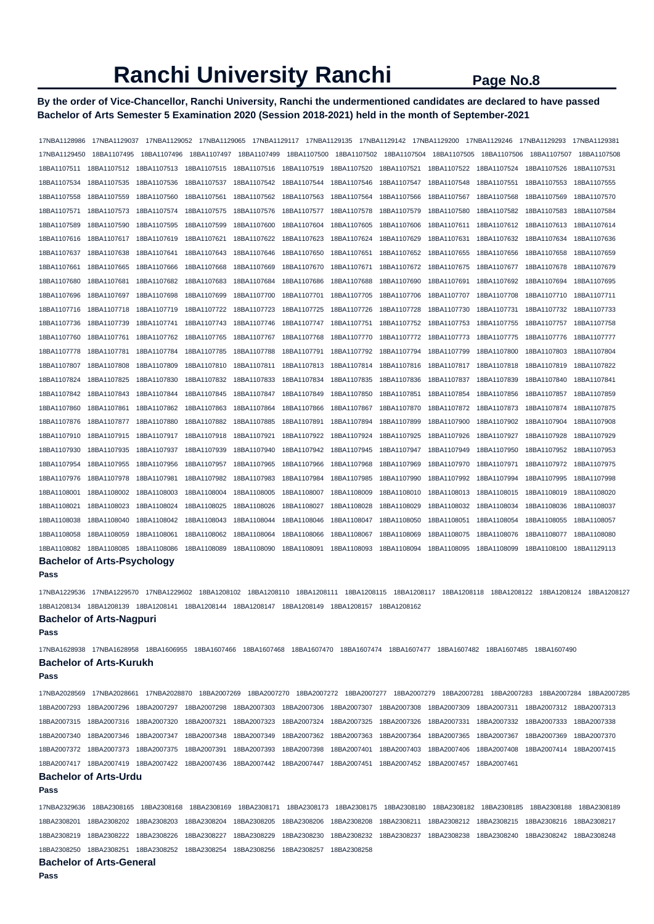## **By the order of Vice-Chancellor, Ranchi University, Ranchi the undermentioned candidates are declared to have passed Bachelor of Arts Semester 5 Examination 2020 (Session 2018-2021) held in the month of September-2021**

| 17NBA1128986            | 17NBA1129037                | 17NBA1129052 | 17NBA1129065                        |                         |             |             | 17NBA1129117  17NBA1129135  17NBA1129142  17NBA1129200 |             | 17NBA1129246 | 17NBA1129293            | 17NBA1129381 |
|-------------------------|-----------------------------|--------------|-------------------------------------|-------------------------|-------------|-------------|--------------------------------------------------------|-------------|--------------|-------------------------|--------------|
| 17NBA1129450            | 18BA1107495                 | 18BA1107496  |                                     | 18BA1107497 18BA1107499 |             |             |                                                        |             | 18BA1107506  | 18BA1107507             | 18BA1107508  |
| 18BA1107511             | 18BA1107512                 | 18BA1107513  | 18BA1107515                         | 18BA1107516             | 18BA1107519 | 18BA1107520 | 18BA1107521                                            | 18BA1107522 | 18BA1107524  | 18BA1107526             | 18BA1107531  |
| 18BA1107534             | 18BA1107535                 | 18BA1107536  | 18BA1107537                         | 18BA1107542             | 18BA1107544 | 18BA1107546 | 18BA1107547                                            | 18BA1107548 | 18BA1107551  | 18BA1107553             | 18BA1107555  |
| 18BA1107558             | 18BA1107559                 | 18BA1107560  | 18BA1107561                         | 18BA1107562             | 18BA1107563 | 18BA1107564 | 18BA1107566                                            | 18BA1107567 | 18BA1107568  | 18BA1107569             | 18BA1107570  |
| 18BA1107571             | 18BA1107573                 | 18BA1107574  | 18BA1107575                         | 18BA1107576             | 18BA1107577 | 18BA1107578 | 18BA1107579                                            | 18BA1107580 | 18BA1107582  | 18BA1107583             | 18BA1107584  |
| 18BA1107589             | 18BA1107590                 | 18BA1107595  | 18BA1107599                         | 18BA1107600             | 18BA1107604 | 18BA1107605 | 18BA1107606                                            | 18BA1107611 | 18BA1107612  | 18BA1107613             | 18BA1107614  |
| 18BA1107616             | 18BA1107617                 | 18BA1107619  | 18BA1107621                         | 18BA1107622             | 18BA1107623 | 18BA1107624 | 18BA1107629                                            | 18BA1107631 | 18BA1107632  | 18BA1107634             | 18BA1107636  |
| 18BA1107637             | 18BA1107638                 | 18BA1107641  | 18BA1107643                         | 18BA1107646             | 18BA1107650 | 18BA1107651 | 18BA1107652                                            | 18BA1107655 | 18BA1107656  | 18BA1107658             | 18BA1107659  |
| 18BA1107661             | 18BA1107665                 | 18BA1107666  | 18BA1107668                         | 18BA1107669             | 18BA1107670 | 18BA1107671 | 18BA1107672                                            | 18BA1107675 | 18BA1107677  | 18BA1107678             | 18BA1107679  |
| 18BA1107680             | 18BA1107681                 | 18BA1107682  | 18BA1107683                         | 18BA1107684             | 18BA1107686 | 18BA1107688 | 18BA1107690                                            | 18BA1107691 | 18BA1107692  | 18BA1107694             | 18BA1107695  |
| 18BA1107696             | 18BA1107697                 | 18BA1107698  | 18BA1107699                         | 18BA1107700             | 18BA1107701 | 18BA1107705 | 18BA1107706                                            | 18BA1107707 | 18BA1107708  | 18BA1107710             | 18BA1107711  |
| 18BA1107716             | 18BA1107718                 | 18BA1107719  | 18BA1107722                         | 18BA1107723             | 18BA1107725 | 18BA1107726 | 18BA1107728                                            | 18BA1107730 | 18BA1107731  | 18BA1107732             | 18BA1107733  |
| 18BA1107736             | 18BA1107739                 | 18BA1107741  | 18BA1107743                         | 18BA1107746             | 18BA1107747 | 18BA1107751 | 18BA1107752                                            | 18BA1107753 | 18BA1107755  | 18BA1107757             | 18BA1107758  |
| 18BA1107760             | 18BA1107761                 | 18BA1107762  | 18BA1107765                         | 18BA1107767             | 18BA1107768 | 18BA1107770 | 18BA1107772                                            | 18BA1107773 | 18BA1107775  | 18BA1107776             | 18BA1107777  |
| 18BA1107778             | 18BA1107781                 | 18BA1107784  | 18BA1107785                         | 18BA1107788             | 18BA1107791 | 18BA1107792 | 18BA1107794                                            | 18BA1107799 | 18BA1107800  | 18BA1107803             | 18BA1107804  |
| 18BA1107807             | 18BA1107808                 | 18BA1107809  | 18BA1107810                         | 18BA1107811             | 18BA1107813 | 18BA1107814 | 18BA1107816                                            | 18BA1107817 | 18BA1107818  | 18BA1107819             | 18BA1107822  |
| 18BA1107824             | 18BA1107825                 | 18BA1107830  | 18BA1107832                         | 18BA1107833             | 18BA1107834 | 18BA1107835 | 18BA1107836                                            | 18BA1107837 | 18BA1107839  | 18BA1107840             | 18BA1107841  |
| 18BA1107842             | 18BA1107843                 | 18BA1107844  | 18BA1107845                         | 18BA1107847             | 18BA1107849 | 18BA1107850 | 18BA1107851                                            | 18BA1107854 | 18BA1107856  | 18BA1107857             | 18BA1107859  |
| 18BA1107860             | 18BA1107861                 | 18BA1107862  | 18BA1107863                         | 18BA1107864             | 18BA1107866 | 18BA1107867 | 18BA1107870                                            | 18BA1107872 | 18BA1107873  | 18BA1107874             | 18BA1107875  |
| 18BA1107876             | 18BA1107877                 | 18BA1107880  | 18BA1107882                         | 18BA1107885             | 18BA1107891 | 18BA1107894 | 18BA1107899                                            | 18BA1107900 | 18BA1107902  | 18BA1107904             | 18BA1107908  |
| 18BA1107910             | 18BA1107915                 | 18BA1107917  | 18BA1107918                         | 18BA1107921             | 18BA1107922 | 18BA1107924 | 18BA1107925                                            | 18BA1107926 | 18BA1107927  | 18BA1107928             | 18BA1107929  |
| 18BA1107930             | 18BA1107935                 | 18BA1107937  | 18BA1107939                         | 18BA1107940             | 18BA1107942 | 18BA1107945 | 18BA1107947                                            | 18BA1107949 | 18BA1107950  | 18BA1107952             | 18BA1107953  |
| 18BA1107954             | 18BA1107955                 | 18BA1107956  | 18BA1107957                         | 18BA1107965             | 18BA1107966 | 18BA1107968 | 18BA1107969                                            | 18BA1107970 | 18BA1107971  | 18BA1107972             | 18BA1107975  |
| 18BA1107976             | 18BA1107978                 | 18BA1107981  | 18BA1107982                         | 18BA1107983             | 18BA1107984 | 18BA1107985 | 18BA1107990                                            | 18BA1107992 | 18BA1107994  | 18BA1107995             | 18BA1107998  |
| 18BA1108001             | 18BA1108002                 | 18BA1108003  | 18BA1108004                         | 18BA1108005             | 18BA1108007 | 18BA1108009 | 18BA1108010                                            | 18BA1108013 | 18BA1108015  | 18BA1108019             | 18BA1108020  |
| 18BA1108021             | 18BA1108023                 | 18BA1108024  | 18BA1108025                         | 18BA1108026             | 18BA1108027 | 18BA1108028 | 18BA1108029                                            | 18BA1108032 | 18BA1108034  | 18BA1108036             | 18BA1108037  |
| 18BA1108038             | 18BA1108040                 | 18BA1108042  | 18BA1108043                         | 18BA1108044             | 18BA1108046 | 18BA1108047 | 18BA1108050                                            | 18BA1108051 | 18BA1108054  | 18BA1108055             | 18BA1108057  |
| 18BA1108058             | 18BA1108059                 | 18BA1108061  | 18BA1108062                         | 18BA1108064             | 18BA1108066 | 18BA1108067 | 18BA1108069                                            | 18BA1108075 | 18BA1108076  | 18BA1108077             | 18BA1108080  |
| 18BA1108082 18BA1108085 |                             | 18BA1108086  | 18BA1108089 18BA1108090 18BA1108091 |                         |             |             | 18BA1108093 18BA1108094 18BA1108095 18BA1108099        |             |              | 18BA1108100 18BA1129113 |              |
|                         | Bashalar of Arts Boughalacu |              |                                     |                         |             |             |                                                        |             |              |                         |              |

### **Bachelor of Arts-Psychology**

**Pass** 

17NBA1229536 17NBA1229570 17NBA1229602 18BA1208102 18BA1208110 18BA1208111 18BA1208115 18BA1208117 18BA1208118 18BA1208122 18BA1208124 18BA1208127 18BA1208134 18BA1208139 18BA1208141 18BA1208144 18BA1208147 18BA1208149 18BA1208157 18BA1208162

## **Bachelor of Arts-Nagpuri**

**Pass** 

17NBA1628938 17NBA1628958 18BA1606955 18BA1607466 18BA1607468 18BA1607470 18BA1607474 18BA1607477 18BA1607482 18BA1607485 18BA1607490

## **Bachelor of Arts-Kurukh**

**Pass** 

17NBA2028569 17NBA2028661 17NBA2028870 18BA2007269 18BA2007270 18BA2007272 18BA2007277 18BA2007279 18BA2007281 18BA2007283 18BA2007284 18BA2007285 18BA2007293 18BA2007296 18BA2007297 18BA2007298 18BA2007303 18BA2007306 18BA2007307 18BA2007308 18BA2007309 18BA2007311 18BA2007312 18BA2007313 18BA2007315 18BA2007316 18BA2007320 18BA2007321 18BA2007323 18BA2007324 18BA2007325 18BA2007326 18BA2007331 18BA2007332 18BA2007333 18BA2007338 18BA2007340 18BA2007346 18BA2007347 18BA2007348 18BA2007349 18BA2007362 18BA2007363 18BA2007364 18BA2007365 18BA2007367 18BA2007369 18BA2007370 18BA2007372 18BA2007373 18BA2007375 18BA2007391 18BA2007393 18BA2007398 18BA2007401 18BA2007403 18BA2007406 18BA2007408 18BA2007414 18BA2007415 18BA2007417 18BA2007419 18BA2007422 18BA2007436 18BA2007442 18BA2007447 18BA2007451 18BA2007452 18BA2007457 18BA2007461

## **Bachelor of Arts-Urdu**

**Pass** 

17NBA2329636 18BA2308165 18BA2308168 18BA2308169 18BA2308171 18BA2308173 18BA2308175 18BA2308180 18BA2308182 18BA2308185 18BA2308188 18BA2308189 18BA2308201 18BA2308202 18BA2308203 18BA2308204 18BA2308205 18BA2308206 18BA2308208 18BA2308211 18BA2308212 18BA2308215 18BA2308216 18BA2308217 18BA2308219 18BA2308222 18BA2308226 18BA2308227 18BA2308229 18BA2308230 18BA2308232 18BA2308237 18BA2308238 18BA2308240 18BA2308242 18BA2308248 18BA2308250 18BA2308251 18BA2308252 18BA2308254 18BA2308256 18BA2308257 18BA2308258

#### **Bachelor of Arts-General**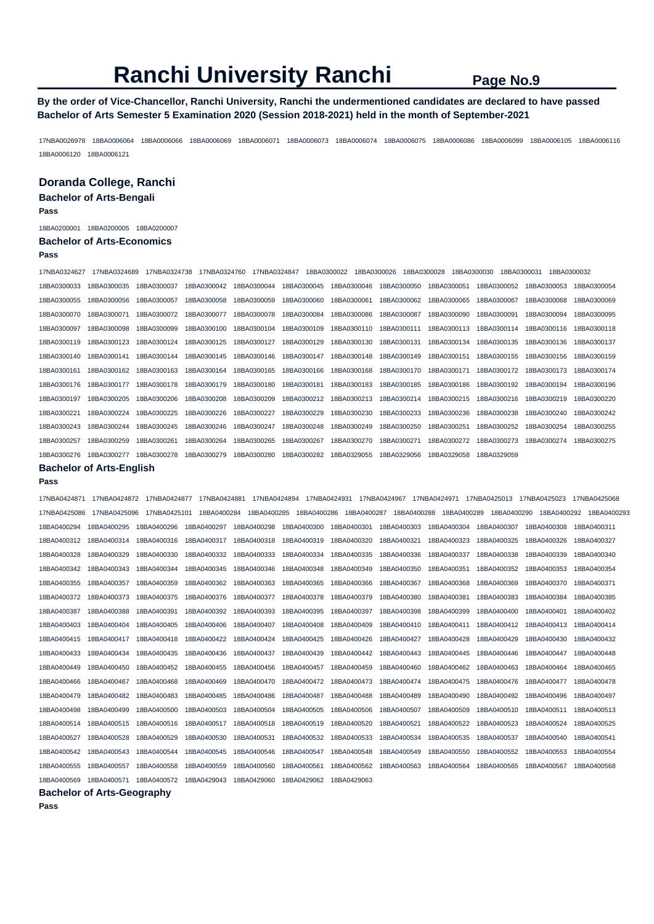**By the order of Vice-Chancellor, Ranchi University, Ranchi the undermentioned candidates are declared to have passed Bachelor of Arts Semester 5 Examination 2020 (Session 2018-2021) held in the month of September-2021** 

17NBA0026978 18BA0006064 18BA0006066 18BA0006069 18BA0006071 18BA0006073 18BA0006074 18BA0006075 18BA0006086 18BA0006099 18BA0006105 18BA0006116 18BA0006120 18BA0006121

## **Doranda College, Ranchi**

**Bachelor of Arts-Bengali Pass** 

18BA0200001 18BA0200005 18BA0200007

### **Bachelor of Arts-Economics**

**Pass** 

| 17NBA0324627 | 17NBA0324689 | 17NBA0324738 | 17NBA0324760 | 17NBA0324847 | 18BA0300022 | 18BA0300026 | 18BA0300028 | 18BA0300030 | 18BA0300031 | 18BA0300032 |             |
|--------------|--------------|--------------|--------------|--------------|-------------|-------------|-------------|-------------|-------------|-------------|-------------|
| 18BA0300033  | 18BA0300035  | 18BA0300037  | 18BA0300042  | 18BA0300044  | 18BA0300045 | 18BA0300046 | 18BA0300050 | 18BA0300051 | 18BA0300052 | 18BA0300053 | 18BA0300054 |
| 18BA0300055  | 18BA0300056  | 18BA0300057  | 18BA0300058  | 18BA0300059  | 18BA0300060 | 18BA0300061 | 18BA0300062 | 18BA0300065 | 18BA0300067 | 18BA0300068 | 18BA0300069 |
| 18BA0300070  | 18BA0300071  | 18BA0300072  | 18BA0300077  | 18BA0300078  | 18BA0300084 | 18BA0300086 | 18BA0300087 | 18BA0300090 | 18BA0300091 | 18BA0300094 | 18BA0300095 |
| 18BA0300097  | 18BA0300098  | 18BA0300099  | 18BA0300100  | 18BA0300104  | 18BA0300109 | 18BA0300110 | 18BA0300111 | 18BA0300113 | 18BA0300114 | 18BA0300116 | 18BA0300118 |
| 18BA0300119  | 18BA0300123  | 18BA0300124  | 18BA0300125  | 18BA0300127  | 18BA0300129 | 18BA0300130 | 18BA0300131 | 18BA0300134 | 18BA0300135 | 18BA0300136 | 18BA0300137 |
| 18BA0300140  | 18BA0300141  | 18BA0300144  | 18BA0300145  | 18BA0300146  | 18BA0300147 | 18BA0300148 | 18BA0300149 | 18BA0300151 | 18BA0300155 | 18BA0300156 | 18BA0300159 |
| 18BA0300161  | 18BA0300162  | 18BA0300163  | 18BA0300164  | 18BA0300165  | 18BA0300166 | 18BA0300168 | 18BA0300170 | 18BA0300171 | 18BA0300172 | 18BA0300173 | 18BA0300174 |
| 18BA0300176  | 18BA0300177  | 18BA0300178  | 18BA0300179  | 18BA0300180  | 18BA0300181 | 18BA0300183 | 18BA0300185 | 18BA0300186 | 18BA0300192 | 18BA0300194 | 18BA0300196 |
| 18BA0300197  | 18BA0300205  | 18BA0300206  | 18BA0300208  | 18BA0300209  | 18BA0300212 | 18BA0300213 | 18BA0300214 | 18BA0300215 | 18BA0300216 | 18BA0300219 | 18BA0300220 |
| 18BA0300221  | 18BA0300224  | 18BA0300225  | 18BA0300226  | 18BA0300227  | 18BA0300229 | 18BA0300230 | 18BA0300233 | 18BA0300236 | 18BA0300238 | 18BA0300240 | 18BA0300242 |
| 18BA0300243  | 18BA0300244  | 18BA0300245  | 18BA0300246  | 18BA0300247  | 18BA0300248 | 18BA0300249 | 18BA0300250 | 18BA0300251 | 18BA0300252 | 18BA0300254 | 18BA0300255 |
| 18BA0300257  | 18BA0300259  | 18BA0300261  | 18BA0300264  | 18BA0300265  | 18BA0300267 | 18BA0300270 | 18BA0300271 | 18BA0300272 | 18BA0300273 | 18BA0300274 | 18BA0300275 |
| 18BA0300276  | 18BA0300277  | 18BA0300278  | 18BA0300279  | 18BA0300280  | 18BA0300282 | 18BA0329055 | 18BA0329056 | 18BA0329058 | 18BA0329059 |             |             |
| _ _ _        | .            | .            |              |              |             |             |             |             |             |             |             |

### **Bachelor of Arts-English**

**Pass** 

| 17NBA0424871             | 17NBA0424872 | 17NBA0424877 | 17NBA0424881                          | 17NBA0424894 |                         | 17NBA0424931            | 17NBA0424967 |             | 17NBA0424971 | 17NBA0425013 | 17NBA0425023 | 17NBA0425068 |
|--------------------------|--------------|--------------|---------------------------------------|--------------|-------------------------|-------------------------|--------------|-------------|--------------|--------------|--------------|--------------|
| 17NBA0425086             | 17NBA0425096 | 17NBA0425101 | 18BA0400284                           | 18BA0400285  |                         | 18BA0400286 18BA0400287 |              | 18BA0400288 | 18BA0400289  | 18BA0400290  | 18BA0400292  | 18BA0400293  |
| 18BA0400294              | 18BA0400295  | 18BA0400296  | 18BA0400297                           | 18BA0400298  | 18BA0400300             | 18BA0400301             |              | 18BA0400303 | 18BA0400304  | 18BA0400307  | 18BA0400308  | 18BA0400311  |
| 18BA0400312              | 18BA0400314  | 18BA0400316  | 18BA0400317                           | 18BA0400318  | 18BA0400319             | 18BA0400320             |              | 18BA0400321 | 18BA0400323  | 18BA0400325  | 18BA0400326  | 18BA0400327  |
| 18BA0400328              | 18BA0400329  | 18BA0400330  | 18BA0400332                           | 18BA0400333  | 18BA0400334             | 18BA0400335             |              | 18BA0400336 | 18BA0400337  | 18BA0400338  | 18BA0400339  | 18BA0400340  |
| 18BA0400342              | 18BA0400343  | 18BA0400344  | 18BA0400345                           | 18BA0400346  | 18BA0400348             | 18BA0400349             |              | 18BA0400350 | 18BA0400351  | 18BA0400352  | 18BA0400353  | 18BA0400354  |
| 18BA0400355              | 18BA0400357  | 18BA0400359  | 18BA0400362                           | 18BA0400363  | 18BA0400365             | 18BA0400366             |              | 18BA0400367 | 18BA0400368  | 18BA0400369  | 18BA0400370  | 18BA0400371  |
| 18BA0400372              | 18BA0400373  | 18BA0400375  | 18BA0400376                           | 18BA0400377  | 18BA0400378             | 18BA0400379             |              | 18BA0400380 | 18BA0400381  | 18BA0400383  | 18BA0400384  | 18BA0400385  |
| 18BA0400387              | 18BA0400388  | 18BA0400391  | 18BA0400392                           | 18BA0400393  | 18BA0400395             | 18BA0400397             |              | 18BA0400398 | 18BA0400399  | 18BA0400400  | 18BA0400401  | 18BA0400402  |
| 18BA0400403              | 18BA0400404  | 18BA0400405  | 18BA0400406                           | 18BA0400407  | 18BA0400408             | 18BA0400409             |              | 18BA0400410 | 18BA0400411  | 18BA0400412  | 18BA0400413  | 18BA0400414  |
| 18BA0400415              | 18BA0400417  | 18BA0400418  | 18BA0400422                           | 18BA0400424  | 18BA0400425             | 18BA0400426             |              | 18BA0400427 | 18BA0400428  | 18BA0400429  | 18BA0400430  | 18BA0400432  |
| 18BA0400433              | 18BA0400434  | 18BA0400435  | 18BA0400436                           | 18BA0400437  | 18BA0400439             | 18BA0400442             |              | 18BA0400443 | 18BA0400445  | 18BA0400446  | 18BA0400447  | 18BA0400448  |
| 18BA0400449              | 18BA0400450  | 18BA0400452  | 18BA0400455                           | 18BA0400456  | 18BA0400457             | 18BA0400459             |              | 18BA0400460 | 18BA0400462  | 18BA0400463  | 18BA0400464  | 18BA0400465  |
| 18BA0400466              | 18BA0400467  | 18BA0400468  | 18BA0400469                           | 18BA0400470  | 18BA0400472             | 18BA0400473             |              | 18BA0400474 | 18BA0400475  | 18BA0400476  | 18BA0400477  | 18BA0400478  |
| 18BA0400479              | 18BA0400482  | 18BA0400483  | 18BA0400485                           | 18BA0400486  | 18BA0400487             | 18BA0400488             |              | 18BA0400489 | 18BA0400490  | 18BA0400492  | 18BA0400496  | 18BA0400497  |
| 18BA0400498              | 18BA0400499  | 18BA0400500  | 18BA0400503                           | 18BA0400504  | 18BA0400505             | 18BA0400506             |              | 18BA0400507 | 18BA0400509  | 18BA0400510  | 18BA0400511  | 18BA0400513  |
| 18BA0400514              | 18BA0400515  | 18BA0400516  | 18BA0400517                           | 18BA0400518  | 18BA0400519             | 18BA0400520             |              | 18BA0400521 | 18BA0400522  | 18BA0400523  | 18BA0400524  | 18BA0400525  |
| 18BA0400527              | 18BA0400528  | 18BA0400529  | 18BA0400530                           | 18BA0400531  | 18BA0400532             | 18BA0400533             |              | 18BA0400534 | 18BA0400535  | 18BA0400537  | 18BA0400540  | 18BA0400541  |
| 18BA0400542              | 18BA0400543  | 18BA0400544  | 18BA0400545                           | 18BA0400546  | 18BA0400547             | 18BA0400548             |              | 18BA0400549 | 18BA0400550  | 18BA0400552  | 18BA0400553  | 18BA0400554  |
| 18BA0400555              | 18BA0400557  | 18BA0400558  | 18BA0400559                           | 18BA0400560  | 18BA0400561             | 18BA0400562             |              | 18BA0400563 | 18BA0400564  | 18BA0400565  | 18BA0400567  | 18BA0400568  |
| 18BA0400569  18BA0400571 |              |              | 18BA0400572  18BA0429043  18BA0429060 |              | 18BA0429062 18BA0429063 |                         |              |             |              |              |              |              |

**Bachelor of Arts-Geography**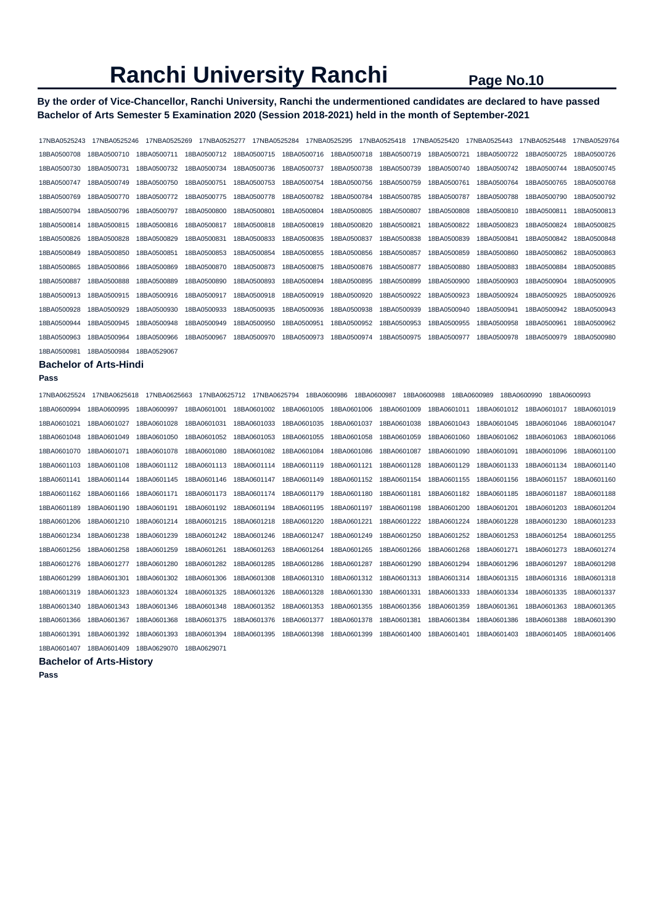## **By the order of Vice-Chancellor, Ranchi University, Ranchi the undermentioned candidates are declared to have passed Bachelor of Arts Semester 5 Examination 2020 (Session 2018-2021) held in the month of September-2021**

| 17NBA0525243 | 17NBA0525246                  | 17NBA0525269 | 17NBA0525277 | 17NBA0525284              |             | 17NBA0525295 | 17NBA0525418 | 17NBA0525420 | 17NBA0525443 | 17NBA0525448               | 17NBA0529764 |
|--------------|-------------------------------|--------------|--------------|---------------------------|-------------|--------------|--------------|--------------|--------------|----------------------------|--------------|
| 18BA0500708  | 18BA0500710                   | 18BA0500711  | 18BA0500712  | 18BA0500715               | 18BA0500716 | 18BA0500718  | 18BA0500719  | 18BA0500721  | 18BA0500722  | 18BA0500725                | 18BA0500726  |
| 18BA0500730  | 18BA0500731                   | 18BA0500732  | 18BA0500734  | 18BA0500736               | 18BA0500737 | 18BA0500738  | 18BA0500739  | 18BA0500740  | 18BA0500742  | 18BA0500744                | 18BA0500745  |
| 18BA0500747  | 18BA0500749                   | 18BA0500750  | 18BA0500751  | 18BA0500753               | 18BA0500754 | 18BA0500756  | 18BA0500759  | 18BA0500761  | 18BA0500764  | 18BA0500765                | 18BA0500768  |
| 18BA0500769  | 18BA0500770                   | 18BA0500772  | 18BA0500775  | 18BA0500778               | 18BA0500782 | 18BA0500784  | 18BA0500785  | 18BA0500787  | 18BA0500788  | 18BA0500790                | 18BA0500792  |
| 18BA0500794  | 18BA0500796                   | 18BA0500797  | 18BA0500800  | 18BA0500801               | 18BA0500804 | 18BA0500805  | 18BA0500807  | 18BA0500808  | 18BA0500810  | 18BA0500811                | 18BA0500813  |
| 18BA0500814  | 18BA0500815                   | 18BA0500816  | 18BA0500817  | 18BA0500818               | 18BA0500819 | 18BA0500820  | 18BA0500821  | 18BA0500822  | 18BA0500823  | 18BA0500824                | 18BA0500825  |
| 18BA0500826  | 18BA0500828                   | 18BA0500829  | 18BA0500831  | 18BA0500833               | 18BA0500835 | 18BA0500837  | 18BA0500838  | 18BA0500839  | 18BA0500841  | 18BA0500842                | 18BA0500848  |
| 18BA0500849  | 18BA0500850                   | 18BA0500851  | 18BA0500853  | 18BA0500854               | 18BA0500855 | 18BA0500856  | 18BA0500857  | 18BA0500859  | 18BA0500860  | 18BA0500862                | 18BA0500863  |
| 18BA0500865  | 18BA0500866                   | 18BA0500869  | 18BA0500870  | 18BA0500873               | 18BA0500875 | 18BA0500876  | 18BA0500877  | 18BA0500880  | 18BA0500883  | 18BA0500884                | 18BA0500885  |
| 18BA0500887  | 18BA0500888                   | 18BA0500889  | 18BA0500890  | 18BA0500893               | 18BA0500894 | 18BA0500895  | 18BA0500899  | 18BA0500900  | 18BA0500903  | 18BA0500904                | 18BA0500905  |
| 18BA0500913  | 18BA0500915                   | 18BA0500916  | 18BA0500917  | 18BA0500918               | 18BA0500919 | 18BA0500920  | 18BA0500922  | 18BA0500923  | 18BA0500924  | 18BA0500925                | 18BA0500926  |
| 18BA0500928  | 18BA0500929                   | 18BA0500930  | 18BA0500933  | 18BA0500935               | 18BA0500936 | 18BA0500938  | 18BA0500939  | 18BA0500940  | 18BA0500941  | 18BA0500942                | 18BA0500943  |
| 18BA0500944  | 18BA0500945                   | 18BA0500948  | 18BA0500949  | 18BA0500950               | 18BA0500951 | 18BA0500952  | 18BA0500953  | 18BA0500955  | 18BA0500958  | 18BA0500961                | 18BA0500962  |
| 18BA0500963  | 18BA0500964                   | 18BA0500966  | 18BA0500967  | 18BA0500970               | 18BA0500973 | 18BA0500974  | 18BA0500975  | 18BA0500977  | 18BA0500978  | 18BA0500979                | 18BA0500980  |
| 18BA0500981  | 18BA0500984                   | 18BA0529067  |              |                           |             |              |              |              |              |                            |              |
|              | <b>Bachelor of Arts-Hindi</b> |              |              |                           |             |              |              |              |              |                            |              |
| Pass         |                               |              |              |                           |             |              |              |              |              |                            |              |
| 17NBA0625524 | 17NBA0625618                  | 17NBA0625663 |              | 17NBA0625712 17NBA0625794 | 18BA0600986 | 18BA0600987  | 18BA0600988  | 18BA0600989  |              | 18BA0600990<br>18BA0600993 |              |
| 18BA0600994  | 18BA0600995                   | 18BA0600997  | 18BA0601001  | 18BA0601002               | 18BA0601005 | 18BA0601006  | 18BA0601009  | 18BA0601011  | 18BA0601012  | 18BA0601017                | 18BA0601019  |
| 18BA0601021  | 18BA0601027                   | 18BA0601028  | 18BA0601031  | 18BA0601033               | 18BA0601035 | 18BA0601037  | 18BA0601038  | 18BA0601043  | 18BA0601045  | 18BA0601046                | 18BA0601047  |
| 18BA0601048  | 18BA0601049                   | 18BA0601050  | 18BA0601052  | 18BA0601053               | 18BA0601055 | 18BA0601058  | 18BA0601059  | 18BA0601060  | 18BA0601062  | 18BA0601063                | 18BA0601066  |
| 18BA0601070  | 18BA0601071                   | 18BA0601078  | 18BA0601080  | 18BA0601082               | 18BA0601084 | 18BA0601086  | 18BA0601087  | 18BA0601090  | 18BA0601091  | 18BA0601096                | 18BA0601100  |
| 18BA0601103  | 18BA0601108                   | 18BA0601112  | 18BA0601113  | 18BA0601114               | 18BA0601119 | 18BA0601121  | 18BA0601128  | 18BA0601129  | 18BA0601133  | 18BA0601134                | 18BA0601140  |
| 18BA0601141  | 18BA0601144                   | 18BA0601145  | 18BA0601146  | 18BA0601147               | 18BA0601149 | 18BA0601152  | 18BA0601154  | 18BA0601155  | 18BA0601156  | 18BA0601157                | 18BA0601160  |
| 18BA0601162  | 18BA0601166                   | 18BA0601171  | 18BA0601173  | 18BA0601174               | 18BA0601179 | 18BA0601180  | 18BA0601181  | 18BA0601182  | 18BA0601185  | 18BA0601187                | 18BA0601188  |
| 18BA0601189  | 18BA0601190                   | 18BA0601191  | 18BA0601192  | 18BA0601194               | 18BA0601195 | 18BA0601197  | 18BA0601198  | 18BA0601200  | 18BA0601201  | 18BA0601203                | 18BA0601204  |
| 18BA0601206  | 18BA0601210                   | 18BA0601214  | 18BA0601215  | 18BA0601218               | 18BA0601220 | 18BA0601221  | 18BA0601222  | 18BA0601224  | 18BA0601228  | 18BA0601230                | 18BA0601233  |
| 18BA0601234  | 18BA0601238                   | 18BA0601239  | 18BA0601242  | 18BA0601246               | 18BA0601247 | 18BA0601249  | 18BA0601250  | 18BA0601252  | 18BA0601253  | 18BA0601254                | 18BA0601255  |
| 18BA0601256  | 18BA0601258                   | 18BA0601259  | 18BA0601261  | 18BA0601263               | 18BA0601264 | 18BA0601265  | 18BA0601266  | 18BA0601268  | 18BA0601271  | 18BA0601273                | 18BA0601274  |
| 18BA0601276  | 18BA0601277                   | 18BA0601280  | 18BA0601282  | 18BA0601285               | 18BA0601286 | 18BA0601287  | 18BA0601290  | 18BA0601294  | 18BA0601296  | 18BA0601297                | 18BA0601298  |
| 18BA0601299  | 18BA0601301                   | 18BA0601302  | 18BA0601306  | 18BA0601308               | 18BA0601310 | 18BA0601312  | 18BA0601313  | 18BA0601314  | 18BA0601315  | 18BA0601316                | 18BA0601318  |
| 18BA0601319  | 18BA0601323                   | 18BA0601324  | 18BA0601325  | 18BA0601326               | 18BA0601328 | 18BA0601330  | 18BA0601331  | 18BA0601333  | 18BA0601334  | 18BA0601335                | 18BA0601337  |
| 18BA0601340  | 18BA0601343                   | 18BA0601346  | 18BA0601348  | 18BA0601352               | 18BA0601353 | 18BA0601355  | 18BA0601356  | 18BA0601359  | 18BA0601361  | 18BA0601363                | 18BA0601365  |
| 18BA0601366  | 18BA0601367                   | 18BA0601368  | 18BA0601375  | 18BA0601376               | 18BA0601377 | 18BA0601378  | 18BA0601381  | 18BA0601384  | 18BA0601386  | 18BA0601388                | 18BA0601390  |
| 18BA0601391  | 18BA0601392                   |              |              |                           |             |              |              |              |              |                            |              |
|              |                               | 18BA0601393  | 18BA0601394  | 18BA0601395               | 18BA0601398 | 18BA0601399  | 18BA0601400  | 18BA0601401  | 18BA0601403  | 18BA0601405                | 18BA0601406  |

### **Bachelor of Arts-History**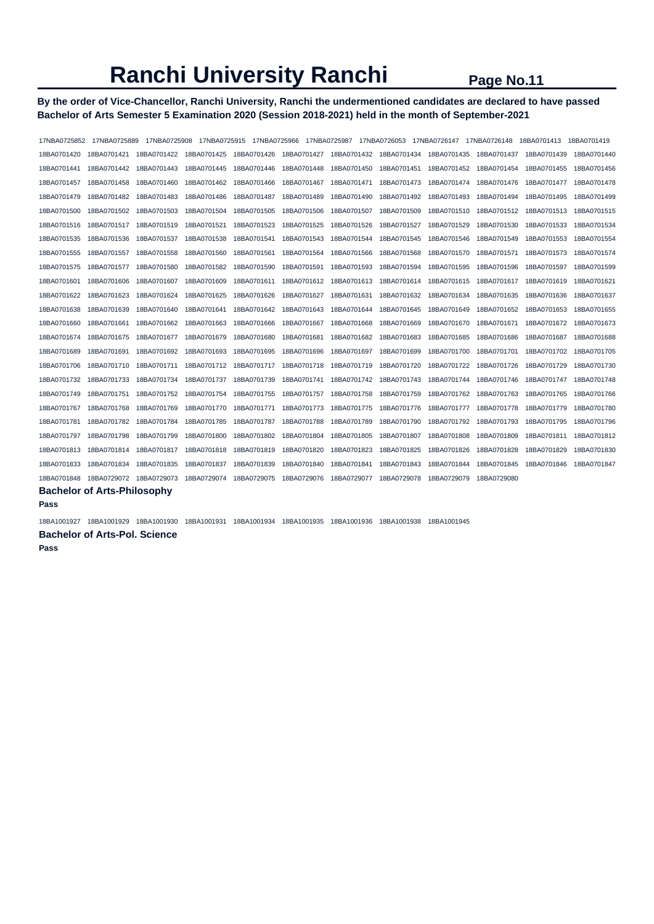## **By the order of Vice-Chancellor, Ranchi University, Ranchi the undermentioned candidates are declared to have passed Bachelor of Arts Semester 5 Examination 2020 (Session 2018-2021) held in the month of September-2021**

| 17NBA0725852 | 17NBA0725889                       | 17NBA0725908 | 17NBA0725915                          | 17NBA0725966 |             | 17NBA0725987 | 17NBA0726053 | 17NBA0726147 | 17NBA0726148 | 18BA0701413 | 18BA0701419 |
|--------------|------------------------------------|--------------|---------------------------------------|--------------|-------------|--------------|--------------|--------------|--------------|-------------|-------------|
| 18BA0701420  | 18BA0701421                        |              | 18BA0701422  18BA0701425  18BA0701426 |              |             |              |              | 18BA0701435  | 18BA0701437  | 18BA0701439 | 18BA0701440 |
| 18BA0701441  | 18BA0701442                        | 18BA0701443  | 18BA0701445                           | 18BA0701446  | 18BA0701448 | 18BA0701450  | 18BA0701451  | 18BA0701452  | 18BA0701454  | 18BA0701455 | 18BA0701456 |
| 18BA0701457  | 18BA0701458                        | 18BA0701460  | 18BA0701462 18BA0701466               |              | 18BA0701467 | 18BA0701471  | 18BA0701473  | 18BA0701474  | 18BA0701476  | 18BA0701477 | 18BA0701478 |
| 18BA0701479  | 18BA0701482                        | 18BA0701483  | 18BA0701486                           | 18BA0701487  | 18BA0701489 | 18BA0701490  | 18BA0701492  | 18BA0701493  | 18BA0701494  | 18BA0701495 | 18BA0701499 |
| 18BA0701500  | 18BA0701502                        | 18BA0701503  | 18BA0701504                           | 18BA0701505  | 18BA0701506 | 18BA0701507  | 18BA0701509  | 18BA0701510  | 18BA0701512  | 18BA0701513 | 18BA0701515 |
| 18BA0701516  | 18BA0701517                        | 18BA0701519  | 18BA0701521                           | 18BA0701523  | 18BA0701525 | 18BA0701526  | 18BA0701527  | 18BA0701529  | 18BA0701530  | 18BA0701533 | 18BA0701534 |
| 18BA0701535  | 18BA0701536                        | 18BA0701537  | 18BA0701538                           | 18BA0701541  | 18BA0701543 | 18BA0701544  | 18BA0701545  | 18BA0701546  | 18BA0701549  | 18BA0701553 | 18BA0701554 |
| 18BA0701555  | 18BA0701557                        | 18BA0701558  | 18BA0701560                           | 18BA0701561  | 18BA0701564 | 18BA0701566  | 18BA0701568  | 18BA0701570  | 18BA0701571  | 18BA0701573 | 18BA0701574 |
| 18BA0701575  | 18BA0701577                        | 18BA0701580  | 18BA0701582                           | 18BA0701590  | 18BA0701591 | 18BA0701593  | 18BA0701594  | 18BA0701595  | 18BA0701596  | 18BA0701597 | 18BA0701599 |
| 18BA0701601  | 18BA0701606                        | 18BA0701607  | 18BA0701609                           | 18BA0701611  | 18BA0701612 | 18BA0701613  | 18BA0701614  | 18BA0701615  | 18BA0701617  | 18BA0701619 | 18BA0701621 |
| 18BA0701622  | 18BA0701623                        | 18BA0701624  | 18BA0701625                           | 18BA0701626  | 18BA0701627 | 18BA0701631  | 18BA0701632  | 18BA0701634  | 18BA0701635  | 18BA0701636 | 18BA0701637 |
| 18BA0701638  | 18BA0701639                        | 18BA0701640  | 18BA0701641                           | 18BA0701642  | 18BA0701643 | 18BA0701644  | 18BA0701645  | 18BA0701649  | 18BA0701652  | 18BA0701653 | 18BA0701655 |
| 18BA0701660  | 18BA0701661                        | 18BA0701662  | 18BA0701663                           | 18BA0701666  | 18BA0701667 | 18BA0701668  | 18BA0701669  | 18BA0701670  | 18BA0701671  | 18BA0701672 | 18BA0701673 |
| 18BA0701674  | 18BA0701675                        | 18BA0701677  | 18BA0701679                           | 18BA0701680  | 18BA0701681 | 18BA0701682  | 18BA0701683  | 18BA0701685  | 18BA0701686  | 18BA0701687 | 18BA0701688 |
| 18BA0701689  | 18BA0701691                        | 18BA0701692  | 18BA0701693                           | 18BA0701695  | 18BA0701696 | 18BA0701697  | 18BA0701699  | 18BA0701700  | 18BA0701701  | 18BA0701702 | 18BA0701705 |
| 18BA0701706  | 18BA0701710                        | 18BA0701711  | 18BA0701712                           | 18BA0701717  | 18BA0701718 | 18BA0701719  | 18BA0701720  | 18BA0701722  | 18BA0701726  | 18BA0701729 | 18BA0701730 |
| 18BA0701732  | 18BA0701733                        | 18BA0701734  | 18BA0701737                           | 18BA0701739  | 18BA0701741 | 18BA0701742  | 18BA0701743  | 18BA0701744  | 18BA0701746  | 18BA0701747 | 18BA0701748 |
| 18BA0701749  | 18BA0701751                        | 18BA0701752  | 18BA0701754                           | 18BA0701755  | 18BA0701757 | 18BA0701758  | 18BA0701759  | 18BA0701762  | 18BA0701763  | 18BA0701765 | 18BA0701766 |
| 18BA0701767  | 18BA0701768                        | 18BA0701769  | 18BA0701770                           | 18BA0701771  | 18BA0701773 | 18BA0701775  | 18BA0701776  | 18BA0701777  | 18BA0701778  | 18BA0701779 | 18BA0701780 |
| 18BA0701781  | 18BA0701782                        | 18BA0701784  | 18BA0701785                           | 18BA0701787  | 18BA0701788 | 18BA0701789  | 18BA0701790  | 18BA0701792  | 18BA0701793  | 18BA0701795 | 18BA0701796 |
| 18BA0701797  | 18BA0701798                        | 18BA0701799  | 18BA0701800                           | 18BA0701802  | 18BA0701804 | 18BA0701805  | 18BA0701807  | 18BA0701808  | 18BA0701809  | 18BA0701811 | 18BA0701812 |
| 18BA0701813  | 18BA0701814                        | 18BA0701817  | 18BA0701818                           | 18BA0701819  | 18BA0701820 | 18BA0701823  | 18BA0701825  | 18BA0701826  | 18BA0701828  | 18BA0701829 | 18BA0701830 |
| 18BA0701833  | 18BA0701834                        | 18BA0701835  | 18BA0701837                           | 18BA0701839  | 18BA0701840 | 18BA0701841  | 18BA0701843  | 18BA0701844  | 18BA0701845  | 18BA0701846 | 18BA0701847 |
| 18BA0701848  | 18BA0729072 18BA0729073            |              | 18BA0729074 18BA0729075               |              | 18BA0729076 | 18BA0729077  | 18BA0729078  | 18BA0729079  | 18BA0729080  |             |             |
|              | <b>Bachelor of Arts-Philosophy</b> |              |                                       |              |             |              |              |              |              |             |             |

**Pass** 

18BA1001927 18BA1001929 18BA1001930 18BA1001931 18BA1001934 18BA1001935 18BA1001936 18BA1001938 18BA1001945

**Bachelor of Arts-Pol. Science**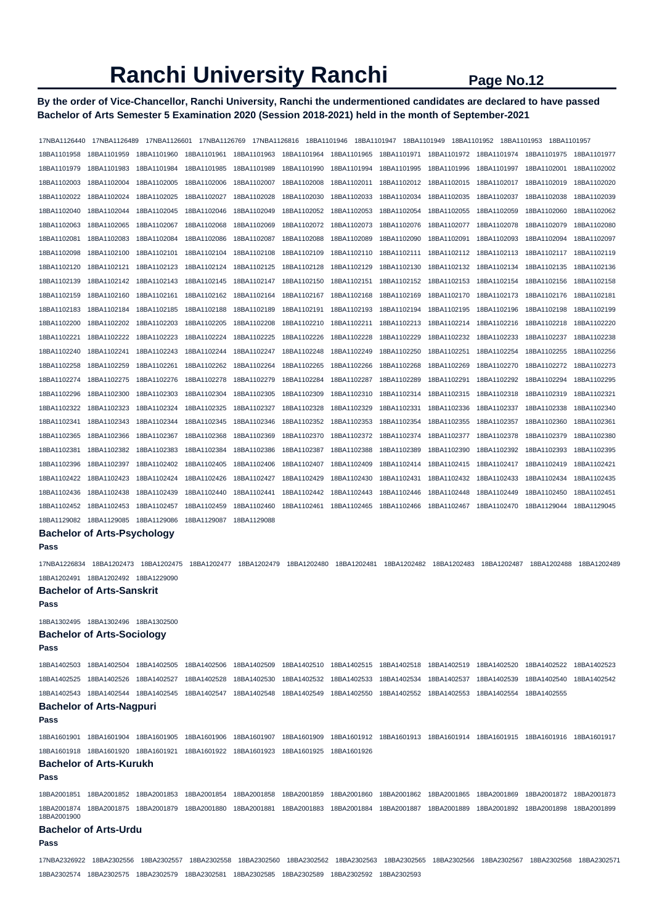## **By the order of Vice-Chancellor, Ranchi University, Ranchi the undermentioned candidates are declared to have passed Bachelor of Arts Semester 5 Examination 2020 (Session 2018-2021) held in the month of September-2021**

| 17NBA1126440                            | 17NBA1126489            | 17NBA1126601 | 17NBA1126769                                                     | 17NBA1126816            | 18BA1101946 | 18BA1101947                                                                                     | 18BA1101949                                                                  | 18BA1101952             | 18BA1101953 | 18BA1101957             |             |
|-----------------------------------------|-------------------------|--------------|------------------------------------------------------------------|-------------------------|-------------|-------------------------------------------------------------------------------------------------|------------------------------------------------------------------------------|-------------------------|-------------|-------------------------|-------------|
| 18BA1101958                             | 18BA1101959             | 18BA1101960  | 18BA1101961                                                      | 18BA1101963             | 18BA1101964 | 18BA1101965                                                                                     | 18BA1101971                                                                  | 18BA1101972             | 18BA1101974 | 18BA1101975             | 18BA1101977 |
| 18BA1101979                             | 18BA1101983             | 18BA1101984  | 18BA1101985                                                      | 18BA1101989             | 18BA1101990 | 18BA1101994                                                                                     | 18BA1101995                                                                  | 18BA1101996             | 18BA1101997 | 18BA1102001             | 18BA1102002 |
| 18BA1102003                             | 18BA1102004             | 18BA1102005  | 18BA1102006                                                      | 18BA1102007             | 18BA1102008 | 18BA1102011                                                                                     | 18BA1102012                                                                  | 18BA1102015             | 18BA1102017 | 18BA1102019             | 18BA1102020 |
| 18BA1102022                             | 18BA1102024             | 18BA1102025  | 18BA1102027                                                      | 18BA1102028             | 18BA1102030 | 18BA1102033                                                                                     | 18BA1102034                                                                  | 18BA1102035             | 18BA1102037 | 18BA1102038             | 18BA1102039 |
| 18BA1102040                             | 18BA1102044             | 18BA1102045  | 18BA1102046                                                      | 18BA1102049             | 18BA1102052 | 18BA1102053                                                                                     | 18BA1102054                                                                  | 18BA1102055             | 18BA1102059 | 18BA1102060             | 18BA1102062 |
| 18BA1102063                             | 18BA1102065             | 18BA1102067  | 18BA1102068                                                      | 18BA1102069             | 18BA1102072 | 18BA1102073                                                                                     | 18BA1102076                                                                  | 18BA1102077             | 18BA1102078 | 18BA1102079             | 18BA1102080 |
| 18BA1102081                             | 18BA1102083             | 18BA1102084  | 18BA1102086                                                      | 18BA1102087             | 18BA1102088 | 18BA1102089                                                                                     | 18BA1102090                                                                  | 18BA1102091             | 18BA1102093 | 18BA1102094             | 18BA1102097 |
| 18BA1102098                             | 18BA1102100             | 18BA1102101  | 18BA1102104                                                      | 18BA1102108             | 18BA1102109 | 18BA1102110                                                                                     | 18BA1102111                                                                  | 18BA1102112             | 18BA1102113 | 18BA1102117             | 18BA1102119 |
| 18BA1102120                             | 18BA1102121             | 18BA1102123  | 18BA1102124                                                      | 18BA1102125             | 18BA1102128 | 18BA1102129                                                                                     | 18BA1102130                                                                  | 18BA1102132             | 18BA1102134 | 18BA1102135             | 18BA1102136 |
| 18BA1102139                             | 18BA1102142             | 18BA1102143  | 18BA1102145                                                      | 18BA1102147             | 18BA1102150 | 18BA1102151                                                                                     | 18BA1102152                                                                  | 18BA1102153             | 18BA1102154 | 18BA1102156             | 18BA1102158 |
| 18BA1102159                             | 18BA1102160             | 18BA1102161  | 18BA1102162                                                      | 18BA1102164             | 18BA1102167 | 18BA1102168                                                                                     | 18BA1102169                                                                  | 18BA1102170             | 18BA1102173 | 18BA1102176             | 18BA1102181 |
| 18BA1102183                             | 18BA1102184             | 18BA1102185  | 18BA1102188                                                      | 18BA1102189             | 18BA1102191 | 18BA1102193                                                                                     | 18BA1102194                                                                  | 18BA1102195             | 18BA1102196 | 18BA1102198             | 18BA1102199 |
| 18BA1102200                             | 18BA1102202             | 18BA1102203  | 18BA1102205                                                      | 18BA1102208             | 18BA1102210 | 18BA1102211                                                                                     | 18BA1102213                                                                  | 18BA1102214             | 18BA1102216 | 18BA1102218             | 18BA1102220 |
| 18BA1102221                             | 18BA1102222             | 18BA1102223  | 18BA1102224                                                      | 18BA1102225             | 18BA1102226 | 18BA1102228                                                                                     | 18BA1102229                                                                  | 18BA1102232             | 18BA1102233 | 18BA1102237             | 18BA1102238 |
| 18BA1102240                             | 18BA1102241             | 18BA1102243  | 18BA1102244                                                      | 18BA1102247             | 18BA1102248 | 18BA1102249                                                                                     | 18BA1102250                                                                  | 18BA1102251             | 18BA1102254 | 18BA1102255             | 18BA1102256 |
| 18BA1102258                             | 18BA1102259             | 18BA1102261  | 18BA1102262                                                      | 18BA1102264             | 18BA1102265 | 18BA1102266                                                                                     | 18BA1102268                                                                  | 18BA1102269             | 18BA1102270 | 18BA1102272             | 18BA1102273 |
| 18BA1102274                             | 18BA1102275             | 18BA1102276  | 18BA1102278                                                      | 18BA1102279             | 18BA1102284 | 18BA1102287                                                                                     | 18BA1102289                                                                  | 18BA1102291             | 18BA1102292 | 18BA1102294             | 18BA1102295 |
| 18BA1102296                             | 18BA1102300             | 18BA1102303  | 18BA1102304                                                      | 18BA1102305             | 18BA1102309 | 18BA1102310                                                                                     | 18BA1102314                                                                  | 18BA1102315             | 18BA1102318 | 18BA1102319             | 18BA1102321 |
| 18BA1102322                             | 18BA1102323             | 18BA1102324  | 18BA1102325                                                      | 18BA1102327             | 18BA1102328 | 18BA1102329                                                                                     | 18BA1102331                                                                  | 18BA1102336             | 18BA1102337 | 18BA1102338             | 18BA1102340 |
| 18BA1102341                             | 18BA1102343             | 18BA1102344  | 18BA1102345                                                      | 18BA1102346             | 18BA1102352 | 18BA1102353                                                                                     | 18BA1102354                                                                  | 18BA1102355             | 18BA1102357 | 18BA1102360             | 18BA1102361 |
| 18BA1102365                             | 18BA1102366             | 18BA1102367  | 18BA1102368                                                      | 18BA1102369             | 18BA1102370 | 18BA1102372                                                                                     | 18BA1102374                                                                  | 18BA1102377             | 18BA1102378 | 18BA1102379             | 18BA1102380 |
| 18BA1102381                             | 18BA1102382             | 18BA1102383  | 18BA1102384                                                      | 18BA1102386             | 18BA1102387 | 18BA1102388                                                                                     | 18BA1102389                                                                  | 18BA1102390             | 18BA1102392 | 18BA1102393             | 18BA1102395 |
| 18BA1102396                             | 18BA1102397             | 18BA1102402  | 18BA1102405                                                      | 18BA1102406             | 18BA1102407 | 18BA1102409                                                                                     | 18BA1102414                                                                  | 18BA1102415             | 18BA1102417 | 18BA1102419             | 18BA1102421 |
| 18BA1102422                             | 18BA1102423             | 18BA1102424  | 18BA1102426                                                      | 18BA1102427             | 18BA1102429 | 18BA1102430                                                                                     | 18BA1102431                                                                  | 18BA1102432             | 18BA1102433 | 18BA1102434             | 18BA1102435 |
| 18BA1102436                             | 18BA1102438             | 18BA1102439  | 18BA1102440                                                      | 18BA1102441             | 18BA1102442 | 18BA1102443                                                                                     | 18BA1102446                                                                  | 18BA1102448             | 18BA1102449 | 18BA1102450             | 18BA1102451 |
| 18BA1102452                             | 18BA1102453             | 18BA1102457  | 18BA1102459                                                      | 18BA1102460             | 18BA1102461 | 18BA1102465                                                                                     | 18BA1102466                                                                  | 18BA1102467             | 18BA1102470 | 18BA1129044             | 18BA1129045 |
| 18BA1129082                             | 18BA1129085             | 18BA1129086  | 18BA1129087                                                      | 18BA1129088             |             |                                                                                                 |                                                                              |                         |             |                         |             |
| <b>Bachelor of Arts-Psychology</b>      |                         |              |                                                                  |                         |             |                                                                                                 |                                                                              |                         |             |                         |             |
| Pass                                    |                         |              |                                                                  |                         |             |                                                                                                 |                                                                              |                         |             |                         |             |
| 17NBA1226834                            | 18BA1202473             | 18BA1202475  |                                                                  | 18BA1202477 18BA1202479 | 18BA1202480 | 18BA1202481                                                                                     |                                                                              | 18BA1202482 18BA1202483 |             | 18BA1202487 18BA1202488 | 18BA1202489 |
| 18BA1202491                             | 18BA1202492 18BA1229090 |              |                                                                  |                         |             |                                                                                                 |                                                                              |                         |             |                         |             |
| <b>Bachelor of Arts-Sanskrit</b>        |                         |              |                                                                  |                         |             |                                                                                                 |                                                                              |                         |             |                         |             |
| Pass                                    |                         |              |                                                                  |                         |             |                                                                                                 |                                                                              |                         |             |                         |             |
| 18BA1302495                             | 18BA1302496             | 18BA1302500  |                                                                  |                         |             |                                                                                                 |                                                                              |                         |             |                         |             |
| <b>Bachelor of Arts-Sociology</b>       |                         |              |                                                                  |                         |             |                                                                                                 |                                                                              |                         |             |                         |             |
| Pass                                    |                         |              |                                                                  |                         |             |                                                                                                 |                                                                              |                         |             |                         |             |
|                                         |                         |              |                                                                  |                         |             |                                                                                                 |                                                                              |                         |             |                         |             |
| 18BA1402503                             | 18BA1402504             | 18BA1402505  | 18BA1402506                                                      | 18BA1402509             | 18BA1402510 | 18BA1402515                                                                                     | 18BA1402518 18BA1402519                                                      |                         | 18BA1402520 | 18BA1402522             | 18BA1402523 |
| 18BA1402525                             | 18BA1402526             | 18BA1402527  | 18BA1402528                                                      | 18BA1402530             | 18BA1402532 | 18BA1402533                                                                                     | 18BA1402534                                                                  | 18BA1402537             | 18BA1402539 | 18BA1402540             | 18BA1402542 |
| 18BA1402543  18BA1402544  18BA1402545   |                         |              | 18BA1402547 18BA1402548                                          |                         | 18BA1402549 | 18BA1402550                                                                                     | 18BA1402552 18BA1402553                                                      |                         | 18BA1402554 | 18BA1402555             |             |
| <b>Bachelor of Arts-Nagpuri</b><br>Pass |                         |              |                                                                  |                         |             |                                                                                                 |                                                                              |                         |             |                         |             |
| 18BA1601901  18BA1601904  18BA1601905   |                         |              | 18BA1601906 18BA1601907                                          |                         | 18BA1601909 |                                                                                                 | 18BA1601912  18BA1601913  18BA1601914  18BA1601915  18BA1601916  18BA1601917 |                         |             |                         |             |
| 18BA1601918 18BA1601920 18BA1601921     |                         |              | 18BA1601922 18BA1601923                                          |                         | 18BA1601925 | 18BA1601926                                                                                     |                                                                              |                         |             |                         |             |
| <b>Bachelor of Arts-Kurukh</b>          |                         |              |                                                                  |                         |             |                                                                                                 |                                                                              |                         |             |                         |             |
| Pass                                    |                         |              |                                                                  |                         |             |                                                                                                 |                                                                              |                         |             |                         |             |
| 18BA2001851  18BA2001852  18BA2001853   |                         |              | 18BA2001854 18BA2001858                                          |                         | 18BA2001859 | 18BA2001860                                                                                     | 18BA2001862 18BA2001865                                                      |                         | 18BA2001869 | 18BA2001872             | 18BA2001873 |
| 18BA2001900                             |                         |              |                                                                  |                         | 18BA2001883 | 18BA2001884                                                                                     |                                                                              |                         |             |                         | 18BA2001899 |
| <b>Bachelor of Arts-Urdu</b><br>Pass    |                         |              |                                                                  |                         |             |                                                                                                 |                                                                              |                         |             |                         |             |
|                                         |                         |              | 17NBA2326922  18BA2302556  18BA2302557  18BA2302558  18BA2302560 |                         |             |                                                                                                 |                                                                              |                         |             | 18BA2302567 18BA2302568 | 18BA2302571 |
|                                         |                         |              |                                                                  |                         |             | 18BA2302574 18BA2302575 18BA2302579 18BA2302581 18BA2302585 18BA2302589 18BA2302592 18BA2302593 |                                                                              |                         |             |                         |             |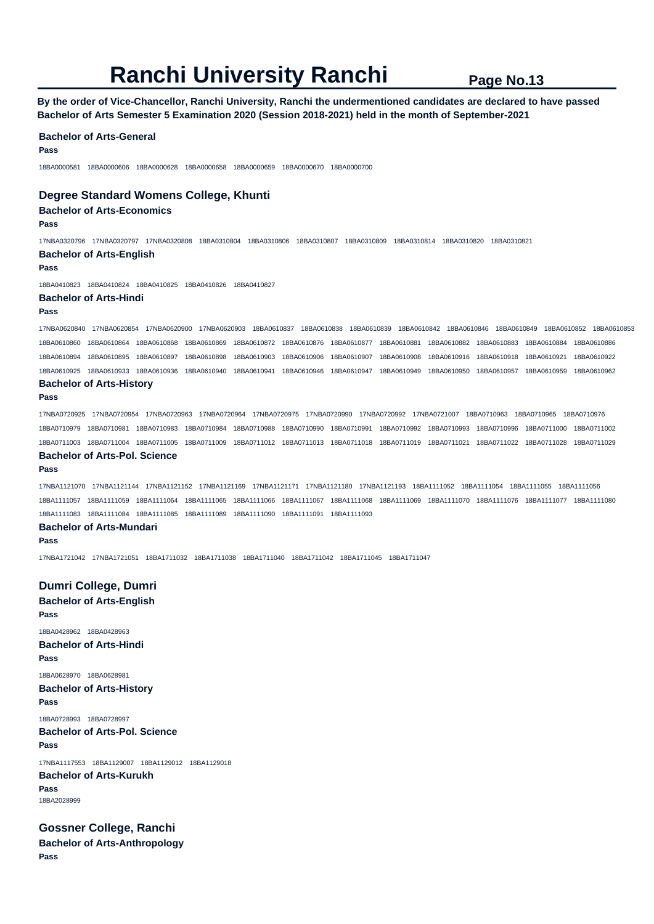**By the order of Vice-Chancellor, Ranchi University, Ranchi the undermentioned candidates are declared to have passed Bachelor of Arts Semester 5 Examination 2020 (Session 2018-2021) held in the month of September-2021** 

#### **Bachelor of Arts-General**

**Pass** 

18BA0000581 18BA0000606 18BA0000628 18BA0000658 18BA0000659 18BA0000670 18BA0000700

## **Degree Standard Womens College, Khunti**

## **Bachelor of Arts-Economics**

**Pass** 

17NBA0320796 17NBA0320797 17NBA0320808 18BA0310804 18BA0310806 18BA0310807 18BA0310809 18BA0310814 18BA0310820 18BA0310821 **Bachelor of Arts-English** 

#### **Pass**

18BA0410823 18BA0410824 18BA0410825 18BA0410826 18BA0410827

#### **Bachelor of Arts-Hindi**

#### **Pass**

17NBA0620840 17NBA0620854 17NBA0620900 17NBA0620903 18BA0610837 18BA0610838 18BA0610839 18BA0610842 18BA0610846 18BA0610849 18BA0610852 18BA0610853 18BA0610860 18BA0610864 18BA0610868 18BA0610869 18BA0610872 18BA0610876 18BA0610877 18BA0610881 18BA0610882 18BA0610883 18BA0610884 18BA0610886 18BA0610894 18BA0610895 18BA0610897 18BA0610898 18BA0610903 18BA0610906 18BA0610907 18BA0610908 18BA0610916 18BA0610918 18BA0610921 18BA0610922 18BA0610925 18BA0610933 18BA0610936 18BA0610940 18BA0610941 18BA0610946 18BA0610947 18BA0610949 18BA0610950 18BA0610957 18BA0610959 18BA0610962 **Bachelor of Arts-History** 

#### **Pass**

17NBA0720925 17NBA0720954 17NBA0720963 17NBA0720964 17NBA0720975 17NBA0720990 17NBA0720992 17NBA0721007 18BA0710963 18BA0710965 18BA0710976 18BA0710979 18BA0710981 18BA0710983 18BA0710984 18BA0710988 18BA0710990 18BA0710991 18BA0710992 18BA0710993 18BA0710996 18BA0711000 18BA0711002 18BA0711003 18BA0711004 18BA0711005 18BA0711009 18BA0711012 18BA0711013 18BA0711018 18BA0711019 18BA0711021 18BA0711022 18BA0711028 18BA0711029

#### **Bachelor of Arts-Pol. Science**

#### **Pass**

17NBA1121070 17NBA1121144 17NBA1121152 17NBA1121169 17NBA1121171 17NBA1121180 17NBA1121193 18BA1111052 18BA1111054 18BA1111055 18BA1111056 18BA1111057 18BA1111059 18BA1111064 18BA1111065 18BA1111066 18BA1111067 18BA1111068 18BA1111069 18BA1111070 18BA1111076 18BA1111077 18BA1111080 18BA1111083 18BA1111084 18BA1111085 18BA1111089 18BA1111090 18BA1111091 18BA1111093

#### **Bachelor of Arts-Mundari**

#### **Pass**

17NBA1721042 17NBA1721051 18BA1711032 18BA1711038 18BA1711040 18BA1711042 18BA1711045 18BA1711047

## **Dumri College, Dumri**

**Bachelor of Arts-English Pass**  18BA0428962 18BA0428963 **Bachelor of Arts-Hindi Pass**  18BA0628970 18BA0628981 **Bachelor of Arts-History Pass**  18BA0728993 18BA0728997 **Bachelor of Arts-Pol. Science Pass**  17NBA1117553 18BA1129007 18BA1129012 18BA1129018 **Bachelor of Arts-Kurukh Pass**  18BA2028999

**Gossner College, Ranchi Bachelor of Arts-Anthropology Pass**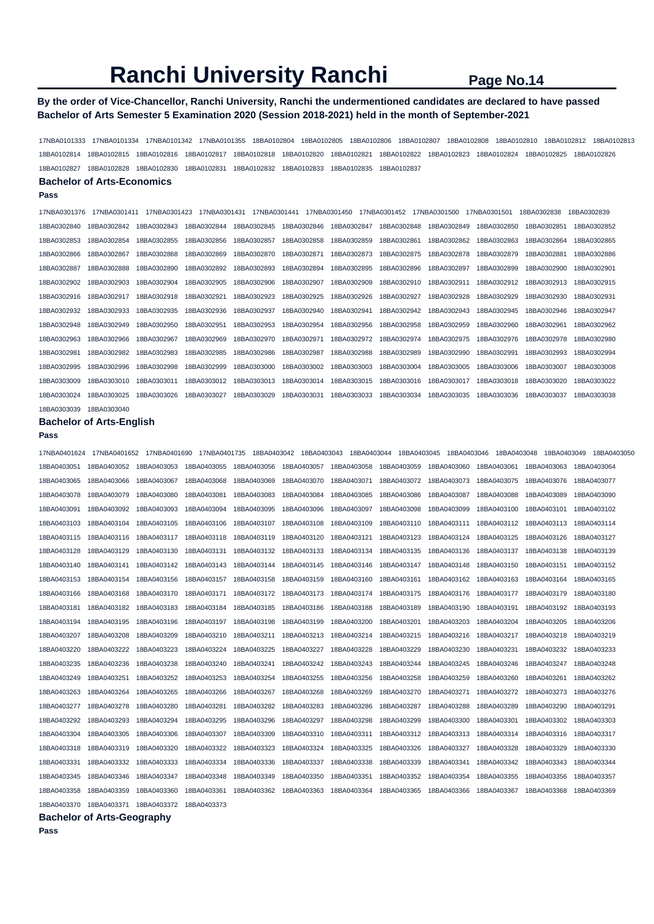## **By the order of Vice-Chancellor, Ranchi University, Ranchi the undermentioned candidates are declared to have passed Bachelor of Arts Semester 5 Examination 2020 (Session 2018-2021) held in the month of September-2021**

17NBA0101333 17NBA0101334 17NBA0101342 17NBA0101355 18BA0102804 18BA0102805 18BA0102806 18BA0102807 18BA0102808 18BA0102810 18BA0102812 18BA0102813 18BA0102814 18BA0102815 18BA0102816 18BA0102817 18BA0102818 18BA0102820 18BA0102821 18BA0102822 18BA0102823 18BA0102824 18BA0102825 18BA0102826 18BA0102827 18BA0102828 18BA0102830 18BA0102831 18BA0102832 18BA0102833 18BA0102835 18BA0102837 **Bachelor of Arts-Economics** 

**Pass** 

17NBA0301376 17NBA0301411 17NBA0301423 17NBA0301431 17NBA0301441 17NBA0301450 17NBA0301452 17NBA0301500 17NBA0301501 18BA0302838 18BA0302839 18BA0302840 18BA0302842 18BA0302843 18BA0302844 18BA0302845 18BA0302846 18BA0302847 18BA0302848 18BA0302849 18BA0302850 18BA0302851 18BA0302852 18BA0302853 18BA0302854 18BA0302855 18BA0302856 18BA0302857 18BA0302858 18BA0302859 18BA0302861 18BA0302862 18BA0302863 18BA0302864 18BA0302865 18BA0302866 18BA0302867 18BA0302868 18BA0302869 18BA0302870 18BA0302871 18BA0302873 18BA0302875 18BA0302878 18BA0302879 18BA0302881 18BA0302886 18BA0302887 18BA0302888 18BA0302890 18BA0302892 18BA0302893 18BA0302894 18BA0302895 18BA0302896 18BA0302897 18BA0302899 18BA0302900 18BA0302901 18BA0302902 18BA0302903 18BA0302904 18BA0302905 18BA0302906 18BA0302907 18BA0302909 18BA0302910 18BA0302911 18BA0302912 18BA0302913 18BA0302915 18BA0302916 18BA0302917 18BA0302918 18BA0302921 18BA0302923 18BA0302925 18BA0302926 18BA0302927 18BA0302928 18BA0302929 18BA0302930 18BA0302931 18BA0302932 18BA0302933 18BA0302935 18BA0302936 18BA0302937 18BA0302940 18BA0302941 18BA0302942 18BA0302943 18BA0302945 18BA0302946 18BA0302947 18BA0302948 18BA0302949 18BA0302950 18BA0302951 18BA0302953 18BA0302954 18BA0302956 18BA0302958 18BA0302959 18BA0302960 18BA0302961 18BA0302962 18BA0302963 18BA0302966 18BA0302967 18BA0302969 18BA0302970 18BA0302971 18BA0302972 18BA0302974 18BA0302975 18BA0302976 18BA0302978 18BA0302980 18BA0302981 18BA0302982 18BA0302983 18BA0302985 18BA0302986 18BA0302987 18BA0302988 18BA0302989 18BA0302990 18BA0302991 18BA0302993 18BA0302994 18BA0302995 18BA0302996 18BA0302998 18BA0302999 18BA0303000 18BA0303002 18BA0303003 18BA0303004 18BA0303005 18BA0303006 18BA0303007 18BA0303008 18BA0303009 18BA0303010 18BA0303011 18BA0303012 18BA0303013 18BA0303014 18BA0303015 18BA0303016 18BA0303017 18BA0303018 18BA0303020 18BA0303022 18BA0303024 18BA0303025 18BA0303026 18BA0303027 18BA0303029 18BA0303031 18BA0303033 18BA0303034 18BA0303035 18BA0303036 18BA0303037 18BA0303038 18BA0303039 18BA0303040

## **Bachelor of Arts-English**

```
Pass
```

| 17NBA0401624 | 17NBA0401652 | 17NBA0401690 | 17NBA0401735 | 18BA0403042 | 18BA0403043 | 18BA0403044 | 18BA0403045 | 18BA0403046 | 18BA0403048 | 18BA0403049 | 18BA0403050 |  |
|--------------|--------------|--------------|--------------|-------------|-------------|-------------|-------------|-------------|-------------|-------------|-------------|--|
| 18BA0403051  | 18BA0403052  | 18BA0403053  | 18BA0403055  | 18BA0403056 | 18BA0403057 | 18BA0403058 | 18BA0403059 | 18BA0403060 | 18BA0403061 | 18BA0403063 | 18BA0403064 |  |
| 18BA0403065  | 18BA0403066  | 18BA0403067  | 18BA0403068  | 18BA0403069 | 18BA0403070 | 18BA0403071 | 18BA0403072 | 18BA0403073 | 18BA0403075 | 18BA0403076 | 18BA0403077 |  |
| 18BA0403078  | 18BA0403079  | 18BA0403080  | 18BA0403081  | 18BA0403083 | 18BA0403084 | 18BA0403085 | 18BA0403086 | 18BA0403087 | 18BA0403088 | 18BA0403089 | 18BA0403090 |  |
| 18BA0403091  | 18BA0403092  | 18BA0403093  | 18BA0403094  | 18BA0403095 | 18BA0403096 | 18BA0403097 | 18BA0403098 | 18BA0403099 | 18BA0403100 | 18BA0403101 | 18BA0403102 |  |
| 18BA0403103  | 18BA0403104  | 18BA0403105  | 18BA0403106  | 18BA0403107 | 18BA0403108 | 18BA0403109 | 18BA0403110 | 18BA0403111 | 18BA0403112 | 18BA0403113 | 18BA0403114 |  |
| 18BA0403115  | 18BA0403116  | 18BA0403117  | 18BA0403118  | 18BA0403119 | 18BA0403120 | 18BA0403121 | 18BA0403123 | 18BA0403124 | 18BA0403125 | 18BA0403126 | 18BA0403127 |  |
| 18BA0403128  | 18BA0403129  | 18BA0403130  | 18BA0403131  | 18BA0403132 | 18BA0403133 | 18BA0403134 | 18BA0403135 | 18BA0403136 | 18BA0403137 | 18BA0403138 | 18BA0403139 |  |
| 18BA0403140  | 18BA0403141  | 18BA0403142  | 18BA0403143  | 18BA0403144 | 18BA0403145 | 18BA0403146 | 18BA0403147 | 18BA0403148 | 18BA0403150 | 18BA0403151 | 18BA0403152 |  |
| 18BA0403153  | 18BA0403154  | 18BA0403156  | 18BA0403157  | 18BA0403158 | 18BA0403159 | 18BA0403160 | 18BA0403161 | 18BA0403162 | 18BA0403163 | 18BA0403164 | 18BA0403165 |  |
| 18BA0403166  | 18BA0403168  | 18BA0403170  | 18BA0403171  | 18BA0403172 | 18BA0403173 | 18BA0403174 | 18BA0403175 | 18BA0403176 | 18BA0403177 | 18BA0403179 | 18BA0403180 |  |
| 18BA0403181  | 18BA0403182  | 18BA0403183  | 18BA0403184  | 18BA0403185 | 18BA0403186 | 18BA0403188 | 18BA0403189 | 18BA0403190 | 18BA0403191 | 18BA0403192 | 18BA0403193 |  |
| 18BA0403194  | 18BA0403195  | 18BA0403196  | 18BA0403197  | 18BA0403198 | 18BA0403199 | 18BA0403200 | 18BA0403201 | 18BA0403203 | 18BA0403204 | 18BA0403205 | 18BA0403206 |  |
| 18BA0403207  | 18BA0403208  | 18BA0403209  | 18BA0403210  | 18BA0403211 | 18BA0403213 | 18BA0403214 | 18BA0403215 | 18BA0403216 | 18BA0403217 | 18BA0403218 | 18BA0403219 |  |
| 18BA0403220  | 18BA0403222  | 18BA0403223  | 18BA0403224  | 18BA0403225 | 18BA0403227 | 18BA0403228 | 18BA0403229 | 18BA0403230 | 18BA0403231 | 18BA0403232 | 18BA0403233 |  |
| 18BA0403235  | 18BA0403236  | 18BA0403238  | 18BA0403240  | 18BA0403241 | 18BA0403242 | 18BA0403243 | 18BA0403244 | 18BA0403245 | 18BA0403246 | 18BA0403247 | 18BA0403248 |  |
| 18BA0403249  | 18BA0403251  | 18BA0403252  | 18BA0403253  | 18BA0403254 | 18BA0403255 | 18BA0403256 | 18BA0403258 | 18BA0403259 | 18BA0403260 | 18BA0403261 | 18BA0403262 |  |
| 18BA0403263  | 18BA0403264  | 18BA0403265  | 18BA0403266  | 18BA0403267 | 18BA0403268 | 18BA0403269 | 18BA0403270 | 18BA0403271 | 18BA0403272 | 18BA0403273 | 18BA0403276 |  |
| 18BA0403277  | 18BA0403278  | 18BA0403280  | 18BA0403281  | 18BA0403282 | 18BA0403283 | 18BA0403286 | 18BA0403287 | 18BA0403288 | 18BA0403289 | 18BA0403290 | 18BA0403291 |  |
| 18BA0403292  | 18BA0403293  | 18BA0403294  | 18BA0403295  | 18BA0403296 | 18BA0403297 | 18BA0403298 | 18BA0403299 | 18BA0403300 | 18BA0403301 | 18BA0403302 | 18BA0403303 |  |
| 18BA0403304  | 18BA0403305  | 18BA0403306  | 18BA0403307  | 18BA0403309 | 18BA0403310 | 18BA0403311 | 18BA0403312 | 18BA0403313 | 18BA0403314 | 18BA0403316 | 18BA0403317 |  |
| 18BA0403318  | 18BA0403319  | 18BA0403320  | 18BA0403322  | 18BA0403323 | 18BA0403324 | 18BA0403325 | 18BA0403326 | 18BA0403327 | 18BA0403328 | 18BA0403329 | 18BA0403330 |  |
| 18BA0403331  | 18BA0403332  | 18BA0403333  | 18BA0403334  | 18BA0403336 | 18BA0403337 | 18BA0403338 | 18BA0403339 | 18BA0403341 | 18BA0403342 | 18BA0403343 | 18BA0403344 |  |
| 18BA0403345  | 18BA0403346  | 18BA0403347  | 18BA0403348  | 18BA0403349 | 18BA0403350 | 18BA0403351 | 18BA0403352 | 18BA0403354 | 18BA0403355 | 18BA0403356 | 18BA0403357 |  |
| 18BA0403358  | 18BA0403359  | 18BA0403360  | 18BA0403361  | 18BA0403362 | 18BA0403363 | 18BA0403364 | 18BA0403365 | 18BA0403366 | 18BA0403367 | 18BA0403368 | 18BA0403369 |  |
| 18BA0403370  | 18BA0403371  | 18BA0403372  | 18BA0403373  |             |             |             |             |             |             |             |             |  |

**Bachelor of Arts-Geography**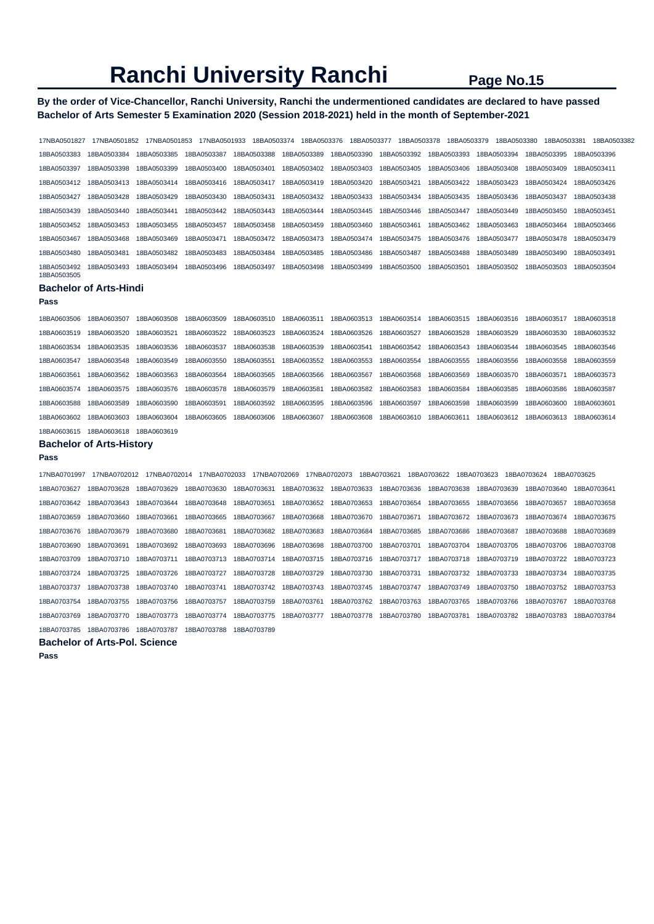## **By the order of Vice-Chancellor, Ranchi University, Ranchi the undermentioned candidates are declared to have passed Bachelor of Arts Semester 5 Examination 2020 (Session 2018-2021) held in the month of September-2021**

| 17NBA0501827               | 17NBA0501852                    | 17NBA0501853 | 17NBA0501933 | 18BA0503374  | 18BA0503376 | 18BA0503377  | 18BA0503378 | 18BA0503379 | 18BA0503380 | 18BA0503381 | 18BA0503382 |
|----------------------------|---------------------------------|--------------|--------------|--------------|-------------|--------------|-------------|-------------|-------------|-------------|-------------|
| 18BA0503383                | 18BA0503384                     | 18BA0503385  | 18BA0503387  | 18BA0503388  | 18BA0503389 | 18BA0503390  | 18BA0503392 | 18BA0503393 | 18BA0503394 | 18BA0503395 | 18BA0503396 |
| 18BA0503397                | 18BA0503398                     | 18BA0503399  | 18BA0503400  | 18BA0503401  | 18BA0503402 | 18BA0503403  | 18BA0503405 | 18BA0503406 | 18BA0503408 | 18BA0503409 | 18BA0503411 |
| 18BA0503412                | 18BA0503413                     | 18BA0503414  | 18BA0503416  | 18BA0503417  | 18BA0503419 | 18BA0503420  | 18BA0503421 | 18BA0503422 | 18BA0503423 | 18BA0503424 | 18BA0503426 |
| 18BA0503427                | 18BA0503428                     | 18BA0503429  | 18BA0503430  | 18BA0503431  | 18BA0503432 | 18BA0503433  | 18BA0503434 | 18BA0503435 | 18BA0503436 | 18BA0503437 | 18BA0503438 |
| 18BA0503439                | 18BA0503440                     | 18BA0503441  | 18BA0503442  | 18BA0503443  | 18BA0503444 | 18BA0503445  | 18BA0503446 | 18BA0503447 | 18BA0503449 | 18BA0503450 | 18BA0503451 |
| 18BA0503452                | 18BA0503453                     | 18BA0503455  | 18BA0503457  | 18BA0503458  | 18BA0503459 | 18BA0503460  | 18BA0503461 | 18BA0503462 | 18BA0503463 | 18BA0503464 | 18BA0503466 |
| 18BA0503467                | 18BA0503468                     | 18BA0503469  | 18BA0503471  | 18BA0503472  | 18BA0503473 | 18BA0503474  | 18BA0503475 | 18BA0503476 | 18BA0503477 | 18BA0503478 | 18BA0503479 |
| 18BA0503480                | 18BA0503481                     | 18BA0503482  | 18BA0503483  | 18BA0503484  | 18BA0503485 | 18BA0503486  | 18BA0503487 | 18BA0503488 | 18BA0503489 | 18BA0503490 | 18BA0503491 |
| 18BA0503492<br>18BA0503505 | 18BA0503493                     | 18BA0503494  | 18BA0503496  | 18BA0503497  | 18BA0503498 | 18BA0503499  | 18BA0503500 | 18BA0503501 | 18BA0503502 | 18BA0503503 | 18BA0503504 |
|                            | <b>Bachelor of Arts-Hindi</b>   |              |              |              |             |              |             |             |             |             |             |
| Pass                       |                                 |              |              |              |             |              |             |             |             |             |             |
| 18BA0603506                | 18BA0603507                     | 18BA0603508  | 18BA0603509  | 18BA0603510  | 18BA0603511 | 18BA0603513  | 18BA0603514 | 18BA0603515 | 18BA0603516 | 18BA0603517 | 18BA0603518 |
| 18BA0603519                | 18BA0603520                     | 18BA0603521  | 18BA0603522  | 18BA0603523  | 18BA0603524 | 18BA0603526  | 18BA0603527 | 18BA0603528 | 18BA0603529 | 18BA0603530 | 18BA0603532 |
| 18BA0603534                | 18BA0603535                     | 18BA0603536  | 18BA0603537  | 18BA0603538  | 18BA0603539 | 18BA0603541  | 18BA0603542 | 18BA0603543 | 18BA0603544 | 18BA0603545 | 18BA0603546 |
| 18BA0603547                | 18BA0603548                     | 18BA0603549  | 18BA0603550  | 18BA0603551  | 18BA0603552 | 18BA0603553  | 18BA0603554 | 18BA0603555 | 18BA0603556 | 18BA0603558 | 18BA0603559 |
| 18BA0603561                | 18BA0603562                     | 18BA0603563  | 18BA0603564  | 18BA0603565  | 18BA0603566 | 18BA0603567  | 18BA0603568 | 18BA0603569 | 18BA0603570 | 18BA0603571 | 18BA0603573 |
| 18BA0603574                | 18BA0603575                     | 18BA0603576  | 18BA0603578  | 18BA0603579  | 18BA0603581 | 18BA0603582  | 18BA0603583 | 18BA0603584 | 18BA0603585 | 18BA0603586 | 18BA0603587 |
| 18BA0603588                | 18BA0603589                     | 18BA0603590  | 18BA0603591  | 18BA0603592  | 18BA0603595 | 18BA0603596  | 18BA0603597 | 18BA0603598 | 18BA0603599 | 18BA0603600 | 18BA0603601 |
| 18BA0603602                | 18BA0603603                     | 18BA0603604  | 18BA0603605  | 18BA0603606  | 18BA0603607 | 18BA0603608  | 18BA0603610 | 18BA0603611 | 18BA0603612 | 18BA0603613 | 18BA0603614 |
| 18BA0603615                | 18BA0603618                     | 18BA0603619  |              |              |             |              |             |             |             |             |             |
|                            | <b>Bachelor of Arts-History</b> |              |              |              |             |              |             |             |             |             |             |
| Pass                       |                                 |              |              |              |             |              |             |             |             |             |             |
| 17NBA0701997               | 17NBA0702012                    | 17NBA0702014 | 17NBA0702033 | 17NBA0702069 |             | 17NBA0702073 | 18BA0703621 | 18BA0703622 | 18BA0703623 | 18BA0703624 | 18BA0703625 |
| 18BA0703627                | 18BA0703628                     | 18BA0703629  | 18BA0703630  | 18BA0703631  | 18BA0703632 | 18BA0703633  | 18BA0703636 | 18BA0703638 | 18BA0703639 | 18BA0703640 | 18BA0703641 |
| 18BA0703642                | 18BA0703643                     | 18BA0703644  | 18BA0703648  | 18BA0703651  | 18BA0703652 | 18BA0703653  | 18BA0703654 | 18BA0703655 | 18BA0703656 | 18BA0703657 | 18BA0703658 |
| 18BA0703659                | 18BA0703660                     | 18BA0703661  | 18BA0703665  | 18BA0703667  | 18BA0703668 | 18BA0703670  | 18BA0703671 | 18BA0703672 | 18BA0703673 | 18BA0703674 | 18BA0703675 |
| 18BA0703676                | 18BA0703679                     | 18BA0703680  | 18BA0703681  | 18BA0703682  | 18BA0703683 | 18BA0703684  | 18BA0703685 | 18BA0703686 | 18BA0703687 | 18BA0703688 | 18BA0703689 |
| 18BA0703690                | 18BA0703691                     | 18BA0703692  | 18BA0703693  | 18BA0703696  | 18BA0703698 | 18BA0703700  | 18BA0703701 | 18BA0703704 | 18BA0703705 | 18BA0703706 | 18BA0703708 |
| 18BA0703709                | 18BA0703710                     | 18BA0703711  | 18BA0703713  | 18BA0703714  | 18BA0703715 | 18BA0703716  | 18BA0703717 | 18BA0703718 | 18BA0703719 | 18BA0703722 | 18BA0703723 |
| 18BA0703724                | 18BA0703725                     | 18BA0703726  | 18BA0703727  | 18BA0703728  | 18BA0703729 | 18BA0703730  | 18BA0703731 | 18BA0703732 | 18BA0703733 | 18BA0703734 | 18BA0703735 |
| 18BA0703737                | 18BA0703738                     | 18BA0703740  | 18BA0703741  | 18BA0703742  | 18BA0703743 | 18BA0703745  | 18BA0703747 | 18BA0703749 | 18BA0703750 | 18BA0703752 | 18BA0703753 |
| 18BA0703754                | 18BA0703755                     | 18BA0703756  | 18BA0703757  | 18BA0703759  | 18BA0703761 | 18BA0703762  | 18BA0703763 | 18BA0703765 | 18BA0703766 | 18BA0703767 | 18BA0703768 |
| 18BA0703769                | 18BA0703770                     | 18BA0703773  | 18BA0703774  | 18BA0703775  | 18BA0703777 | 18BA0703778  | 18BA0703780 | 18BA0703781 | 18BA0703782 | 18BA0703783 | 18BA0703784 |
| 18BA0703785                | 18BA0703786                     | 18BA0703787  | 18BA0703788  | 18BA0703789  |             |              |             |             |             |             |             |
|                            | Bachelor of Arts-Pol. Science   |              |              |              |             |              |             |             |             |             |             |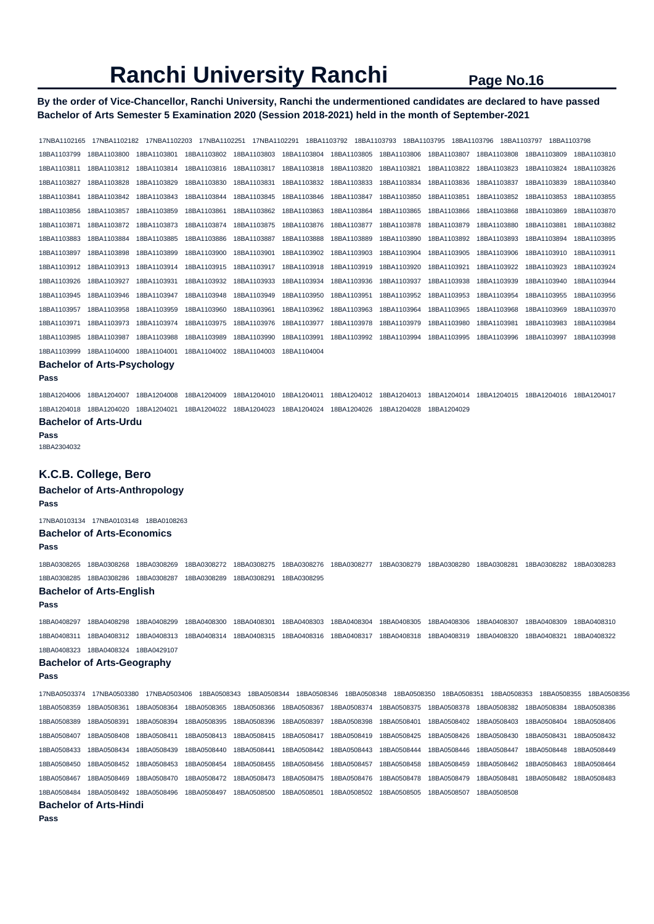## **By the order of Vice-Chancellor, Ranchi University, Ranchi the undermentioned candidates are declared to have passed Bachelor of Arts Semester 5 Examination 2020 (Session 2018-2021) held in the month of September-2021**

|              | 17NBA1102165<br>17NBA1102182       | 17NBA1102203                                                                                                                        | 17NBA1102251 | 17NBA1102291 | 18BA1103792 | 18BA1103793             | 18BA1103795 | 18BA1103796 | 18BA1103797 | 18BA1103798 |             |
|--------------|------------------------------------|-------------------------------------------------------------------------------------------------------------------------------------|--------------|--------------|-------------|-------------------------|-------------|-------------|-------------|-------------|-------------|
| 18BA1103799  | 18BA1103800                        | 18BA1103801                                                                                                                         | 18BA1103802  | 18BA1103803  | 18BA1103804 | 18BA1103805             | 18BA1103806 | 18BA1103807 | 18BA1103808 | 18BA1103809 | 18BA1103810 |
| 18BA1103811  | 18BA1103812                        | 18BA1103814                                                                                                                         | 18BA1103816  | 18BA1103817  | 18BA1103818 | 18BA1103820             | 18BA1103821 | 18BA1103822 | 18BA1103823 | 18BA1103824 | 18BA1103826 |
| 18BA1103827  | 18BA1103828                        | 18BA1103829                                                                                                                         | 18BA1103830  | 18BA1103831  | 18BA1103832 | 18BA1103833             | 18BA1103834 | 18BA1103836 | 18BA1103837 | 18BA1103839 | 18BA1103840 |
| 18BA1103841  | 18BA1103842                        | 18BA1103843                                                                                                                         | 18BA1103844  | 18BA1103845  | 18BA1103846 | 18BA1103847             | 18BA1103850 | 18BA1103851 | 18BA1103852 | 18BA1103853 | 18BA1103855 |
| 18BA1103856  | 18BA1103857                        | 18BA1103859                                                                                                                         | 18BA1103861  | 18BA1103862  | 18BA1103863 | 18BA1103864             | 18BA1103865 | 18BA1103866 | 18BA1103868 | 18BA1103869 | 18BA1103870 |
| 18BA1103871  | 18BA1103872                        | 18BA1103873                                                                                                                         | 18BA1103874  | 18BA1103875  | 18BA1103876 | 18BA1103877             | 18BA1103878 | 18BA1103879 | 18BA1103880 | 18BA1103881 | 18BA1103882 |
| 18BA1103883  | 18BA1103884                        | 18BA1103885                                                                                                                         | 18BA1103886  | 18BA1103887  | 18BA1103888 | 18BA1103889             | 18BA1103890 | 18BA1103892 | 18BA1103893 | 18BA1103894 | 18BA1103895 |
| 18BA1103897  | 18BA1103898                        | 18BA1103899                                                                                                                         | 18BA1103900  | 18BA1103901  | 18BA1103902 | 18BA1103903             | 18BA1103904 | 18BA1103905 | 18BA1103906 | 18BA1103910 | 18BA1103911 |
| 18BA1103912  | 18BA1103913                        | 18BA1103914                                                                                                                         | 18BA1103915  | 18BA1103917  | 18BA1103918 | 18BA1103919             | 18BA1103920 | 18BA1103921 | 18BA1103922 | 18BA1103923 | 18BA1103924 |
| 18BA1103926  | 18BA1103927                        | 18BA1103931                                                                                                                         | 18BA1103932  | 18BA1103933  | 18BA1103934 | 18BA1103936             | 18BA1103937 | 18BA1103938 | 18BA1103939 | 18BA1103940 | 18BA1103944 |
| 18BA1103945  | 18BA1103946                        | 18BA1103947                                                                                                                         | 18BA1103948  | 18BA1103949  | 18BA1103950 | 18BA1103951             | 18BA1103952 | 18BA1103953 | 18BA1103954 | 18BA1103955 | 18BA1103956 |
| 18BA1103957  | 18BA1103958                        | 18BA1103959                                                                                                                         | 18BA1103960  | 18BA1103961  | 18BA1103962 | 18BA1103963             | 18BA1103964 | 18BA1103965 | 18BA1103968 | 18BA1103969 | 18BA1103970 |
| 18BA1103971  | 18BA1103973                        | 18BA1103974                                                                                                                         | 18BA1103975  | 18BA1103976  | 18BA1103977 | 18BA1103978             | 18BA1103979 | 18BA1103980 | 18BA1103981 | 18BA1103983 | 18BA1103984 |
| 18BA1103985  | 18BA1103987                        | 18BA1103988                                                                                                                         | 18BA1103989  | 18BA1103990  | 18BA1103991 | 18BA1103992             | 18BA1103994 | 18BA1103995 | 18BA1103996 | 18BA1103997 | 18BA1103998 |
| 18BA1103999  | 18BA1104000                        | 18BA1104001                                                                                                                         | 18BA1104002  | 18BA1104003  | 18BA1104004 |                         |             |             |             |             |             |
|              | <b>Bachelor of Arts-Psychology</b> |                                                                                                                                     |              |              |             |                         |             |             |             |             |             |
| Pass         |                                    |                                                                                                                                     |              |              |             |                         |             |             |             |             |             |
| 18BA1204006  | 18BA1204007                        | 18BA1204008                                                                                                                         | 18BA1204009  | 18BA1204010  | 18BA1204011 | 18BA1204012             | 18BA1204013 | 18BA1204014 | 18BA1204015 | 18BA1204016 | 18BA1204017 |
| 18BA1204018  | 18BA1204020                        | 18BA1204021                                                                                                                         | 18BA1204022  | 18BA1204023  | 18BA1204024 | 18BA1204026             | 18BA1204028 | 18BA1204029 |             |             |             |
|              | <b>Bachelor of Arts-Urdu</b>       |                                                                                                                                     |              |              |             |                         |             |             |             |             |             |
| Pass         |                                    |                                                                                                                                     |              |              |             |                         |             |             |             |             |             |
| 18BA2304032  |                                    |                                                                                                                                     |              |              |             |                         |             |             |             |             |             |
|              |                                    |                                                                                                                                     |              |              |             |                         |             |             |             |             |             |
|              | K.C.B. College, Bero               |                                                                                                                                     |              |              |             |                         |             |             |             |             |             |
|              |                                    | <b>Bachelor of Arts-Anthropology</b>                                                                                                |              |              |             |                         |             |             |             |             |             |
| Pass         |                                    |                                                                                                                                     |              |              |             |                         |             |             |             |             |             |
|              |                                    | 17NBA0103134 17NBA0103148 18BA0108263                                                                                               |              |              |             |                         |             |             |             |             |             |
|              |                                    |                                                                                                                                     |              |              |             |                         |             |             |             |             |             |
|              | <b>Bachelor of Arts-Economics</b>  |                                                                                                                                     |              |              |             |                         |             |             |             |             |             |
| Pass         |                                    |                                                                                                                                     |              |              |             |                         |             |             |             |             |             |
| 18BA0308265  | 18BA0308268                        | 18BA0308269                                                                                                                         | 18BA0308272  | 18BA0308275  | 18BA0308276 | 18BA0308277             | 18BA0308279 | 18BA0308280 | 18BA0308281 | 18BA0308282 | 18BA0308283 |
| 18BA0308285  | 18BA0308286                        | 18BA0308287                                                                                                                         | 18BA0308289  | 18BA0308291  | 18BA0308295 |                         |             |             |             |             |             |
|              | <b>Bachelor of Arts-English</b>    |                                                                                                                                     |              |              |             |                         |             |             |             |             |             |
| Pass         |                                    |                                                                                                                                     |              |              |             |                         |             |             |             |             |             |
| 18BA0408297  | 18BA0408298                        | 18BA0408299                                                                                                                         | 18BA0408300  | 18BA0408301  | 18BA0408303 | 18BA0408304             | 18BA0408305 | 18BA0408306 | 18BA0408307 | 18BA0408309 | 18BA0408310 |
| 18BA0408311  |                                    | 18BA0408312 18BA0408313 18BA0408314 18BA0408315 18BA0408316 18BA0408317 18BA0408318 18BA0408319 18BA0408320 18BA0408321 18BA0408322 |              |              |             |                         |             |             |             |             |             |
| 18BA0408323  | 18BA0408324                        | 18BA0429107                                                                                                                         |              |              |             |                         |             |             |             |             |             |
|              | <b>Bachelor of Arts-Geography</b>  |                                                                                                                                     |              |              |             |                         |             |             |             |             |             |
| Pass         |                                    |                                                                                                                                     |              |              |             |                         |             |             |             |             |             |
| 17NBA0503374 | 17NBA0503380                       | 17NBA0503406                                                                                                                        |              |              |             | 18BA0508348             |             |             |             | 18BA0508355 | 18BA0508356 |
| 18BA0508359  | 18BA0508361                        | 18BA0508364                                                                                                                         | 18BA0508365  | 18BA0508366  | 18BA0508367 | 18BA0508374 18BA0508375 |             | 18BA0508378 | 18BA0508382 | 18BA0508384 | 18BA0508386 |
| 18BA0508389  | 18BA0508391                        | 18BA0508394                                                                                                                         | 18BA0508395  | 18BA0508396  | 18BA0508397 | 18BA0508398             | 18BA0508401 | 18BA0508402 | 18BA0508403 | 18BA0508404 | 18BA0508406 |
| 18BA0508407  | 18BA0508408                        | 18BA0508411                                                                                                                         | 18BA0508413  | 18BA0508415  | 18BA0508417 | 18BA0508419             | 18BA0508425 | 18BA0508426 | 18BA0508430 | 18BA0508431 | 18BA0508432 |
| 18BA0508433  | 18BA0508434                        | 18BA0508439                                                                                                                         | 18BA0508440  | 18BA0508441  | 18BA0508442 | 18BA0508443             | 18BA0508444 | 18BA0508446 | 18BA0508447 | 18BA0508448 | 18BA0508449 |
| 18BA0508450  | 18BA0508452                        | 18BA0508453                                                                                                                         | 18BA0508454  | 18BA0508455  | 18BA0508456 | 18BA0508457             | 18BA0508458 | 18BA0508459 | 18BA0508462 | 18BA0508463 | 18BA0508464 |
| 18BA0508467  | 18BA0508469                        | 18BA0508470                                                                                                                         | 18BA0508472  | 18BA0508473  | 18BA0508475 | 18BA0508476             | 18BA0508478 | 18BA0508479 | 18BA0508481 | 18BA0508482 | 18BA0508483 |
| 18BA0508484  | 18BA0508492                        | 18BA0508496                                                                                                                         | 18BA0508497  | 18BA0508500  | 18BA0508501 | 18BA0508502             | 18BA0508505 | 18BA0508507 | 18BA0508508 |             |             |
|              | <b>Bachelor of Arts-Hindi</b>      |                                                                                                                                     |              |              |             |                         |             |             |             |             |             |
| Pass         |                                    |                                                                                                                                     |              |              |             |                         |             |             |             |             |             |
|              |                                    |                                                                                                                                     |              |              |             |                         |             |             |             |             |             |
|              |                                    |                                                                                                                                     |              |              |             |                         |             |             |             |             |             |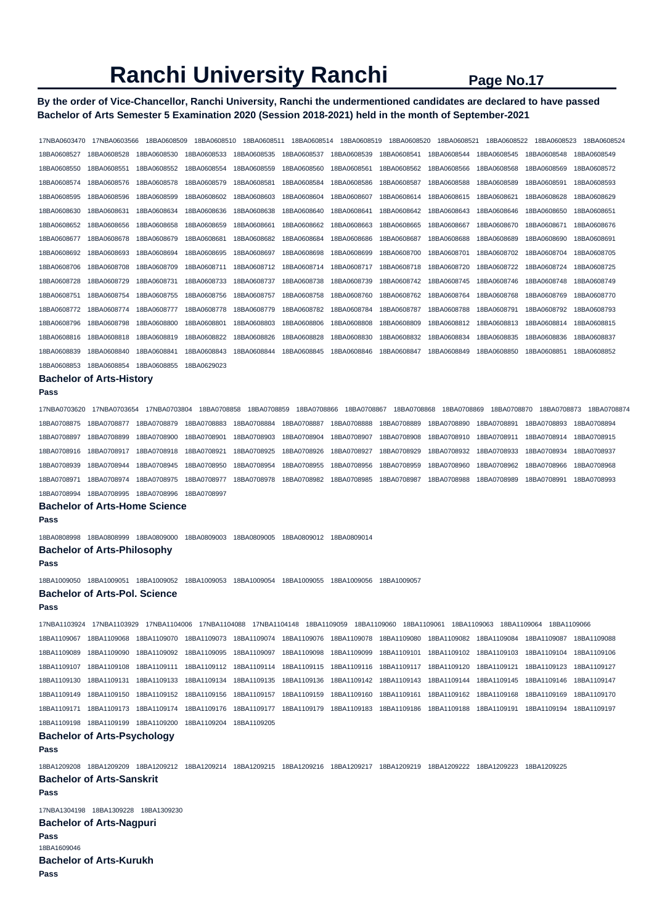## **By the order of Vice-Chancellor, Ranchi University, Ranchi the undermentioned candidates are declared to have passed Bachelor of Arts Semester 5 Examination 2020 (Session 2018-2021) held in the month of September-2021**

| 17NBA0603470 | 17NBA0603566                         | 18BA0608509                            | 18BA0608510             | 18BA0608511                                                                                                 | 18BA0608514             | 18BA0608519             | 18BA0608520             | 18BA0608521 | 18BA0608522 | 18BA0608523 | 18BA0608524 |
|--------------|--------------------------------------|----------------------------------------|-------------------------|-------------------------------------------------------------------------------------------------------------|-------------------------|-------------------------|-------------------------|-------------|-------------|-------------|-------------|
| 18BA0608527  | 18BA0608528                          | 18BA0608530                            | 18BA0608533             | 18BA0608535                                                                                                 | 18BA0608537             | 18BA0608539             | 18BA0608541             | 18BA0608544 | 18BA0608545 | 18BA0608548 | 18BA0608549 |
| 18BA0608550  | 18BA0608551                          | 18BA0608552                            | 18BA0608554             | 18BA0608559                                                                                                 | 18BA0608560             | 18BA0608561             | 18BA0608562             | 18BA0608566 | 18BA0608568 | 18BA0608569 | 18BA0608572 |
| 18BA0608574  | 18BA0608576                          | 18BA0608578                            | 18BA0608579             | 18BA0608581                                                                                                 | 18BA0608584             | 18BA0608586             | 18BA0608587             | 18BA0608588 | 18BA0608589 | 18BA0608591 | 18BA0608593 |
| 18BA0608595  | 18BA0608596                          | 18BA0608599                            | 18BA0608602             | 18BA0608603                                                                                                 | 18BA0608604             | 18BA0608607             | 18BA0608614             | 18BA0608615 | 18BA0608621 | 18BA0608628 | 18BA0608629 |
| 18BA0608630  | 18BA0608631                          | 18BA0608634                            | 18BA0608636             | 18BA0608638                                                                                                 | 18BA0608640             | 18BA0608641             | 18BA0608642             | 18BA0608643 | 18BA0608646 | 18BA0608650 | 18BA0608651 |
| 18BA0608652  | 18BA0608656                          | 18BA0608658                            | 18BA0608659             | 18BA0608661                                                                                                 | 18BA0608662             | 18BA0608663             | 18BA0608665             | 18BA0608667 | 18BA0608670 | 18BA0608671 | 18BA0608676 |
| 18BA0608677  | 18BA0608678                          | 18BA0608679                            | 18BA0608681             | 18BA0608682                                                                                                 | 18BA0608684             | 18BA0608686             | 18BA0608687             | 18BA0608688 | 18BA0608689 | 18BA0608690 | 18BA0608691 |
| 18BA0608692  | 18BA0608693                          | 18BA0608694                            | 18BA0608695             | 18BA0608697                                                                                                 | 18BA0608698             | 18BA0608699             | 18BA0608700             | 18BA0608701 | 18BA0608702 | 18BA0608704 | 18BA0608705 |
| 18BA0608706  | 18BA0608708                          | 18BA0608709                            | 18BA0608711             | 18BA0608712                                                                                                 | 18BA0608714             | 18BA0608717             | 18BA0608718             | 18BA0608720 | 18BA0608722 | 18BA0608724 | 18BA0608725 |
| 18BA0608728  | 18BA0608729                          | 18BA0608731                            | 18BA0608733             | 18BA0608737                                                                                                 | 18BA0608738             | 18BA0608739             | 18BA0608742             | 18BA0608745 | 18BA0608746 | 18BA0608748 | 18BA0608749 |
| 18BA0608751  | 18BA0608754                          | 18BA0608755                            | 18BA0608756             | 18BA0608757                                                                                                 | 18BA0608758             | 18BA0608760             | 18BA0608762             | 18BA0608764 | 18BA0608768 | 18BA0608769 | 18BA0608770 |
| 18BA0608772  | 18BA0608774                          | 18BA0608777                            | 18BA0608778             | 18BA0608779                                                                                                 | 18BA0608782             | 18BA0608784             | 18BA0608787             | 18BA0608788 | 18BA0608791 | 18BA0608792 | 18BA0608793 |
| 18BA0608796  | 18BA0608798                          | 18BA0608800                            | 18BA0608801             | 18BA0608803                                                                                                 | 18BA0608806             | 18BA0608808             | 18BA0608809             | 18BA0608812 | 18BA0608813 | 18BA0608814 | 18BA0608815 |
| 18BA0608816  | 18BA0608818                          | 18BA0608819                            | 18BA0608822             | 18BA0608826                                                                                                 | 18BA0608828             | 18BA0608830             | 18BA0608832             | 18BA0608834 | 18BA0608835 | 18BA0608836 | 18BA0608837 |
| 18BA0608839  | 18BA0608840                          | 18BA0608841                            | 18BA0608843             | 18BA0608844                                                                                                 | 18BA0608845             | 18BA0608846             | 18BA0608847             | 18BA0608849 | 18BA0608850 | 18BA0608851 | 18BA0608852 |
| 18BA0608853  | 18BA0608854                          | 18BA0608855                            | 18BA0629023             |                                                                                                             |                         |                         |                         |             |             |             |             |
|              | <b>Bachelor of Arts-History</b>      |                                        |                         |                                                                                                             |                         |                         |                         |             |             |             |             |
| Pass         |                                      |                                        |                         |                                                                                                             |                         |                         |                         |             |             |             |             |
| 17NBA0703620 | 17NBA0703654                         | 17NBA0703804                           | 18BA0708858             | 18BA0708859                                                                                                 | 18BA0708866             | 18BA0708867             | 18BA0708868             | 18BA0708869 | 18BA0708870 | 18BA0708873 | 18BA0708874 |
| 18BA0708875  | 18BA0708877                          | 18BA0708879                            | 18BA0708883             | 18BA0708884                                                                                                 | 18BA0708887             | 18BA0708888             | 18BA0708889             | 18BA0708890 | 18BA0708891 | 18BA0708893 | 18BA0708894 |
| 18BA0708897  | 18BA0708899                          | 18BA0708900                            | 18BA0708901             | 18BA0708903                                                                                                 | 18BA0708904             | 18BA0708907             | 18BA0708908             | 18BA0708910 | 18BA0708911 | 18BA0708914 | 18BA0708915 |
| 18BA0708916  | 18BA0708917                          | 18BA0708918                            | 18BA0708921             | 18BA0708925                                                                                                 | 18BA0708926             | 18BA0708927             | 18BA0708929             | 18BA0708932 | 18BA0708933 | 18BA0708934 | 18BA0708937 |
| 18BA0708939  | 18BA0708944                          | 18BA0708945                            | 18BA0708950             | 18BA0708954                                                                                                 | 18BA0708955             | 18BA0708956             | 18BA0708959             | 18BA0708960 | 18BA0708962 | 18BA0708966 | 18BA0708968 |
| 18BA0708971  | 18BA0708974                          | 18BA0708975                            | 18BA0708977             | 18BA0708978                                                                                                 | 18BA0708982             | 18BA0708985             | 18BA0708987             | 18BA0708988 | 18BA0708989 | 18BA0708991 | 18BA0708993 |
| 18BA0708994  | 18BA0708995                          | 18BA0708996                            | 18BA0708997             |                                                                                                             |                         |                         |                         |             |             |             |             |
|              |                                      | <b>Bachelor of Arts-Home Science</b>   |                         |                                                                                                             |                         |                         |                         |             |             |             |             |
| Pass         |                                      |                                        |                         |                                                                                                             |                         |                         |                         |             |             |             |             |
| 18BA0808998  | 18BA0808999 18BA0809000              |                                        | 18BA0809003             | 18BA0809005                                                                                                 | 18BA0809012 18BA0809014 |                         |                         |             |             |             |             |
|              | <b>Bachelor of Arts-Philosophy</b>   |                                        |                         |                                                                                                             |                         |                         |                         |             |             |             |             |
| Pass         |                                      |                                        |                         |                                                                                                             |                         |                         |                         |             |             |             |             |
| 18BA1009050  | 18BA1009051 18BA1009052              |                                        | 18BA1009053             | 18BA1009054                                                                                                 | 18BA1009055             | 18BA1009056             | 18BA1009057             |             |             |             |             |
|              | <b>Bachelor of Arts-Pol. Science</b> |                                        |                         |                                                                                                             |                         |                         |                         |             |             |             |             |
| Pass         |                                      |                                        |                         |                                                                                                             |                         |                         |                         |             |             |             |             |
| 17NBA1103924 | 17NBA1103929                         | 17NBA1104006                           | 17NBA1104088            | 17NBA1104148                                                                                                | 18BA1109059             | 18BA1109060             | 18BA1109061             | 18BA1109063 | 18BA1109064 | 18BA1109066 |             |
| 18BA1109067  | 18BA1109068                          |                                        |                         | 18BA1109070 18BA1109073 18BA1109074 18BA1109076 18BA1109078 18BA1109080 18BA1109082                         |                         |                         |                         |             | 18BA1109084 | 18BA1109087 | 18BA1109088 |
| 18BA1109089  | 18BA1109090                          | 18BA1109092                            | 18BA1109095             | 18BA1109097                                                                                                 | 18BA1109098             | 18BA1109099             | 18BA1109101 18BA1109102 |             | 18BA1109103 | 18BA1109104 | 18BA1109106 |
|              |                                      |                                        |                         | 18BA1109107 18BA1109108 18BA1109111 18BA1109112 18BA1109114 18BA1109115 18BA1109116 18BA1109117 18BA1109120 |                         |                         |                         |             | 18BA1109121 | 18BA1109123 | 18BA1109127 |
| 18BA1109130  | 18BA1109131 18BA1109133              |                                        | 18BA1109134             | 18BA1109135                                                                                                 | 18BA1109136             | 18BA1109142 18BA1109143 |                         | 18BA1109144 | 18BA1109145 | 18BA1109146 | 18BA1109147 |
| 18BA1109149  |                                      |                                        |                         | 18BA1109157  18BA1109159  18BA1109160  18BA1109161  18BA1109162                                             |                         |                         |                         |             | 18BA1109168 | 18BA1109169 | 18BA1109170 |
| 18BA1109171  |                                      |                                        |                         | 18BA1109177    18BA1109179    18BA1109183    18BA1109186    18BA1109188                                     |                         |                         |                         |             | 18BA1109191 | 18BA1109194 | 18BA1109197 |
|              | 18BA1109198 18BA1109199 18BA1109200  |                                        | 18BA1109204 18BA1109205 |                                                                                                             |                         |                         |                         |             |             |             |             |
|              | <b>Bachelor of Arts-Psychology</b>   |                                        |                         |                                                                                                             |                         |                         |                         |             |             |             |             |
| Pass         |                                      |                                        |                         |                                                                                                             |                         |                         |                         |             |             |             |             |
| 18BA1209208  |                                      |                                        |                         | 18BA1209209 18BA1209212 18BA1209214 18BA1209215 18BA1209216 18BA1209217 18BA1209219 18BA1209222 18BA1209223 |                         |                         |                         |             |             | 18BA1209225 |             |
|              | <b>Bachelor of Arts-Sanskrit</b>     |                                        |                         |                                                                                                             |                         |                         |                         |             |             |             |             |
| Pass         |                                      |                                        |                         |                                                                                                             |                         |                         |                         |             |             |             |             |
|              |                                      | 17NBA1304198  18BA1309228  18BA1309230 |                         |                                                                                                             |                         |                         |                         |             |             |             |             |
|              | <b>Bachelor of Arts-Nagpuri</b>      |                                        |                         |                                                                                                             |                         |                         |                         |             |             |             |             |
| Pass         |                                      |                                        |                         |                                                                                                             |                         |                         |                         |             |             |             |             |
| 18BA1609046  |                                      |                                        |                         |                                                                                                             |                         |                         |                         |             |             |             |             |
|              | <b>Bachelor of Arts-Kurukh</b>       |                                        |                         |                                                                                                             |                         |                         |                         |             |             |             |             |
| Pass         |                                      |                                        |                         |                                                                                                             |                         |                         |                         |             |             |             |             |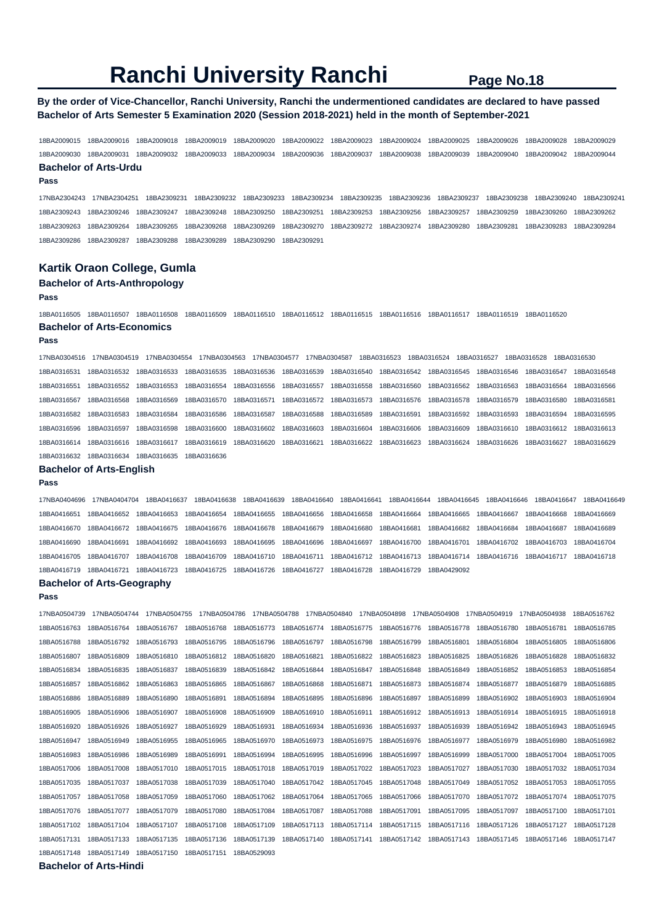## **By the order of Vice-Chancellor, Ranchi University, Ranchi the undermentioned candidates are declared to have passed Bachelor of Arts Semester 5 Examination 2020 (Session 2018-2021) held in the month of September-2021**

18BA2009015 18BA2009016 18BA2009018 18BA2009019 18BA2009020 18BA2009022 18BA2009023 18BA2009024 18BA2009025 18BA2009026 18BA2009028 18BA2009029 18BA2009030 18BA2009031 18BA2009032 18BA2009033 18BA2009034 18BA2009036 18BA2009037 18BA2009038 18BA2009039 18BA2009040 18BA2009042 18BA2009044 **Bachelor of Arts-Urdu** 

#### **Pass**

17NBA2304243 17NBA2304251 18BA2309231 18BA2309232 18BA2309233 18BA2309234 18BA2309235 18BA2309236 18BA2309237 18BA2309238 18BA2309240 18BA2309241 18BA2309243 18BA2309246 18BA2309247 18BA2309248 18BA2309250 18BA2309251 18BA2309253 18BA2309256 18BA2309257 18BA2309259 18BA2309260 18BA2309262 18BA2309263 18BA2309264 18BA2309265 18BA2309268 18BA2309269 18BA2309270 18BA2309272 18BA2309274 18BA2309280 18BA2309281 18BA2309283 18BA2309284 18BA2309286 18BA2309287 18BA2309288 18BA2309289 18BA2309290 18BA2309291

## **Kartik Oraon College, Gumla**

**Bachelor of Arts-Anthropology** 

**Pass** 

18BA0116505 18BA0116507 18BA0116508 18BA0116509 18BA0116510 18BA0116512 18BA0116515 18BA0116516 18BA0116517 18BA0116519 18BA0116520 **Bachelor of Arts-Economics** 

**Pass** 

17NBA0304516 17NBA0304519 17NBA0304554 17NBA0304563 17NBA0304577 17NBA0304587 18BA0316523 18BA0316524 18BA0316527 18BA0316528 18BA0316530 18BA0316531 18BA0316532 18BA0316533 18BA0316535 18BA0316536 18BA0316539 18BA0316540 18BA0316542 18BA0316545 18BA0316546 18BA0316547 18BA0316548 18BA0316551 18BA0316552 18BA0316553 18BA0316554 18BA0316556 18BA0316557 18BA0316558 18BA0316560 18BA0316562 18BA0316563 18BA0316564 18BA0316566 18BA0316567 18BA0316568 18BA0316569 18BA0316570 18BA0316571 18BA0316572 18BA0316573 18BA0316576 18BA0316578 18BA0316579 18BA0316580 18BA0316581 18BA0316582 18BA0316583 18BA0316584 18BA0316586 18BA0316587 18BA0316588 18BA0316589 18BA0316591 18BA0316592 18BA0316593 18BA0316594 18BA0316595 18BA0316596 18BA0316597 18BA0316598 18BA0316600 18BA0316602 18BA0316603 18BA0316604 18BA0316606 18BA0316609 18BA0316610 18BA0316612 18BA0316613 18BA0316614 18BA0316616 18BA0316617 18BA0316619 18BA0316620 18BA0316621 18BA0316622 18BA0316623 18BA0316624 18BA0316626 18BA0316627 18BA0316629 18BA0316632 18BA0316634 18BA0316635 18BA0316636

#### **Bachelor of Arts-English**

**Pass** 

17NBA0404696 17NBA0404704 18BA0416637 18BA0416638 18BA0416639 18BA0416640 18BA0416641 18BA0416644 18BA0416645 18BA0416646 18BA0416647 18BA0416649 18BA0416651 18BA0416652 18BA0416653 18BA0416654 18BA0416655 18BA0416656 18BA0416658 18BA0416664 18BA0416665 18BA0416667 18BA0416668 18BA0416669 18BA0416670 18BA0416672 18BA0416675 18BA0416676 18BA0416678 18BA0416679 18BA0416680 18BA0416681 18BA0416682 18BA0416684 18BA0416687 18BA0416689 18BA0416690 18BA0416691 18BA0416692 18BA0416693 18BA0416695 18BA0416696 18BA0416697 18BA0416700 18BA0416701 18BA0416702 18BA0416703 18BA0416704 18BA0416705 18BA0416707 18BA0416708 18BA0416709 18BA0416710 18BA0416711 18BA0416712 18BA0416713 18BA0416714 18BA0416716 18BA0416717 18BA0416718 18BA0416719 18BA0416721 18BA0416723 18BA0416725 18BA0416726 18BA0416727 18BA0416728 18BA0416729 18BA0429092

## **Bachelor of Arts-Geography**

**Pass** 

17NBA0504739 17NBA0504744 17NBA0504755 17NBA0504786 17NBA0504788 17NBA0504840 17NBA0504898 17NBA0504908 17NBA0504919 17NBA0504938 18BA0516762 18BA0516763 18BA0516764 18BA0516767 18BA0516768 18BA0516773 18BA0516774 18BA0516775 18BA0516776 18BA0516778 18BA0516780 18BA0516781 18BA0516785 18BA0516788 18BA0516792 18BA0516793 18BA0516795 18BA0516796 18BA0516797 18BA0516798 18BA0516799 18BA0516801 18BA0516804 18BA0516805 18BA0516806 18BA0516807 18BA0516809 18BA0516810 18BA0516812 18BA0516820 18BA0516821 18BA0516822 18BA0516823 18BA0516825 18BA0516826 18BA0516828 18BA0516832 18BA0516834 18BA0516835 18BA0516837 18BA0516839 18BA0516842 18BA0516844 18BA0516847 18BA0516848 18BA0516849 18BA0516852 18BA0516853 18BA0516854 18BA0516857 18BA0516862 18BA0516863 18BA0516865 18BA0516867 18BA0516868 18BA0516871 18BA0516873 18BA0516874 18BA0516877 18BA0516879 18BA0516885 18BA0516886 18BA0516889 18BA0516890 18BA0516891 18BA0516894 18BA0516895 18BA0516896 18BA0516897 18BA0516899 18BA0516902 18BA0516903 18BA0516904 18BA0516905 18BA0516906 18BA0516907 18BA0516908 18BA0516909 18BA0516910 18BA0516911 18BA0516912 18BA0516913 18BA0516914 18BA0516915 18BA0516918 18BA0516920 18BA0516926 18BA0516927 18BA0516929 18BA0516931 18BA0516934 18BA0516936 18BA0516937 18BA0516939 18BA0516942 18BA0516943 18BA0516945 18BA0516947 18BA0516949 18BA0516955 18BA0516965 18BA0516970 18BA0516973 18BA0516975 18BA0516976 18BA0516977 18BA0516979 18BA0516980 18BA0516982 18BA0516983 18BA0516986 18BA0516989 18BA0516991 18BA0516994 18BA0516995 18BA0516996 18BA0516997 18BA0516999 18BA0517000 18BA0517004 18BA0517005 18BA0517006 18BA0517008 18BA0517010 18BA0517015 18BA0517018 18BA0517019 18BA0517022 18BA0517023 18BA0517027 18BA0517030 18BA0517032 18BA0517034 18BA0517035 18BA0517037 18BA0517038 18BA0517039 18BA0517040 18BA0517042 18BA0517045 18BA0517048 18BA0517049 18BA0517052 18BA0517053 18BA0517055 18BA0517057 18BA0517058 18BA0517059 18BA0517060 18BA0517062 18BA0517064 18BA0517065 18BA0517066 18BA0517070 18BA0517072 18BA0517074 18BA0517075 18BA0517076 18BA0517077 18BA0517079 18BA0517080 18BA0517084 18BA0517087 18BA0517088 18BA0517091 18BA0517095 18BA0517097 18BA0517100 18BA0517101 18BA0517102 18BA0517104 18BA0517107 18BA0517108 18BA0517109 18BA0517113 18BA0517114 18BA0517115 18BA0517116 18BA0517126 18BA0517127 18BA0517128 18BA0517131 18BA0517133 18BA0517135 18BA0517136 18BA0517139 18BA0517140 18BA0517141 18BA0517142 18BA0517143 18BA0517145 18BA0517146 18BA0517147 18BA0517148 18BA0517149 18BA0517150 18BA0517151 18BA0529093

**Bachelor of Arts-Hindi**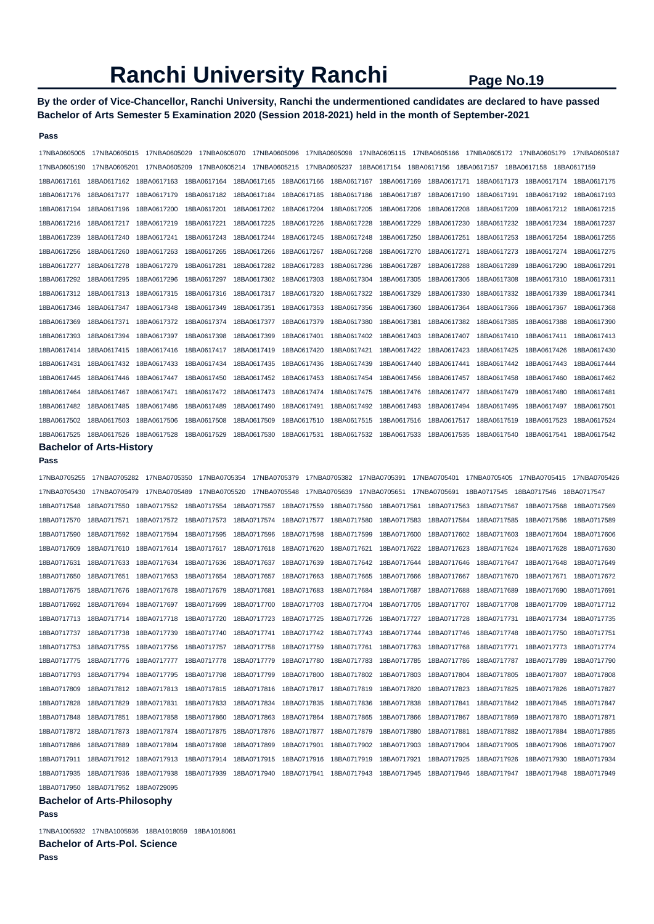## **By the order of Vice-Chancellor, Ranchi University, Ranchi the undermentioned candidates are declared to have passed Bachelor of Arts Semester 5 Examination 2020 (Session 2018-2021) held in the month of September-2021**

| ٠<br>.<br>×<br>- 1<br>۰. |
|--------------------------|
|--------------------------|

| 17NBA0605005 | 17NBA0605015                    | 17NBA0605029 | 17NBA0605070 | 17NBA0605096 |             | 17NBA0605098 |             |                         | 17NBA0605115  17NBA0605166  17NBA0605172  17NBA0605179  17NBA0605187 |             |             |
|--------------|---------------------------------|--------------|--------------|--------------|-------------|--------------|-------------|-------------------------|----------------------------------------------------------------------|-------------|-------------|
| 17NBA0605190 | 17NBA0605201                    | 17NBA0605209 | 17NBA0605214 | 17NBA0605215 |             | 17NBA0605237 |             |                         |                                                                      | 18BA0617158 | 18BA0617159 |
| 18BA0617161  | 18BA0617162                     | 18BA0617163  | 18BA0617164  |              |             |              |             | 18BA0617171             | 18BA0617173                                                          | 18BA0617174 | 18BA0617175 |
| 18BA0617176  | 18BA0617177                     | 18BA0617179  | 18BA0617182  | 18BA0617184  | 18BA0617185 | 18BA0617186  | 18BA0617187 | 18BA0617190             | 18BA0617191                                                          | 18BA0617192 | 18BA0617193 |
| 18BA0617194  | 18BA0617196                     | 18BA0617200  | 18BA0617201  | 18BA0617202  | 18BA0617204 | 18BA0617205  | 18BA0617206 | 18BA0617208             | 18BA0617209                                                          | 18BA0617212 | 18BA0617215 |
| 18BA0617216  | 18BA0617217                     | 18BA0617219  | 18BA0617221  | 18BA0617225  | 18BA0617226 | 18BA0617228  | 18BA0617229 | 18BA0617230             | 18BA0617232                                                          | 18BA0617234 | 18BA0617237 |
| 18BA0617239  | 18BA0617240                     | 18BA0617241  | 18BA0617243  | 18BA0617244  | 18BA0617245 | 18BA0617248  | 18BA0617250 | 18BA0617251             | 18BA0617253                                                          | 18BA0617254 | 18BA0617255 |
| 18BA0617256  | 18BA0617260                     | 18BA0617263  | 18BA0617265  | 18BA0617266  | 18BA0617267 | 18BA0617268  | 18BA0617270 | 18BA0617271             | 18BA0617273                                                          | 18BA0617274 | 18BA0617275 |
| 18BA0617277  | 18BA0617278                     | 18BA0617279  | 18BA0617281  | 18BA0617282  | 18BA0617283 | 18BA0617286  | 18BA0617287 | 18BA0617288             | 18BA0617289                                                          | 18BA0617290 | 18BA0617291 |
| 18BA0617292  | 18BA0617295                     | 18BA0617296  | 18BA0617297  | 18BA0617302  | 18BA0617303 | 18BA0617304  | 18BA0617305 | 18BA0617306             | 18BA0617308                                                          | 18BA0617310 | 18BA0617311 |
| 18BA0617312  | 18BA0617313                     | 18BA0617315  | 18BA0617316  | 18BA0617317  | 18BA0617320 | 18BA0617322  | 18BA0617329 | 18BA0617330             | 18BA0617332                                                          | 18BA0617339 | 18BA0617341 |
| 18BA0617346  | 18BA0617347                     | 18BA0617348  | 18BA0617349  | 18BA0617351  | 18BA0617353 | 18BA0617356  | 18BA0617360 | 18BA0617364             | 18BA0617366                                                          | 18BA0617367 | 18BA0617368 |
| 18BA0617369  | 18BA0617371                     | 18BA0617372  | 18BA0617374  | 18BA0617377  | 18BA0617379 | 18BA0617380  | 18BA0617381 | 18BA0617382             | 18BA0617385                                                          | 18BA0617388 | 18BA0617390 |
| 18BA0617393  | 18BA0617394                     | 18BA0617397  | 18BA0617398  | 18BA0617399  | 18BA0617401 | 18BA0617402  | 18BA0617403 | 18BA0617407             | 18BA0617410                                                          | 18BA0617411 | 18BA0617413 |
| 18BA0617414  | 18BA0617415                     | 18BA0617416  | 18BA0617417  | 18BA0617419  | 18BA0617420 | 18BA0617421  | 18BA0617422 | 18BA0617423             | 18BA0617425                                                          | 18BA0617426 | 18BA0617430 |
| 18BA0617431  | 18BA0617432                     | 18BA0617433  | 18BA0617434  | 18BA0617435  | 18BA0617436 | 18BA0617439  | 18BA0617440 | 18BA0617441             | 18BA0617442                                                          | 18BA0617443 | 18BA0617444 |
| 18BA0617445  | 18BA0617446                     | 18BA0617447  | 18BA0617450  | 18BA0617452  | 18BA0617453 | 18BA0617454  | 18BA0617456 | 18BA0617457             | 18BA0617458                                                          | 18BA0617460 | 18BA0617462 |
| 18BA0617464  | 18BA0617467                     | 18BA0617471  | 18BA0617472  | 18BA0617473  | 18BA0617474 | 18BA0617475  | 18BA0617476 | 18BA0617477             | 18BA0617479                                                          | 18BA0617480 | 18BA0617481 |
| 18BA0617482  | 18BA0617485                     | 18BA0617486  | 18BA0617489  | 18BA0617490  | 18BA0617491 | 18BA0617492  | 18BA0617493 | 18BA0617494             | 18BA0617495                                                          | 18BA0617497 | 18BA0617501 |
| 18BA0617502  | 18BA0617503                     | 18BA0617506  | 18BA0617508  | 18BA0617509  | 18BA0617510 | 18BA0617515  |             | 18BA0617516 18BA0617517 | 18BA0617519                                                          | 18BA0617523 | 18BA0617524 |
| 18BA0617525  | 18BA0617526                     | 18BA0617528  | 18BA0617529  | 18BA0617530  | 18BA0617531 | 18BA0617532  |             | 18BA0617533 18BA0617535 | 18BA0617540                                                          | 18BA0617541 | 18BA0617542 |
|              | <b>Bachelor of Arts-History</b> |              |              |              |             |              |             |                         |                                                                      |             |             |

#### **Pass**

17NBA0705255 17NBA0705282 17NBA0705350 17NBA0705354 17NBA0705379 17NBA0705382 17NBA0705391 17NBA0705401 17NBA0705405 17NBA0705415 17NBA0705426 17NBA0705430 17NBA0705479 17NBA0705489 17NBA0705520 17NBA0705548 17NBA0705639 17NBA0705651 17NBA0705691 18BA0717545 18BA0717546 18BA0717547 18BA0717548 18BA0717550 18BA0717552 18BA0717554 18BA0717557 18BA0717559 18BA0717560 18BA0717561 18BA0717563 18BA0717567 18BA0717568 18BA0717569 18BA0717570 18BA0717571 18BA0717572 18BA0717573 18BA0717574 18BA0717577 18BA0717580 18BA0717583 18BA0717584 18BA0717585 18BA0717586 18BA0717589 18BA0717590 18BA0717592 18BA0717594 18BA0717595 18BA0717596 18BA0717598 18BA0717599 18BA0717600 18BA0717602 18BA0717603 18BA0717604 18BA0717606 18BA0717609 18BA0717610 18BA0717614 18BA0717617 18BA0717618 18BA0717620 18BA0717621 18BA0717622 18BA0717623 18BA0717624 18BA0717628 18BA0717630 18BA0717631 18BA0717633 18BA0717634 18BA0717636 18BA0717637 18BA0717639 18BA0717642 18BA0717644 18BA0717646 18BA0717647 18BA0717648 18BA0717649 18BA0717650 18BA0717651 18BA0717653 18BA0717654 18BA0717657 18BA0717663 18BA0717665 18BA0717666 18BA0717667 18BA0717670 18BA0717671 18BA0717672 18BA0717675 18BA0717676 18BA0717678 18BA0717679 18BA0717681 18BA0717683 18BA0717684 18BA0717687 18BA0717688 18BA0717689 18BA0717690 18BA0717691 18BA0717692 18BA0717694 18BA0717697 18BA0717699 18BA0717700 18BA0717703 18BA0717704 18BA0717705 18BA0717707 18BA0717708 18BA0717709 18BA0717712 18BA0717713 18BA0717714 18BA0717718 18BA0717720 18BA0717723 18BA0717725 18BA0717726 18BA0717727 18BA0717728 18BA0717731 18BA0717734 18BA0717735 18BA0717737 18BA0717738 18BA0717739 18BA0717740 18BA0717741 18BA0717742 18BA0717743 18BA0717744 18BA0717746 18BA0717748 18BA0717750 18BA0717751 18BA0717753 18BA0717755 18BA0717756 18BA0717757 18BA0717758 18BA0717759 18BA0717761 18BA0717763 18BA0717768 18BA0717771 18BA0717773 18BA0717774 18BA0717775 18BA0717776 18BA0717777 18BA0717778 18BA0717779 18BA0717780 18BA0717783 18BA0717785 18BA0717786 18BA0717787 18BA0717789 18BA0717790 18BA0717793 18BA0717794 18BA0717795 18BA0717798 18BA0717799 18BA0717800 18BA0717802 18BA0717803 18BA0717804 18BA0717805 18BA0717807 18BA0717808 18BA0717809 18BA0717812 18BA0717813 18BA0717815 18BA0717816 18BA0717817 18BA0717819 18BA0717820 18BA0717823 18BA0717825 18BA0717826 18BA0717827 18BA0717828 18BA0717829 18BA0717831 18BA0717833 18BA0717834 18BA0717835 18BA0717836 18BA0717838 18BA0717841 18BA0717842 18BA0717845 18BA0717847 18BA0717848 18BA0717851 18BA0717858 18BA0717860 18BA0717863 18BA0717864 18BA0717865 18BA0717866 18BA0717867 18BA0717869 18BA0717870 18BA0717871 18BA0717872 18BA0717873 18BA0717874 18BA0717875 18BA0717876 18BA0717877 18BA0717879 18BA0717880 18BA0717881 18BA0717882 18BA0717884 18BA0717885 18BA0717886 18BA0717889 18BA0717894 18BA0717898 18BA0717899 18BA0717901 18BA0717902 18BA0717903 18BA0717904 18BA0717905 18BA0717906 18BA0717907 18BA0717911 18BA0717912 18BA0717913 18BA0717914 18BA0717915 18BA0717916 18BA0717919 18BA0717921 18BA0717925 18BA0717926 18BA0717930 18BA0717934 18BA0717935 18BA0717936 18BA0717938 18BA0717939 18BA0717940 18BA0717941 18BA0717943 18BA0717945 18BA0717946 18BA0717947 18BA0717948 18BA0717949 18BA0717950 18BA0717952 18BA0729095

#### **Bachelor of Arts-Philosophy**

#### **Pass**

17NBA1005932 17NBA1005936 18BA1018059 18BA1018061

### **Bachelor of Arts-Pol. Science**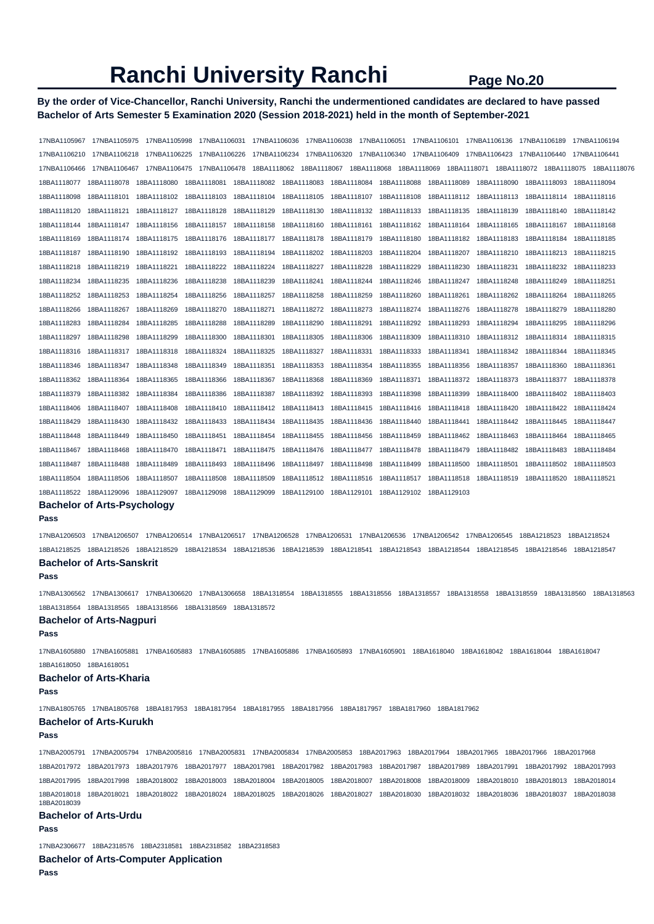## **By the order of Vice-Chancellor, Ranchi University, Ranchi the undermentioned candidates are declared to have passed Bachelor of Arts Semester 5 Examination 2020 (Session 2018-2021) held in the month of September-2021**

| 17NBA1105967 | 17NBA1105975 | 17NBA1105998                                                            | 17NBA1106031 | 17NBA1106036            |             | 17NBA1106038 17NBA1106051                                                           |                         | 17NBA1106101 | 17NBA1106136            | 17NBA1106189                                                                               | 17NBA1106194                                                                                                              |
|--------------|--------------|-------------------------------------------------------------------------|--------------|-------------------------|-------------|-------------------------------------------------------------------------------------|-------------------------|--------------|-------------------------|--------------------------------------------------------------------------------------------|---------------------------------------------------------------------------------------------------------------------------|
| 17NBA1106210 | 17NBA1106218 | 17NBA1106225                                                            | 17NBA1106226 |                         |             |                                                                                     |                         |              |                         | 17NBA1106234 17NBA1106320 17NBA1106340 17NBA1106409 17NBA1106423 17NBA1106440 17NBA1106441 |                                                                                                                           |
| 17NBA1106466 | 17NBA1106467 |                                                                         |              |                         |             |                                                                                     |                         |              |                         |                                                                                            | 17NBA1106475 17NBA1106478 18BA1118062 18BA1118067 18BA1118068 18BA1118069 18BA1118071 18BA1118072 18BA1118075 18BA1118076 |
| 18BA1118077  | 18BA1118078  |                                                                         |              |                         |             | 18BA1118080 18BA1118081 18BA1118082 18BA1118083 18BA1118084 18BA1118088 18BA1118089 |                         |              | 18BA1118090             | 18BA1118093 18BA1118094                                                                    |                                                                                                                           |
| 18BA1118098  | 18BA1118101  | 18BA1118102                                                             | 18BA1118103  | 18BA1118104             | 18BA1118105 | 18BA1118107                                                                         | 18BA1118108             |              | 18BA1118112 18BA1118113 | 18BA1118114 18BA1118116                                                                    |                                                                                                                           |
|              |              |                                                                         |              |                         | 18BA1118130 |                                                                                     |                         |              | 18BA1118139             | 18BA1118140 18BA1118142                                                                    |                                                                                                                           |
| 18BA1118144  | 18BA1118147  | 18BA1118156                                                             |              | 18BA1118157 18BA1118158 | 18BA1118160 | 18BA1118161                                                                         | 18BA1118162             |              | 18BA1118164 18BA1118165 | 18BA1118167 18BA1118168                                                                    |                                                                                                                           |
|              |              | 18BA1118169 18BA1118174 18BA1118175 18BA1118176 18BA1118177 18BA1118178 |              |                         |             |                                                                                     | 18BA1118179 18BA1118180 |              | 18BA1118182 18BA1118183 | 18BA1118184 18BA1118185                                                                    |                                                                                                                           |
| 18BA1118187  | 18BA1118190  | 18BA1118192 18BA1118193                                                 |              | 18BA1118194             | 18BA1118202 | 18BA1118203                                                                         | 18BA1118204             | 18BA1118207  | 18BA1118210             | 18BA1118213                                                                                | 18BA1118215                                                                                                               |
| 18BA1118218  | 18BA1118219  | 18BA1118221                                                             | 18BA1118222  | 18BA1118224             | 18BA1118227 | 18BA1118228                                                                         | 18BA1118229             | 18BA1118230  | 18BA1118231             | 18BA1118232 18BA1118233                                                                    |                                                                                                                           |
| 18BA1118234  | 18BA1118235  | 18BA1118236                                                             | 18BA1118238  | 18BA1118239             | 18BA1118241 | 18BA1118244                                                                         | 18BA1118246             | 18BA1118247  | 18BA1118248             | 18BA1118249                                                                                | 18BA1118251                                                                                                               |
| 18BA1118252  | 18BA1118253  | 18BA1118254                                                             | 18BA1118256  | 18BA1118257             | 18BA1118258 | 18BA1118259                                                                         | 18BA1118260             | 18BA1118261  | 18BA1118262             | 18BA1118264                                                                                | 18BA1118265                                                                                                               |
| 18BA1118266  | 18BA1118267  | 18BA1118269                                                             | 18BA1118270  | 18BA1118271             | 18BA1118272 | 18BA1118273                                                                         | 18BA1118274             | 18BA1118276  | 18BA1118278             | 18BA1118279                                                                                | 18BA1118280                                                                                                               |
| 18BA1118283  | 18BA1118284  | 18BA1118285                                                             | 18BA1118288  | 18BA1118289             | 18BA1118290 | 18BA1118291                                                                         | 18BA1118292             | 18BA1118293  | 18BA1118294             | 18BA1118295                                                                                | 18BA1118296                                                                                                               |
| 18BA1118297  | 18BA1118298  | 18BA1118299                                                             | 18BA1118300  | 18BA1118301             | 18BA1118305 | 18BA1118306                                                                         | 18BA1118309             | 18BA1118310  |                         | 18BA1118312 18BA1118314 18BA1118315                                                        |                                                                                                                           |
| 18BA1118316  | 18BA1118317  | 18BA1118318                                                             | 18BA1118324  | 18BA1118325             | 18BA1118327 | 18BA1118331                                                                         | 18BA1118333             | 18BA1118341  | 18BA1118342             | 18BA1118344                                                                                | 18BA1118345                                                                                                               |
| 18BA1118346  | 18BA1118347  | 18BA1118348                                                             | 18BA1118349  | 18BA1118351             | 18BA1118353 | 18BA1118354                                                                         | 18BA1118355             | 18BA1118356  | 18BA1118357             | 18BA1118360                                                                                | 18BA1118361                                                                                                               |
| 18BA1118362  | 18BA1118364  | 18BA1118365                                                             | 18BA1118366  | 18BA1118367             | 18BA1118368 | 18BA1118369                                                                         | 18BA1118371             | 18BA1118372  | 18BA1118373             | 18BA1118377                                                                                | 18BA1118378                                                                                                               |
| 18BA1118379  | 18BA1118382  | 18BA1118384                                                             | 18BA1118386  | 18BA1118387             | 18BA1118392 | 18BA1118393                                                                         | 18BA1118398             | 18BA1118399  | 18BA1118400             | 18BA1118402 18BA1118403                                                                    |                                                                                                                           |
| 18BA1118406  | 18BA1118407  | 18BA1118408                                                             | 18BA1118410  | 18BA1118412             | 18BA1118413 | 18BA1118415                                                                         | 18BA1118416             | 18BA1118418  | 18BA1118420             | 18BA1118422                                                                                | 18BA1118424                                                                                                               |
| 18BA1118429  | 18BA1118430  | 18BA1118432 18BA1118433                                                 |              | 18BA1118434             | 18BA1118435 |                                                                                     | 18BA1118436 18BA1118440 | 18BA1118441  | 18BA1118442             | 18BA1118445                                                                                | 18BA1118447                                                                                                               |
| 18BA1118448  | 18BA1118449  | 18BA1118450                                                             | 18BA1118451  | 18BA1118454             | 18BA1118455 | 18BA1118456                                                                         | 18BA1118459             | 18BA1118462  | 18BA1118463             | 18BA1118464                                                                                | 18BA1118465                                                                                                               |
| 18BA1118467  | 18BA1118468  | 18BA1118470                                                             | 18BA1118471  | 18BA1118475             | 18BA1118476 | 18BA1118477                                                                         | 18BA1118478             | 18BA1118479  | 18BA1118482             | 18BA1118483                                                                                | 18BA1118484                                                                                                               |
| 18BA1118487  | 18BA1118488  | 18BA1118489                                                             | 18BA1118493  | 18BA1118496             | 18BA1118497 | 18BA1118498                                                                         | 18BA1118499             | 18BA1118500  | 18BA1118501             | 18BA1118502 18BA1118503                                                                    |                                                                                                                           |
| 18BA1118504  | 18BA1118506  | 18BA1118507                                                             | 18BA1118508  | 18BA1118509             | 18BA1118512 |                                                                                     | 18BA1118516 18BA1118517 | 18BA1118518  | 18BA1118519             | 18BA1118520 18BA1118521                                                                    |                                                                                                                           |
|              |              | 18BA1118522 18BA1129096 18BA1129097 18BA1129098                         |              | 18BA1129099             |             |                                                                                     |                         |              |                         |                                                                                            |                                                                                                                           |
|              |              |                                                                         |              |                         |             |                                                                                     |                         |              |                         |                                                                                            |                                                                                                                           |

### **Bachelor of Arts-Psychology**

#### **Pass**

17NBA1206503 17NBA1206507 17NBA1206514 17NBA1206517 17NBA1206528 17NBA1206531 17NBA1206536 17NBA1206542 17NBA1206545 18BA1218523 18BA1218524 18BA1218525 18BA1218526 18BA1218529 18BA1218534 18BA1218536 18BA1218539 18BA1218541 18BA1218543 18BA1218544 18BA1218545 18BA1218546 18BA1218547

## **Bachelor of Arts-Sanskrit**

**Pass** 

17NBA1306562 17NBA1306617 17NBA1306620 17NBA1306658 18BA1318554 18BA1318555 18BA1318556 18BA1318557 18BA1318558 18BA1318559 18BA1318560 18BA1318563 18BA1318564 18BA1318565 18BA1318566 18BA1318569 18BA1318572

### **Bachelor of Arts-Nagpuri**

**Pass** 

17NBA1605880 17NBA1605881 17NBA1605883 17NBA1605885 17NBA1605886 17NBA1605893 17NBA1605901 18BA1618040 18BA1618042 18BA1618044 18BA1618047 18BA1618050 18BA1618051

#### **Bachelor of Arts-Kharia**

**Pass** 

17NBA1805765 17NBA1805768 18BA1817953 18BA1817954 18BA1817955 18BA1817956 18BA1817957 18BA1817960 18BA1817962

### **Bachelor of Arts-Kurukh**

#### **Pass**

17NBA2005791 17NBA2005794 17NBA2005816 17NBA2005831 17NBA2005834 17NBA2005853 18BA2017963 18BA2017964 18BA2017965 18BA2017966 18BA2017968 18BA2017972 18BA2017973 18BA2017976 18BA2017977 18BA2017981 18BA2017982 18BA2017983 18BA2017987 18BA2017989 18BA2017991 18BA2017992 18BA2017993 18BA2017995 18BA2017998 18BA2018002 18BA2018003 18BA2018004 18BA2018005 18BA2018007 18BA2018008 18BA2018009 18BA2018010 18BA2018013 18BA2018014 18BA2018018 18BA2018021 18BA2018022 18BA2018024 18BA2018025 18BA2018026 18BA2018027 18BA2018030 18BA2018032 18BA2018036 18BA2018037 18BA2018038 18BA2018039

#### **Bachelor of Arts-Urdu**

#### **Pass**

17NBA2306677 18BA2318576 18BA2318581 18BA2318582 18BA2318583

### **Bachelor of Arts-Computer Application**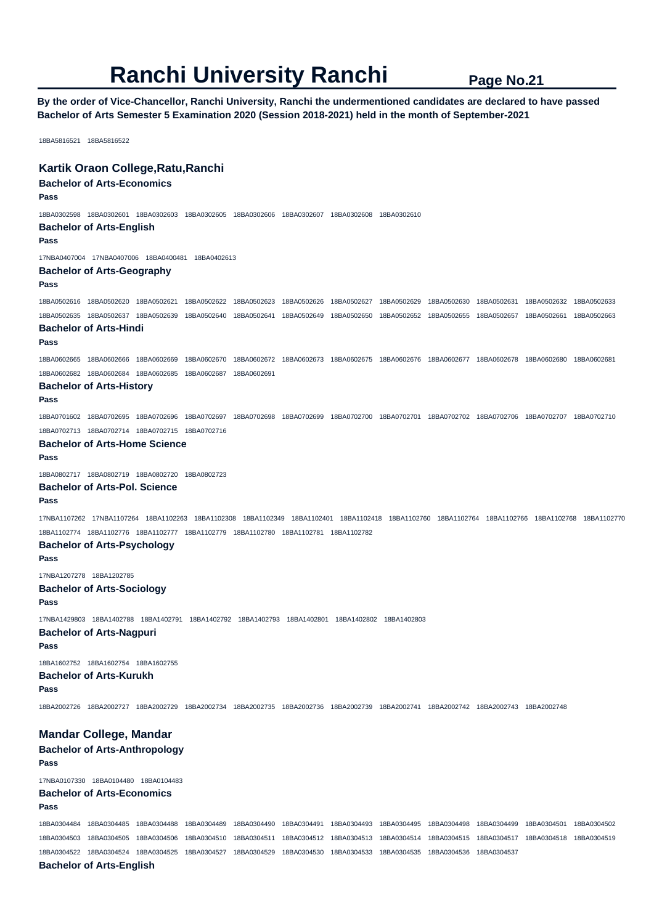**By the order of Vice-Chancellor, Ranchi University, Ranchi the undermentioned candidates are declared to have passed Bachelor of Arts Semester 5 Examination 2020 (Session 2018-2021) held in the month of September-2021** 

18BA5816521 18BA5816522

## **Kartik Oraon College,Ratu,Ranchi Bachelor of Arts-Economics Pass**  18BA0302598 18BA0302601 18BA0302603 18BA0302605 18BA0302606 18BA0302607 18BA0302608 18BA0302610 **Bachelor of Arts-English Pass**  17NBA0407004 17NBA0407006 18BA0400481 18BA0402613 **Bachelor of Arts-Geography Pass**  18BA0502616 18BA0502620 18BA0502621 18BA0502622 18BA0502623 18BA0502626 18BA0502627 18BA0502629 18BA0502630 18BA0502631 18BA0502632 18BA0502633 18BA0502635 18BA0502637 18BA0502639 18BA0502640 18BA0502641 18BA0502649 18BA0502650 18BA0502652 18BA0502655 18BA0502657 18BA0502661 18BA0502663 **Bachelor of Arts-Hindi Pass**  18BA0602665 18BA0602666 18BA0602669 18BA0602670 18BA0602672 18BA0602673 18BA0602675 18BA0602676 18BA0602677 18BA0602678 18BA0602680 18BA0602681 18BA0602682 18BA0602684 18BA0602685 18BA0602687 18BA0602691 **Bachelor of Arts-History Pass**  18BA0701602 18BA0702695 18BA0702696 18BA0702697 18BA0702698 18BA0702699 18BA0702700 18BA0702701 18BA0702702 18BA0702706 18BA0702707 18BA0702710 18BA0702713 18BA0702714 18BA0702715 18BA0702716 **Bachelor of Arts-Home Science Pass**  18BA0802717 18BA0802719 18BA0802720 18BA0802723 **Bachelor of Arts-Pol. Science Pass**  17NBA1107262 17NBA1107264 18BA1102263 18BA1102308 18BA1102349 18BA1102401 18BA1102418 18BA1102760 18BA1102764 18BA1102766 18BA1102768 18BA1102770 18BA1102774 18BA1102776 18BA1102777 18BA1102779 18BA1102780 18BA1102781 18BA1102782 **Bachelor of Arts-Psychology Pass**  17NBA1207278 18BA1202785 **Bachelor of Arts-Sociology Pass**  17NBA1429803 18BA1402788 18BA1402791 18BA1402792 18BA1402793 18BA1402801 18BA1402802 18BA1402803 **Bachelor of Arts-Nagpuri Pass**  18BA1602752 18BA1602754 18BA1602755 **Bachelor of Arts-Kurukh Pass**  18BA2002726 18BA2002727 18BA2002729 18BA2002734 18BA2002735 18BA2002736 18BA2002739 18BA2002741 18BA2002742 18BA2002743 18BA2002748 **Mandar College, Mandar Bachelor of Arts-Anthropology Pass**  17NBA0107330 18BA0104480 18BA0104483 **Bachelor of Arts-Economics Pass**  18BA0304484 18BA0304485 18BA0304488 18BA0304489 18BA0304490 18BA0304491 18BA0304493 18BA0304495 18BA0304498 18BA0304499 18BA0304501 18BA0304502 18BA0304503 18BA0304505 18BA0304506 18BA0304510 18BA0304511 18BA0304512 18BA0304513 18BA0304514 18BA0304515 18BA0304517 18BA0304518 18BA0304519 18BA0304522 18BA0304524 18BA0304525 18BA0304527 18BA0304529 18BA0304530 18BA0304533 18BA0304535 18BA0304536 18BA0304537 **Bachelor of Arts-English**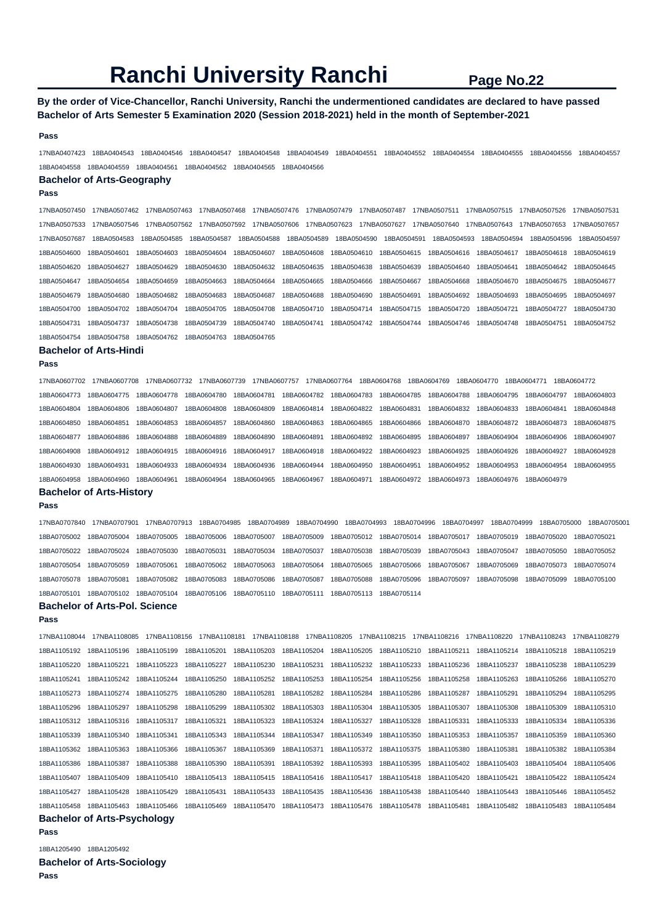## **By the order of Vice-Chancellor, Ranchi University, Ranchi the undermentioned candidates are declared to have passed Bachelor of Arts Semester 5 Examination 2020 (Session 2018-2021) held in the month of September-2021**

#### **Pass**

17NBA0407423 18BA0404543 18BA0404546 18BA0404547 18BA0404548 18BA0404549 18BA0404551 18BA0404552 18BA0404554 18BA0404555 18BA0404556 18BA0404557 18BA0404558 18BA0404559 18BA0404561 18BA0404562 18BA0404565 18BA0404566

#### **Bachelor of Arts-Geography**

**Pass** 

17NBA0507450 17NBA0507462 17NBA0507463 17NBA0507468 17NBA0507476 17NBA0507479 17NBA0507487 17NBA0507511 17NBA0507515 17NBA0507526 17NBA0507531 17NBA0507533 17NBA0507546 17NBA0507562 17NBA0507592 17NBA0507606 17NBA0507623 17NBA0507627 17NBA0507640 17NBA0507643 17NBA0507653 17NBA0507657 17NBA0507687 18BA0504583 18BA0504585 18BA0504587 18BA0504588 18BA0504589 18BA0504590 18BA0504591 18BA0504593 18BA0504594 18BA0504596 18BA0504597 18BA0504600 18BA0504601 18BA0504603 18BA0504604 18BA0504607 18BA0504608 18BA0504610 18BA0504615 18BA0504616 18BA0504617 18BA0504618 18BA0504619 18BA0504620 18BA0504627 18BA0504629 18BA0504630 18BA0504632 18BA0504635 18BA0504638 18BA0504639 18BA0504640 18BA0504641 18BA0504642 18BA0504645 18BA0504647 18BA0504654 18BA0504659 18BA0504663 18BA0504664 18BA0504665 18BA0504666 18BA0504667 18BA0504668 18BA0504670 18BA0504675 18BA0504677 18BA0504679 18BA0504680 18BA0504682 18BA0504683 18BA0504687 18BA0504688 18BA0504690 18BA0504691 18BA0504692 18BA0504693 18BA0504695 18BA0504697 18BA0504700 18BA0504702 18BA0504704 18BA0504705 18BA0504708 18BA0504710 18BA0504714 18BA0504715 18BA0504720 18BA0504721 18BA0504727 18BA0504730 18BA0504731 18BA0504737 18BA0504738 18BA0504739 18BA0504740 18BA0504741 18BA0504742 18BA0504744 18BA0504746 18BA0504748 18BA0504751 18BA0504752 18BA0504754 18BA0504758 18BA0504762 18BA0504763 18BA0504765

### **Bachelor of Arts-Hindi**

**Pass** 

17NBA0607702 17NBA0607708 17NBA0607732 17NBA0607739 17NBA0607757 17NBA0607764 18BA0604768 18BA0604769 18BA0604770 18BA0604771 18BA0604772 18BA0604773 18BA0604775 18BA0604778 18BA0604780 18BA0604781 18BA0604782 18BA0604783 18BA0604785 18BA0604788 18BA0604795 18BA0604797 18BA0604803 18BA0604804 18BA0604806 18BA0604807 18BA0604808 18BA0604809 18BA0604814 18BA0604822 18BA0604831 18BA0604832 18BA0604833 18BA0604841 18BA0604848 18BA0604850 18BA0604851 18BA0604853 18BA0604857 18BA0604860 18BA0604863 18BA0604865 18BA0604866 18BA0604870 18BA0604872 18BA0604873 18BA0604875 18BA0604877 18BA0604886 18BA0604888 18BA0604889 18BA0604890 18BA0604891 18BA0604892 18BA0604895 18BA0604897 18BA0604904 18BA0604906 18BA0604907 18BA0604908 18BA0604912 18BA0604915 18BA0604916 18BA0604917 18BA0604918 18BA0604922 18BA0604923 18BA0604925 18BA0604926 18BA0604927 18BA0604928 18BA0604930 18BA0604931 18BA0604933 18BA0604934 18BA0604936 18BA0604944 18BA0604950 18BA0604951 18BA0604952 18BA0604953 18BA0604954 18BA0604955 18BA0604958 18BA0604960 18BA0604961 18BA0604964 18BA0604965 18BA0604967 18BA0604971 18BA0604972 18BA0604973 18BA0604976 18BA0604979 **Bachelor of Arts-History** 

## **Pass**

17NBA0707840 17NBA0707901 17NBA0707913 18BA0704985 18BA0704989 18BA0704990 18BA0704993 18BA0704996 18BA0704997 18BA0704999 18BA0705000 18BA0705001 18BA0705002 18BA0705004 18BA0705005 18BA0705006 18BA0705007 18BA0705009 18BA0705012 18BA0705014 18BA0705017 18BA0705019 18BA0705020 18BA0705021 18BA0705022 18BA0705024 18BA0705030 18BA0705031 18BA0705034 18BA0705037 18BA0705038 18BA0705039 18BA0705043 18BA0705047 18BA0705050 18BA0705052 18BA0705054 18BA0705059 18BA0705061 18BA0705062 18BA0705063 18BA0705064 18BA0705065 18BA0705066 18BA0705067 18BA0705069 18BA0705073 18BA0705074 18BA0705078 18BA0705081 18BA0705082 18BA0705083 18BA0705086 18BA0705087 18BA0705088 18BA0705096 18BA0705097 18BA0705098 18BA0705099 18BA0705100 18BA0705101 18BA0705102 18BA0705104 18BA0705106 18BA0705110 18BA0705111 18BA0705113 18BA0705114

## **Bachelor of Arts-Pol. Science**

**Pass** 

17NBA1108044 17NBA1108085 17NBA1108156 17NBA1108181 17NBA1108188 17NBA1108205 17NBA1108215 17NBA1108216 17NBA1108220 17NBA1108243 17NBA1108279 18BA1105192 18BA1105196 18BA1105199 18BA1105201 18BA1105203 18BA1105204 18BA1105205 18BA1105210 18BA1105211 18BA1105214 18BA1105218 18BA1105219 18BA1105220 18BA1105221 18BA1105223 18BA1105227 18BA1105230 18BA1105231 18BA1105232 18BA1105233 18BA1105236 18BA1105237 18BA1105238 18BA1105239 18BA1105241 18BA1105242 18BA1105244 18BA1105250 18BA1105252 18BA1105253 18BA1105254 18BA1105256 18BA1105258 18BA1105263 18BA1105266 18BA1105270 18BA1105273 18BA1105274 18BA1105275 18BA1105280 18BA1105281 18BA1105282 18BA1105284 18BA1105286 18BA1105287 18BA1105291 18BA1105294 18BA1105295 18BA1105296 18BA1105297 18BA1105298 18BA1105299 18BA1105302 18BA1105303 18BA1105304 18BA1105305 18BA1105307 18BA1105308 18BA1105309 18BA1105310 18BA1105312 18BA1105316 18BA1105317 18BA1105321 18BA1105323 18BA1105324 18BA1105327 18BA1105328 18BA1105331 18BA1105333 18BA1105334 18BA1105336 18BA1105339 18BA1105340 18BA1105341 18BA1105343 18BA1105344 18BA1105347 18BA1105349 18BA1105350 18BA1105353 18BA1105357 18BA1105359 18BA1105360 18BA1105362 18BA1105363 18BA1105366 18BA1105367 18BA1105369 18BA1105371 18BA1105372 18BA1105375 18BA1105380 18BA1105381 18BA1105382 18BA1105384 18BA1105386 18BA1105387 18BA1105388 18BA1105390 18BA1105391 18BA1105392 18BA1105393 18BA1105395 18BA1105402 18BA1105403 18BA1105404 18BA1105406 18BA1105407 18BA1105409 18BA1105410 18BA1105413 18BA1105415 18BA1105416 18BA1105417 18BA1105418 18BA1105420 18BA1105421 18BA1105422 18BA1105424 18BA1105427 18BA1105428 18BA1105429 18BA1105431 18BA1105433 18BA1105435 18BA1105436 18BA1105438 18BA1105440 18BA1105443 18BA1105446 18BA1105452 18BA1105458 18BA1105463 18BA1105466 18BA1105469 18BA1105470 18BA1105473 18BA1105476 18BA1105478 18BA1105481 18BA1105482 18BA1105483 18BA1105484

### **Bachelor of Arts-Psychology**

**Pass** 

18BA1205490 18BA1205492

**Bachelor of Arts-Sociology**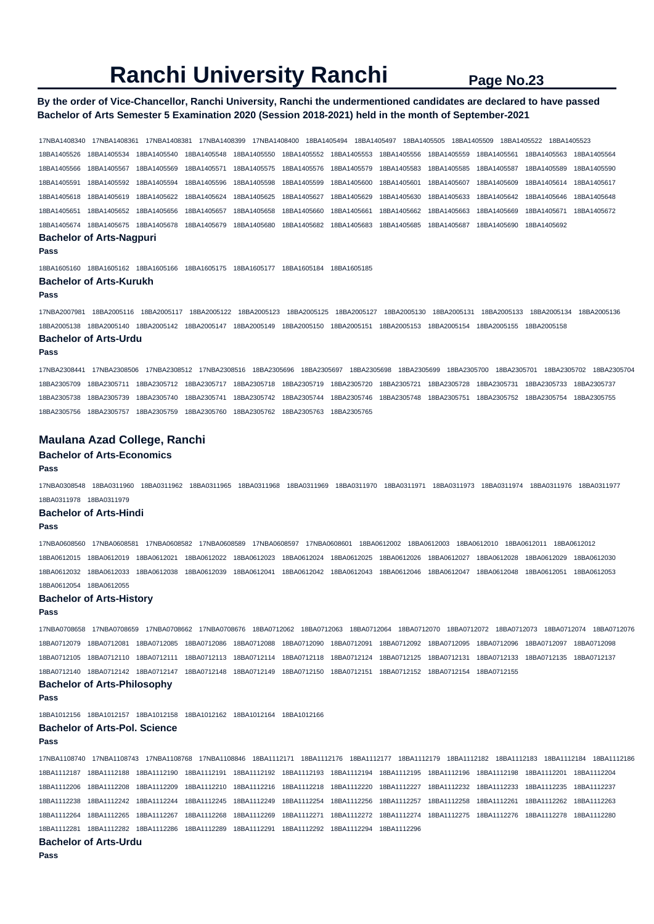## **By the order of Vice-Chancellor, Ranchi University, Ranchi the undermentioned candidates are declared to have passed Bachelor of Arts Semester 5 Examination 2020 (Session 2018-2021) held in the month of September-2021**

17NBA1408340 17NBA1408361 17NBA1408381 17NBA1408399 17NBA1408400 18BA1405494 18BA1405497 18BA1405505 18BA1405509 18BA1405522 18BA1405523 18BA1405526 18BA1405534 18BA1405540 18BA1405548 18BA1405550 18BA1405552 18BA1405553 18BA1405556 18BA1405559 18BA1405561 18BA1405563 18BA1405564 18BA1405566 18BA1405567 18BA1405569 18BA1405571 18BA1405575 18BA1405576 18BA1405579 18BA1405583 18BA1405585 18BA1405587 18BA1405589 18BA1405590 18BA1405591 18BA1405592 18BA1405594 18BA1405596 18BA1405598 18BA1405599 18BA1405600 18BA1405601 18BA1405607 18BA1405609 18BA1405614 18BA1405617 18BA1405618 18BA1405619 18BA1405622 18BA1405624 18BA1405625 18BA1405627 18BA1405629 18BA1405630 18BA1405633 18BA1405642 18BA1405646 18BA1405648 18BA1405651 18BA1405652 18BA1405656 18BA1405657 18BA1405658 18BA1405660 18BA1405661 18BA1405662 18BA1405663 18BA1405669 18BA1405671 18BA1405672 18BA1405674 18BA1405675 18BA1405678 18BA1405679 18BA1405680 18BA1405682 18BA1405683 18BA1405685 18BA1405687 18BA1405690 18BA1405692 **Bachelor of Arts-Nagpuri** 

#### **Pass**

18BA1605160 18BA1605162 18BA1605166 18BA1605175 18BA1605177 18BA1605184 18BA1605185

## **Bachelor of Arts-Kurukh**

#### **Pass**

17NBA2007981 18BA2005116 18BA2005117 18BA2005122 18BA2005123 18BA2005125 18BA2005127 18BA2005130 18BA2005131 18BA2005133 18BA2005134 18BA2005136 18BA2005138 18BA2005140 18BA2005142 18BA2005147 18BA2005149 18BA2005150 18BA2005151 18BA2005153 18BA2005154 18BA2005155 18BA2005158

### **Bachelor of Arts-Urdu**

#### **Pass**

17NBA2308441 17NBA2308506 17NBA2308512 17NBA2308516 18BA2305696 18BA2305697 18BA2305698 18BA2305699 18BA2305700 18BA2305701 18BA2305702 18BA2305704 18BA2305709 18BA2305711 18BA2305712 18BA2305717 18BA2305718 18BA2305719 18BA2305720 18BA2305721 18BA2305728 18BA2305731 18BA2305733 18BA2305737 18BA2305738 18BA2305739 18BA2305740 18BA2305741 18BA2305742 18BA2305744 18BA2305746 18BA2305748 18BA2305751 18BA2305752 18BA2305754 18BA2305755 18BA2305756 18BA2305757 18BA2305759 18BA2305760 18BA2305762 18BA2305763 18BA2305765

### **Maulana Azad College, Ranchi**

## **Bachelor of Arts-Economics**

### **Pass**

17NBA0308548 18BA0311960 18BA0311962 18BA0311965 18BA0311968 18BA0311969 18BA0311970 18BA0311971 18BA0311973 18BA0311974 18BA0311976 18BA0311977 18BA0311978 18BA0311979

#### **Bachelor of Arts-Hindi**

#### **Pass**

17NBA0608560 17NBA0608581 17NBA0608582 17NBA0608589 17NBA0608597 17NBA0608601 18BA0612002 18BA0612003 18BA0612010 18BA0612011 18BA0612012 18BA0612015 18BA0612019 18BA0612021 18BA0612022 18BA0612023 18BA0612024 18BA0612025 18BA0612026 18BA0612027 18BA0612028 18BA0612029 18BA0612030 18BA0612032 18BA0612033 18BA0612038 18BA0612039 18BA0612041 18BA0612042 18BA0612043 18BA0612046 18BA0612047 18BA0612048 18BA0612051 18BA0612053 18BA0612054 18BA0612055

#### **Bachelor of Arts-History**

#### **Pass**

17NBA0708658 17NBA0708659 17NBA0708662 17NBA0708676 18BA0712062 18BA0712063 18BA0712064 18BA0712070 18BA0712072 18BA0712073 18BA0712074 18BA0712076 18BA0712079 18BA0712081 18BA0712085 18BA0712086 18BA0712088 18BA0712090 18BA0712091 18BA0712092 18BA0712095 18BA0712096 18BA0712097 18BA0712098 18BA0712105 18BA0712110 18BA0712111 18BA0712113 18BA0712114 18BA0712118 18BA0712124 18BA0712125 18BA0712131 18BA0712133 18BA0712135 18BA0712137 18BA0712140 18BA0712142 18BA0712147 18BA0712148 18BA0712149 18BA0712150 18BA0712151 18BA0712152 18BA0712154 18BA0712155

## **Bachelor of Arts-Philosophy**

**Pass** 

18BA1012156 18BA1012157 18BA1012158 18BA1012162 18BA1012164 18BA1012166

## **Bachelor of Arts-Pol. Science**

#### **Pass**

17NBA1108740 17NBA1108743 17NBA1108768 17NBA1108846 18BA1112171 18BA1112176 18BA1112177 18BA1112179 18BA1112182 18BA1112183 18BA1112184 18BA1112186 18BA1112187 18BA1112188 18BA1112190 18BA1112191 18BA1112192 18BA1112193 18BA1112194 18BA1112195 18BA1112196 18BA1112198 18BA1112201 18BA1112204 18BA1112206 18BA1112208 18BA1112209 18BA1112210 18BA1112216 18BA1112218 18BA1112220 18BA1112227 18BA1112232 18BA1112233 18BA1112235 18BA1112237 18BA1112238 18BA1112242 18BA1112244 18BA1112245 18BA1112249 18BA1112254 18BA1112256 18BA1112257 18BA1112258 18BA1112261 18BA1112262 18BA1112263 18BA1112264 18BA1112265 18BA1112267 18BA1112268 18BA1112269 18BA1112271 18BA1112272 18BA1112274 18BA1112275 18BA1112276 18BA1112278 18BA1112280 18BA1112281 18BA1112282 18BA1112286 18BA1112289 18BA1112291 18BA1112292 18BA1112294 18BA1112296

#### **Bachelor of Arts-Urdu**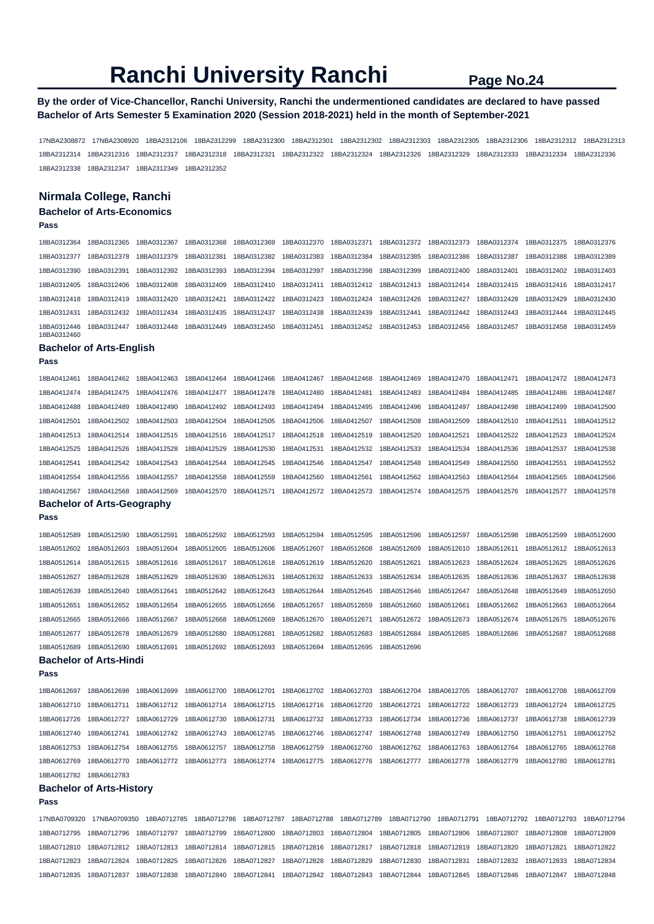## **By the order of Vice-Chancellor, Ranchi University, Ranchi the undermentioned candidates are declared to have passed Bachelor of Arts Semester 5 Examination 2020 (Session 2018-2021) held in the month of September-2021**

17NBA2308872 17NBA2308920 18BA2312106 18BA2312299 18BA2312300 18BA2312301 18BA2312302 18BA2312303 18BA2312305 18BA2312306 18BA2312312 18BA2312313 18BA2312314 18BA2312316 18BA2312317 18BA2312318 18BA2312321 18BA2312322 18BA2312324 18BA2312326 18BA2312329 18BA2312333 18BA2312334 18BA2312336 18BA2312338 18BA2312347 18BA2312349 18BA2312352

### **Nirmala College, Ranchi**

## **Bachelor of Arts-Economics**

## **Pass**

18BA0312364 18BA0312365 18BA0312367 18BA0312368 18BA0312369 18BA0312370 18BA0312371 18BA0312372 18BA0312373 18BA0312374 18BA0312375 18BA0312376 18BA0312377 18BA0312378 18BA0312379 18BA0312381 18BA0312382 18BA0312383 18BA0312384 18BA0312385 18BA0312386 18BA0312387 18BA0312388 18BA0312389 18BA0312390 18BA0312391 18BA0312392 18BA0312393 18BA0312394 18BA0312397 18BA0312398 18BA0312399 18BA0312400 18BA0312401 18BA0312402 18BA0312403 18BA0312405 18BA0312406 18BA0312408 18BA0312409 18BA0312410 18BA0312411 18BA0312412 18BA0312413 18BA0312414 18BA0312415 18BA0312416 18BA0312417 18BA0312418 18BA0312419 18BA0312420 18BA0312421 18BA0312422 18BA0312423 18BA0312424 18BA0312426 18BA0312427 18BA0312428 18BA0312429 18BA0312430 18BA031241 18BA0312432 18BA0312434 18BA0312435 18BA031243 18BA0312434 18BA031244 18BA0312442 18BA0312444 18BA031244<br>18BA031243 18BA031243 18BA031243 18BA031243 18BA031243 18BA031243 18BA031243 18BA031244 18BA031244 18BA031 18BA0312446 18BA0312447 18BA0312448 18BA0312449 18BA0312450 18BA0312451 18BA0312452 18BA0312453 18BA0312456 18BA0312457 18BA0312458 18BA0312459 18BA0312460

#### **Bachelor of Arts-English**

#### **Pass**

|             | _ _ _ .     |             |             |             |             |             |             |             |             |             |             |
|-------------|-------------|-------------|-------------|-------------|-------------|-------------|-------------|-------------|-------------|-------------|-------------|
| 18BA0412567 | 18BA0412568 | 18BA0412569 | 18BA0412570 | 18BA0412571 | 18BA0412572 | 18BA0412573 | 18BA0412574 | 18BA0412575 | 18BA0412576 | 18BA0412577 | 18BA0412578 |
| 18BA0412554 | 18BA0412556 | 18BA0412557 | 18BA0412558 | 18BA0412559 | 18BA0412560 | 18BA0412561 | 18BA0412562 | 18BA0412563 | 18BA0412564 | 18BA0412565 | 18BA0412566 |
| 18BA0412541 | 18BA0412542 | 18BA0412543 | 18BA0412544 | 18BA0412545 | 18BA0412546 | 18BA0412547 | 18BA0412548 | 18BA0412549 | 18BA0412550 | 18BA0412551 | 18BA0412552 |
| 18BA0412525 | 18BA0412526 | 18BA0412528 | 18BA0412529 | 18BA0412530 | 18BA0412531 | 18BA0412532 | 18BA0412533 | 18BA0412534 | 18BA0412536 | 18BA0412537 | 18BA0412538 |
| 18BA0412513 | 18BA0412514 | 18BA0412515 | 18BA0412516 | 18BA0412517 | 18BA0412518 | 18BA0412519 | 18BA0412520 | 18BA0412521 | 18BA0412522 | 18BA0412523 | 18BA0412524 |
| 18BA0412501 | 18BA0412502 | 18BA0412503 | 18BA0412504 | 18BA0412505 | 18BA0412506 | 18BA0412507 | 18BA0412508 | 18BA0412509 | 18BA0412510 | 18BA0412511 | 18BA0412512 |
| 18BA0412488 | 18BA0412489 | 18BA0412490 | 18BA0412492 | 18BA0412493 | 18BA0412494 | 18BA0412495 | 18BA0412496 | 18BA0412497 | 18BA0412498 | 18BA0412499 | 18BA0412500 |
| 18BA0412474 | 18BA0412475 | 18BA0412476 | 18BA0412477 | 18BA0412478 | 18BA0412480 | 18BA0412481 | 18BA0412483 | 18BA0412484 | 18BA0412485 | 18BA0412486 | 18BA0412487 |
| 18BA0412461 | 18BA0412462 | 18BA0412463 | 18BA0412464 | 18BA0412466 | 18BA0412467 | 18BA0412468 | 18BA0412469 | 18BA0412470 | 18BA0412471 | 18BA0412472 | 18BA0412473 |

### **Bachelor of Arts-Geography Pass**

| 18BA0512589 | 18BA0512590                   | 18BA0512591 | 18BA0512592 | 18BA0512593 | 18BA0512594 | 18BA0512595 | 18BA0512596 | 18BA0512597 | 18BA0512598 | 18BA0512599 | 18BA0512600 |
|-------------|-------------------------------|-------------|-------------|-------------|-------------|-------------|-------------|-------------|-------------|-------------|-------------|
| 18BA0512602 | 18BA0512603                   | 18BA0512604 | 18BA0512605 | 18BA0512606 | 18BA0512607 | 18BA0512608 | 18BA0512609 | 18BA0512610 | 18BA0512611 | 18BA0512612 | 18BA0512613 |
| 18BA0512614 | 18BA0512615                   | 18BA0512616 | 18BA0512617 | 18BA0512618 | 18BA0512619 | 18BA0512620 | 18BA0512621 | 18BA0512623 | 18BA0512624 | 18BA0512625 | 18BA0512626 |
| 18BA0512627 | 18BA0512628                   | 18BA0512629 | 18BA0512630 | 18BA0512631 | 18BA0512632 | 18BA0512633 | 18BA0512634 | 18BA0512635 | 18BA0512636 | 18BA0512637 | 18BA0512638 |
| 18BA0512639 | 18BA0512640                   | 18BA0512641 | 18BA0512642 | 18BA0512643 | 18BA0512644 | 18BA0512645 | 18BA0512646 | 18BA0512647 | 18BA0512648 | 18BA0512649 | 18BA0512650 |
| 18BA0512651 | 18BA0512652                   | 18BA0512654 | 18BA0512655 | 18BA0512656 | 18BA0512657 | 18BA0512659 | 18BA0512660 | 18BA0512661 | 18BA0512662 | 18BA0512663 | 18BA0512664 |
| 18BA0512665 | 18BA0512666                   | 18BA0512667 | 18BA0512668 | 18BA0512669 | 18BA0512670 | 18BA0512671 | 18BA0512672 | 18BA0512673 | 18BA0512674 | 18BA0512675 | 18BA0512676 |
| 18BA0512677 | 18BA0512678                   | 18BA0512679 | 18BA0512680 | 18BA0512681 | 18BA0512682 | 18BA0512683 | 18BA0512684 | 18BA0512685 | 18BA0512686 | 18BA0512687 | 18BA0512688 |
| 18BA0512689 | 18BA0512690                   | 18BA0512691 | 18BA0512692 | 18BA0512693 | 18BA0512694 | 18BA0512695 | 18BA0512696 |             |             |             |             |
|             | <b>Bachelor of Arts-Hindi</b> |             |             |             |             |             |             |             |             |             |             |

### **Pass**

| 18BA0612697 | 18BA0612698 | 18BA0612699 | 18BA0612700 | 18BA0612701 | 18BA0612702 | 18BA0612703 18BA0612704 |                         | 18BA0612705 | 18BA0612707 | 18BA0612708 | 18BA0612709 |
|-------------|-------------|-------------|-------------|-------------|-------------|-------------------------|-------------------------|-------------|-------------|-------------|-------------|
| 18BA0612710 | 18BA0612711 | 18BA0612712 | 18BA0612714 | 18BA0612715 | 18BA0612716 |                         | 18BA0612720 18BA0612721 | 18BA0612722 | 18BA0612723 | 18BA0612724 | 18BA0612725 |
| 18BA0612726 | 18BA0612727 | 18BA0612729 | 18BA0612730 | 18BA0612731 | 18BA0612732 | 18BA0612733 18BA0612734 |                         | 18BA0612736 | 18BA0612737 | 18BA0612738 | 18BA0612739 |
| 18BA0612740 | 18BA0612741 | 18BA0612742 | 18BA0612743 | 18BA0612745 | 18BA0612746 | 18BA0612747             | 18BA0612748             | 18BA0612749 | 18BA0612750 | 18BA0612751 | 18BA0612752 |
| 18BA0612753 | 18BA0612754 | 18BA0612755 | 18BA0612757 | 18BA0612758 | 18BA0612759 |                         | 18BA0612760 18BA0612762 | 18BA0612763 | 18BA0612764 | 18BA0612765 | 18BA0612768 |
| 18BA0612769 | 18BA0612770 | 18BA0612772 | 18BA0612773 | 18BA0612774 | 18BA0612775 | 18BA0612776             | 18BA0612777             | 18BA0612778 | 18BA0612779 | 18BA0612780 | 18BA0612781 |

## 18BA0612782 18BA0612783

## **Bachelor of Arts-History**

## **Pass**

17NBA0709320 17NBA0709350 18BA0712785 18BA0712786 18BA0712787 18BA0712788 18BA0712789 18BA0712790 18BA0712791 18BA0712792 18BA0712793 18BA0712794 18BA0712795 18BA0712796 18BA0712797 18BA0712799 18BA0712800 18BA0712803 18BA0712804 18BA0712805 18BA0712806 18BA0712807 18BA0712808 18BA0712809 18BA0712810 18BA0712812 18BA0712813 18BA0712814 18BA0712815 18BA0712816 18BA0712817 18BA0712818 18BA0712819 18BA0712820 18BA0712821 18BA0712822 18BA0712823 18BA0712824 18BA0712825 18BA0712826 18BA0712827 18BA0712828 18BA0712829 18BA0712830 18BA0712831 18BA0712832 18BA0712833 18BA0712834 18BA0712835 18BA0712837 18BA0712838 18BA0712840 18BA0712841 18BA0712842 18BA0712843 18BA0712844 18BA0712845 18BA0712846 18BA0712847 18BA0712848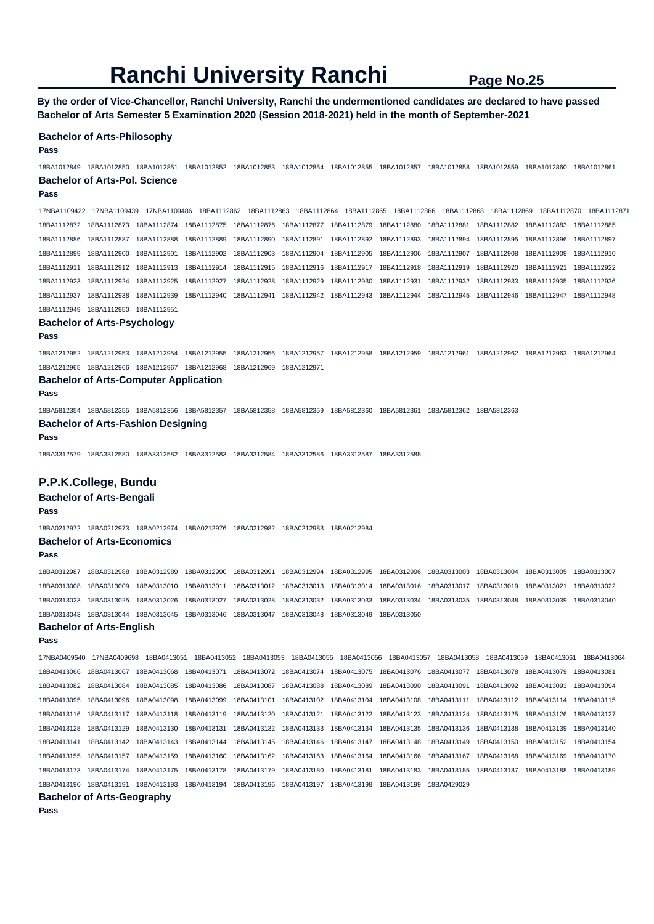**By the order of Vice-Chancellor, Ranchi University, Ranchi the undermentioned candidates are declared to have passed Bachelor of Arts Semester 5 Examination 2020 (Session 2018-2021) held in the month of September-2021** 

### **Bachelor of Arts-Philosophy**

**Pass** 

18BA1012849 18BA1012850 18BA1012851 18BA1012852 18BA1012853 18BA1012854 18BA1012855 18BA1012857 18BA1012858 18BA1012859 18BA1012860 18BA1012861 **Bachelor of Arts-Pol. Science** 

#### **Pass**

17NBA1109422 17NBA1109439 17NBA1109486 18BA1112862 18BA1112863 18BA1112864 18BA1112865 18BA1112866 18BA1112868 18BA1112869 18BA1112870 18BA1112871 18BA1112872 18BA1112873 18BA1112874 18BA1112875 18BA1112876 18BA1112877 18BA1112879 18BA1112880 18BA1112881 18BA1112882 18BA1112883 18BA1112885 18BA1112886 18BA1112887 18BA1112888 18BA1112889 18BA1112890 18BA1112891 18BA1112892 18BA1112893 18BA1112894 18BA1112895 18BA1112896 18BA1112897 18BA1112899 18BA1112900 18BA1112901 18BA1112902 18BA1112903 18BA1112904 18BA1112905 18BA1112906 18BA1112907 18BA1112908 18BA1112909 18BA1112910 18BA1112911 18BA1112912 18BA1112913 18BA1112914 18BA1112915 18BA1112916 18BA1112917 18BA1112918 18BA1112919 18BA1112920 18BA1112921 18BA1112922 18BA1112923 18BA1112924 18BA1112925 18BA1112927 18BA1112928 18BA1112929 18BA1112930 18BA1112931 18BA1112932 18BA1112933 18BA1112935 18BA1112936 18BA1112937 18BA1112938 18BA1112939 18BA1112940 18BA1112941 18BA1112942 18BA1112943 18BA1112944 18BA1112945 18BA1112946 18BA1112947 18BA1112948

### 18BA1112949 18BA1112950 18BA1112951 **Bachelor of Arts-Psychology**

**Pass** 

18BA1212952 18BA1212953 18BA1212954 18BA1212955 18BA1212956 18BA1212957 18BA1212958 18BA1212959 18BA1212961 18BA1212962 18BA1212963 18BA1212964 18BA1212965 18BA1212966 18BA1212967 18BA1212968 18BA1212969 18BA1212971

#### **Bachelor of Arts-Computer Application**

**Pass** 

18BA5812354 18BA5812355 18BA5812356 18BA5812357 18BA5812358 18BA5812359 18BA5812360 18BA5812361 18BA5812362 18BA5812363 **Bachelor of Arts-Fashion Designing** 

## **Pass**

18BA3312579 18BA3312580 18BA3312582 18BA3312583 18BA3312584 18BA3312586 18BA3312587 18BA3312588

### **P.P.K.College, Bundu**

**Bachelor of Arts-Bengali** 

#### **Pass**

18BA0212972 18BA0212973 18BA0212974 18BA0212976 18BA0212982 18BA0212983 18BA0212984 **Bachelor of Arts-Economics** 

#### **Pass**

18BA0312987 18BA0312988 18BA0312989 18BA0312990 18BA0312991 18BA0312994 18BA0312995 18BA0312996 18BA0313003 18BA0313004 18BA0313005 18BA0313007 18BA0313008 18BA0313009 18BA0313010 18BA0313011 18BA0313012 18BA0313013 18BA0313014 18BA0313016 18BA0313017 18BA0313019 18BA0313021 18BA0313022 18BA0313023 18BA0313025 18BA0313026 18BA0313027 18BA0313028 18BA0313032 18BA0313033 18BA0313034 18BA0313035 18BA0313038 18BA0313039 18BA0313040 18BA0313043 18BA0313044 18BA0313045 18BA0313046 18BA0313047 18BA0313048 18BA0313049 18BA0313050

#### **Bachelor of Arts-English**

**Pass** 

17NBA0409640 17NBA0409698 18BA0413051 18BA0413052 18BA0413053 18BA0413055 18BA0413056 18BA0413057 18BA0413058 18BA0413059 18BA0413061 18BA0413064 18BA0413066 18BA0413067 18BA0413068 18BA0413071 18BA0413072 18BA0413074 18BA0413075 18BA0413076 18BA0413077 18BA0413078 18BA0413079 18BA0413081 18BA0413082 18BA0413084 18BA0413085 18BA0413086 18BA0413087 18BA0413088 18BA0413089 18BA0413090 18BA0413091 18BA0413092 18BA0413093 18BA0413094 18BA0413095 18BA0413096 18BA0413098 18BA0413099 18BA0413101 18BA0413102 18BA0413104 18BA0413108 18BA0413111 18BA0413112 18BA0413114 18BA0413115 18BA0413116 18BA0413117 18BA0413118 18BA0413119 18BA0413120 18BA0413121 18BA0413122 18BA0413123 18BA0413124 18BA0413125 18BA0413126 18BA0413127 18BA0413128 18BA0413129 18BA0413130 18BA0413131 18BA0413132 18BA0413133 18BA0413134 18BA0413135 18BA0413136 18BA0413138 18BA0413139 18BA0413140 18BA0413141 18BA0413142 18BA0413143 18BA0413144 18BA0413145 18BA0413146 18BA0413147 18BA0413148 18BA0413149 18BA0413150 18BA0413152 18BA0413154 18BA0413155 18BA0413157 18BA0413159 18BA0413160 18BA0413162 18BA0413163 18BA0413164 18BA0413166 18BA0413167 18BA0413168 18BA0413169 18BA0413170 18BA0413173 18BA0413174 18BA0413175 18BA0413178 18BA0413179 18BA0413180 18BA0413181 18BA0413183 18BA0413185 18BA0413187 18BA0413188 18BA0413189 18BA0413190 18BA0413191 18BA0413193 18BA0413194 18BA0413196 18BA0413197 18BA0413198 18BA0413199 18BA0429029

## **Bachelor of Arts-Geography**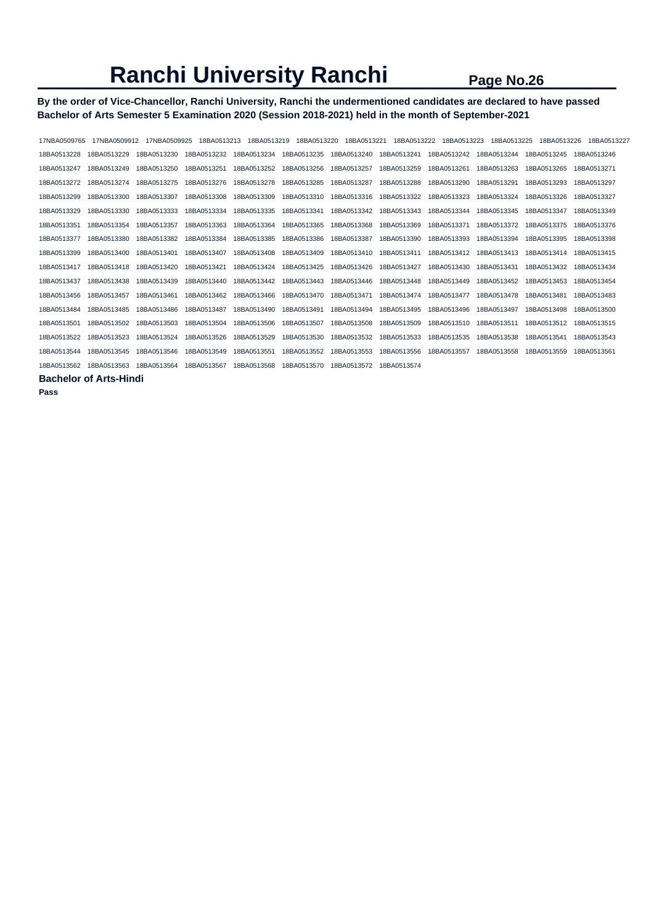## **By the order of Vice-Chancellor, Ranchi University, Ranchi the undermentioned candidates are declared to have passed Bachelor of Arts Semester 5 Examination 2020 (Session 2018-2021) held in the month of September-2021**

| 17NBA0509765 | 17NBA0509912                  | 17NBA0509925 | 18BA0513213 | 18BA0513219 | 18BA0513220 | 18BA0513221 | 18BA0513222 | 18BA0513223 | 18BA0513225 | 18BA0513226 | 18BA0513227 |
|--------------|-------------------------------|--------------|-------------|-------------|-------------|-------------|-------------|-------------|-------------|-------------|-------------|
| 18BA0513228  | 18BA0513229                   | 18BA0513230  | 18BA0513232 | 18BA0513234 | 18BA0513235 | 18BA0513240 | 18BA0513241 | 18BA0513242 | 18BA0513244 | 18BA0513245 | 18BA0513246 |
| 18BA0513247  | 18BA0513249                   | 18BA0513250  | 18BA0513251 | 18BA0513252 | 18BA0513256 | 18BA0513257 | 18BA0513259 | 18BA0513261 | 18BA0513263 | 18BA0513265 | 18BA0513271 |
| 18BA0513272  | 18BA0513274                   | 18BA0513275  | 18BA0513276 | 18BA0513278 | 18BA0513285 | 18BA0513287 | 18BA0513288 | 18BA0513290 | 18BA0513291 | 18BA0513293 | 18BA0513297 |
| 18BA0513299  | 18BA0513300                   | 18BA0513307  | 18BA0513308 | 18BA0513309 | 18BA0513310 | 18BA0513316 | 18BA0513322 | 18BA0513323 | 18BA0513324 | 18BA0513326 | 18BA0513327 |
| 18BA0513329  | 18BA0513330                   | 18BA0513333  | 18BA0513334 | 18BA0513335 | 18BA0513341 | 18BA0513342 | 18BA0513343 | 18BA0513344 | 18BA0513345 | 18BA0513347 | 18BA0513349 |
| 18BA0513351  | 18BA0513354                   | 18BA0513357  | 18BA0513363 | 18BA0513364 | 18BA0513365 | 18BA0513368 | 18BA0513369 | 18BA0513371 | 18BA0513372 | 18BA0513375 | 18BA0513376 |
| 18BA0513377  | 18BA0513380                   | 18BA0513382  | 18BA0513384 | 18BA0513385 | 18BA0513386 | 18BA0513387 | 18BA0513390 | 18BA0513393 | 18BA0513394 | 18BA0513395 | 18BA0513398 |
| 18BA0513399  | 18BA0513400                   | 18BA0513401  | 18BA0513407 | 18BA0513408 | 18BA0513409 | 18BA0513410 | 18BA0513411 | 18BA0513412 | 18BA0513413 | 18BA0513414 | 18BA0513415 |
| 18BA0513417  | 18BA0513418                   | 18BA0513420  | 18BA0513421 | 18BA0513424 | 18BA0513425 | 18BA0513426 | 18BA0513427 | 18BA0513430 | 18BA0513431 | 18BA0513432 | 18BA0513434 |
| 18BA0513437  | 18BA0513438                   | 18BA0513439  | 18BA0513440 | 18BA0513442 | 18BA0513443 | 18BA0513446 | 18BA0513448 | 18BA0513449 | 18BA0513452 | 18BA0513453 | 18BA0513454 |
| 18BA0513456  | 18BA0513457                   | 18BA0513461  | 18BA0513462 | 18BA0513466 | 18BA0513470 | 18BA0513471 | 18BA0513474 | 18BA0513477 | 18BA0513478 | 18BA0513481 | 18BA0513483 |
| 18BA0513484  | 18BA0513485                   | 18BA0513486  | 18BA0513487 | 18BA0513490 | 18BA0513491 | 18BA0513494 | 18BA0513495 | 18BA0513496 | 18BA0513497 | 18BA0513498 | 18BA0513500 |
| 18BA0513501  | 18BA0513502                   | 18BA0513503  | 18BA0513504 | 18BA0513506 | 18BA0513507 | 18BA0513508 | 18BA0513509 | 18BA0513510 | 18BA0513511 | 18BA0513512 | 18BA0513515 |
| 18BA0513522  | 18BA0513523                   | 18BA0513524  | 18BA0513526 | 18BA0513529 | 18BA0513530 | 18BA0513532 | 18BA0513533 | 18BA0513535 | 18BA0513538 | 18BA0513541 | 18BA0513543 |
| 18BA0513544  | 18BA0513545                   | 18BA0513546  | 18BA0513549 | 18BA0513551 | 18BA0513552 | 18BA0513553 | 18BA0513556 | 18BA0513557 | 18BA0513558 | 18BA0513559 | 18BA0513561 |
| 18BA0513562  | 18BA0513563                   | 18BA0513564  | 18BA0513567 | 18BA0513568 | 18BA0513570 | 18BA0513572 | 18BA0513574 |             |             |             |             |
|              | <b>Bachelor of Arts-Hindi</b> |              |             |             |             |             |             |             |             |             |             |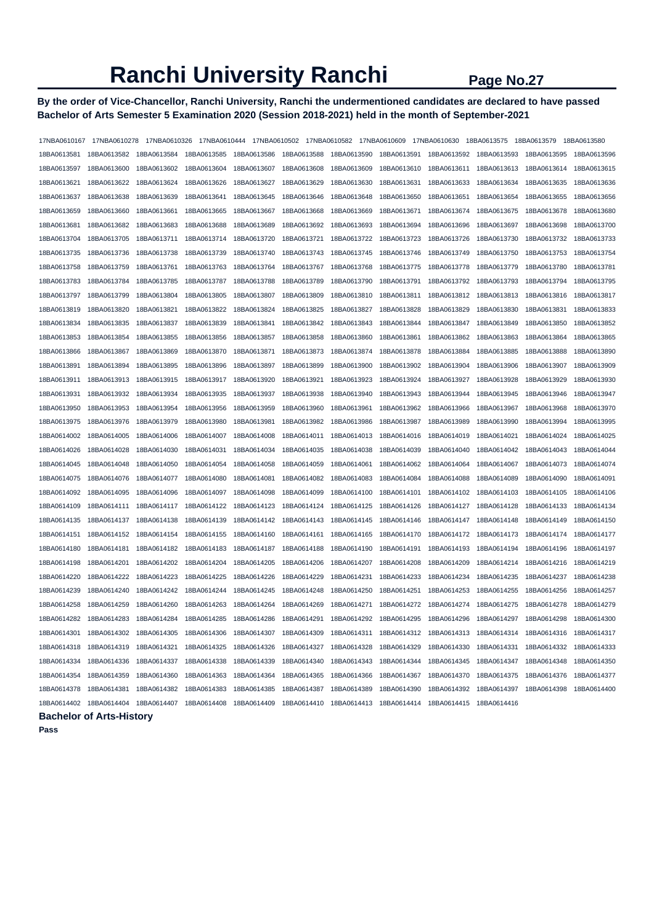## **By the order of Vice-Chancellor, Ranchi University, Ranchi the undermentioned candidates are declared to have passed Bachelor of Arts Semester 5 Examination 2020 (Session 2018-2021) held in the month of September-2021**

| 17NBA0610167 | 17NBA0610278                    | 17NBA0610326 | 17NBA0610444 | 17NBA0610502 |             | 17NBA0610582            | 17NBA0610609            | 17NBA0610630 | 18BA0613575 | 18BA0613579 | 18BA0613580 |
|--------------|---------------------------------|--------------|--------------|--------------|-------------|-------------------------|-------------------------|--------------|-------------|-------------|-------------|
| 18BA0613581  | 18BA0613582                     | 18BA0613584  | 18BA0613585  | 18BA0613586  | 18BA0613588 | 18BA0613590             | 18BA0613591             | 18BA0613592  | 18BA0613593 | 18BA0613595 | 18BA0613596 |
| 18BA0613597  | 18BA0613600                     | 18BA0613602  | 18BA0613604  | 18BA0613607  | 18BA0613608 | 18BA0613609             | 18BA0613610             | 18BA0613611  | 18BA0613613 | 18BA0613614 | 18BA0613615 |
| 18BA0613621  | 18BA0613622                     | 18BA0613624  | 18BA0613626  | 18BA0613627  | 18BA0613629 | 18BA0613630             | 18BA0613631             | 18BA0613633  | 18BA0613634 | 18BA0613635 | 18BA0613636 |
| 18BA0613637  | 18BA0613638                     | 18BA0613639  | 18BA0613641  | 18BA0613645  | 18BA0613646 | 18BA0613648             | 18BA0613650             | 18BA0613651  | 18BA0613654 | 18BA0613655 | 18BA0613656 |
| 18BA0613659  | 18BA0613660                     | 18BA0613661  | 18BA0613665  | 18BA0613667  | 18BA0613668 | 18BA0613669             | 18BA0613671             | 18BA0613674  | 18BA0613675 | 18BA0613678 | 18BA0613680 |
| 18BA0613681  | 18BA0613682                     | 18BA0613683  | 18BA0613688  | 18BA0613689  | 18BA0613692 | 18BA0613693             | 18BA0613694             | 18BA0613696  | 18BA0613697 | 18BA0613698 | 18BA0613700 |
| 18BA0613704  | 18BA0613705                     | 18BA0613711  | 18BA0613714  | 18BA0613720  | 18BA0613721 | 18BA0613722             | 18BA0613723             | 18BA0613726  | 18BA0613730 | 18BA0613732 | 18BA0613733 |
| 18BA0613735  | 18BA0613736                     | 18BA0613738  | 18BA0613739  | 18BA0613740  | 18BA0613743 | 18BA0613745             | 18BA0613746             | 18BA0613749  | 18BA0613750 | 18BA0613753 | 18BA0613754 |
| 18BA0613758  | 18BA0613759                     | 18BA0613761  | 18BA0613763  | 18BA0613764  | 18BA0613767 | 18BA0613768             | 18BA0613775             | 18BA0613778  | 18BA0613779 | 18BA0613780 | 18BA0613781 |
| 18BA0613783  | 18BA0613784                     | 18BA0613785  | 18BA0613787  | 18BA0613788  | 18BA0613789 | 18BA0613790             | 18BA0613791             | 18BA0613792  | 18BA0613793 | 18BA0613794 | 18BA0613795 |
| 18BA0613797  | 18BA0613799                     | 18BA0613804  | 18BA0613805  | 18BA0613807  | 18BA0613809 | 18BA0613810             | 18BA0613811             | 18BA0613812  | 18BA0613813 | 18BA0613816 | 18BA0613817 |
| 18BA0613819  | 18BA0613820                     | 18BA0613821  | 18BA0613822  | 18BA0613824  | 18BA0613825 | 18BA0613827             | 18BA0613828             | 18BA0613829  | 18BA0613830 | 18BA0613831 | 18BA0613833 |
| 18BA0613834  | 18BA0613835                     | 18BA0613837  | 18BA0613839  | 18BA0613841  | 18BA0613842 | 18BA0613843             | 18BA0613844             | 18BA0613847  | 18BA0613849 | 18BA0613850 | 18BA0613852 |
| 18BA0613853  | 18BA0613854                     | 18BA0613855  | 18BA0613856  | 18BA0613857  | 18BA0613858 | 18BA0613860             | 18BA0613861             | 18BA0613862  | 18BA0613863 | 18BA0613864 | 18BA0613865 |
| 18BA0613866  | 18BA0613867                     | 18BA0613869  | 18BA0613870  | 18BA0613871  | 18BA0613873 | 18BA0613874             | 18BA0613878             | 18BA0613884  | 18BA0613885 | 18BA0613888 | 18BA0613890 |
| 18BA0613891  | 18BA0613894                     | 18BA0613895  | 18BA0613896  | 18BA0613897  | 18BA0613899 | 18BA0613900             | 18BA0613902             | 18BA0613904  | 18BA0613906 | 18BA0613907 | 18BA0613909 |
| 18BA0613911  | 18BA0613913                     | 18BA0613915  | 18BA0613917  | 18BA0613920  | 18BA0613921 | 18BA0613923             | 18BA0613924             | 18BA0613927  | 18BA0613928 | 18BA0613929 | 18BA0613930 |
| 18BA0613931  | 18BA0613932                     | 18BA0613934  | 18BA0613935  | 18BA0613937  | 18BA0613938 | 18BA0613940             | 18BA0613943             | 18BA0613944  | 18BA0613945 | 18BA0613946 | 18BA0613947 |
| 18BA0613950  | 18BA0613953                     | 18BA0613954  | 18BA0613956  | 18BA0613959  | 18BA0613960 | 18BA0613961             | 18BA0613962             | 18BA0613966  | 18BA0613967 | 18BA0613968 | 18BA0613970 |
| 18BA0613975  | 18BA0613976                     | 18BA0613979  | 18BA0613980  | 18BA0613981  | 18BA0613982 | 18BA0613986             | 18BA0613987             | 18BA0613989  | 18BA0613990 | 18BA0613994 | 18BA0613995 |
| 18BA0614002  | 18BA0614005                     | 18BA0614006  | 18BA0614007  | 18BA0614008  | 18BA0614011 | 18BA0614013             | 18BA0614016             | 18BA0614019  | 18BA0614021 | 18BA0614024 | 18BA0614025 |
| 18BA0614026  | 18BA0614028                     | 18BA0614030  | 18BA0614031  | 18BA0614034  | 18BA0614035 | 18BA0614038             | 18BA0614039             | 18BA0614040  | 18BA0614042 | 18BA0614043 | 18BA0614044 |
| 18BA0614045  | 18BA0614048                     | 18BA0614050  | 18BA0614054  | 18BA0614058  | 18BA0614059 | 18BA0614061             | 18BA0614062             | 18BA0614064  | 18BA0614067 | 18BA0614073 | 18BA0614074 |
| 18BA0614075  | 18BA0614076                     | 18BA0614077  | 18BA0614080  | 18BA0614081  | 18BA0614082 | 18BA0614083             | 18BA0614084             | 18BA0614088  | 18BA0614089 | 18BA0614090 | 18BA0614091 |
| 18BA0614092  | 18BA0614095                     | 18BA0614096  | 18BA0614097  | 18BA0614098  | 18BA0614099 | 18BA0614100             | 18BA0614101             | 18BA0614102  | 18BA0614103 | 18BA0614105 | 18BA0614106 |
| 18BA0614109  | 18BA0614111                     | 18BA0614117  | 18BA0614122  | 18BA0614123  | 18BA0614124 | 18BA0614125             | 18BA0614126             | 18BA0614127  | 18BA0614128 | 18BA0614133 | 18BA0614134 |
| 18BA0614135  | 18BA0614137                     | 18BA0614138  | 18BA0614139  | 18BA0614142  | 18BA0614143 | 18BA0614145             | 18BA0614146             | 18BA0614147  | 18BA0614148 | 18BA0614149 | 18BA0614150 |
| 18BA0614151  | 18BA0614152                     | 18BA0614154  | 18BA0614155  | 18BA0614160  | 18BA0614161 | 18BA0614165             | 18BA0614170             | 18BA0614172  | 18BA0614173 | 18BA0614174 | 18BA0614177 |
| 18BA0614180  | 18BA0614181                     | 18BA0614182  | 18BA0614183  | 18BA0614187  | 18BA0614188 | 18BA0614190             | 18BA0614191             | 18BA0614193  | 18BA0614194 | 18BA0614196 | 18BA0614197 |
| 18BA0614198  | 18BA0614201                     | 18BA0614202  | 18BA0614204  | 18BA0614205  | 18BA0614206 | 18BA0614207             | 18BA0614208             | 18BA0614209  | 18BA0614214 | 18BA0614216 | 18BA0614219 |
| 18BA0614220  | 18BA0614222                     | 18BA0614223  | 18BA0614225  | 18BA0614226  | 18BA0614229 | 18BA0614231             | 18BA0614233             | 18BA0614234  | 18BA0614235 | 18BA0614237 | 18BA0614238 |
| 18BA0614239  | 18BA0614240                     | 18BA0614242  | 18BA0614244  | 18BA0614245  | 18BA0614248 | 18BA0614250             | 18BA0614251             | 18BA0614253  | 18BA0614255 | 18BA0614256 | 18BA0614257 |
| 18BA0614258  | 18BA0614259                     | 18BA0614260  | 18BA0614263  | 18BA0614264  | 18BA0614269 | 18BA0614271             | 18BA0614272             | 18BA0614274  | 18BA0614275 | 18BA0614278 | 18BA0614279 |
| 18BA0614282  | 18BA0614283                     | 18BA0614284  | 18BA0614285  | 18BA0614286  | 18BA0614291 | 18BA0614292 18BA0614295 |                         | 18BA0614296  | 18BA0614297 | 18BA0614298 | 18BA0614300 |
| 18BA0614301  | 18BA0614302                     | 18BA0614305  | 18BA0614306  | 18BA0614307  | 18BA0614309 |                         | 18BA0614311 18BA0614312 | 18BA0614313  | 18BA0614314 | 18BA0614316 | 18BA0614317 |
| 18BA0614318  | 18BA0614319                     | 18BA0614321  | 18BA0614325  | 18BA0614326  | 18BA0614327 | 18BA0614328             | 18BA0614329             | 18BA0614330  | 18BA0614331 | 18BA0614332 | 18BA0614333 |
| 18BA0614334  | 18BA0614336                     | 18BA0614337  | 18BA0614338  | 18BA0614339  | 18BA0614340 | 18BA0614343             | 18BA0614344             | 18BA0614345  | 18BA0614347 | 18BA0614348 | 18BA0614350 |
| 18BA0614354  | 18BA0614359                     | 18BA0614360  | 18BA0614363  | 18BA0614364  | 18BA0614365 | 18BA0614366             | 18BA0614367             | 18BA0614370  | 18BA0614375 | 18BA0614376 | 18BA0614377 |
| 18BA0614378  | 18BA0614381                     | 18BA0614382  | 18BA0614383  | 18BA0614385  | 18BA0614387 | 18BA0614389             | 18BA0614390             | 18BA0614392  | 18BA0614397 | 18BA0614398 | 18BA0614400 |
| 18BA0614402  | 18BA0614404 18BA0614407         |              | 18BA0614408  | 18BA0614409  | 18BA0614410 | 18BA0614413             | 18BA0614414             | 18BA0614415  | 18BA0614416 |             |             |
|              | <b>Bachelor of Arts-History</b> |              |              |              |             |                         |                         |              |             |             |             |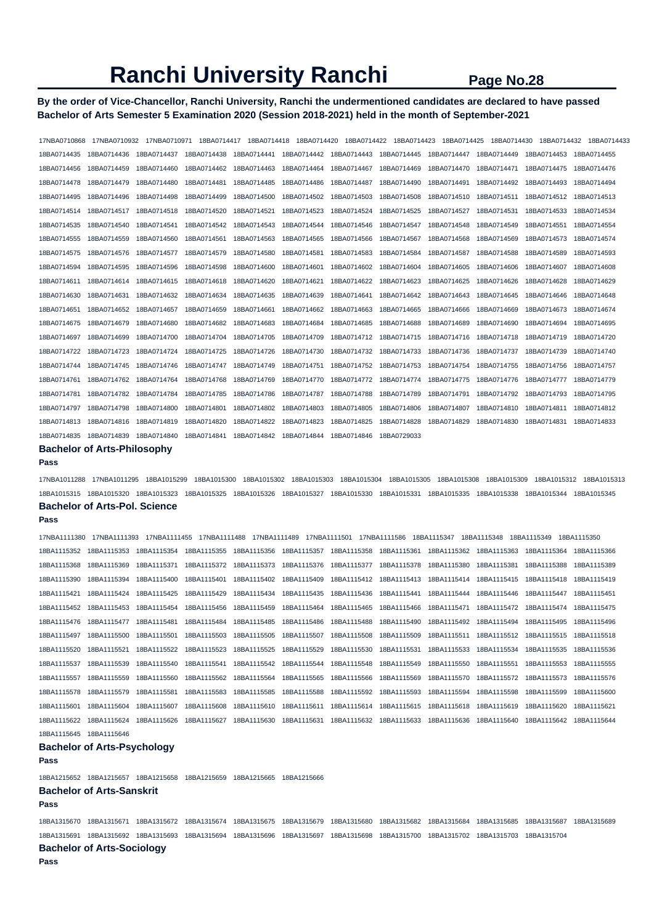## **By the order of Vice-Chancellor, Ranchi University, Ranchi the undermentioned candidates are declared to have passed Bachelor of Arts Semester 5 Examination 2020 (Session 2018-2021) held in the month of September-2021**

17NBA0710868 17NBA0710932 17NBA0710971 18BA0714417 18BA0714418 18BA0714420 18BA0714422 18BA0714423 18BA0714425 18BA0714430 18BA0714432 18BA0714433 18BA0714435 18BA0714436 18BA0714437 18BA0714438 18BA0714441 18BA0714442 18BA0714443 18BA0714445 18BA0714447 18BA0714449 18BA0714453 18BA0714455 18BA0714456 18BA0714459 18BA0714460 18BA0714462 18BA0714463 18BA0714464 18BA0714467 18BA0714469 18BA0714470 18BA0714471 18BA0714475 18BA0714476 18BA0714478 18BA0714479 18BA0714480 18BA0714481 18BA0714485 18BA0714486 18BA0714487 18BA0714490 18BA0714491 18BA0714492 18BA0714493 18BA0714494 18BA0714495 18BA0714496 18BA0714498 18BA0714499 18BA0714500 18BA0714502 18BA0714503 18BA0714508 18BA0714510 18BA0714511 18BA0714512 18BA0714513 18BA0714514 18BA0714517 18BA0714518 18BA0714520 18BA0714521 18BA0714523 18BA0714524 18BA0714525 18BA0714527 18BA0714531 18BA0714533 18BA0714534 18BA0714535 18BA0714540 18BA0714541 18BA0714542 18BA0714543 18BA0714544 18BA0714546 18BA0714547 18BA0714548 18BA0714549 18BA0714551 18BA0714554 18BA0714555 18BA0714559 18BA0714560 18BA0714561 18BA0714563 18BA0714565 18BA0714566 18BA0714567 18BA0714568 18BA0714569 18BA0714573 18BA0714574 18BA0714575 18BA0714576 18BA0714577 18BA0714579 18BA0714580 18BA0714581 18BA0714583 18BA0714584 18BA0714587 18BA0714588 18BA0714589 18BA0714593 18BA0714594 18BA0714595 18BA0714596 18BA0714598 18BA0714600 18BA0714601 18BA0714602 18BA0714604 18BA0714605 18BA0714606 18BA0714607 18BA0714608 18BA0714611 18BA0714614 18BA0714615 18BA0714618 18BA0714620 18BA0714621 18BA0714622 18BA0714623 18BA0714625 18BA0714626 18BA0714628 18BA0714629 18BA0714630 18BA0714631 18BA0714632 18BA0714634 18BA0714635 18BA0714639 18BA0714641 18BA0714642 18BA0714643 18BA0714645 18BA0714646 18BA0714648 18BA0714651 18BA0714652 18BA0714657 18BA0714659 18BA0714661 18BA0714662 18BA0714663 18BA0714665 18BA0714666 18BA0714669 18BA0714673 18BA0714674 18BA0714675 18BA0714679 18BA0714680 18BA0714682 18BA0714683 18BA0714684 18BA0714685 18BA0714688 18BA0714689 18BA0714690 18BA0714694 18BA0714695 18BA0714697 18BA0714699 18BA0714700 18BA0714704 18BA0714705 18BA0714709 18BA0714712 18BA0714715 18BA0714716 18BA0714718 18BA0714719 18BA0714720 18BA0714722 18BA0714723 18BA0714724 18BA0714725 18BA0714726 18BA0714730 18BA0714732 18BA0714733 18BA0714736 18BA0714737 18BA0714739 18BA0714740 18BA0714744 18BA0714745 18BA0714746 18BA0714747 18BA0714749 18BA0714751 18BA0714752 18BA0714753 18BA0714754 18BA0714755 18BA0714756 18BA0714757 18BA0714761 18BA0714762 18BA0714764 18BA0714768 18BA0714769 18BA0714770 18BA0714772 18BA0714774 18BA0714775 18BA0714776 18BA0714777 18BA0714779 18BA0714781 18BA0714782 18BA0714784 18BA0714785 18BA0714786 18BA0714787 18BA0714788 18BA0714789 18BA0714791 18BA0714792 18BA0714793 18BA0714795 18BA0714797 18BA0714798 18BA0714800 18BA0714801 18BA0714802 18BA0714803 18BA0714805 18BA0714806 18BA0714807 18BA0714810 18BA0714811 18BA0714812 18BA0714813 18BA0714816 18BA0714819 18BA0714820 18BA0714822 18BA0714823 18BA0714825 18BA0714828 18BA0714829 18BA0714830 18BA0714831 18BA0714833 18BA0714835 18BA0714839 18BA0714840 18BA0714841 18BA0714842 18BA0714844 18BA0714846 18BA0729033

## **Bachelor of Arts-Philosophy**

17NBA1011288 17NBA1011295 18BA1015299 18BA1015300 18BA1015302 18BA1015303 18BA1015304 18BA1015305 18BA1015308 18BA1015309 18BA1015312 18BA1015313 18BA1015315 18BA1015320 18BA1015323 18BA1015325 18BA1015326 18BA1015327 18BA1015330 18BA1015331 18BA1015335 18BA1015338 18BA1015344 18BA1015345

### **Bachelor of Arts-Pol. Science**

**Pass** 

**Pass** 

| 17NBA1111380 17NBA1111393 |             |             |                         |             |             | 17NBA1111501 17NBA1111586 |                         | 18BA1115347 | 18BA1115348 | 18BA1115349 | 18BA1115350 |
|---------------------------|-------------|-------------|-------------------------|-------------|-------------|---------------------------|-------------------------|-------------|-------------|-------------|-------------|
| 18BA1115352               | 18BA1115353 | 18BA1115354 | 18BA1115355             | 18BA1115356 | 18BA1115357 | 18BA1115358               | 18BA1115361             | 18BA1115362 | 18BA1115363 | 18BA1115364 | 18BA1115366 |
| 18BA1115368               | 18BA1115369 | 18BA1115371 | 18BA1115372 18BA1115373 |             | 18BA1115376 | 18BA1115377               | 18BA1115378             | 18BA1115380 | 18BA1115381 | 18BA1115388 | 18BA1115389 |
| 18BA1115390               | 18BA1115394 | 18BA1115400 | 18BA1115401             | 18BA1115402 | 18BA1115409 |                           | 18BA1115412 18BA1115413 | 18BA1115414 | 18BA1115415 | 18BA1115418 | 18BA1115419 |
| 18BA1115421               | 18BA1115424 | 18BA1115425 | 18BA1115429             | 18BA1115434 | 18BA1115435 | 18BA1115436               | 18BA1115441             | 18BA1115444 | 18BA1115446 | 18BA1115447 | 18BA1115451 |
| 18BA1115452               | 18BA1115453 | 18BA1115454 | 18BA1115456             | 18BA1115459 | 18BA1115464 | 18BA1115465               | 18BA1115466             | 18BA1115471 | 18BA1115472 | 18BA1115474 | 18BA1115475 |
| 18BA1115476 18BA1115477   |             | 18BA1115481 | 18BA1115484             | 18BA1115485 | 18BA1115486 | 18BA1115488               | 18BA1115490             | 18BA1115492 | 18BA1115494 | 18BA1115495 | 18BA1115496 |
| 18BA1115497               | 18BA1115500 | 18BA1115501 | 18BA1115503             | 18BA1115505 | 18BA1115507 | 18BA1115508               | 18BA1115509             | 18BA1115511 | 18BA1115512 | 18BA1115515 | 18BA1115518 |
| 18BA1115520               | 18BA1115521 | 18BA1115522 | 18BA1115523             | 18BA1115525 | 18BA1115529 | 18BA1115530               | 18BA1115531             | 18BA1115533 | 18BA1115534 | 18BA1115535 | 18BA1115536 |
| 18BA1115537               | 18BA1115539 | 18BA1115540 | 18BA1115541             | 18BA1115542 | 18BA1115544 | 18BA1115548               | 18BA1115549             | 18BA1115550 | 18BA1115551 | 18BA1115553 | 18BA1115555 |
| 18BA1115557               | 18BA1115559 | 18BA1115560 | 18BA1115562 18BA1115564 |             | 18BA1115565 | 18BA1115566               | 18BA1115569             | 18BA1115570 | 18BA1115572 | 18BA1115573 | 18BA1115576 |
| 18BA1115578               | 18BA1115579 | 18BA1115581 | 18BA1115583             | 18BA1115585 | 18BA1115588 | 18BA1115592               | 18BA1115593             | 18BA1115594 | 18BA1115598 | 18BA1115599 | 18BA1115600 |
| 18BA1115601               | 18BA1115604 | 18BA1115607 | 18BA1115608             | 18BA1115610 | 18BA1115611 |                           | 18BA1115614 18BA1115615 | 18BA1115618 | 18BA1115619 | 18BA1115620 | 18BA1115621 |
| 18BA1115622 18BA1115624   |             | 18BA1115626 | 18BA1115627             | 18BA1115630 | 18BA1115631 | 18BA1115632               | 18BA1115633             | 18BA1115636 | 18BA1115640 | 18BA1115642 | 18BA1115644 |

### **Bachelor of Arts-Psychology**

**Pass** 

18BA1215652 18BA1215657 18BA1215658 18BA1215659 18BA1215665 18BA1215666

#### **Bachelor of Arts-Sanskrit**

18BA1115645 18BA1115646

**Pass** 

18BA1315670 18BA1315671 18BA1315672 18BA1315674 18BA1315675 18BA1315679 18BA1315680 18BA1315682 18BA1315684 18BA1315685 18BA1315687 18BA1315689 18BA1315691 18BA1315692 18BA1315693 18BA1315694 18BA1315696 18BA1315697 18BA1315698 18BA1315700 18BA1315702 18BA1315703 18BA1315704

## **Bachelor of Arts-Sociology**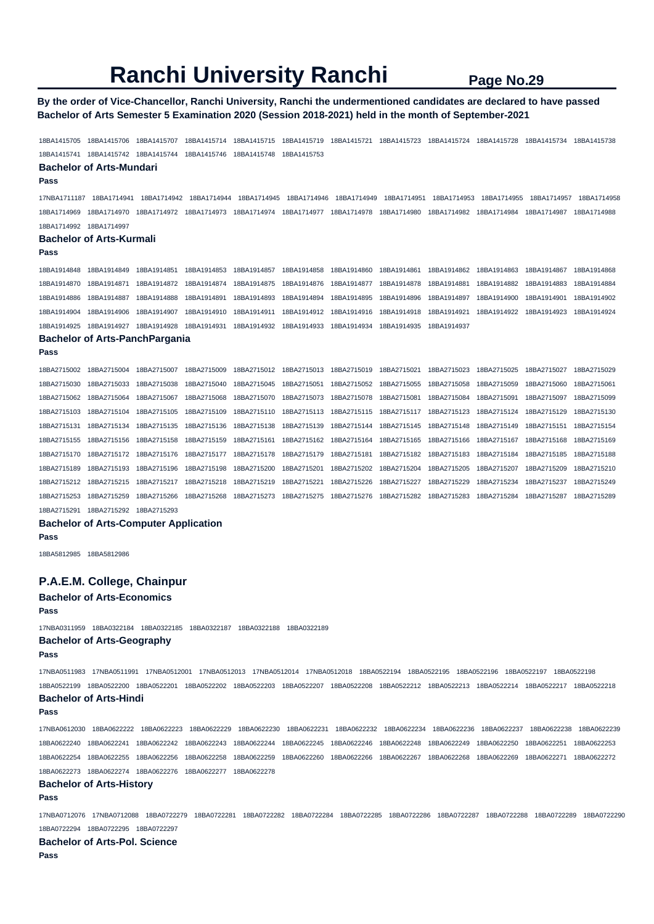## **By the order of Vice-Chancellor, Ranchi University, Ranchi the undermentioned candidates are declared to have passed Bachelor of Arts Semester 5 Examination 2020 (Session 2018-2021) held in the month of September-2021**

18BA1415705 18BA1415706 18BA1415707 18BA1415714 18BA1415715 18BA1415719 18BA1415721 18BA1415723 18BA1415724 18BA1415728 18BA1415734 18BA1415738 18BA1415741 18BA1415742 18BA1415744 18BA1415746 18BA1415748 18BA1415753

#### **Bachelor of Arts-Mundari**

**Pass** 

17NBA1711187 18BA1714941 18BA1714942 18BA1714944 18BA1714945 18BA1714946 18BA1714949 18BA1714951 18BA1714953 18BA1714955 18BA1714957 18BA1714958 18BA1714969 18BA1714970 18BA1714972 18BA1714973 18BA1714974 18BA1714977 18BA1714978 18BA1714980 18BA1714982 18BA1714984 18BA1714987 18BA1714988 18BA1714992 18BA1714997

#### **Bachelor of Arts-Kurmali**

**Pass** 

18BA1914848 18BA1914849 18BA1914851 18BA1914853 18BA1914857 18BA1914858 18BA1914860 18BA1914861 18BA1914862 18BA1914863 18BA1914867 18BA1914868 18BA1914870 18BA1914871 18BA1914872 18BA1914874 18BA1914875 18BA1914876 18BA1914877 18BA1914878 18BA1914881 18BA1914882 18BA1914883 18BA1914884 18BA1914886 18BA1914887 18BA1914888 18BA1914891 18BA1914893 18BA1914894 18BA1914895 18BA1914896 18BA1914897 18BA1914900 18BA1914901 18BA1914902 18BA1914904 18BA1914906 18BA1914907 18BA1914910 18BA1914911 18BA1914912 18BA1914916 18BA1914918 18BA1914921 18BA1914922 18BA1914923 18BA1914924 18BA1914925 18BA1914927 18BA1914928 18BA1914931 18BA1914932 18BA1914933 18BA1914934 18BA1914935 18BA1914937

#### **Bachelor of Arts-PanchPargania**

**Pass** 

| 18BA2715002 | 18BA2715004 | 18BA2715007 | 18BA2715009             | 18BA2715012 | 18BA2715013 | 18BA2715019 | 18BA2715021             | 18BA2715023 | 18BA2715025 | 18BA2715027 | 18BA2715029 |
|-------------|-------------|-------------|-------------------------|-------------|-------------|-------------|-------------------------|-------------|-------------|-------------|-------------|
| 18BA2715030 | 18BA2715033 | 18BA2715038 | 18BA2715040             | 18BA2715045 | 18BA2715051 |             | 18BA2715052 18BA2715055 | 18BA2715058 | 18BA2715059 | 18BA2715060 | 18BA2715061 |
| 18BA2715062 | 18BA2715064 | 18BA2715067 | 18BA2715068             | 18BA2715070 | 18BA2715073 | 18BA2715078 | 18BA2715081             | 18BA2715084 | 18BA2715091 | 18BA2715097 | 18BA2715099 |
| 18BA2715103 | 18BA2715104 | 18BA2715105 | 18BA2715109             | 18BA2715110 | 18BA2715113 |             | 18BA2715115 18BA2715117 | 18BA2715123 | 18BA2715124 | 18BA2715129 | 18BA2715130 |
| 18BA2715131 | 18BA2715134 | 18BA2715135 | 18BA2715136 18BA2715138 |             | 18BA2715139 | 18BA2715144 | 18BA2715145             | 18BA2715148 | 18BA2715149 | 18BA2715151 | 18BA2715154 |
| 18BA2715155 | 18BA2715156 | 18BA2715158 | 18BA2715159             | 18BA2715161 | 18BA2715162 | 18BA2715164 | 18BA2715165             | 18BA2715166 | 18BA2715167 | 18BA2715168 | 18BA2715169 |
| 18BA2715170 | 18BA2715172 |             |                         |             | 18BA2715179 | 18BA2715181 | 18BA2715182             | 18BA2715183 | 18BA2715184 | 18BA2715185 | 18BA2715188 |
| 18BA2715189 | 18BA2715193 | 18BA2715196 | 18BA2715198 18BA2715200 |             | 18BA2715201 |             | 18BA2715202 18BA2715204 | 18BA2715205 | 18BA2715207 | 18BA2715209 | 18BA2715210 |
| 18BA2715212 | 18BA2715215 | 18BA2715217 | 18BA2715218 18BA2715219 |             | 18BA2715221 | 18BA2715226 | 18BA2715227             | 18BA2715229 | 18BA2715234 | 18BA2715237 | 18BA2715249 |
| 18BA2715253 | 18BA2715259 | 18BA2715266 | 18BA2715268             | 18BA2715273 | 18BA2715275 | 18BA2715276 | 18BA2715282             | 18BA2715283 | 18BA2715284 | 18BA2715287 | 18BA2715289 |
| 18BA2715291 | 18BA2715292 | 18BA2715293 |                         |             |             |             |                         |             |             |             |             |

#### **Bachelor of Arts-Computer Application**

**Pass** 

18BA5812985 18BA5812986

## **P.A.E.M. College, Chainpur**

## **Bachelor of Arts-Economics**

**Pass** 

17NBA0311959 18BA0322184 18BA0322185 18BA0322187 18BA0322188 18BA0322189

## **Bachelor of Arts-Geography**

**Pass** 

17NBA0511983 17NBA0511991 17NBA0512001 17NBA0512013 17NBA0512014 17NBA0512018 18BA0522194 18BA0522195 18BA0522196 18BA0522197 18BA0522198 18BA0522199 18BA0522200 18BA0522201 18BA0522202 18BA0522203 18BA0522207 18BA0522208 18BA0522212 18BA0522213 18BA0522214 18BA0522217 18BA0522218 **Bachelor of Arts-Hindi** 

#### **Pass**

17NBA0612030 18BA0622222 18BA0622223 18BA0622229 18BA0622230 18BA0622231 18BA0622232 18BA0622234 18BA0622236 18BA0622237 18BA0622238 18BA0622239 18BA0622240 18BA0622241 18BA0622242 18BA0622243 18BA0622244 18BA0622245 18BA0622246 18BA0622248 18BA0622249 18BA0622250 18BA0622251 18BA0622253 18BA0622254 18BA0622255 18BA0622256 18BA0622258 18BA0622259 18BA0622260 18BA0622266 18BA0622267 18BA0622268 18BA0622269 18BA0622271 18BA0622272 18BA0622273 18BA0622274 18BA0622276 18BA0622277 18BA0622278

#### **Bachelor of Arts-History**

**Pass** 

17NBA0712076 17NBA0712088 18BA0722279 18BA0722281 18BA0722282 18BA0722284 18BA0722285 18BA0722286 18BA0722287 18BA0722288 18BA0722289 18BA0722290 18BA0722294 18BA0722295 18BA0722297

#### **Bachelor of Arts-Pol. Science**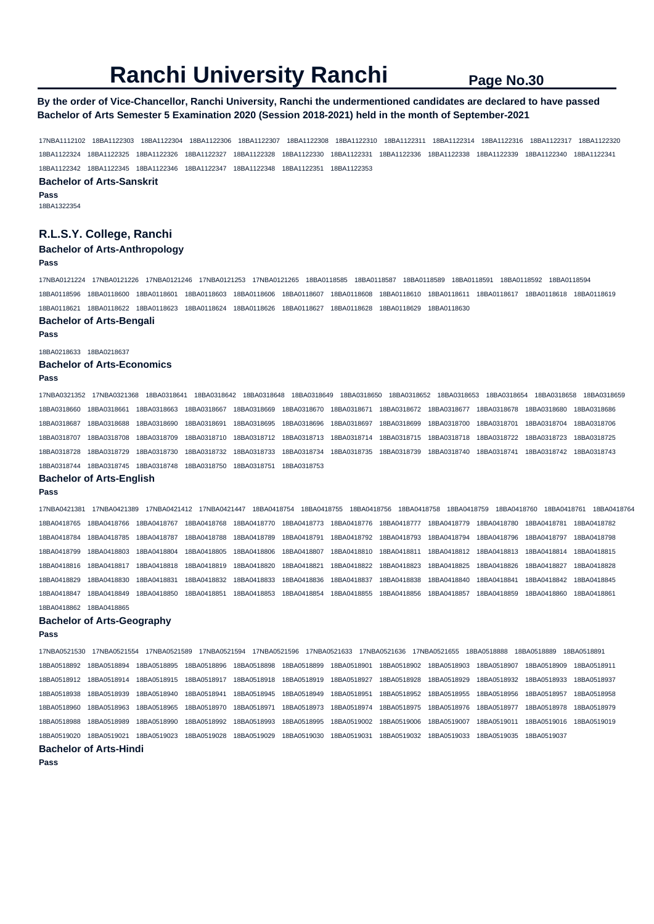## **By the order of Vice-Chancellor, Ranchi University, Ranchi the undermentioned candidates are declared to have passed Bachelor of Arts Semester 5 Examination 2020 (Session 2018-2021) held in the month of September-2021**

17NBA1112102 18BA1122303 18BA1122304 18BA1122306 18BA1122307 18BA1122308 18BA1122310 18BA1122311 18BA1122314 18BA1122316 18BA1122317 18BA1122320 18BA1122324 18BA1122325 18BA1122326 18BA1122327 18BA1122328 18BA1122330 18BA1122331 18BA1122336 18BA1122338 18BA1122339 18BA1122340 18BA1122341 18BA1122342 18BA1122345 18BA1122346 18BA1122347 18BA1122348 18BA1122351 18BA1122353

#### **Bachelor of Arts-Sanskrit**

**Pass** 

18BA1322354

## **R.L.S.Y. College, Ranchi**

## **Bachelor of Arts-Anthropology**

### **Pass**

17NBA0121224 17NBA0121226 17NBA0121246 17NBA0121253 17NBA0121265 18BA0118585 18BA0118587 18BA0118589 18BA0118591 18BA0118592 18BA0118594 18BA0118596 18BA0118600 18BA0118601 18BA0118603 18BA0118606 18BA0118607 18BA0118608 18BA0118610 18BA0118611 18BA0118617 18BA0118618 18BA0118619 18BA0118621 18BA0118622 18BA0118623 18BA0118624 18BA0118626 18BA0118627 18BA0118628 18BA0118629 18BA0118630

#### **Bachelor of Arts-Bengali**

**Pass** 

18BA0218633 18BA0218637

#### **Bachelor of Arts-Economics**

**Pass** 

17NBA0321352 17NBA0321368 18BA0318641 18BA0318642 18BA0318648 18BA0318649 18BA0318650 18BA0318652 18BA0318653 18BA0318654 18BA0318658 18BA0318659 18BA0318660 18BA0318661 18BA0318663 18BA0318667 18BA0318669 18BA0318670 18BA0318671 18BA0318672 18BA0318677 18BA0318678 18BA0318680 18BA0318686 18BA0318687 18BA0318688 18BA0318690 18BA0318691 18BA0318695 18BA0318696 18BA0318697 18BA0318699 18BA0318700 18BA0318701 18BA0318704 18BA0318706 18BA0318707 18BA0318708 18BA0318709 18BA0318710 18BA0318712 18BA0318713 18BA0318714 18BA0318715 18BA0318718 18BA0318722 18BA0318723 18BA0318725 18BA0318728 18BA0318729 18BA0318730 18BA0318732 18BA0318733 18BA0318734 18BA0318735 18BA0318739 18BA0318740 18BA0318741 18BA0318742 18BA0318743 18BA0318744 18BA0318745 18BA0318748 18BA0318750 18BA0318751 18BA0318753

#### **Bachelor of Arts-English**

**Pass** 

17NBA0421381 17NBA0421389 17NBA0421412 17NBA0421447 18BA0418754 18BA0418755 18BA0418756 18BA0418758 18BA0418759 18BA0418760 18BA0418761 18BA0418764 18BA0418765 18BA0418766 18BA0418767 18BA0418768 18BA0418770 18BA0418773 18BA0418776 18BA0418777 18BA0418779 18BA0418780 18BA0418781 18BA0418782 18BA0418784 18BA0418785 18BA0418787 18BA0418788 18BA0418789 18BA0418791 18BA0418792 18BA0418793 18BA0418794 18BA0418796 18BA0418797 18BA0418798 18BA0418799 18BA0418803 18BA0418804 18BA0418805 18BA0418806 18BA0418807 18BA0418810 18BA0418811 18BA0418812 18BA0418813 18BA0418814 18BA0418815 18BA0418816 18BA0418817 18BA0418818 18BA0418819 18BA0418820 18BA0418821 18BA0418822 18BA0418823 18BA0418825 18BA0418826 18BA0418827 18BA0418828 18BA0418829 18BA0418830 18BA0418831 18BA0418832 18BA0418833 18BA0418836 18BA0418837 18BA0418838 18BA0418840 18BA0418841 18BA0418842 18BA0418845 18BA0418847 18BA0418849 18BA0418850 18BA0418851 18BA0418853 18BA0418854 18BA0418855 18BA0418856 18BA0418857 18BA0418859 18BA0418860 18BA0418861 18BA0418862 18BA0418865

#### **Bachelor of Arts-Geography**

**Pass** 

17NBA0521530 17NBA0521554 17NBA0521589 17NBA0521594 17NBA0521596 17NBA0521633 17NBA0521636 17NBA0521655 18BA0518888 18BA0518889 18BA0518891 18BA0518892 18BA0518894 18BA0518895 18BA0518896 18BA0518898 18BA0518899 18BA0518901 18BA0518902 18BA0518903 18BA0518907 18BA0518909 18BA0518911 18BA0518912 18BA0518914 18BA0518915 18BA0518917 18BA0518918 18BA0518919 18BA0518927 18BA0518928 18BA0518929 18BA0518932 18BA0518933 18BA0518937 18BA0518938 18BA0518939 18BA0518940 18BA0518941 18BA0518945 18BA0518949 18BA0518951 18BA0518952 18BA0518955 18BA0518956 18BA0518957 18BA0518958 18BA0518960 18BA0518963 18BA0518965 18BA0518970 18BA0518971 18BA0518973 18BA0518974 18BA0518975 18BA0518976 18BA0518977 18BA0518978 18BA0518979 18BA0518988 18BA0518989 18BA0518990 18BA0518992 18BA0518993 18BA0518995 18BA0519002 18BA0519006 18BA0519007 18BA0519011 18BA0519016 18BA0519019 18BA0519020 18BA0519021 18BA0519023 18BA0519028 18BA0519029 18BA0519030 18BA0519031 18BA0519032 18BA0519033 18BA0519035 18BA0519037

#### **Bachelor of Arts-Hindi**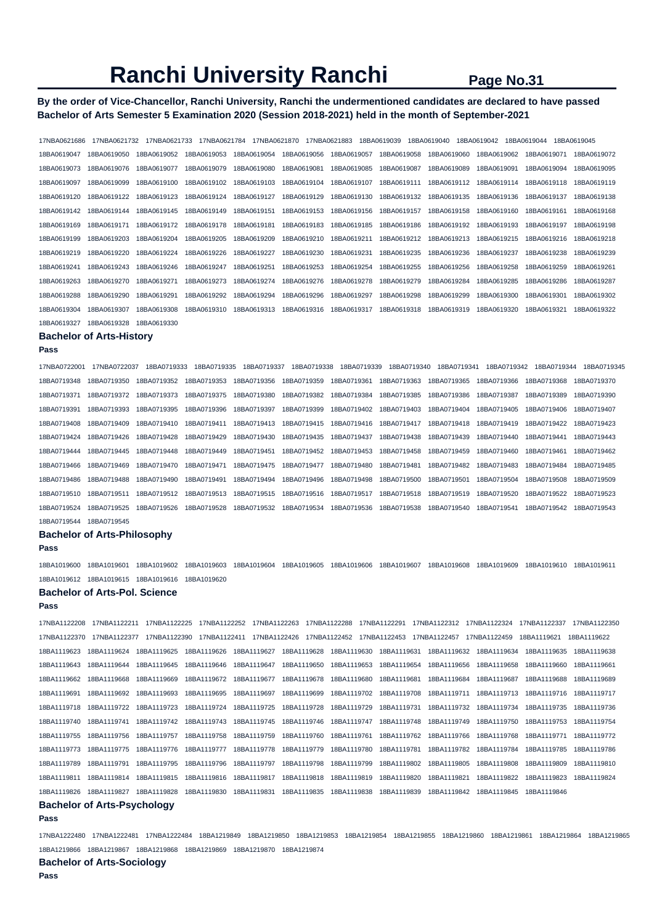## **By the order of Vice-Chancellor, Ranchi University, Ranchi the undermentioned candidates are declared to have passed Bachelor of Arts Semester 5 Examination 2020 (Session 2018-2021) held in the month of September-2021**

| 17NBA0621686 | 17NBA0621732                    | 17NBA0621733 | 17NBA0621784 | 17NBA0621870 |             | 17NBA0621883 | 18BA0619039 | 18BA0619040 | 18BA0619042 | 18BA0619044 | 18BA0619045 |
|--------------|---------------------------------|--------------|--------------|--------------|-------------|--------------|-------------|-------------|-------------|-------------|-------------|
| 18BA0619047  | 18BA0619050                     | 18BA0619052  | 18BA0619053  | 18BA0619054  | 18BA0619056 | 18BA0619057  | 18BA0619058 | 18BA0619060 | 18BA0619062 | 18BA0619071 | 18BA0619072 |
| 18BA0619073  | 18BA0619076                     | 18BA0619077  | 18BA0619079  | 18BA0619080  | 18BA0619081 | 18BA0619085  | 18BA0619087 | 18BA0619089 | 18BA0619091 | 18BA0619094 | 18BA0619095 |
| 18BA0619097  | 18BA0619099                     | 18BA0619100  | 18BA0619102  | 18BA0619103  | 18BA0619104 | 18BA0619107  | 18BA0619111 | 18BA0619112 | 18BA0619114 | 18BA0619118 | 18BA0619119 |
| 18BA0619120  | 18BA0619122                     | 18BA0619123  | 18BA0619124  | 18BA0619127  | 18BA0619129 | 18BA0619130  | 18BA0619132 | 18BA0619135 | 18BA0619136 | 18BA0619137 | 18BA0619138 |
| 18BA0619142  | 18BA0619144                     | 18BA0619145  | 18BA0619149  | 18BA0619151  | 18BA0619153 | 18BA0619156  | 18BA0619157 | 18BA0619158 | 18BA0619160 | 18BA0619161 | 18BA0619168 |
| 18BA0619169  | 18BA0619171                     | 18BA0619172  | 18BA0619178  | 18BA0619181  | 18BA0619183 | 18BA0619185  | 18BA0619186 | 18BA0619192 | 18BA0619193 | 18BA0619197 | 18BA0619198 |
| 18BA0619199  | 18BA0619203                     | 18BA0619204  | 18BA0619205  | 18BA0619209  | 18BA0619210 | 18BA0619211  | 18BA0619212 | 18BA0619213 | 18BA0619215 | 18BA0619216 | 18BA0619218 |
| 18BA0619219  | 18BA0619220                     | 18BA0619224  | 18BA0619226  | 18BA0619227  | 18BA0619230 | 18BA0619231  | 18BA0619235 | 18BA0619236 | 18BA0619237 | 18BA0619238 | 18BA0619239 |
| 18BA0619241  | 18BA0619243                     | 18BA0619246  | 18BA0619247  | 18BA0619251  | 18BA0619253 | 18BA0619254  | 18BA0619255 | 18BA0619256 | 18BA0619258 | 18BA0619259 | 18BA0619261 |
| 18BA0619263  | 18BA0619270                     | 18BA0619271  | 18BA0619273  | 18BA0619274  | 18BA0619276 | 18BA0619278  | 18BA0619279 | 18BA0619284 | 18BA0619285 | 18BA0619286 | 18BA0619287 |
| 18BA0619288  | 18BA0619290                     | 18BA0619291  | 18BA0619292  | 18BA0619294  | 18BA0619296 | 18BA0619297  | 18BA0619298 | 18BA0619299 | 18BA0619300 | 18BA0619301 | 18BA0619302 |
| 18BA0619304  | 18BA0619307                     | 18BA0619308  | 18BA0619310  | 18BA0619313  | 18BA0619316 | 18BA0619317  | 18BA0619318 | 18BA0619319 | 18BA0619320 | 18BA0619321 | 18BA0619322 |
| 18BA0619327  | 18BA0619328                     | 18BA0619330  |              |              |             |              |             |             |             |             |             |
|              | <b>Bachelor of Arts-History</b> |              |              |              |             |              |             |             |             |             |             |

#### **Pass**

17NBA0722001 17NBA0722037 18BA0719333 18BA0719335 18BA0719337 18BA0719338 18BA0719339 18BA0719340 18BA0719341 18BA0719342 18BA0719344 18BA0719345 18BA0719348 18BA0719350 18BA0719352 18BA0719353 18BA0719356 18BA0719359 18BA0719361 18BA0719363 18BA0719365 18BA0719366 18BA0719368 18BA0719370 18BA0719371 18BA0719372 18BA0719373 18BA0719375 18BA0719380 18BA0719382 18BA0719384 18BA0719385 18BA0719386 18BA0719387 18BA0719389 18BA0719390 18BA0719391 18BA0719393 18BA0719395 18BA0719396 18BA0719397 18BA0719399 18BA0719402 18BA0719403 18BA0719404 18BA0719405 18BA0719406 18BA0719407 18BA0719408 18BA0719409 18BA0719410 18BA0719411 18BA0719413 18BA0719415 18BA0719416 18BA0719417 18BA0719418 18BA0719419 18BA0719422 18BA0719423 18BA0719424 18BA0719426 18BA0719428 18BA0719429 18BA0719430 18BA0719435 18BA0719437 18BA0719438 18BA0719439 18BA0719440 18BA0719441 18BA0719443 18BA0719444 18BA0719445 18BA0719448 18BA0719449 18BA0719451 18BA0719452 18BA0719453 18BA0719458 18BA0719459 18BA0719460 18BA0719461 18BA0719462 18BA0719466 18BA0719469 18BA0719470 18BA0719471 18BA0719475 18BA0719477 18BA0719480 18BA0719481 18BA0719482 18BA0719483 18BA0719484 18BA0719485 18BA0719486 18BA0719488 18BA0719490 18BA0719491 18BA0719494 18BA0719496 18BA0719498 18BA0719500 18BA0719501 18BA0719504 18BA0719508 18BA0719509 18BA0719510 18BA0719511 18BA0719512 18BA0719513 18BA0719515 18BA0719516 18BA0719517 18BA0719518 18BA0719519 18BA0719520 18BA0719522 18BA0719523 18BA0719524 18BA0719525 18BA0719526 18BA0719528 18BA0719532 18BA0719534 18BA0719536 18BA0719538 18BA0719540 18BA0719541 18BA0719542 18BA0719543

#### **Bachelor of Arts-Philosophy**

18BA0719544 18BA0719545

#### **Pass**

18BA1019600 18BA1019601 18BA1019602 18BA1019603 18BA1019604 18BA1019605 18BA1019606 18BA1019607 18BA1019608 18BA1019609 18BA1019610 18BA1019611 18BA1019612 18BA1019615 18BA1019616 18BA1019620

#### **Bachelor of Arts-Pol. Science**

**Pass** 

17NBA1122208 17NBA1122211 17NBA1122225 17NBA1122252 17NBA1122263 17NBA1122288 17NBA1122291 17NBA1122312 17NBA1122324 17NBA1122337 17NBA1122350 17NBA1122370 17NBA1122377 17NBA1122390 17NBA1122411 17NBA1122426 17NBA1122452 17NBA1122453 17NBA1122457 17NBA1122459 18BA1119621 18BA1119622 18BA1119623 18BA1119624 18BA1119625 18BA1119626 18BA1119627 18BA1119628 18BA1119630 18BA1119631 18BA1119632 18BA1119634 18BA1119635 18BA1119638 18BA1119643 18BA1119644 18BA1119645 18BA1119646 18BA1119647 18BA1119650 18BA1119653 18BA1119654 18BA1119656 18BA1119658 18BA1119660 18BA1119661 18BA1119662 18BA1119668 18BA1119669 18BA1119672 18BA1119677 18BA1119678 18BA1119680 18BA1119681 18BA1119684 18BA1119687 18BA1119688 18BA1119689 18BA1119691 18BA1119692 18BA1119693 18BA1119695 18BA1119697 18BA1119699 18BA1119702 18BA1119708 18BA1119711 18BA1119713 18BA1119716 18BA1119717 18BA1119718 18BA1119722 18BA1119723 18BA1119724 18BA1119725 18BA1119728 18BA1119729 18BA1119731 18BA1119732 18BA1119734 18BA1119735 18BA1119736 18BA1119740 18BA1119741 18BA1119742 18BA1119743 18BA1119745 18BA1119746 18BA1119747 18BA1119748 18BA1119749 18BA1119750 18BA1119753 18BA1119754 18BA1119755 18BA1119756 18BA1119757 18BA1119758 18BA1119759 18BA1119760 18BA1119761 18BA1119762 18BA1119766 18BA1119768 18BA1119771 18BA1119772 18BA1119773 18BA1119775 18BA1119776 18BA1119777 18BA1119778 18BA1119779 18BA1119780 18BA1119781 18BA1119782 18BA1119784 18BA1119785 18BA1119786 18BA1119789 18BA1119791 18BA1119795 18BA1119796 18BA1119797 18BA1119798 18BA1119799 18BA1119802 18BA1119805 18BA1119808 18BA1119809 18BA1119810 18BA1119811 18BA1119814 18BA1119815 18BA1119816 18BA1119817 18BA1119818 18BA1119819 18BA1119820 18BA1119821 18BA1119822 18BA1119823 18BA1119824 18BA1119826 18BA1119827 18BA1119828 18BA1119830 18BA1119831 18BA1119835 18BA1119838 18BA1119839 18BA1119842 18BA1119845 18BA1119846

### **Bachelor of Arts-Psychology**

**Pass** 

17NBA1222480 17NBA1222481 17NBA1222484 18BA1219849 18BA1219850 18BA1219853 18BA1219854 18BA1219855 18BA1219860 18BA1219861 18BA1219864 18BA1219865 18BA1219866 18BA1219867 18BA1219868 18BA1219869 18BA1219870 18BA1219874

## **Bachelor of Arts-Sociology**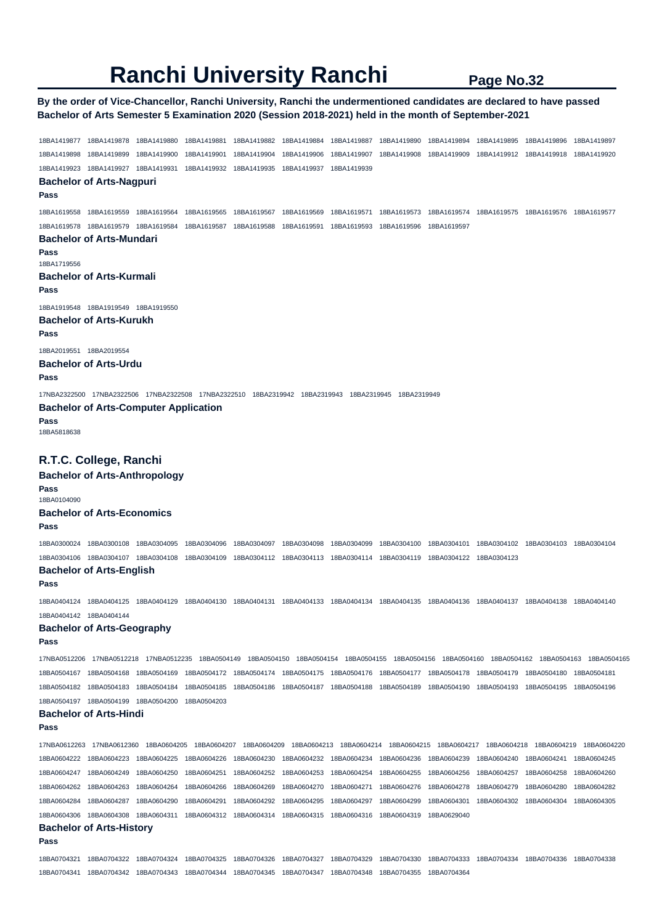## **By the order of Vice-Chancellor, Ranchi University, Ranchi the undermentioned candidates are declared to have passed Bachelor of Arts Semester 5 Examination 2020 (Session 2018-2021) held in the month of September-2021**

18BA1419877 18BA1419878 18BA1419880 18BA1419881 18BA1419882 18BA1419884 18BA1419887 18BA1419890 18BA1419894 18BA1419895 18BA1419896 18BA1419897 18BA1419898 18BA1419899 18BA1419900 18BA1419901 18BA1419904 18BA1419906 18BA1419907 18BA1419908 18BA1419909 18BA1419912 18BA1419918 18BA1419920 18BA1419923 18BA1419927 18BA1419931 18BA1419932 18BA1419935 18BA1419937 18BA1419939 **Bachelor of Arts-Nagpuri Pass**  18BA1619558 18BA1619559 18BA1619564 18BA1619565 18BA1619567 18BA1619569 18BA1619571 18BA1619573 18BA1619574 18BA1619575 18BA1619576 18BA1619577 18BA1619578 18BA1619579 18BA1619584 18BA1619587 18BA1619588 18BA1619591 18BA1619593 18BA1619596 18BA1619597 **Bachelor of Arts-Mundari Pass**  18BA1719556 **Bachelor of Arts-Kurmali Pass**  18BA1919548 18BA1919549 18BA1919550 **Bachelor of Arts-Kurukh Pass**  18BA2019551 18BA2019554 **Bachelor of Arts-Urdu Pass**  17NBA2322500 17NBA2322506 17NBA2322508 17NBA2322510 18BA2319942 18BA2319943 18BA2319945 18BA2319949 **Bachelor of Arts-Computer Application Pass**  18BA5818638 **R.T.C. College, Ranchi Bachelor of Arts-Anthropology Pass**  18BA0104090 **Bachelor of Arts-Economics Pass**  18BA0300024 18BA0300108 18BA0304095 18BA0304096 18BA0304097 18BA0304098 18BA0304099 18BA0304100 18BA0304101 18BA0304102 18BA0304103 18BA0304104 18BA0304106 18BA0304107 18BA0304108 18BA0304109 18BA0304112 18BA0304113 18BA0304114 18BA0304119 18BA0304122 18BA0304123 **Bachelor of Arts-English Pass**  18BA0404124 18BA0404125 18BA0404129 18BA0404130 18BA0404131 18BA0404133 18BA0404134 18BA0404135 18BA0404136 18BA0404137 18BA0404138 18BA0404140 18BA0404142 18BA0404144

### **Bachelor of Arts-Geography**

**Pass** 

17NBA0512206 17NBA0512218 17NBA0512235 18BA0504149 18BA0504150 18BA0504154 18BA0504155 18BA0504156 18BA0504160 18BA0504162 18BA0504163 18BA0504165 18BA0504167 18BA0504168 18BA0504169 18BA0504172 18BA0504174 18BA0504175 18BA0504176 18BA0504177 18BA0504178 18BA0504179 18BA0504180 18BA0504181 18BA0504182 18BA0504183 18BA0504184 18BA0504185 18BA0504186 18BA0504187 18BA0504188 18BA0504189 18BA0504190 18BA0504193 18BA0504195 18BA0504196 18BA0504197 18BA0504199 18BA0504200 18BA0504203

## **Bachelor of Arts-Hindi**

## **Pass**

17NBA0612263 17NBA0612360 18BA0604205 18BA0604207 18BA0604209 18BA0604213 18BA0604214 18BA0604215 18BA0604217 18BA0604218 18BA0604219 18BA0604220 18BA0604222 18BA0604223 18BA0604225 18BA0604226 18BA0604230 18BA0604232 18BA0604234 18BA0604236 18BA0604239 18BA0604240 18BA0604241 18BA0604245 18BA0604247 18BA0604249 18BA0604250 18BA0604251 18BA0604252 18BA0604253 18BA0604254 18BA0604255 18BA0604256 18BA0604257 18BA0604258 18BA0604260 18BA0604262 18BA0604263 18BA0604264 18BA0604266 18BA0604269 18BA0604270 18BA0604271 18BA0604276 18BA0604278 18BA0604279 18BA0604280 18BA0604282 18BA0604284 18BA0604287 18BA0604290 18BA0604291 18BA0604292 18BA0604295 18BA0604297 18BA0604299 18BA0604301 18BA0604302 18BA0604304 18BA0604305 18BA0604306 18BA0604308 18BA0604311 18BA0604312 18BA0604314 18BA0604315 18BA0604316 18BA0604319 18BA0629040

## **Bachelor of Arts-History**

**Pass** 

18BA0704321 18BA0704322 18BA0704324 18BA0704325 18BA0704326 18BA0704327 18BA0704329 18BA0704330 18BA0704333 18BA0704334 18BA0704336 18BA0704338 18BA0704341 18BA0704342 18BA0704343 18BA0704344 18BA0704345 18BA0704347 18BA0704348 18BA0704355 18BA0704364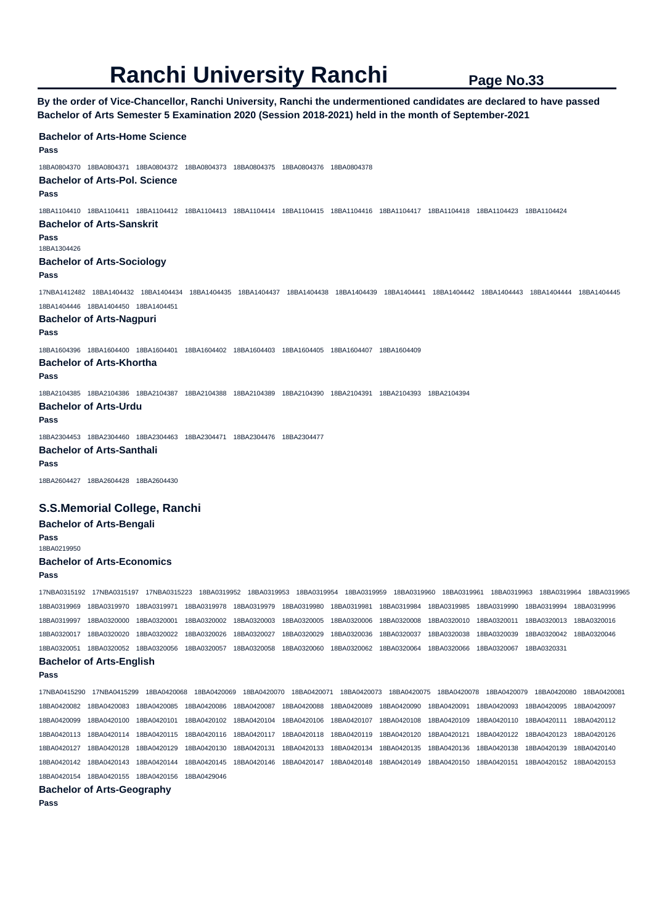**By the order of Vice-Chancellor, Ranchi University, Ranchi the undermentioned candidates are declared to have passed Bachelor of Arts Semester 5 Examination 2020 (Session 2018-2021) held in the month of September-2021** 

## **Pass**  18BA0804370 18BA0804371 18BA0804372 18BA0804373 18BA0804375 18BA0804376 18BA0804378 **Bachelor of Arts-Pol. Science Pass**  18BA1104410 18BA1104411 18BA1104412 18BA1104413 18BA1104414 18BA1104415 18BA1104416 18BA1104417 18BA1104418 18BA1104423 18BA1104424 **Bachelor of Arts-Sanskrit Pass**  18BA1304426 **Bachelor of Arts-Sociology Pass**  17NBA1412482 18BA1404432 18BA1404434 18BA1404435 18BA1404437 18BA1404438 18BA1404439 18BA1404441 18BA1404442 18BA1404443 18BA1404444 18BA1404445 18BA1404446 18BA1404450 18BA1404451 **Bachelor of Arts-Nagpuri Pass**  18BA1604396 18BA1604400 18BA1604401 18BA1604402 18BA1604403 18BA1604405 18BA1604407 18BA1604409 **Bachelor of Arts-Khortha Pass**  18BA2104385 18BA2104386 18BA2104387 18BA2104388 18BA2104389 18BA2104390 18BA2104391 18BA2104393 18BA2104394 **Bachelor of Arts-Urdu Pass**  18BA2304453 18BA2304460 18BA2304463 18BA2304471 18BA2304476 18BA2304477 **Bachelor of Arts-Santhali Pass**

18BA2604427 18BA2604428 18BA2604430

**Bachelor of Arts-Home Science** 

## **S.S.Memorial College, Ranchi**

### **Bachelor of Arts-Bengali**

**Pass**  18BA0219950

#### **Bachelor of Arts-Economics**

**Pass** 

17NBA0315192 17NBA0315197 17NBA0315223 18BA0319952 18BA0319953 18BA0319954 18BA0319959 18BA0319960 18BA0319961 18BA0319963 18BA0319964 18BA0319965 18BA0319969 18BA0319970 18BA0319971 18BA0319978 18BA0319979 18BA0319980 18BA0319981 18BA0319984 18BA0319985 18BA0319990 18BA0319994 18BA0319996 18BA0319997 18BA0320000 18BA0320001 18BA0320002 18BA0320003 18BA0320005 18BA0320006 18BA0320008 18BA0320010 18BA0320011 18BA0320013 18BA0320016 18BA0320017 18BA0320020 18BA0320022 18BA0320026 18BA0320027 18BA0320029 18BA0320036 18BA0320037 18BA0320038 18BA0320039 18BA0320042 18BA0320046 18BA0320051 18BA0320052 18BA0320056 18BA0320057 18BA0320058 18BA0320060 18BA0320062 18BA0320064 18BA0320066 18BA0320067 18BA0320331

## **Bachelor of Arts-English**

**Pass** 

17NBA0415290 17NBA0415299 18BA0420068 18BA0420069 18BA0420070 18BA0420071 18BA0420073 18BA0420075 18BA0420078 18BA0420079 18BA0420080 18BA0420081 18BA0420082 18BA0420083 18BA0420085 18BA0420086 18BA0420087 18BA0420088 18BA0420089 18BA0420090 18BA0420091 18BA0420093 18BA0420095 18BA0420097 18BA0420099 18BA0420100 18BA0420101 18BA0420102 18BA0420104 18BA0420106 18BA0420107 18BA0420108 18BA0420109 18BA0420110 18BA0420111 18BA0420112 18BA0420113 18BA0420114 18BA0420115 18BA0420116 18BA0420117 18BA0420118 18BA0420119 18BA0420120 18BA0420121 18BA0420122 18BA0420123 18BA0420126 18BA0420127 18BA0420128 18BA0420129 18BA0420130 18BA0420131 18BA0420133 18BA0420134 18BA0420135 18BA0420136 18BA0420138 18BA0420139 18BA0420140 18BA0420142 18BA0420143 18BA0420144 18BA0420145 18BA0420146 18BA0420147 18BA0420148 18BA0420149 18BA0420150 18BA0420151 18BA0420152 18BA0420153 18BA0420154 18BA0420155 18BA0420156 18BA0429046

**Bachelor of Arts-Geography**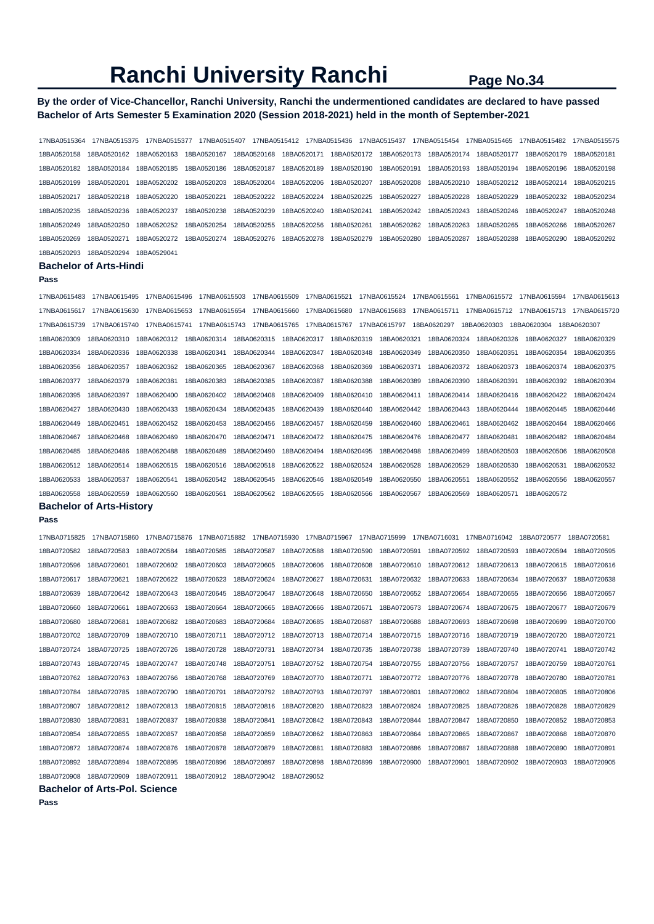## **By the order of Vice-Chancellor, Ranchi University, Ranchi the undermentioned candidates are declared to have passed Bachelor of Arts Semester 5 Examination 2020 (Session 2018-2021) held in the month of September-2021**

17NBA0515364 17NBA0515375 17NBA0515377 17NBA0515407 17NBA0515412 17NBA0515436 17NBA0515437 17NBA0515454 17NBA0515465 17NBA0515482 17NBA0515575 18BA0520158 18BA0520162 18BA0520163 18BA0520167 18BA0520168 18BA0520171 18BA0520172 18BA0520173 18BA0520174 18BA0520177 18BA0520179 18BA0520181 18BA0520182 18BA0520184 18BA0520185 18BA0520186 18BA0520187 18BA0520189 18BA0520190 18BA0520191 18BA0520193 18BA0520194 18BA0520196 18BA0520198 18BA0520199 18BA0520201 18BA0520202 18BA0520203 18BA0520204 18BA0520206 18BA0520207 18BA0520208 18BA0520210 18BA0520212 18BA0520214 18BA0520215 18BA0520217 18BA0520218 18BA0520220 18BA0520221 18BA0520222 18BA0520224 18BA0520225 18BA0520227 18BA0520228 18BA0520229 18BA0520232 18BA0520234 18BA0520235 18BA0520236 18BA0520237 18BA0520238 18BA0520239 18BA0520240 18BA0520241 18BA0520242 18BA0520243 18BA0520246 18BA0520247 18BA0520248 18BA0520249 18BA0520250 18BA0520252 18BA0520254 18BA0520255 18BA0520256 18BA0520261 18BA0520262 18BA0520263 18BA0520265 18BA0520266 18BA0520267 18BA0520269 18BA0520271 18BA0520272 18BA0520274 18BA0520276 18BA0520278 18BA0520279 18BA0520280 18BA0520287 18BA0520288 18BA0520290 18BA0520292 18BA0520293 18BA0520294 18BA0529041 **Bachelor of Arts-Hindi** 

#### **Pass**

17NBA0615483 17NBA0615495 17NBA0615496 17NBA0615503 17NBA0615509 17NBA0615521 17NBA0615524 17NBA0615561 17NBA0615572 17NBA0615594 17NBA0615613 17NBA0615617 17NBA0615630 17NBA0615653 17NBA0615654 17NBA0615660 17NBA0615680 17NBA0615683 17NBA0615711 17NBA0615712 17NBA0615713 17NBA0615720 17NBA0615739 17NBA0615740 17NBA0615741 17NBA0615743 17NBA0615765 17NBA0615767 17NBA0615797 18BA0620297 18BA0620303 18BA0620304 18BA0620307 18BA0620309 18BA0620310 18BA0620312 18BA0620314 18BA0620315 18BA0620317 18BA0620319 18BA0620321 18BA0620324 18BA0620326 18BA0620327 18BA0620329 18BA0620334 18BA0620336 18BA0620338 18BA0620341 18BA0620344 18BA0620347 18BA0620348 18BA0620349 18BA0620350 18BA0620351 18BA0620354 18BA0620355 18BA0620356 18BA0620357 18BA0620362 18BA0620365 18BA0620367 18BA0620368 18BA0620369 18BA0620371 18BA0620372 18BA0620373 18BA0620374 18BA0620375 18BA0620377 18BA0620379 18BA0620381 18BA0620383 18BA0620385 18BA0620387 18BA0620388 18BA0620389 18BA0620390 18BA0620391 18BA0620392 18BA0620394 18BA0620395 18BA0620397 18BA0620400 18BA0620402 18BA0620408 18BA0620409 18BA0620410 18BA0620411 18BA0620414 18BA0620416 18BA0620422 18BA0620424 18BA0620427 18BA0620430 18BA0620433 18BA0620434 18BA0620435 18BA0620439 18BA0620440 18BA0620442 18BA0620443 18BA0620444 18BA0620445 18BA0620446 18BA0620449 18BA0620451 18BA0620452 18BA0620453 18BA0620456 18BA0620457 18BA0620459 18BA0620460 18BA0620461 18BA0620462 18BA0620464 18BA0620466 18BA0620467 18BA0620468 18BA0620469 18BA0620470 18BA0620471 18BA0620472 18BA0620475 18BA0620476 18BA0620477 18BA0620481 18BA0620482 18BA0620484 18BA0620485 18BA0620486 18BA0620488 18BA0620489 18BA0620490 18BA0620494 18BA0620495 18BA0620498 18BA0620499 18BA0620503 18BA0620506 18BA0620508 18BA0620512 18BA0620514 18BA0620515 18BA0620516 18BA0620518 18BA0620522 18BA0620524 18BA0620528 18BA0620529 18BA0620530 18BA0620531 18BA0620532 18BA0620533 18BA0620537 18BA0620541 18BA0620542 18BA0620545 18BA0620546 18BA0620549 18BA0620550 18BA0620551 18BA0620552 18BA0620556 18BA0620557 18BA0620558 18BA0620559 18BA0620560 18BA0620561 18BA0620562 18BA0620565 18BA0620566 18BA0620567 18BA0620569 18BA0620571 18BA0620572

## **Bachelor of Arts-History**

**Pass** 

| 17NBA0715825            | 17NBA0715860 | 17NBA0715876 | 17NBA0715882 | 17NBA0715930 |             | 17NBA0715967 | 17NBA0715999 | 17NBA0716031 | 17NBA0716042 | 18BA0720577 | 18BA0720581 |
|-------------------------|--------------|--------------|--------------|--------------|-------------|--------------|--------------|--------------|--------------|-------------|-------------|
| 18BA0720582             | 18BA0720583  | 18BA0720584  | 18BA0720585  | 18BA0720587  | 18BA0720588 | 18BA0720590  | 18BA0720591  | 18BA0720592  | 18BA0720593  | 18BA0720594 | 18BA0720595 |
| 18BA0720596             | 18BA0720601  | 18BA0720602  | 18BA0720603  | 18BA0720605  | 18BA0720606 | 18BA0720608  | 18BA0720610  | 18BA0720612  | 18BA0720613  | 18BA0720615 | 18BA0720616 |
| 18BA0720617             | 18BA0720621  | 18BA0720622  | 18BA0720623  | 18BA0720624  | 18BA0720627 | 18BA0720631  | 18BA0720632  | 18BA0720633  | 18BA0720634  | 18BA0720637 | 18BA0720638 |
| 18BA0720639             | 18BA0720642  | 18BA0720643  | 18BA0720645  | 18BA0720647  | 18BA0720648 | 18BA0720650  | 18BA0720652  | 18BA0720654  | 18BA0720655  | 18BA0720656 | 18BA0720657 |
| 18BA0720660             | 18BA0720661  | 18BA0720663  | 18BA0720664  | 18BA0720665  | 18BA0720666 | 18BA0720671  | 18BA0720673  | 18BA0720674  | 18BA0720675  | 18BA0720677 | 18BA0720679 |
| 18BA0720680             | 18BA0720681  | 18BA0720682  | 18BA0720683  | 18BA0720684  | 18BA0720685 | 18BA0720687  | 18BA0720688  | 18BA0720693  | 18BA0720698  | 18BA0720699 | 18BA0720700 |
| 18BA0720702             | 18BA0720709  | 18BA0720710  | 18BA0720711  | 18BA0720712  | 18BA0720713 | 18BA0720714  | 18BA0720715  | 18BA0720716  | 18BA0720719  | 18BA0720720 | 18BA0720721 |
| 18BA0720724             | 18BA0720725  | 18BA0720726  | 18BA0720728  | 18BA0720731  | 18BA0720734 | 18BA0720735  | 18BA0720738  | 18BA0720739  | 18BA0720740  | 18BA0720741 | 18BA0720742 |
| 18BA0720743             | 18BA0720745  | 18BA0720747  | 18BA0720748  | 18BA0720751  | 18BA0720752 | 18BA0720754  | 18BA0720755  | 18BA0720756  | 18BA0720757  | 18BA0720759 | 18BA0720761 |
| 18BA0720762             | 18BA0720763  | 18BA0720766  | 18BA0720768  | 18BA0720769  | 18BA0720770 | 18BA0720771  | 18BA0720772  | 18BA0720776  | 18BA0720778  | 18BA0720780 | 18BA0720781 |
| 18BA0720784             | 18BA0720785  | 18BA0720790  | 18BA0720791  | 18BA0720792  | 18BA0720793 | 18BA0720797  | 18BA0720801  | 18BA0720802  | 18BA0720804  | 18BA0720805 | 18BA0720806 |
| 18BA0720807             | 18BA0720812  | 18BA0720813  | 18BA0720815  | 18BA0720816  | 18BA0720820 | 18BA0720823  | 18BA0720824  | 18BA0720825  | 18BA0720826  | 18BA0720828 | 18BA0720829 |
| 18BA0720830             | 18BA0720831  | 18BA0720837  | 18BA0720838  | 18BA0720841  | 18BA0720842 | 18BA0720843  | 18BA0720844  | 18BA0720847  | 18BA0720850  | 18BA0720852 | 18BA0720853 |
| 18BA0720854             | 18BA0720855  | 18BA0720857  | 18BA0720858  | 18BA0720859  | 18BA0720862 | 18BA0720863  | 18BA0720864  | 18BA0720865  | 18BA0720867  | 18BA0720868 | 18BA0720870 |
| 18BA0720872             | 18BA0720874  | 18BA0720876  | 18BA0720878  | 18BA0720879  | 18BA0720881 | 18BA0720883  | 18BA0720886  | 18BA0720887  | 18BA0720888  | 18BA0720890 | 18BA0720891 |
| 18BA0720892             | 18BA0720894  | 18BA0720895  | 18BA0720896  | 18BA0720897  | 18BA0720898 | 18BA0720899  | 18BA0720900  | 18BA0720901  | 18BA0720902  | 18BA0720903 | 18BA0720905 |
| 18BA0720908 18BA0720909 |              | 18BA0720911  | 18BA0720912  | 18BA0729042  | 18BA0729052 |              |              |              |              |             |             |

**Bachelor of Arts-Pol. Science**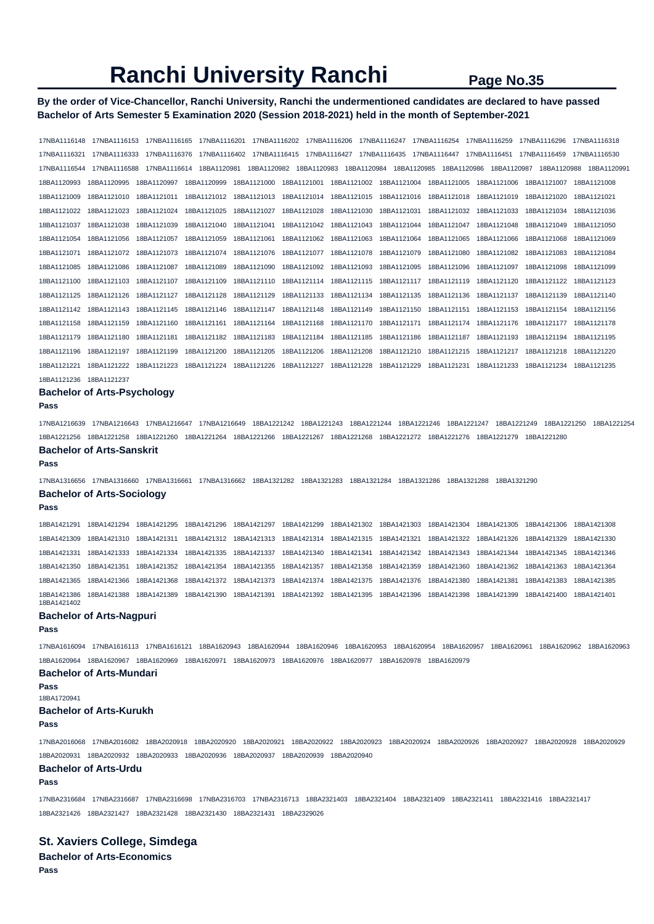## **By the order of Vice-Chancellor, Ranchi University, Ranchi the undermentioned candidates are declared to have passed Bachelor of Arts Semester 5 Examination 2020 (Session 2018-2021) held in the month of September-2021**

17NBA1116148 17NBA1116153 17NBA1116165 17NBA1116201 17NBA1116202 17NBA1116206 17NBA1116247 17NBA1116254 17NBA1116259 17NBA1116296 17NBA1116318 17NBA1116321 17NBA1116333 17NBA1116376 17NBA1116402 17NBA1116415 17NBA1116427 17NBA1116435 17NBA1116447 17NBA1116451 17NBA1116459 17NBA1116530 17NBA1116544 17NBA1116588 17NBA1116614 18BA1120981 18BA1120982 18BA1120983 18BA1120984 18BA1120985 18BA1120986 18BA1120987 18BA1120988 18BA1120991 18BA1120993 18BA1120995 18BA1120997 18BA1120999 18BA1121000 18BA1121001 18BA1121002 18BA1121004 18BA1121005 18BA1121006 18BA1121007 18BA1121008 18BA1121009 18BA1121010 18BA1121011 18BA1121012 18BA1121013 18BA1121014 18BA1121015 18BA1121016 18BA1121018 18BA1121019 18BA1121020 18BA1121021 18BA1121022 18BA1121023 18BA1121024 18BA1121025 18BA1121027 18BA1121028 18BA1121030 18BA1121031 18BA1121032 18BA1121033 18BA1121034 18BA1121036 18BA1121037 18BA1121038 18BA1121039 18BA1121040 18BA1121041 18BA1121042 18BA1121043 18BA1121044 18BA1121047 18BA1121048 18BA1121049 18BA1121050 18BA1121054 18BA1121056 18BA1121057 18BA1121059 18BA1121061 18BA1121062 18BA1121063 18BA1121064 18BA1121065 18BA1121066 18BA1121068 18BA1121069 18BA1121071 18BA1121072 18BA1121073 18BA1121074 18BA1121076 18BA1121077 18BA1121078 18BA1121079 18BA1121080 18BA1121082 18BA1121083 18BA1121084 18BA1121085 18BA1121086 18BA1121087 18BA1121089 18BA1121090 18BA1121092 18BA1121093 18BA1121095 18BA1121096 18BA1121097 18BA1121098 18BA1121099 18BA1121100 18BA1121103 18BA1121107 18BA1121109 18BA1121110 18BA1121114 18BA1121115 18BA1121117 18BA1121119 18BA1121120 18BA1121122 18BA1121123 18BA1121125 18BA1121126 18BA1121127 18BA1121128 18BA1121129 18BA1121133 18BA1121134 18BA1121135 18BA1121136 18BA1121137 18BA1121139 18BA1121140 18BA1121142 18BA1121143 18BA1121145 18BA1121146 18BA1121147 18BA1121148 18BA1121149 18BA1121150 18BA1121151 18BA1121153 18BA1121154 18BA1121156 18BA1121158 18BA1121159 18BA1121160 18BA1121161 18BA1121164 18BA1121168 18BA1121170 18BA1121171 18BA1121174 18BA1121176 18BA1121177 18BA1121178 18BA1121179 18BA1121180 18BA1121181 18BA1121182 18BA1121183 18BA1121184 18BA1121185 18BA1121186 18BA1121187 18BA1121193 18BA1121194 18BA1121195 18BA1121196 18BA1121197 18BA1121199 18BA1121200 18BA1121205 18BA1121206 18BA1121208 18BA1121210 18BA1121215 18BA1121217 18BA1121218 18BA1121220 18BA1121221 18BA1121222 18BA1121223 18BA1121224 18BA1121226 18BA1121227 18BA1121228 18BA1121229 18BA1121231 18BA1121233 18BA1121234 18BA1121235 18BA1121236 18BA1121237

#### **Bachelor of Arts-Psychology**

**Pass** 

17NBA1216639 17NBA1216643 17NBA1216647 17NBA1216649 18BA1221242 18BA1221243 18BA1221244 18BA1221246 18BA1221247 18BA1221249 18BA1221250 18BA1221254 18BA1221256 18BA1221258 18BA1221260 18BA1221264 18BA1221266 18BA1221267 18BA1221268 18BA1221272 18BA1221276 18BA1221279 18BA1221280

## **Bachelor of Arts-Sanskrit**

#### **Pass**

17NBA1316656 17NBA1316660 17NBA1316661 17NBA1316662 18BA1321282 18BA1321283 18BA1321284 18BA1321286 18BA1321288 18BA1321290

#### **Bachelor of Arts-Sociology**

#### **Pass**

18BA1421291 18BA1421294 18BA1421295 18BA1421296 18BA1421297 18BA1421299 18BA1421302 18BA1421303 18BA1421304 18BA1421305 18BA1421306 18BA1421308 18BA1421309 18BA1421310 18BA1421311 18BA1421312 18BA1421313 18BA1421314 18BA1421315 18BA1421321 18BA1421322 18BA1421326 18BA1421329 18BA1421330 18BA1421331 18BA1421333 18BA1421334 18BA1421335 18BA1421337 18BA1421340 18BA1421341 18BA1421342 18BA1421343 18BA1421344 18BA1421345 18BA1421346 18BA1421350 18BA1421351 18BA1421352 18BA1421354 18BA1421355 18BA1421357 18BA1421358 18BA1421359 18BA1421360 18BA1421362 18BA1421363 18BA1421364 18BA1421365 18BA1421366 18BA1421368 18BA1421372 18BA1421373 18BA1421374 18BA1421375 18BA1421376 18BA1421380 18BA1421381 18BA1421383 18BA1421385 18BA1421386 18BA1421388 18BA1421389 18BA1421390 18BA1421391 18BA1421392 18BA1421395 18BA1421396 18BA1421398 18BA1421399 18BA1421400 18BA1421401 18BA1421402

#### **Bachelor of Arts-Nagpuri**

**Pass** 

17NBA1616094 17NBA1616113 17NBA1616121 18BA1620943 18BA1620944 18BA1620946 18BA1620953 18BA1620954 18BA1620957 18BA1620961 18BA1620962 18BA1620963 18BA1620964 18BA1620967 18BA1620969 18BA1620971 18BA1620973 18BA1620976 18BA1620977 18BA1620978 18BA1620979

#### **Bachelor of Arts-Mundari**

**Pass** 

18BA1720941

#### **Bachelor of Arts-Kurukh**

### **Pass**

17NBA2016068 17NBA2016082 18BA2020918 18BA2020920 18BA2020921 18BA2020922 18BA2020923 18BA2020924 18BA2020926 18BA2020927 18BA2020928 18BA2020929 18BA2020931 18BA2020932 18BA2020933 18BA2020936 18BA2020937 18BA2020939 18BA2020940

#### **Bachelor of Arts-Urdu**

#### **Pass**

17NBA2316684 17NBA2316687 17NBA2316698 17NBA2316703 17NBA2316713 18BA2321403 18BA2321404 18BA2321409 18BA2321411 18BA2321416 18BA2321417 18BA2321426 18BA2321427 18BA2321428 18BA2321430 18BA2321431 18BA2329026

## **St. Xaviers College, Simdega**

**Bachelor of Arts-Economics**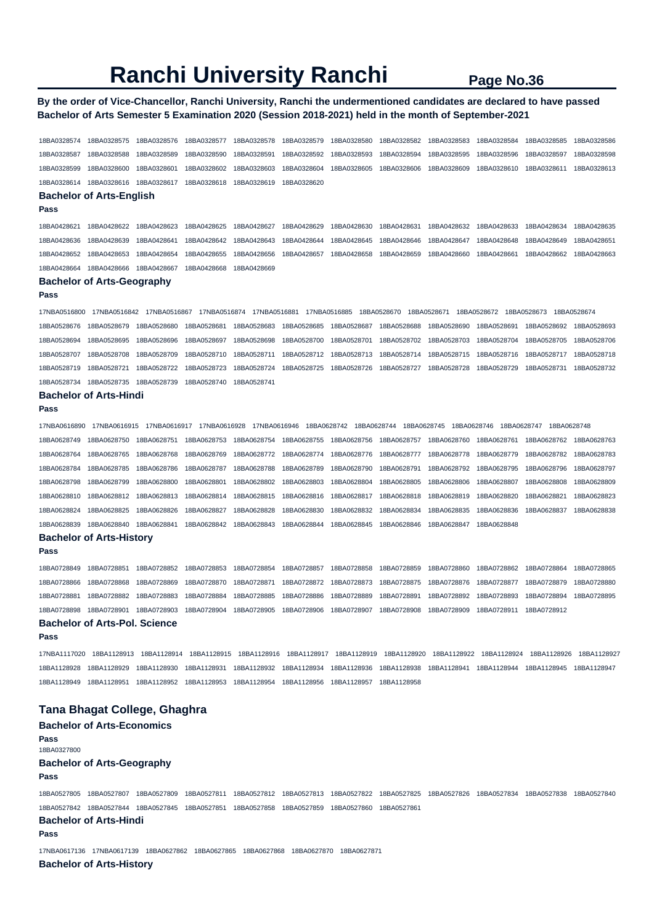## **By the order of Vice-Chancellor, Ranchi University, Ranchi the undermentioned candidates are declared to have passed Bachelor of Arts Semester 5 Examination 2020 (Session 2018-2021) held in the month of September-2021**

18BA0328574 18BA0328575 18BA0328576 18BA0328577 18BA0328578 18BA0328579 18BA0328580 18BA0328582 18BA0328583 18BA0328584 18BA0328585 18BA0328586 18BA0328587 18BA0328588 18BA0328589 18BA0328590 18BA0328591 18BA0328592 18BA0328593 18BA0328594 18BA0328595 18BA0328596 18BA0328597 18BA0328598 18BA0328599 18BA0328600 18BA0328601 18BA0328602 18BA0328603 18BA0328604 18BA0328605 18BA0328606 18BA0328609 18BA0328610 18BA0328611 18BA0328613 18BA0328614 18BA0328616 18BA0328617 18BA0328618 18BA0328619 18BA0328620 **Bachelor of Arts-English Pass**  18BA0428621 18BA0428622 18BA0428623 18BA0428625 18BA0428627 18BA0428629 18BA0428630 18BA0428631 18BA0428632 18BA0428633 18BA0428634 18BA0428635 18BA0428636 18BA0428639 18BA0428641 18BA0428642 18BA0428643 18BA0428644 18BA0428645 18BA0428646 18BA0428647 18BA0428648 18BA0428649 18BA0428651 18BA0428652 18BA0428653 18BA0428654 18BA0428655 18BA0428656 18BA0428657 18BA0428658 18BA0428659 18BA0428660 18BA0428661 18BA0428662 18BA0428663 18BA0428664 18BA0428666 18BA0428667 18BA0428668 18BA0428669 **Bachelor of Arts-Geography Pass**  17NBA0516800 17NBA0516842 17NBA0516867 17NBA0516874 17NBA0516881 17NBA0516885 18BA0528670 18BA0528671 18BA0528672 18BA0528673 18BA0528674 18BA0528676 18BA0528679 18BA0528680 18BA0528681 18BA0528683 18BA0528685 18BA0528687 18BA0528688 18BA0528690 18BA0528691 18BA0528692 18BA0528693 18BA0528694 18BA0528695 18BA0528696 18BA0528697 18BA0528698 18BA0528700 18BA0528701 18BA0528702 18BA0528703 18BA0528704 18BA0528705 18BA0528706 18BA0528707 18BA0528708 18BA0528709 18BA0528710 18BA0528711 18BA0528712 18BA0528713 18BA0528714 18BA0528715 18BA0528716 18BA0528717 18BA0528718 18BA0528719 18BA0528721 18BA0528722 18BA0528723 18BA0528724 18BA0528725 18BA0528726 18BA0528727 18BA0528728 18BA0528729 18BA0528731 18BA0528732 18BA0528734 18BA0528735 18BA0528739 18BA0528740 18BA0528741 **Bachelor of Arts-Hindi Pass**  17NBA0616890 17NBA0616915 17NBA0616917 17NBA0616928 17NBA0616946 18BA0628742 18BA0628744 18BA0628745 18BA0628746 18BA0628747 18BA0628748 18BA0628749 18BA0628750 18BA0628751 18BA0628753 18BA0628754 18BA0628755 18BA0628756 18BA0628757 18BA0628760 18BA0628761 18BA0628762 18BA0628763 18BA0628764 18BA0628765 18BA0628768 18BA0628769 18BA0628772 18BA0628774 18BA0628776 18BA0628777 18BA0628778 18BA0628779 18BA0628782 18BA0628783 18BA0628784 18BA0628785 18BA0628786 18BA0628787 18BA0628788 18BA0628789 18BA0628790 18BA0628791 18BA0628792 18BA0628795 18BA0628796 18BA0628797 18BA0628798 18BA0628799 18BA0628800 18BA0628801 18BA0628802 18BA0628803 18BA0628804 18BA0628805 18BA0628806 18BA0628807 18BA0628808 18BA0628809 18BA0628810 18BA0628812 18BA0628813 18BA0628814 18BA0628815 18BA0628816 18BA0628817 18BA0628818 18BA0628819 18BA0628820 18BA0628821 18BA0628823 18BA0628824 18BA0628825 18BA0628826 18BA0628827 18BA0628828 18BA0628830 18BA0628832 18BA0628834 18BA0628835 18BA0628836 18BA0628837 18BA0628838 18BA0628839 18BA0628840 18BA0628841 18BA0628842 18BA0628843 18BA0628844 18BA0628845 18BA0628846 18BA0628847 18BA0628848 **Bachelor of Arts-History Pass**  18BA0728849 18BA0728851 18BA0728852 18BA0728853 18BA0728854 18BA0728857 18BA0728858 18BA0728859 18BA0728860 18BA0728862 18BA0728864 18BA0728865 18BA0728866 18BA0728868 18BA0728869 18BA0728870 18BA0728871 18BA0728872 18BA0728873 18BA0728875 18BA0728876 18BA0728877 18BA0728879 18BA0728880 18BA0728881 18BA0728882 18BA0728883 18BA0728884 18BA0728885 18BA0728886 18BA0728889 18BA0728891 18BA0728892 18BA0728893 18BA0728894 18BA0728895 18BA0728898 18BA0728901 18BA0728903 18BA0728904 18BA0728905 18BA0728906 18BA0728907 18BA0728908 18BA0728909 18BA0728911 18BA0728912

#### **Bachelor of Arts-Pol. Science**

**Pass** 

17NBA1117020 18BA1128913 18BA1128914 18BA1128915 18BA1128916 18BA1128917 18BA1128919 18BA1128920 18BA1128922 18BA1128924 18BA1128926 18BA1128927 18BA1128928 18BA1128929 18BA1128930 18BA1128931 18BA1128932 18BA1128934 18BA1128936 18BA1128938 18BA1128941 18BA1128944 18BA1128945 18BA1128947 18BA1128949 18BA1128951 18BA1128952 18BA1128953 18BA1128954 18BA1128956 18BA1128957 18BA1128958

### **Tana Bhagat College, Ghaghra**

**Bachelor of Arts-Economics Pass**  18BA0327800 **Bachelor of Arts-Geography Pass** 

18BA0527805 18BA0527807 18BA0527809 18BA0527811 18BA0527812 18BA0527813 18BA0527822 18BA0527825 18BA0527826 18BA0527834 18BA0527838 18BA0527840 18BA0527842 18BA0527844 18BA0527845 18BA0527851 18BA0527858 18BA0527859 18BA0527860 18BA0527861

### **Bachelor of Arts-Hindi**

**Pass** 

17NBA0617136 17NBA0617139 18BA0627862 18BA0627865 18BA0627868 18BA0627870 18BA0627871 **Bachelor of Arts-History**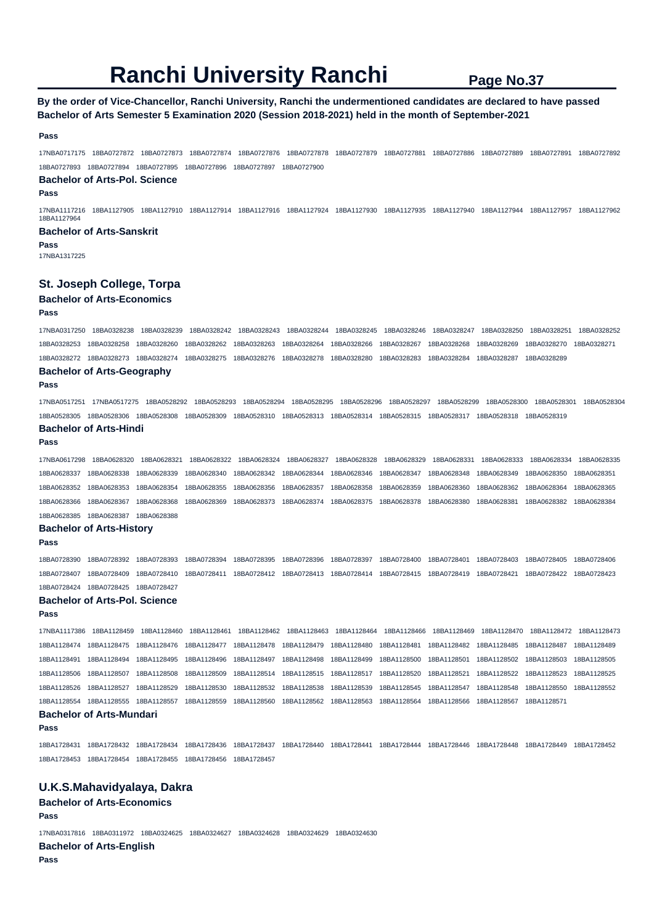## **By the order of Vice-Chancellor, Ranchi University, Ranchi the undermentioned candidates are declared to have passed Bachelor of Arts Semester 5 Examination 2020 (Session 2018-2021) held in the month of September-2021**

#### **Pass**

17NBA0717175 18BA0727872 18BA0727873 18BA0727874 18BA0727876 18BA0727878 18BA0727879 18BA0727881 18BA0727886 18BA0727889 18BA0727891 18BA0727892 18BA0727893 18BA0727894 18BA0727895 18BA0727896 18BA0727897 18BA0727900

#### **Bachelor of Arts-Pol. Science**

**Pass** 

17NBA1117216 18BA1127905 18BA1127910 18BA1127914 18BA1127916 18BA1127924 18BA1127930 18BA1127935 18BA1127940 18BA1127944 18BA1127957 18BA1127962 18BA1127964

### **Bachelor of Arts-Sanskrit Pass**  17NBA1317225

## **St. Joseph College, Torpa**

**Bachelor of Arts-Economics** 

#### **Pass**

17NBA0317250 18BA0328238 18BA0328239 18BA0328242 18BA0328243 18BA0328244 18BA0328245 18BA0328246 18BA0328247 18BA0328250 18BA0328251 18BA0328252 18BA0328253 18BA0328258 18BA0328260 18BA0328262 18BA0328263 18BA0328264 18BA0328266 18BA0328267 18BA0328268 18BA0328269 18BA0328270 18BA0328271 18BA0328272 18BA0328273 18BA0328274 18BA0328275 18BA0328276 18BA0328278 18BA0328280 18BA0328283 18BA0328284 18BA0328287 18BA0328289

## **Bachelor of Arts-Geography**

**Pass** 

17NBA0517251 17NBA0517275 18BA0528292 18BA0528293 18BA0528294 18BA0528295 18BA0528296 18BA0528297 18BA0528299 18BA0528300 18BA0528301 18BA0528304 18BA0528305 18BA0528306 18BA0528308 18BA0528309 18BA0528310 18BA0528313 18BA0528314 18BA0528315 18BA0528317 18BA0528318 18BA0528319 **Bachelor of Arts-Hindi** 

#### **Pass**

17NBA0617298 18BA0628320 18BA0628321 18BA0628322 18BA0628324 18BA0628327 18BA0628328 18BA0628329 18BA0628331 18BA0628333 18BA0628334 18BA0628335 18BA0628337 18BA0628338 18BA0628339 18BA0628340 18BA0628342 18BA0628344 18BA0628346 18BA0628347 18BA0628348 18BA0628349 18BA0628350 18BA0628351 18BA0628352 18BA0628353 18BA0628354 18BA0628355 18BA0628356 18BA0628357 18BA0628358 18BA0628359 18BA0628360 18BA0628362 18BA0628364 18BA0628365 18BA0628366 18BA0628367 18BA0628368 18BA0628369 18BA0628373 18BA0628374 18BA0628375 18BA0628378 18BA0628380 18BA0628381 18BA0628382 18BA0628384 18BA0628385 18BA0628387 18BA0628388

#### **Bachelor of Arts-History**

**Pass** 

18BA0728390 18BA0728392 18BA0728393 18BA0728394 18BA0728395 18BA0728396 18BA0728397 18BA0728400 18BA0728401 18BA0728403 18BA0728405 18BA0728406 18BA0728407 18BA0728409 18BA0728410 18BA0728411 18BA0728412 18BA0728413 18BA0728414 18BA0728415 18BA0728419 18BA0728421 18BA0728422 18BA0728423 18BA0728424 18BA0728425 18BA0728427

### **Bachelor of Arts-Pol. Science**

#### **Pass**

17NBA1117386 18BA1128459 18BA1128460 18BA1128461 18BA1128462 18BA1128463 18BA1128464 18BA1128466 18BA1128469 18BA1128470 18BA1128472 18BA1128473 18BA1128474 18BA1128475 18BA1128476 18BA1128477 18BA1128478 18BA1128479 18BA1128480 18BA1128481 18BA1128482 18BA1128485 18BA1128487 18BA1128489 18BA1128491 18BA1128494 18BA1128495 18BA1128496 18BA1128497 18BA1128498 18BA1128499 18BA1128500 18BA1128501 18BA1128502 18BA1128503 18BA1128505 18BA1128506 18BA1128507 18BA1128508 18BA1128509 18BA1128514 18BA1128515 18BA1128517 18BA1128520 18BA1128521 18BA1128522 18BA1128523 18BA1128525 18BA1128526 18BA1128527 18BA1128529 18BA1128530 18BA1128532 18BA1128538 18BA1128539 18BA1128545 18BA1128547 18BA1128548 18BA1128550 18BA1128552 18BA1128554 18BA1128555 18BA1128557 18BA1128559 18BA1128560 18BA1128562 18BA1128563 18BA1128564 18BA1128566 18BA1128567 18BA1128571 **Bachelor of Arts-Mundari** 

### **Pass**

18BA1728431 18BA1728432 18BA1728434 18BA1728436 18BA1728437 18BA1728440 18BA1728441 18BA1728444 18BA1728446 18BA1728448 18BA1728449 18BA1728452 18BA1728453 18BA1728454 18BA1728455 18BA1728456 18BA1728457

## **U.K.S.Mahavidyalaya, Dakra**

**Bachelor of Arts-Economics** 

#### **Pass**

17NBA0317816 18BA0311972 18BA0324625 18BA0324627 18BA0324628 18BA0324629 18BA0324630 **Bachelor of Arts-English**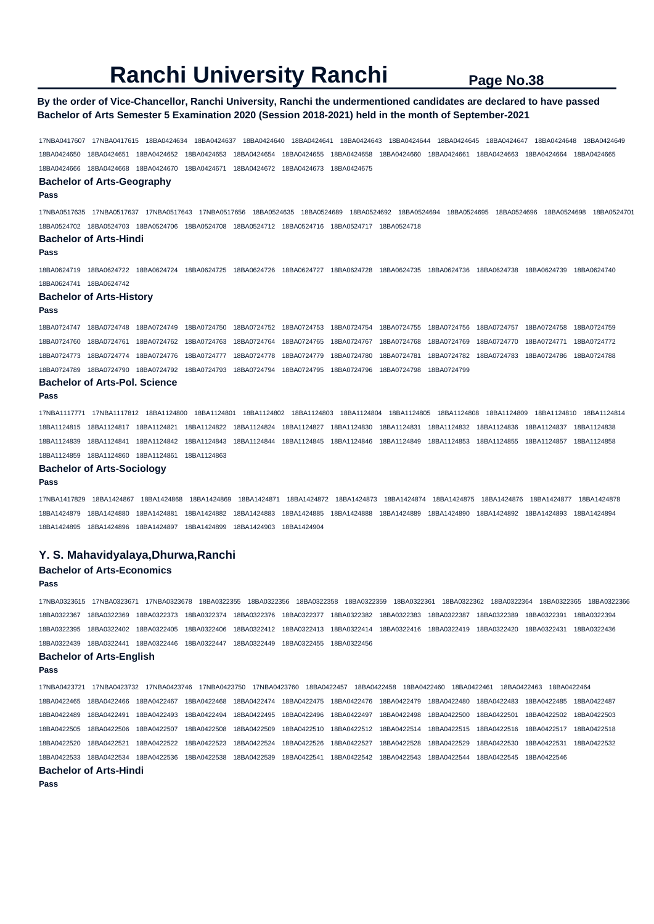## **By the order of Vice-Chancellor, Ranchi University, Ranchi the undermentioned candidates are declared to have passed Bachelor of Arts Semester 5 Examination 2020 (Session 2018-2021) held in the month of September-2021**

17NBA0417607 17NBA0417615 18BA0424634 18BA0424637 18BA0424640 18BA0424641 18BA0424643 18BA0424644 18BA0424645 18BA0424647 18BA0424648 18BA0424649 18BA0424650 18BA0424651 18BA0424652 18BA0424653 18BA0424654 18BA0424655 18BA0424658 18BA0424660 18BA0424661 18BA0424663 18BA0424664 18BA0424665 18BA0424666 18BA0424668 18BA0424670 18BA0424671 18BA0424672 18BA0424673 18BA0424675

#### **Bachelor of Arts-Geography**

#### **Pass**

17NBA0517635 17NBA0517637 17NBA0517643 17NBA0517656 18BA0524635 18BA0524689 18BA0524692 18BA0524694 18BA0524695 18BA0524696 18BA0524698 18BA0524701 18BA0524702 18BA0524703 18BA0524706 18BA0524708 18BA0524712 18BA0524716 18BA0524717 18BA0524718

#### **Bachelor of Arts-Hindi**

**Pass** 

18BA0624719 18BA0624722 18BA0624724 18BA0624725 18BA0624726 18BA0624727 18BA0624728 18BA0624735 18BA0624736 18BA0624738 18BA0624739 18BA0624740 18BA0624741 18BA0624742

#### **Bachelor of Arts-History**

#### **Pass**

18BA0724747 18BA0724748 18BA0724749 18BA0724750 18BA0724752 18BA0724753 18BA0724754 18BA0724755 18BA0724756 18BA0724757 18BA0724758 18BA0724759 18BA0724760 18BA0724761 18BA0724762 18BA0724763 18BA0724764 18BA0724765 18BA0724767 18BA0724768 18BA0724769 18BA0724770 18BA0724771 18BA0724772 18BA0724773 18BA0724774 18BA0724776 18BA0724777 18BA0724778 18BA0724779 18BA0724780 18BA0724781 18BA0724782 18BA0724783 18BA0724786 18BA0724788 18BA0724789 18BA0724790 18BA0724792 18BA0724793 18BA0724794 18BA0724795 18BA0724796 18BA0724798 18BA0724799

#### **Bachelor of Arts-Pol. Science**

#### **Pass**

17NBA1117771 17NBA1117812 18BA1124800 18BA1124801 18BA1124802 18BA1124803 18BA1124804 18BA1124805 18BA1124808 18BA1124809 18BA1124810 18BA1124814 18BA1124815 18BA1124817 18BA1124821 18BA1124822 18BA1124824 18BA1124827 18BA1124830 18BA1124831 18BA1124832 18BA1124836 18BA1124837 18BA1124838 18BA1124839 18BA1124841 18BA1124842 18BA1124843 18BA1124844 18BA1124845 18BA1124846 18BA1124849 18BA1124853 18BA1124855 18BA1124857 18BA1124858 18BA1124859 18BA1124860 18BA1124861 18BA1124863

#### **Bachelor of Arts-Sociology**

#### **Pass**

17NBA1417829 18BA1424867 18BA1424868 18BA1424869 18BA1424871 18BA1424872 18BA1424873 18BA1424874 18BA1424875 18BA1424876 18BA1424877 18BA1424878 18BA1424879 18BA1424880 18BA1424881 18BA1424882 18BA1424883 18BA1424885 18BA1424888 18BA1424889 18BA1424890 18BA1424892 18BA1424893 18BA1424894 18BA1424895 18BA1424896 18BA1424897 18BA1424899 18BA1424903 18BA1424904

### **Y. S. Mahavidyalaya,Dhurwa,Ranchi**

### **Bachelor of Arts-Economics**

#### **Pass**

17NBA0323615 17NBA0323671 17NBA0323678 18BA0322355 18BA0322356 18BA0322358 18BA0322359 18BA0322361 18BA0322362 18BA0322364 18BA0322365 18BA0322366 18BA0322367 18BA0322369 18BA0322373 18BA0322374 18BA0322376 18BA0322377 18BA0322382 18BA0322383 18BA0322387 18BA0322389 18BA0322391 18BA0322394 18BA0322395 18BA0322402 18BA0322405 18BA0322406 18BA0322412 18BA0322413 18BA0322414 18BA0322416 18BA0322419 18BA0322420 18BA0322431 18BA0322436 18BA0322439 18BA0322441 18BA0322446 18BA0322447 18BA0322449 18BA0322455 18BA0322456

## **Bachelor of Arts-English**

#### **Pass**

17NBA0423721 17NBA0423732 17NBA0423746 17NBA0423750 17NBA0423760 18BA0422457 18BA0422458 18BA0422460 18BA0422461 18BA0422463 18BA0422464 18BA0422465 18BA0422466 18BA0422467 18BA0422468 18BA0422474 18BA0422475 18BA0422476 18BA0422479 18BA0422480 18BA0422483 18BA0422485 18BA0422487 18BA0422489 18BA0422491 18BA0422493 18BA0422494 18BA0422495 18BA0422496 18BA0422497 18BA0422498 18BA0422500 18BA0422501 18BA0422502 18BA0422503 18BA0422505 18BA0422506 18BA0422507 18BA0422508 18BA0422509 18BA0422510 18BA0422512 18BA0422514 18BA0422515 18BA0422516 18BA0422517 18BA0422518 18BA0422520 18BA0422521 18BA0422522 18BA0422523 18BA0422524 18BA0422526 18BA0422527 18BA0422528 18BA0422529 18BA0422530 18BA0422531 18BA0422532 18BA0422533 18BA0422534 18BA0422536 18BA0422538 18BA0422539 18BA0422541 18BA0422542 18BA0422543 18BA0422544 18BA0422545 18BA0422546

## **Bachelor of Arts-Hindi**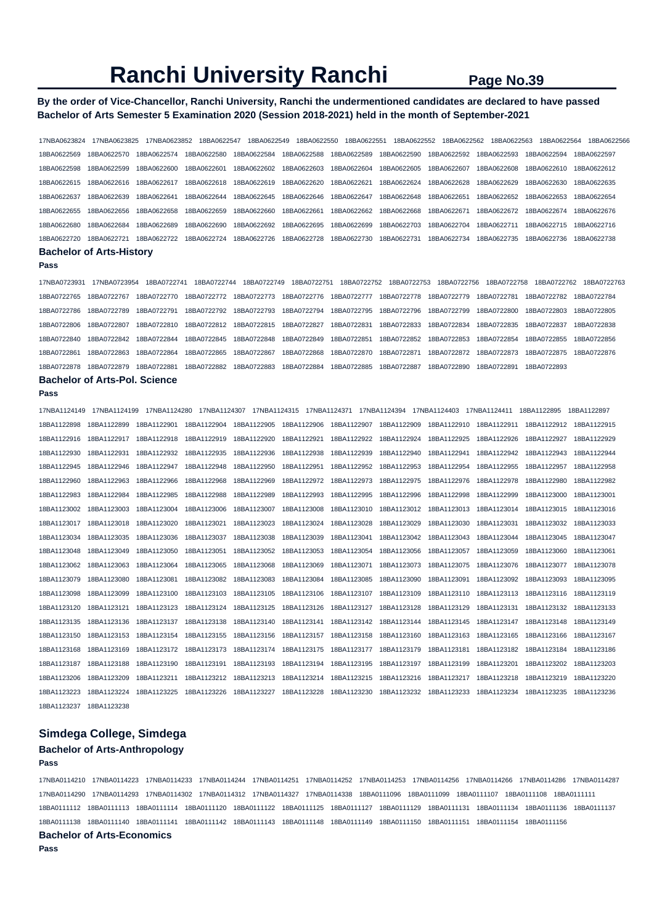## **By the order of Vice-Chancellor, Ranchi University, Ranchi the undermentioned candidates are declared to have passed Bachelor of Arts Semester 5 Examination 2020 (Session 2018-2021) held in the month of September-2021**

17NBA0623824 17NBA0623825 17NBA0623852 18BA0622547 18BA0622549 18BA0622550 18BA0622551 18BA0622552 18BA0622562 18BA0622563 18BA0622564 18BA0622566 18BA0622569 18BA0622570 18BA0622574 18BA0622580 18BA0622584 18BA0622588 18BA0622589 18BA0622590 18BA0622592 18BA0622593 18BA0622594 18BA0622597 18BA0622598 18BA0622599 18BA0622600 18BA0622601 18BA0622602 18BA0622603 18BA0622604 18BA0622605 18BA0622607 18BA0622608 18BA0622610 18BA0622612 18BA0622615 18BA0622616 18BA0622617 18BA0622618 18BA0622619 18BA0622620 18BA0622621 18BA0622624 18BA0622628 18BA0622629 18BA0622630 18BA0622635 18BA0622637 18BA0622639 18BA0622641 18BA0622644 18BA0622645 18BA0622646 18BA0622647 18BA0622648 18BA0622651 18BA0622652 18BA0622653 18BA0622654 18BA0622655 18BA0622656 18BA0622658 18BA0622659 18BA0622660 18BA0622661 18BA0622662 18BA0622668 18BA0622671 18BA0622672 18BA0622674 18BA0622676 18BA0622680 18BA0622684 18BA0622689 18BA0622690 18BA0622692 18BA0622695 18BA0622699 18BA0622703 18BA0622704 18BA0622711 18BA0622715 18BA0622716 18BA0622720 18BA0622721 18BA0622722 18BA0622724 18BA0622726 18BA0622728 18BA0622730 18BA0622731 18BA0622734 18BA0622735 18BA0622736 18BA0622738 **Bachelor of Arts-History Pass** 

17NBA0723931 17NBA0723954 18BA0722741 18BA0722744 18BA0722749 18BA0722754 18BA0722752 18BA0722753 18BA0722758 18BA0722752 18BA0722753 18BA0722753 18BA0722753 18BA0722753 18BA0722758 18BA0722758 18BA0722763 18BA0722763 18BA 18BA0722765 18BA0722767 18BA0722770 18BA0722772 18BA0722773 18BA0722776 18BA0722777 18BA0722778 18BA0722779 18BA0722781 18BA0722782 18BA0722784 18BA0722786 18BA0722789 18BA0722791 18BA0722792 18BA0722793 18BA0722794 18BA0722795 18BA0722796 18BA0722799 18BA0722800 18BA0722803 18BA0722805 18BA0722806 18BA0722807 18BA0722810 18BA0722812 18BA0722815 18BA0722827 18BA0722831 18BA0722833 18BA0722834 18BA0722835 18BA0722837 18BA0722838 18BA0722840 18BA0722842 18BA0722844 18BA0722845 18BA0722848 18BA0722849 18BA0722851 18BA0722852 18BA0722853 18BA0722854 18BA0722855 18BA0722856 18BA0722861 18BA0722863 18BA0722864 18BA0722865 18BA0722867 18BA0722868 18BA0722870 18BA0722871 18BA0722872 18BA0722873 18BA0722875 18BA0722876 18BA0722878 18BA0722879 18BA0722881 18BA0722882 18BA0722883 18BA0722884 18BA0722885 18BA0722887 18BA0722890 18BA0722891 18BA0722893

## **Bachelor of Arts-Pol. Science**

**Pass** 

17NBA1124149 17NBA1124199 17NBA1124280 17NBA1124307 17NBA1124315 17NBA1124371 17NBA1124394 17NBA1124403 17NBA1124411 18BA1122895 18BA1122897 18BA1122898 18BA1122899 18BA1122901 18BA1122904 18BA1122905 18BA1122906 18BA1122907 18BA1122909 18BA1122910 18BA1122911 18BA1122912 18BA1122915 18BA1122916 18BA1122917 18BA1122918 18BA1122919 18BA1122920 18BA1122921 18BA1122922 18BA1122924 18BA1122925 18BA1122926 18BA1122927 18BA1122929 18BA1122930 18BA1122931 18BA1122932 18BA1122935 18BA1122936 18BA1122938 18BA1122939 18BA1122940 18BA1122941 18BA1122942 18BA1122943 18BA1122944 18BA1122945 18BA1122946 18BA1122947 18BA1122948 18BA1122950 18BA1122951 18BA1122952 18BA1122953 18BA1122954 18BA1122955 18BA1122957 18BA1122958 18BA1122960 18BA1122963 18BA1122966 18BA1122968 18BA1122969 18BA1122972 18BA1122973 18BA1122975 18BA1122976 18BA1122978 18BA1122980 18BA1122982 18BA1122983 18BA1122984 18BA1122985 18BA1122988 18BA1122989 18BA1122993 18BA1122995 18BA1122996 18BA1122998 18BA1122999 18BA1123000 18BA1123001 18BA1123002 18BA1123003 18BA1123004 18BA1123006 18BA1123007 18BA1123008 18BA1123010 18BA1123012 18BA1123013 18BA1123014 18BA1123015 18BA1123016 18BA1123017 18BA1123018 18BA1123020 18BA1123021 18BA1123023 18BA1123024 18BA1123028 18BA1123029 18BA1123030 18BA1123031 18BA1123032 18BA1123033 18BA1123034 18BA1123035 18BA1123036 18BA1123037 18BA1123038 18BA1123039 18BA1123041 18BA1123042 18BA1123043 18BA1123044 18BA1123045 18BA1123047 18BA1123048 18BA1123049 18BA1123050 18BA1123051 18BA1123052 18BA1123053 18BA1123054 18BA1123056 18BA1123057 18BA1123059 18BA1123060 18BA1123061 18BA1123062 18BA1123063 18BA1123064 18BA1123065 18BA1123068 18BA1123069 18BA1123071 18BA1123073 18BA1123075 18BA1123076 18BA1123077 18BA1123078 18BA1123079 18BA1123080 18BA1123081 18BA1123082 18BA1123083 18BA1123084 18BA1123085 18BA1123090 18BA1123091 18BA1123092 18BA1123093 18BA1123095 18BA1123098 18BA1123099 18BA1123100 18BA1123103 18BA1123105 18BA1123106 18BA1123107 18BA1123109 18BA1123110 18BA1123113 18BA1123116 18BA1123119 18BA1123120 18BA1123121 18BA1123123 18BA1123124 18BA1123125 18BA1123126 18BA1123127 18BA1123128 18BA1123129 18BA1123131 18BA1123132 18BA1123133 18BA1123135 18BA1123136 18BA1123137 18BA1123138 18BA1123140 18BA1123141 18BA1123142 18BA1123144 18BA1123145 18BA1123147 18BA1123148 18BA1123149 18BA1123150 18BA1123153 18BA1123154 18BA1123155 18BA1123156 18BA1123157 18BA1123158 18BA1123160 18BA1123163 18BA1123165 18BA1123166 18BA1123167 18BA1123168 18BA1123169 18BA1123172 18BA1123173 18BA1123174 18BA1123175 18BA1123177 18BA1123179 18BA1123181 18BA1123182 18BA1123184 18BA1123186 18BA1123187 18BA1123188 18BA1123190 18BA1123191 18BA1123193 18BA1123194 18BA1123195 18BA1123197 18BA1123199 18BA1123201 18BA1123202 18BA1123203 18BA1123206 18BA1123209 18BA1123211 18BA1123212 18BA1123213 18BA1123214 18BA1123215 18BA1123216 18BA1123217 18BA1123218 18BA1123219 18BA1123220 18BA1123223 18BA1123224 18BA1123225 18BA1123226 18BA1123227 18BA1123228 18BA1123230 18BA1123232 18BA1123233 18BA1123234 18BA1123235 18BA1123236 18BA1123237 18BA1123238

## **Simdega College, Simdega Bachelor of Arts-Anthropology**

#### **Pass**

17NBA0114210 17NBA0114223 17NBA0114233 17NBA0114244 17NBA0114251 17NBA0114252 17NBA0114253 17NBA0114256 17NBA0114266 17NBA0114286 17NBA0114287 17NBA0114290 17NBA0114293 17NBA0114302 17NBA0114312 17NBA0114327 17NBA0114338 18BA0111096 18BA0111099 18BA0111107 18BA0111108 18BA0111111 18BA0111112 18BA0111113 18BA0111114 18BA0111120 18BA0111122 18BA0111125 18BA0111127 18BA0111129 18BA0111131 18BA0111134 18BA0111136 18BA0111137 18BA0111138 18BA0111140 18BA0111141 18BA0111142 18BA0111143 18BA0111148 18BA0111149 18BA0111150 18BA0111151 18BA0111154 18BA0111156

```
Bachelor of Arts-Economics
```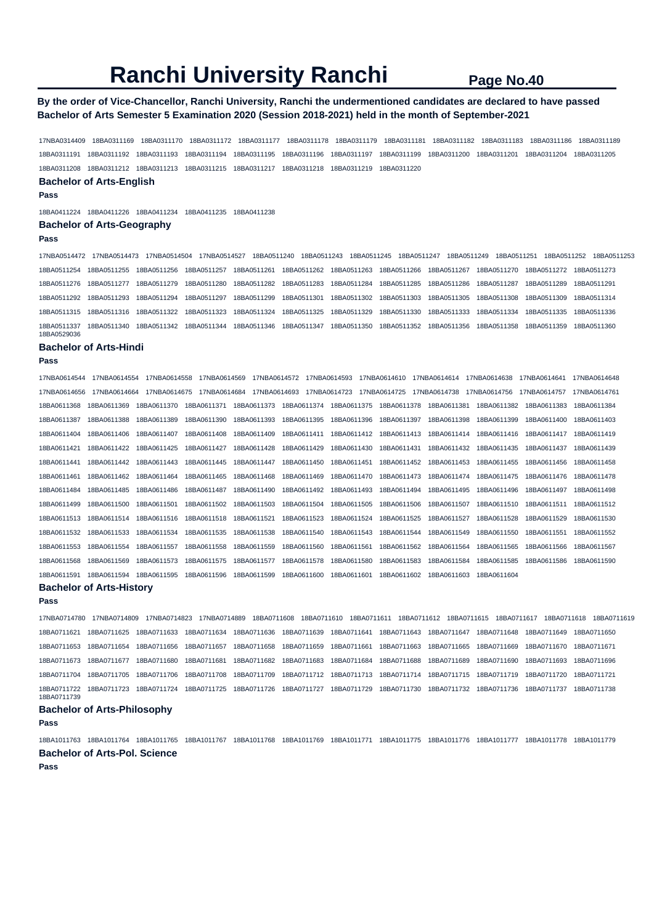## **By the order of Vice-Chancellor, Ranchi University, Ranchi the undermentioned candidates are declared to have passed Bachelor of Arts Semester 5 Examination 2020 (Session 2018-2021) held in the month of September-2021**

17NBA0314409 18BA0311169 18BA0311170 18BA0311172 18BA0311177 18BA0311178 18BA0311179 18BA0311181 18BA0311182 18BA0311183 18BA0311186 18BA0311189 18BA0311191 18BA0311192 18BA0311193 18BA0311194 18BA0311195 18BA0311196 18BA0311197 18BA0311199 18BA0311200 18BA0311201 18BA0311204 18BA0311205 18BA0311208 18BA0311212 18BA0311213 18BA0311215 18BA0311217 18BA0311218 18BA0311219 18BA0311220

#### **Bachelor of Arts-English**

**Pass** 

18BA0411224 18BA0411226 18BA0411234 18BA0411235 18BA0411238 **Bachelor of Arts-Geography** 

#### **Pass**

17NBA0514472 17NBA0514473 17NBA0514504 17NBA0514527 18BA0511240 18BA0511243 18BA0511245 18BA0511247 18BA0511249 18BA0511251 18BA0511252 18BA0511253 18BA0511254 18BA0511255 18BA0511256 18BA0511257 18BA0511261 18BA0511262 18BA0511263 18BA0511266 18BA0511267 18BA0511270 18BA0511272 18BA0511273 18BA0511276 18BA0511277 18BA0511279 18BA0511280 18BA0511282 18BA0511283 18BA0511284 18BA0511285 18BA0511286 18BA0511287 18BA0511289 18BA0511291 18BA0511292 18BA0511293 18BA0511294 18BA0511297 18BA0511299 18BA0511301 18BA0511302 18BA0511303 18BA0511305 18BA0511308 18BA0511309 18BA0511314 18BA0511315 18BA0511316 18BA0511322 18BA0511323 18BA0511324 18BA0511325 18BA0511329 18BA0511330 18BA0511333 18BA0511334 18BA0511335 18BA0511336 18BA0511337 18BA0511340 18BA0511342 18BA0511344 18BA0511346 18BA0511347 18BA0511350 18BA0511352 18BA0511356 18BA0511358 18BA0511359 18BA0511360 18BA0529036

#### **Bachelor of Arts-Hindi**

#### **Pass**

| 17NBA0614544 | 17NBA0614554 | 17NBA0614558 | 17NBA0614569 | 17NBA0614572 |             | 17NBA0614593 | 17NBA0614610 | 17NBA0614614 | 17NBA0614638 | 17NBA0614641 | 17NBA0614648 |
|--------------|--------------|--------------|--------------|--------------|-------------|--------------|--------------|--------------|--------------|--------------|--------------|
| 17NBA0614656 | 17NBA0614664 | 17NBA0614675 | 17NBA0614684 | 17NBA0614693 |             | 17NBA0614723 | 17NBA0614725 | 17NBA0614738 | 17NBA0614756 | 17NBA0614757 | 17NBA0614761 |
| 18BA0611368  | 18BA0611369  | 18BA0611370  | 18BA0611371  | 18BA0611373  | 18BA0611374 | 18BA0611375  | 18BA0611378  | 18BA0611381  | 18BA0611382  | 18BA0611383  | 18BA0611384  |
| 18BA0611387  | 18BA0611388  | 18BA0611389  | 18BA0611390  | 18BA0611393  | 18BA0611395 | 18BA0611396  | 18BA0611397  | 18BA0611398  | 18BA0611399  | 18BA0611400  | 18BA0611403  |
| 18BA0611404  | 18BA0611406  | 18BA0611407  | 18BA0611408  | 18BA0611409  | 18BA0611411 | 18BA0611412  | 18BA0611413  | 18BA0611414  | 18BA0611416  | 18BA0611417  | 18BA0611419  |
| 18BA0611421  | 18BA0611422  | 18BA0611425  | 18BA0611427  | 18BA0611428  | 18BA0611429 | 18BA0611430  | 18BA0611431  | 18BA0611432  | 18BA0611435  | 18BA0611437  | 18BA0611439  |
| 18BA0611441  | 18BA0611442  | 18BA0611443  | 18BA0611445  | 18BA0611447  | 18BA0611450 | 18BA0611451  | 18BA0611452  | 18BA0611453  | 18BA0611455  | 18BA0611456  | 18BA0611458  |
| 18BA0611461  | 18BA0611462  | 18BA0611464  | 18BA0611465  | 18BA0611468  | 18BA0611469 | 18BA0611470  | 18BA0611473  | 18BA0611474  | 18BA0611475  | 18BA0611476  | 18BA0611478  |
| 18BA0611484  | 18BA0611485  | 18BA0611486  | 18BA0611487  | 18BA0611490  | 18BA0611492 | 18BA0611493  | 18BA0611494  | 18BA0611495  | 18BA0611496  | 18BA0611497  | 18BA0611498  |
| 18BA0611499  | 18BA0611500  | 18BA0611501  | 18BA0611502  | 18BA0611503  | 18BA0611504 | 18BA0611505  | 18BA0611506  | 18BA0611507  | 18BA0611510  | 18BA0611511  | 18BA0611512  |
| 18BA0611513  | 18BA0611514  | 18BA0611516  | 18BA0611518  | 18BA0611521  | 18BA0611523 | 18BA0611524  | 18BA0611525  | 18BA0611527  | 18BA0611528  | 18BA0611529  | 18BA0611530  |
| 18BA0611532  | 18BA0611533  | 18BA0611534  | 18BA0611535  | 18BA0611538  | 18BA0611540 | 18BA0611543  | 18BA0611544  | 18BA0611549  | 18BA0611550  | 18BA0611551  | 18BA0611552  |
| 18BA0611553  | 18BA0611554  | 18BA0611557  | 18BA0611558  | 18BA0611559  | 18BA0611560 | 18BA0611561  | 18BA0611562  | 18BA0611564  | 18BA0611565  | 18BA0611566  | 18BA0611567  |
| 18BA0611568  | 18BA0611569  | 18BA0611573  | 18BA0611575  | 18BA0611577  | 18BA0611578 | 18BA0611580  | 18BA0611583  | 18BA0611584  | 18BA0611585  | 18BA0611586  | 18BA0611590  |
| 18BA0611591  | 18BA0611594  | 18BA0611595  | 18BA0611596  | 18BA0611599  | 18BA0611600 | 18BA0611601  | 18BA0611602  | 18BA0611603  | 18BA0611604  |              |              |

#### **Bachelor of Arts-History**

**Pass** 

17NBA0714780 17NBA0714809 17NBA0714823 17NBA0714889 18BA0711608 18BA0711610 18BA0711611 18BA0711612 18BA0711615 18BA0711617 18BA0711618 18BA0711619 18BA0711621 18BA0711625 18BA0711633 18BA0711634 18BA0711636 18BA0711639 18BA0711641 18BA0711643 18BA0711647 18BA0711648 18BA0711649 18BA0711650 18BA0711653 18BA0711654 18BA0711656 18BA0711657 18BA0711658 18BA0711659 18BA0711661 18BA0711663 18BA0711665 18BA0711669 18BA0711670 18BA0711671 18BA0711673 18BA0711677 18BA0711680 18BA0711681 18BA0711682 18BA0711683 18BA0711684 18BA0711688 18BA0711689 18BA0711690 18BA0711693 18BA0711696 18BA0711704 18BA0711705 18BA0711706 18BA0711708 18BA0711709 18BA0711712 18BA0711713 18BA0711714 18BA0711715 18BA0711719 18BA0711720 18BA0711721 18BA0711722 18BA0711723 18BA0711724 18BA0711725 18BA0711726 18BA0711727 18BA0711729 18BA0711730 18BA0711732 18BA0711736 18BA0711737 18BA0711738 18BA0711739

#### **Bachelor of Arts-Philosophy**

**Pass** 

18BA1011763 18BA1011764 18BA1011765 18BA1011767 18BA1011768 18BA1011769 18BA1011771 18BA1011775 18BA1011776 18BA1011777 18BA1011778 18BA1011779 **Bachelor of Arts-Pol. Science**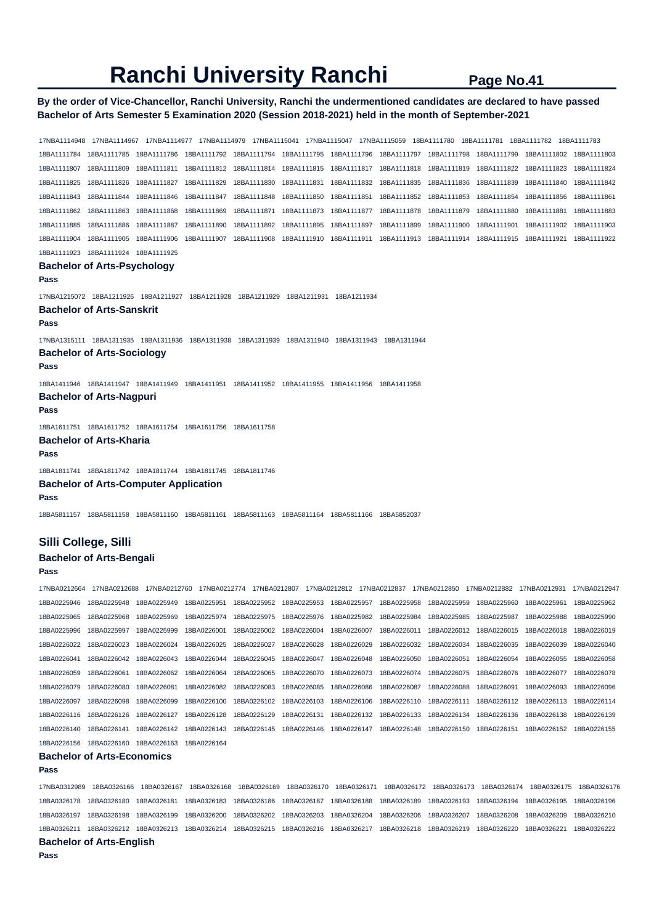## **By the order of Vice-Chancellor, Ranchi University, Ranchi the undermentioned candidates are declared to have passed Bachelor of Arts Semester 5 Examination 2020 (Session 2018-2021) held in the month of September-2021**

17NBA1114948 17NBA1114967 17NBA1114977 17NBA1114979 17NBA1115041 17NBA1115047 17NBA1115059 18BA1111780 18BA1111781 18BA1111782 18BA1111783 18BA1111784 18BA1111785 18BA1111786 18BA1111792 18BA1111794 18BA1111795 18BA1111796 18BA1111797 18BA1111798 18BA1111799 18BA1111802 18BA1111803 18BA1111807 18BA1111809 18BA1111811 18BA1111812 18BA1111814 18BA1111815 18BA1111817 18BA1111818 18BA1111819 18BA1111822 18BA1111823 18BA1111824 18BA1111825 18BA1111826 18BA1111827 18BA1111829 18BA1111830 18BA1111831 18BA1111832 18BA1111835 18BA1111836 18BA1111839 18BA1111840 18BA1111842 18BA1111843 18BA1111844 18BA1111846 18BA1111847 18BA1111848 18BA1111850 18BA1111851 18BA1111852 18BA1111853 18BA1111854 18BA1111856 18BA1111861 18BA1111862 18BA1111863 18BA1111868 18BA1111869 18BA1111871 18BA1111873 18BA1111877 18BA1111878 18BA1111879 18BA1111880 18BA1111881 18BA1111883 18BA1111885 18BA1111886 18BA1111887 18BA1111890 18BA1111892 18BA1111895 18BA1111897 18BA1111899 18BA1111900 18BA1111901 18BA1111902 18BA1111903 18BA1111904 18BA1111905 18BA1111906 18BA1111907 18BA1111908 18BA1111910 18BA1111911 18BA1111913 18BA1111914 18BA1111915 18BA1111921 18BA1111922 18BA1111923 18BA1111924 18BA1111925 **Bachelor of Arts-Psychology Pass**  17NBA1215072 18BA1211926 18BA1211927 18BA1211928 18BA1211929 18BA1211931 18BA1211934 **Bachelor of Arts-Sanskrit Pass**  17NBA1315111 18BA1311935 18BA1311936 18BA1311938 18BA1311939 18BA1311940 18BA1311943 18BA1311944 **Bachelor of Arts-Sociology Pass**  18BA1411946 18BA1411947 18BA1411949 18BA1411951 18BA1411952 18BA1411955 18BA1411956 18BA1411958 **Bachelor of Arts-Nagpuri Pass**  18BA1611751 18BA1611752 18BA1611754 18BA1611756 18BA1611758 **Bachelor of Arts-Kharia Pass**  18BA1811741 18BA1811742 18BA1811744 18BA1811745 18BA1811746 **Bachelor of Arts-Computer Application Pass**  18BA5811157 18BA5811158 18BA5811160 18BA5811161 18BA5811163 18BA5811164 18BA5811166 18BA5852037 **Silli College, Silli** 

### **Bachelor of Arts-Bengali**

### **Pass**

17NBA0212664 17NBA0212688 17NBA0212760 17NBA0212774 17NBA0212807 17NBA0212812 17NBA0212837 17NBA0212850 17NBA0212882 17NBA0212931 17NBA0212947 18BA0225946 18BA0225948 18BA0225949 18BA0225951 18BA0225952 18BA0225953 18BA0225957 18BA0225958 18BA0225959 18BA0225960 18BA0225961 18BA0225962 18BA0225965 18BA0225968 18BA0225969 18BA0225974 18BA0225975 18BA0225976 18BA0225982 18BA0225984 18BA0225985 18BA0225987 18BA0225988 18BA0225990 18BA0225996 18BA0225997 18BA0225999 18BA0226001 18BA0226002 18BA0226004 18BA0226007 18BA0226011 18BA0226012 18BA0226015 18BA0226018 18BA0226019 18BA0226022 18BA0226023 18BA0226024 18BA0226025 18BA0226027 18BA0226028 18BA0226029 18BA0226032 18BA0226034 18BA0226035 18BA0226039 18BA0226040 18BA0226041 18BA0226042 18BA0226043 18BA0226044 18BA0226045 18BA0226047 18BA0226048 18BA0226050 18BA0226051 18BA0226054 18BA0226055 18BA0226058 18BA0226059 18BA0226061 18BA0226062 18BA0226064 18BA0226065 18BA0226070 18BA0226073 18BA0226074 18BA0226075 18BA0226076 18BA0226077 18BA0226078 18BA0226079 18BA0226080 18BA0226081 18BA0226082 18BA0226083 18BA0226085 18BA0226086 18BA0226087 18BA0226088 18BA0226091 18BA0226093 18BA0226096 18BA0226097 18BA0226098 18BA0226099 18BA0226100 18BA0226102 18BA0226103 18BA0226106 18BA0226110 18BA0226111 18BA0226112 18BA0226113 18BA0226114 18BA0226116 18BA0226126 18BA0226127 18BA0226128 18BA0226129 18BA0226131 18BA0226132 18BA0226133 18BA0226134 18BA0226136 18BA0226138 18BA0226139 18BA0226140 18BA0226141 18BA0226142 18BA0226143 18BA0226145 18BA0226146 18BA0226147 18BA0226148 18BA0226150 18BA0226151 18BA0226152 18BA0226155 18BA0226156 18BA0226160 18BA0226163 18BA0226164

#### **Bachelor of Arts-Economics**

#### **Pass**

**Pass** 

17NBA0312989 18BA0326166 18BA0326167 18BA0326168 18BA0326169 18BA0326170 18BA0326171 18BA0326172 18BA0326173 18BA0326174 18BA0326175 18BA0326176 18BA0326178 18BA0326180 18BA0326181 18BA0326183 18BA0326186 18BA0326187 18BA0326188 18BA0326189 18BA0326193 18BA0326194 18BA0326195 18BA0326196 18BA0326197 18BA0326198 18BA0326199 18BA0326200 18BA0326202 18BA0326203 18BA0326204 18BA0326206 18BA0326207 18BA0326208 18BA0326209 18BA0326210 18BA0326211 18BA0326212 18BA0326213 18BA0326214 18BA0326215 18BA0326216 18BA0326217 18BA0326218 18BA0326219 18BA0326220 18BA0326221 18BA0326222

**Bachelor of Arts-English**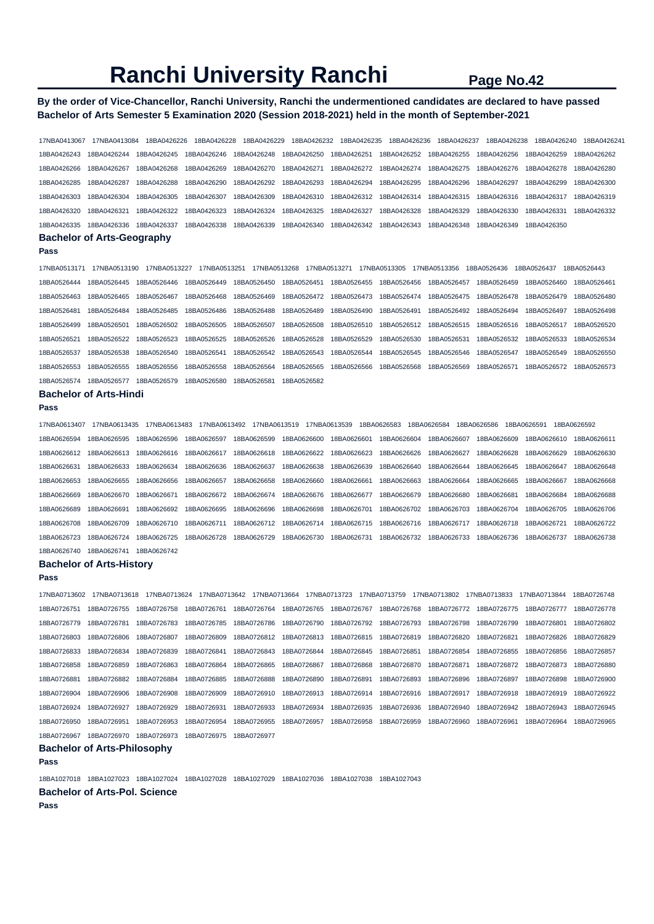## **By the order of Vice-Chancellor, Ranchi University, Ranchi the undermentioned candidates are declared to have passed Bachelor of Arts Semester 5 Examination 2020 (Session 2018-2021) held in the month of September-2021**

17NBA0413067 17NBA0413084 18BA0426226 18BA0426228 18BA0426229 18BA0426232 18BA0426235 18BA0426236 18BA0426237 18BA0426238 18BA0426240 18BA0426241 18BA0426243 18BA0426244 18BA0426245 18BA0426246 18BA0426248 18BA0426250 18BA0426251 18BA0426252 18BA0426255 18BA0426256 18BA0426259 18BA0426262 18BA0426266 18BA0426267 18BA0426268 18BA0426269 18BA0426270 18BA0426271 18BA0426272 18BA0426274 18BA0426275 18BA0426276 18BA0426278 18BA0426280 18BA0426285 18BA0426287 18BA0426288 18BA0426290 18BA0426292 18BA0426293 18BA0426294 18BA0426295 18BA0426296 18BA0426297 18BA0426299 18BA0426300 18BA0426303 18BA0426304 18BA0426305 18BA0426307 18BA0426309 18BA0426310 18BA0426312 18BA0426314 18BA0426315 18BA0426316 18BA0426317 18BA0426319 18BA0426320 18BA0426321 18BA0426322 18BA0426323 18BA0426324 18BA0426325 18BA0426327 18BA0426328 18BA0426329 18BA0426330 18BA0426331 18BA0426332 18BA0426335 18BA0426336 18BA0426337 18BA0426338 18BA0426339 18BA0426340 18BA0426342 18BA0426343 18BA0426348 18BA0426349 18BA0426350 **Bachelor of Arts-Geography Pass**  17NBA0513171 17NBA0513190 17NBA0513227 17NBA0513251 17NBA0513268 17NBA0513271 17NBA0513305 17NBA0513356 18BA0526436 18BA0526437 18BA0526443 18BA0526444 18BA0526445 18BA0526446 18BA0526449 18BA0526450 18BA0526451 18BA0526455 18BA0526456 18BA0526457 18BA0526459 18BA0526460 18BA0526461 18BA0526463 18BA0526465 18BA0526467 18BA0526468 18BA0526469 18BA0526472 18BA0526473 18BA0526474 18BA0526475 18BA0526478 18BA0526479 18BA0526480 18BA0526481 18BA0526484 18BA0526485 18BA0526486 18BA0526488 18BA0526489 18BA0526490 18BA0526491 18BA0526492 18BA0526494 18BA0526497 18BA0526498 18BA0526499 18BA0526501 18BA0526502 18BA0526505 18BA0526507 18BA0526508 18BA0526510 18BA0526512 18BA0526515 18BA0526516 18BA0526517 18BA0526520 18BA0526521 18BA0526522 18BA0526523 18BA0526525 18BA0526526 18BA0526528 18BA0526529 18BA0526530 18BA0526531 18BA0526532 18BA0526533 18BA0526534 18BA0526537 18BA0526538 18BA0526540 18BA0526541 18BA0526542 18BA0526543 18BA0526544 18BA0526545 18BA0526546 18BA0526547 18BA0526549 18BA0526550 18BA0526553 18BA0526555 18BA0526556 18BA0526558 18BA0526564 18BA0526565 18BA0526566 18BA0526568 18BA0526569 18BA0526571 18BA0526572 18BA0526573 18BA0526574 18BA0526577 18BA0526579 18BA0526580 18BA0526581 18BA0526582 **Bachelor of Arts-Hindi Pass**  17NBA0613407 17NBA0613435 17NBA0613483 17NBA0613492 17NBA0613519 17NBA0613539 18BA0626583 18BA0626584 18BA0626586 18BA0626591 18BA0626592 18BA0626594 18BA0626595 18BA0626596 18BA0626597 18BA0626599 18BA0626600 18BA0626601 18BA0626604 18BA0626607 18BA0626609 18BA0626610 18BA0626611 18BA0626612 18BA0626613 18BA0626616 18BA0626617 18BA0626618 18BA0626622 18BA0626623 18BA0626626 18BA0626627 18BA0626628 18BA0626629 18BA0626630

18BA0626631 18BA0626633 18BA0626634 18BA0626636 18BA0626637 18BA0626638 18BA0626639 18BA0626640 18BA0626644 18BA0626645 18BA0626647 18BA0626648 18BA0626653 18BA0626655 18BA0626656 18BA0626657 18BA0626658 18BA0626660 18BA0626661 18BA0626663 18BA0626664 18BA0626665 18BA0626667 18BA0626668 18BA0626669 18BA0626670 18BA0626671 18BA0626672 18BA0626674 18BA0626676 18BA0626677 18BA0626679 18BA0626680 18BA0626681 18BA0626684 18BA0626688 18BA0626689 18BA0626691 18BA0626692 18BA0626695 18BA0626696 18BA0626698 18BA0626701 18BA0626702 18BA0626703 18BA0626704 18BA0626705 18BA0626706 18BA0626708 18BA0626709 18BA0626710 18BA0626711 18BA0626712 18BA0626714 18BA0626715 18BA0626716 18BA0626717 18BA0626718 18BA0626721 18BA0626722 18BA0626723 18BA0626724 18BA0626725 18BA0626728 18BA0626729 18BA0626730 18BA0626731 18BA0626732 18BA0626733 18BA0626736 18BA0626737 18BA0626738 18BA0626740 18BA0626741 18BA0626742

## **Bachelor of Arts-History**

**Pass** 

17NBA0713602 17NBA0713618 17NBA0713624 17NBA0713642 17NBA0713664 17NBA0713723 17NBA0713759 17NBA0713802 17NBA0713833 17NBA0713844 18BA0726748 18BA0726751 18BA0726755 18BA0726758 18BA0726761 18BA0726764 18BA0726765 18BA0726767 18BA0726768 18BA0726772 18BA0726775 18BA0726777 18BA0726778 18BA0726779 18BA0726781 18BA0726783 18BA0726785 18BA0726786 18BA0726790 18BA0726792 18BA0726793 18BA0726798 18BA0726799 18BA0726801 18BA0726802 18BA0726803 18BA0726806 18BA0726807 18BA0726809 18BA0726812 18BA0726813 18BA0726815 18BA0726819 18BA0726820 18BA0726821 18BA0726826 18BA0726829 18BA0726833 18BA0726834 18BA0726839 18BA0726841 18BA0726843 18BA0726844 18BA0726845 18BA0726851 18BA0726854 18BA0726855 18BA0726856 18BA0726857 18BA0726858 18BA0726859 18BA0726863 18BA0726864 18BA0726865 18BA0726867 18BA0726868 18BA0726870 18BA0726871 18BA0726872 18BA0726873 18BA0726880 18BA0726881 18BA0726882 18BA0726884 18BA0726885 18BA0726888 18BA0726890 18BA0726891 18BA0726893 18BA0726896 18BA0726897 18BA0726898 18BA0726900 18BA0726904 18BA0726906 18BA0726908 18BA0726909 18BA0726910 18BA0726913 18BA0726914 18BA0726916 18BA0726917 18BA0726918 18BA0726919 18BA0726922 18BA0726924 18BA0726927 18BA0726929 18BA0726931 18BA0726933 18BA0726934 18BA0726935 18BA0726936 18BA0726940 18BA0726942 18BA0726943 18BA0726945 18BA0726950 18BA0726951 18BA0726953 18BA0726954 18BA0726955 18BA0726957 18BA0726958 18BA0726959 18BA0726960 18BA0726961 18BA0726964 18BA0726965 18BA0726967 18BA0726970 18BA0726973 18BA0726975 18BA0726977

#### **Bachelor of Arts-Philosophy**

**Pass** 

18BA1027018 18BA1027023 18BA1027024 18BA1027028 18BA1027029 18BA1027036 18BA1027038 18BA1027043

**Bachelor of Arts-Pol. Science**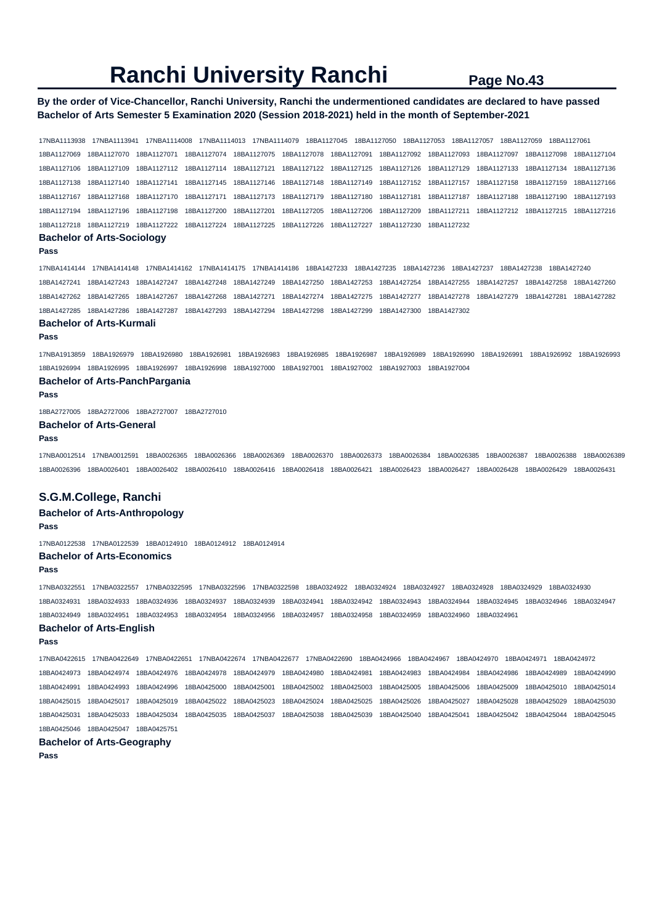## **By the order of Vice-Chancellor, Ranchi University, Ranchi the undermentioned candidates are declared to have passed Bachelor of Arts Semester 5 Examination 2020 (Session 2018-2021) held in the month of September-2021**

17NBA1113938 17NBA1113941 17NBA1114008 17NBA1114013 17NBA1114079 18BA1127045 18BA1127050 18BA1127053 18BA1127057 18BA1127059 18BA1127061 18BA1127069 18BA1127070 18BA1127071 18BA1127074 18BA1127075 18BA1127078 18BA1127091 18BA1127092 18BA1127093 18BA1127097 18BA1127098 18BA1127104 18BA1127106 18BA1127109 18BA1127112 18BA1127114 18BA1127121 18BA1127122 18BA1127125 18BA1127126 18BA1127129 18BA1127133 18BA1127134 18BA1127136 18BA1127138 18BA1127140 18BA1127141 18BA1127145 18BA1127146 18BA1127148 18BA1127149 18BA1127152 18BA1127157 18BA1127158 18BA1127159 18BA1127166 18BA1127167 18BA1127168 18BA1127170 18BA1127171 18BA1127173 18BA1127179 18BA1127180 18BA1127181 18BA1127187 18BA1127188 18BA1127190 18BA1127193 18BA1127194 18BA1127196 18BA1127198 18BA1127200 18BA1127201 18BA1127205 18BA1127206 18BA1127209 18BA1127211 18BA1127212 18BA1127215 18BA1127216 18BA1127218 18BA1127219 18BA1127222 18BA1127224 18BA1127225 18BA1127226 18BA1127227 18BA1127230 18BA1127232 **Bachelor of Arts-Sociology** 

#### **Pass**

17NBA1414144 17NBA1414148 17NBA1414162 17NBA1414175 17NBA1414186 18BA1427233 18BA1427235 18BA1427236 18BA1427237 18BA1427238 18BA1427240 18BA1427241 18BA1427243 18BA1427247 18BA1427248 18BA1427249 18BA1427250 18BA1427253 18BA1427254 18BA1427255 18BA1427257 18BA1427258 18BA1427260 18BA1427262 18BA1427265 18BA1427267 18BA1427268 18BA1427271 18BA1427274 18BA1427275 18BA1427277 18BA1427278 18BA1427279 18BA1427281 18BA1427282 18BA1427285 18BA1427286 18BA1427287 18BA1427293 18BA1427294 18BA1427298 18BA1427299 18BA1427300 18BA1427302

**Bachelor of Arts-Kurmali** 

#### **Pass**

17NBA1913859 18BA1926979 18BA1926980 18BA1926981 18BA1926983 18BA1926985 18BA1926987 18BA1926989 18BA1926990 18BA1926991 18BA1926992 18BA1926993 18BA1926994 18BA1926995 18BA1926997 18BA1926998 18BA1927000 18BA1927001 18BA1927002 18BA1927003 18BA1927004

#### **Bachelor of Arts-PanchPargania**

**Pass** 

18BA2727005 18BA2727006 18BA2727007 18BA2727010 **Bachelor of Arts-General Pass** 

17NBA0012514 17NBA0012591 18BA0026365 18BA0026366 18BA0026369 18BA0026370 18BA0026373 18BA0026384 18BA0026385 18BA0026387 18BA0026388 18BA0026389 18BA0026396 18BA0026401 18BA0026402 18BA0026410 18BA0026416 18BA0026418 18BA0026421 18BA0026423 18BA0026427 18BA0026428 18BA0026429 18BA0026431

## **S.G.M.College, Ranchi**

## **Bachelor of Arts-Anthropology**

**Pass** 

17NBA0122538 17NBA0122539 18BA0124910 18BA0124912 18BA0124914 **Bachelor of Arts-Economics** 

#### **Pass**

17NBA0322551 17NBA0322557 17NBA0322595 17NBA0322596 17NBA0322598 18BA0324922 18BA0324924 18BA0324927 18BA0324928 18BA0324929 18BA0324930 18BA0324931 18BA0324933 18BA0324936 18BA0324937 18BA0324939 18BA0324941 18BA0324942 18BA0324943 18BA0324944 18BA0324945 18BA0324946 18BA0324947 18BA0324949 18BA0324951 18BA0324953 18BA0324954 18BA0324956 18BA0324957 18BA0324958 18BA0324959 18BA0324960 18BA0324961

### **Bachelor of Arts-English**

**Pass** 

17NBA0422615 17NBA0422649 17NBA0422651 17NBA0422674 17NBA0422677 17NBA0422690 18BA0424966 18BA0424967 18BA0424970 18BA0424971 18BA0424972 18BA0424973 18BA0424974 18BA0424976 18BA0424978 18BA0424979 18BA0424980 18BA0424981 18BA0424983 18BA0424984 18BA0424986 18BA0424989 18BA0424990 18BA0424991 18BA0424993 18BA0424996 18BA0425000 18BA0425001 18BA0425002 18BA0425003 18BA0425005 18BA0425006 18BA0425009 18BA0425010 18BA0425014 18BA0425015 18BA0425017 18BA0425019 18BA0425022 18BA0425023 18BA0425024 18BA0425025 18BA0425026 18BA0425027 18BA0425028 18BA0425029 18BA0425030 18BA0425031 18BA0425033 18BA0425034 18BA0425035 18BA0425037 18BA0425038 18BA0425039 18BA0425040 18BA0425041 18BA0425042 18BA0425044 18BA0425045 18BA0425046 18BA0425047 18BA0425751

#### **Bachelor of Arts-Geography**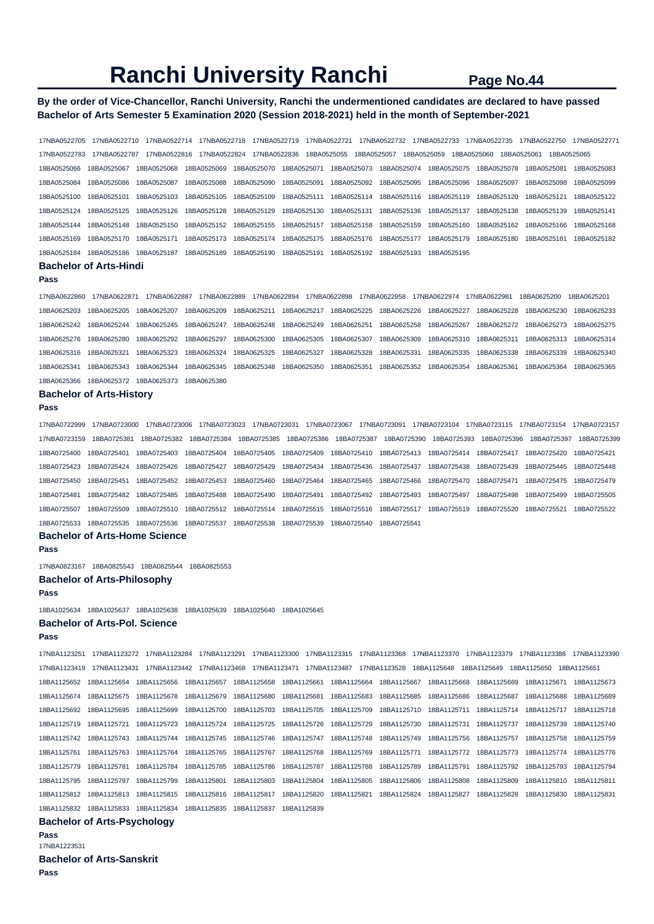## **By the order of Vice-Chancellor, Ranchi University, Ranchi the undermentioned candidates are declared to have passed Bachelor of Arts Semester 5 Examination 2020 (Session 2018-2021) held in the month of September-2021**

17NBA0522705 17NBA0522710 17NBA0522714 17NBA0522718 17NBA0522719 17NBA0522721 17NBA0522732 17NBA0522733 17NBA0522735 17NBA0522750 17NBA0522771 17NBA0522783 17NBA0522787 17NBA0522816 17NBA0522824 17NBA0522836 18BA0525055 18BA0525057 18BA0525059 18BA0525060 18BA0525061 18BA0525065 18BA0525066 18BA0525067 18BA0525068 18BA0525069 18BA0525070 18BA0525071 18BA0525073 18BA0525074 18BA0525075 18BA0525078 18BA0525081 18BA0525083 18BA0525084 18BA0525086 18BA0525087 18BA0525088 18BA0525090 18BA0525091 18BA0525092 18BA0525095 18BA0525096 18BA0525097 18BA0525098 18BA0525099 18BA0525100 18BA0525101 18BA0525103 18BA0525105 18BA0525109 18BA0525111 18BA0525114 18BA0525116 18BA0525119 18BA0525120 18BA0525121 18BA0525122 18BA0525124 18BA0525125 18BA0525126 18BA0525128 18BA0525129 18BA0525130 18BA0525131 18BA0525136 18BA0525137 18BA0525138 18BA0525139 18BA0525141 18BA0525144 18BA0525148 18BA0525150 18BA0525152 18BA0525155 18BA0525157 18BA0525158 18BA0525159 18BA0525160 18BA0525162 18BA0525166 18BA0525168 18BA0525169 18BA0525170 18BA0525171 18BA0525173 18BA0525174 18BA0525175 18BA0525176 18BA0525177 18BA0525179 18BA0525180 18BA0525181 18BA0525182 18BA0525184 18BA0525186 18BA0525187 18BA0525189 18BA0525190 18BA0525191 18BA0525192 18BA0525193 18BA0525195

## **Bachelor of Arts-Hindi**

#### **Pass**

17NBA0622860 17NBA0622871 17NBA0622887 17NBA0622889 17NBA0622894 17NBA0622898 17NBA0622958 17NBA0622974 17NBA0622981 18BA0625200 18BA0625201 18BA0625203 18BA0625205 18BA0625207 18BA0625209 18BA0625211 18BA0625217 18BA0625225 18BA0625226 18BA0625227 18BA0625228 18BA0625230 18BA0625233 18BA0625242 18BA0625244 18BA0625245 18BA0625247 18BA0625248 18BA0625249 18BA0625251 18BA0625258 18BA0625267 18BA0625272 18BA0625273 18BA0625275 18BA0625276 18BA0625280 18BA0625292 18BA0625297 18BA0625300 18BA0625305 18BA0625307 18BA0625309 18BA0625310 18BA0625311 18BA0625313 18BA0625314 18BA0625316 18BA0625321 18BA0625323 18BA0625324 18BA0625325 18BA0625327 18BA0625328 18BA0625331 18BA0625335 18BA0625338 18BA0625339 18BA0625340 18BA0625341 18BA0625343 18BA0625344 18BA0625345 18BA0625348 18BA0625350 18BA0625351 18BA0625352 18BA0625354 18BA0625361 18BA0625364 18BA0625365 18BA0625366 18BA0625372 18BA0625373 18BA0625380

#### **Bachelor of Arts-History**

**Pass** 

17NBA0722999 17NBA0723000 17NBA0723006 17NBA0723023 17NBA0723031 17NBA0723067 17NBA0723091 17NBA0723104 17NBA0723115 17NBA0723154 17NBA0723157 17NBA0723159 18BA0725381 18BA0725382 18BA0725384 18BA0725385 18BA0725386 18BA0725387 18BA0725390 18BA0725393 18BA0725396 18BA0725397 18BA0725399 18BA0725400 18BA0725401 18BA0725403 18BA0725404 18BA0725405 18BA0725409 18BA0725410 18BA0725413 18BA0725414 18BA0725417 18BA0725420 18BA0725421 18BA0725423 18BA0725424 18BA0725426 18BA0725427 18BA0725429 18BA0725434 18BA0725436 18BA0725437 18BA0725438 18BA0725439 18BA0725445 18BA0725448 18BA0725450 18BA0725451 18BA0725452 18BA0725453 18BA0725460 18BA0725464 18BA0725465 18BA0725466 18BA0725470 18BA0725471 18BA0725475 18BA0725479 18BA0725481 18BA0725482 18BA0725485 18BA0725488 18BA0725490 18BA0725491 18BA0725492 18BA0725493 18BA0725497 18BA0725498 18BA0725499 18BA0725505 18BA0725507 18BA0725509 18BA0725510 18BA0725512 18BA0725514 18BA0725515 18BA0725516 18BA0725517 18BA0725519 18BA0725520 18BA0725521 18BA0725522 18BA0725533 18BA0725535 18BA0725536 18BA0725537 18BA0725538 18BA0725539 18BA0725540 18BA0725541

#### **Bachelor of Arts-Home Science**

**Pass** 

17NBA0823167 18BA0825543 18BA0825544 18BA0825553 **Bachelor of Arts-Philosophy** 

#### **Pass**

18BA1025634 18BA1025637 18BA1025638 18BA1025639 18BA1025640 18BA1025645

## **Bachelor of Arts-Pol. Science**

**Pass** 

17NBA1123251 17NBA1123272 17NBA1123284 17NBA1123291 17NBA1123300 17NBA1123315 17NBA1123368 17NBA1123370 17NBA1123379 17NBA1123386 17NBA1123390 17NBA1123419 17NBA1123431 17NBA1123442 17NBA1123468 17NBA1123471 17NBA1123487 17NBA1123528 18BA1125648 18BA1125649 18BA1125650 18BA1125651 18BA1125652 18BA1125654 18BA1125656 18BA1125657 18BA1125658 18BA1125661 18BA1125664 18BA1125667 18BA1125668 18BA1125669 18BA1125671 18BA1125673 18BA1125674 18BA1125675 18BA1125678 18BA1125679 18BA1125680 18BA1125681 18BA1125683 18BA1125685 18BA1125686 18BA1125687 18BA1125688 18BA1125689 18BA1125692 18BA1125695 18BA1125699 18BA1125700 18BA1125703 18BA1125705 18BA1125709 18BA1125710 18BA1125711 18BA1125714 18BA1125717 18BA1125718 18BA1125719 18BA1125721 18BA1125723 18BA1125724 18BA1125725 18BA1125726 18BA1125729 18BA1125730 18BA1125731 18BA1125737 18BA1125739 18BA1125740 18BA1125742 18BA1125743 18BA1125744 18BA1125745 18BA1125746 18BA1125747 18BA1125748 18BA1125749 18BA1125756 18BA1125757 18BA1125758 18BA1125759 18BA1125761 18BA1125763 18BA1125764 18BA1125765 18BA1125767 18BA1125768 18BA1125769 18BA1125771 18BA1125772 18BA1125773 18BA1125774 18BA1125776 18BA1125779 18BA1125781 18BA1125784 18BA1125785 18BA1125786 18BA1125787 18BA1125788 18BA1125789 18BA1125791 18BA1125792 18BA1125793 18BA1125794 18BA1125795 18BA1125797 18BA1125799 18BA1125801 18BA1125803 18BA1125804 18BA1125805 18BA1125806 18BA1125808 18BA1125809 18BA1125810 18BA1125811 18BA1125812 18BA1125813 18BA1125815 18BA1125816 18BA1125817 18BA1125820 18BA1125821 18BA1125824 18BA1125827 18BA1125828 18BA1125830 18BA1125831 18BA1125832 18BA1125833 18BA1125834 18BA1125835 18BA1125837 18BA1125839

### **Bachelor of Arts-Psychology**

**Pass**  17NBA1223531

**Bachelor of Arts-Sanskrit**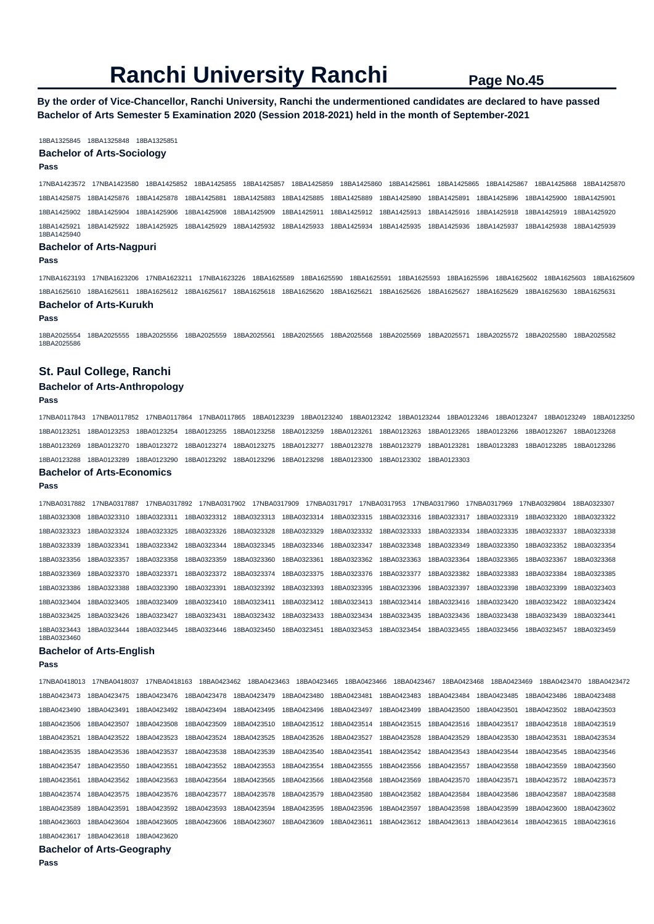**By the order of Vice-Chancellor, Ranchi University, Ranchi the undermentioned candidates are declared to have passed Bachelor of Arts Semester 5 Examination 2020 (Session 2018-2021) held in the month of September-2021** 

### 18BA1325845 18BA1325848 18BA1325851 **Bachelor of Arts-Sociology**

## **Pass**

17NBA1423572 17NBA1423580 18BA1425852 18BA1425855 18BA1425857 18BA1425859 18BA1425860 18BA1425861 18BA1425865 18BA1425867 18BA1425868 18BA1425870 18BA1425875 18BA1425876 18BA1425878 18BA1425881 18BA1425883 18BA1425885 18BA1425889 18BA1425890 18BA1425891 18BA1425896 18BA1425900 18BA1425901 18BA1425902 18BA1425904 18BA1425906 18BA1425908 18BA1425909 18BA1425911 18BA1425912 18BA1425913 18BA1425916 18BA1425918 18BA1425919 18BA1425920 18BA1425921 18BA1425922 18BA1425925 18BA1425929 18BA1425932 18BA1425933 18BA1425934 18BA1425935 18BA1425936 18BA1425937 18BA1425938 18BA1425939 18BA1425940

#### **Bachelor of Arts-Nagpuri**

**Pass** 

17NBA1623193 17NBA1623206 17NBA1623211 17NBA1623226 18BA1625589 18BA1625590 18BA1625591 18BA1625593 18BA1625596 18BA1625602 18BA1625603 18BA1625609 18BA1625610 18BA1625611 18BA1625612 18BA1625617 18BA1625618 18BA1625620 18BA1625621 18BA1625626 18BA1625627 18BA1625629 18BA1625630 18BA1625631 **Bachelor of Arts-Kurukh** 

#### **Pass**

18BA2025554 18BA2025555 18BA2025556 18BA2025559 18BA2025561 18BA2025565 18BA2025568 18BA2025569 18BA2025571 18BA2025572 18BA2025580 18BA2025582 18BA2025586

### **St. Paul College, Ranchi**

#### **Bachelor of Arts-Anthropology**

#### **Pass**

17NBA0117843 17NBA0117852 17NBA0117864 17NBA0117865 18BA0123239 18BA0123240 18BA0123242 18BA0123244 18BA0123246 18BA0123247 18BA0123249 18BA0123250 18BA0123251 18BA0123253 18BA0123254 18BA0123255 18BA0123258 18BA0123259 18BA0123261 18BA0123263 18BA0123265 18BA0123266 18BA0123267 18BA0123268 18BA0123269 18BA0123270 18BA0123272 18BA0123274 18BA0123275 18BA0123277 18BA0123278 18BA0123279 18BA0123281 18BA0123283 18BA0123285 18BA0123286 18BA0123288 18BA0123289 18BA0123290 18BA0123292 18BA0123296 18BA0123298 18BA0123300 18BA0123302 18BA0123303

#### **Bachelor of Arts-Economics**

#### **Pass**

17NBA0317882 17NBA0317887 17NBA0317892 17NBA0317902 17NBA0317909 17NBA0317917 17NBA0317953 17NBA0317960 17NBA0317969 17NBA0329804 18BA0323307 18BA0323308 18BA0323310 18BA0323311 18BA0323312 18BA0323313 18BA0323314 18BA0323315 18BA0323316 18BA0323317 18BA0323319 18BA0323320 18BA0323322 18BA0323323 18BA0323324 18BA0323325 18BA0323326 18BA0323328 18BA0323332 18BA032333 18BA0323333 18BA032334 18BA032335 18BA032337 18BA032333 18BA0323339 18BA0323341 18BA0323342 18BA0323344 18BA0323345 18BA0323346 18BA0323347 18BA0323348 18BA0323349 18BA0323350 18BA0323352 18BA0323354 18BA0323356 18BA0323357 18BA0323358 18BA0323359 18BA0323360 18BA0323361 18BA0323362 18BA0323363 18BA0323364 18BA0323365 18BA0323367 18BA0323368 18BA0323369 18BA0323370 18BA0323371 18BA0323372 18BA0323374 18BA0323375 18BA0323376 18BA0323377 18BA0323382 18BA0323383 18BA0323384 18BA0323385 18BA0323386 18BA0323388 18BA0323390 18BA0323391 18BA0323392 18BA0323393 18BA0323395 18BA0323396 18BA0323397 18BA0323398 18BA0323399 18BA0323403 18BA0323404 18BA0323405 18BA0323409 18BA0323410 18BA0323411 18BA0323412 18BA0323413 18BA0323414 18BA0323416 18BA0323420 18BA0323422 18BA0323424 18BA0323425 18BA0323426 18BA0323427 18BA0323431 18BA0323432 18BA0323433 18BA0323434 18BA0323435 18BA0323436 18BA0323438 18BA0323439 18BA0323441 18BA0323443 18BA0323444 18BA0323445 18BA0323446 18BA0323450 18BA0323451 18BA0323453 18BA0323454 18BA0323455 18BA0323456 18BA0323457 18BA0323459 18BA0323460

### **Bachelor of Arts-English**

### **Pass**

17NBA0418013 17NBA0418037 17NBA0418163 18BA0423462 18BA0423463 18BA0423465 18BA0423466 18BA0423467 18BA0423468 18BA0423469 18BA0423470 18BA0423472 18BA0423473 18BA0423475 18BA0423476 18BA0423478 18BA0423479 18BA0423480 18BA0423481 18BA0423483 18BA0423484 18BA0423485 18BA0423486 18BA0423488 18BA0423490 18BA0423491 18BA0423492 18BA0423494 18BA0423495 18BA0423496 18BA0423497 18BA0423499 18BA0423500 18BA0423501 18BA0423502 18BA0423503 18BA0423506 18BA0423507 18BA0423508 18BA0423509 18BA0423510 18BA0423512 18BA0423514 18BA0423515 18BA0423516 18BA0423517 18BA0423518 18BA0423519 18BA0423521 18BA0423522 18BA0423523 18BA0423524 18BA0423525 18BA0423526 18BA0423527 18BA0423528 18BA0423529 18BA0423530 18BA0423531 18BA0423534 18BA0423535 18BA0423536 18BA0423537 18BA0423538 18BA0423539 18BA0423540 18BA0423541 18BA0423542 18BA0423543 18BA0423544 18BA0423545 18BA0423546 18BA0423547 18BA0423550 18BA0423551 18BA0423552 18BA0423553 18BA0423554 18BA0423555 18BA0423556 18BA0423557 18BA0423558 18BA0423559 18BA0423560 18BA0423561 18BA0423562 18BA0423563 18BA0423564 18BA0423565 18BA0423566 18BA0423568 18BA0423569 18BA0423570 18BA0423571 18BA0423572 18BA0423573 18BA0423574 18BA0423575 18BA0423576 18BA0423577 18BA0423578 18BA0423579 18BA0423580 18BA0423582 18BA0423584 18BA0423586 18BA0423587 18BA0423588 18BA0423589 18BA0423591 18BA0423592 18BA0423593 18BA0423594 18BA0423595 18BA0423596 18BA0423597 18BA0423598 18BA0423599 18BA0423600 18BA0423602 18BA0423603 18BA0423604 18BA0423605 18BA0423606 18BA0423607 18BA0423609 18BA0423611 18BA0423612 18BA0423613 18BA0423614 18BA0423615 18BA0423616 18BA0423617 18BA0423618 18BA0423620

**Bachelor of Arts-Geography** 

```
Pass
```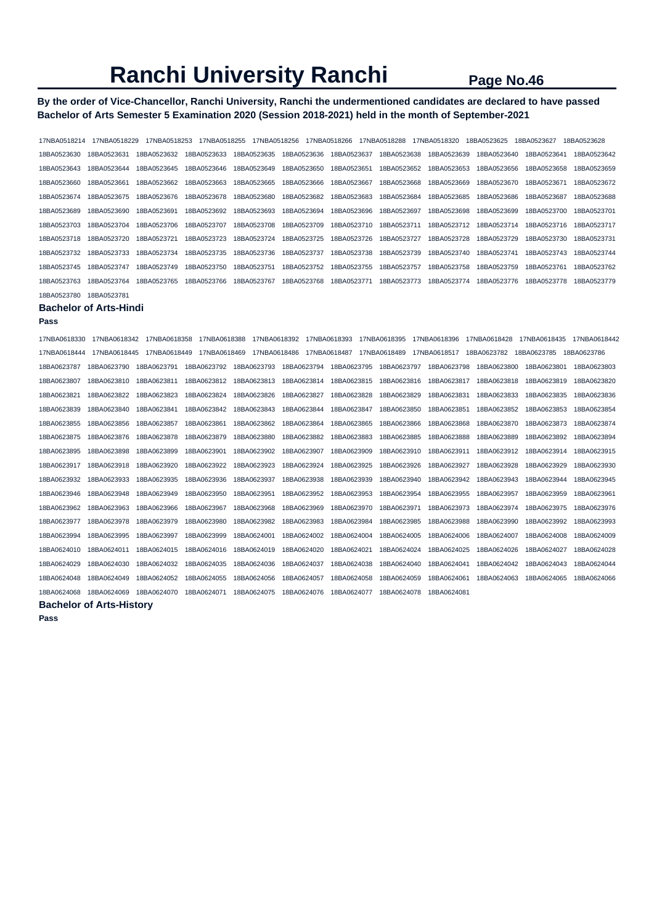## **By the order of Vice-Chancellor, Ranchi University, Ranchi the undermentioned candidates are declared to have passed Bachelor of Arts Semester 5 Examination 2020 (Session 2018-2021) held in the month of September-2021**

| 17NBA0518214 | 17NBA0518229 | 17NBA0518253 | 17NBA0518255 | 17NBA0518256 |             | 17NBA0518266 | 17NBA0518288 | 17NBA0518320 | 18BA0523625 | 18BA0523627 | 18BA0523628 |
|--------------|--------------|--------------|--------------|--------------|-------------|--------------|--------------|--------------|-------------|-------------|-------------|
| 18BA0523630  | 18BA0523631  | 18BA0523632  | 18BA0523633  | 18BA0523635  | 18BA0523636 | 18BA0523637  | 18BA0523638  | 18BA0523639  | 18BA0523640 | 18BA0523641 | 18BA0523642 |
| 18BA0523643  | 18BA0523644  | 18BA0523645  | 18BA0523646  | 18BA0523649  | 18BA0523650 | 18BA0523651  | 18BA0523652  | 18BA0523653  | 18BA0523656 | 18BA0523658 | 18BA0523659 |
| 18BA0523660  | 18BA0523661  | 18BA0523662  | 18BA0523663  | 18BA0523665  | 18BA0523666 | 18BA0523667  | 18BA0523668  | 18BA0523669  | 18BA0523670 | 18BA0523671 | 18BA0523672 |
| 18BA0523674  | 18BA0523675  | 18BA0523676  | 18BA0523678  | 18BA0523680  | 18BA0523682 | 18BA0523683  | 18BA0523684  | 18BA0523685  | 18BA0523686 | 18BA0523687 | 18BA0523688 |
| 18BA0523689  | 18BA0523690  | 18BA0523691  | 18BA0523692  | 18BA0523693  | 18BA0523694 | 18BA0523696  | 18BA0523697  | 18BA0523698  | 18BA0523699 | 18BA0523700 | 18BA0523701 |
| 18BA0523703  | 18BA0523704  | 18BA0523706  | 18BA0523707  | 18BA0523708  | 18BA0523709 | 18BA0523710  | 18BA0523711  | 18BA0523712  | 18BA0523714 | 18BA0523716 | 18BA0523717 |
| 18BA0523718  | 18BA0523720  | 18BA0523721  | 18BA0523723  | 18BA0523724  | 18BA0523725 | 18BA0523726  | 18BA0523727  | 18BA0523728  | 18BA0523729 | 18BA0523730 | 18BA0523731 |
| 18BA0523732  | 18BA0523733  | 18BA0523734  | 18BA0523735  | 18BA0523736  | 18BA0523737 | 18BA0523738  | 18BA0523739  | 18BA0523740  | 18BA0523741 | 18BA0523743 | 18BA0523744 |
| 18BA0523745  | 18BA0523747  | 18BA0523749  | 18BA0523750  | 18BA0523751  | 18BA0523752 | 18BA0523755  | 18BA0523757  | 18BA0523758  | 18BA0523759 | 18BA0523761 | 18BA0523762 |
| 18BA0523763  | 18BA0523764  | 18BA0523765  | 18BA0523766  | 18BA0523767  | 18BA0523768 | 18BA0523771  | 18BA0523773  | 18BA0523774  | 18BA0523776 | 18BA0523778 | 18BA0523779 |
| 18BA0523780  | 18BA0523781  |              |              |              |             |              |              |              |             |             |             |
| .            | .            |              |              |              |             |              |              |              |             |             |             |

## **Bachelor of Arts-Hindi**

**Pass** 

| 17NBA0618330 | 17NBA0618342                    | 17NBA0618358 | 17NBA0618388 | 17NBA0618392 |             | 17NBA0618393 | 17NBA0618395 | 17NBA0618396 | 17NBA0618428 | 17NBA0618435 | 17NBA0618442 |
|--------------|---------------------------------|--------------|--------------|--------------|-------------|--------------|--------------|--------------|--------------|--------------|--------------|
| 17NBA0618444 | 17NBA0618445                    | 17NBA0618449 | 17NBA0618469 | 17NBA0618486 |             | 17NBA0618487 | 17NBA0618489 | 17NBA0618517 | 18BA0623782  | 18BA0623785  | 18BA0623786  |
| 18BA0623787  | 18BA0623790                     | 18BA0623791  | 18BA0623792  | 18BA0623793  | 18BA0623794 | 18BA0623795  | 18BA0623797  | 18BA0623798  | 18BA0623800  | 18BA0623801  | 18BA0623803  |
| 18BA0623807  | 18BA0623810                     | 18BA0623811  | 18BA0623812  | 18BA0623813  | 18BA0623814 | 18BA0623815  | 18BA0623816  | 18BA0623817  | 18BA0623818  | 18BA0623819  | 18BA0623820  |
| 18BA0623821  | 18BA0623822                     | 18BA0623823  | 18BA0623824  | 18BA0623826  | 18BA0623827 | 18BA0623828  | 18BA0623829  | 18BA0623831  | 18BA0623833  | 18BA0623835  | 18BA0623836  |
| 18BA0623839  | 18BA0623840                     | 18BA0623841  | 18BA0623842  | 18BA0623843  | 18BA0623844 | 18BA0623847  | 18BA0623850  | 18BA0623851  | 18BA0623852  | 18BA0623853  | 18BA0623854  |
| 18BA0623855  | 18BA0623856                     | 18BA0623857  | 18BA0623861  | 18BA0623862  | 18BA0623864 | 18BA0623865  | 18BA0623866  | 18BA0623868  | 18BA0623870  | 18BA0623873  | 18BA0623874  |
| 18BA0623875  | 18BA0623876                     | 18BA0623878  | 18BA0623879  | 18BA0623880  | 18BA0623882 | 18BA0623883  | 18BA0623885  | 18BA0623888  | 18BA0623889  | 18BA0623892  | 18BA0623894  |
| 18BA0623895  | 18BA0623898                     | 18BA0623899  | 18BA0623901  | 18BA0623902  | 18BA0623907 | 18BA0623909  | 18BA0623910  | 18BA0623911  | 18BA0623912  | 18BA0623914  | 18BA0623915  |
| 18BA0623917  | 18BA0623918                     | 18BA0623920  | 18BA0623922  | 18BA0623923  | 18BA0623924 | 18BA0623925  | 18BA0623926  | 18BA0623927  | 18BA0623928  | 18BA0623929  | 18BA0623930  |
| 18BA0623932  | 18BA0623933                     | 18BA0623935  | 18BA0623936  | 18BA0623937  | 18BA0623938 | 18BA0623939  | 18BA0623940  | 18BA0623942  | 18BA0623943  | 18BA0623944  | 18BA0623945  |
| 18BA0623946  | 18BA0623948                     | 18BA0623949  | 18BA0623950  | 18BA0623951  | 18BA0623952 | 18BA0623953  | 18BA0623954  | 18BA0623955  | 18BA0623957  | 18BA0623959  | 18BA0623961  |
| 18BA0623962  | 18BA0623963                     | 18BA0623966  | 18BA0623967  | 18BA0623968  | 18BA0623969 | 18BA0623970  | 18BA0623971  | 18BA0623973  | 18BA0623974  | 18BA0623975  | 18BA0623976  |
| 18BA0623977  | 18BA0623978                     | 18BA0623979  | 18BA0623980  | 18BA0623982  | 18BA0623983 | 18BA0623984  | 18BA0623985  | 18BA0623988  | 18BA0623990  | 18BA0623992  | 18BA0623993  |
| 18BA0623994  | 18BA0623995                     | 18BA0623997  | 18BA0623999  | 18BA0624001  | 18BA0624002 | 18BA0624004  | 18BA0624005  | 18BA0624006  | 18BA0624007  | 18BA0624008  | 18BA0624009  |
| 18BA0624010  | 18BA0624011                     | 18BA0624015  | 18BA0624016  | 18BA0624019  | 18BA0624020 | 18BA0624021  | 18BA0624024  | 18BA0624025  | 18BA0624026  | 18BA0624027  | 18BA0624028  |
| 18BA0624029  | 18BA0624030                     | 18BA0624032  | 18BA0624035  | 18BA0624036  | 18BA0624037 | 18BA0624038  | 18BA0624040  | 18BA0624041  | 18BA0624042  | 18BA0624043  | 18BA0624044  |
| 18BA0624048  | 18BA0624049                     | 18BA0624052  | 18BA0624055  | 18BA0624056  | 18BA0624057 | 18BA0624058  | 18BA0624059  | 18BA0624061  | 18BA0624063  | 18BA0624065  | 18BA0624066  |
| 18BA0624068  | 18BA0624069                     | 18BA0624070  | 18BA0624071  | 18BA0624075  | 18BA0624076 | 18BA0624077  | 18BA0624078  | 18BA0624081  |              |              |              |
|              | <b>Bachelor of Arts-History</b> |              |              |              |             |              |              |              |              |              |              |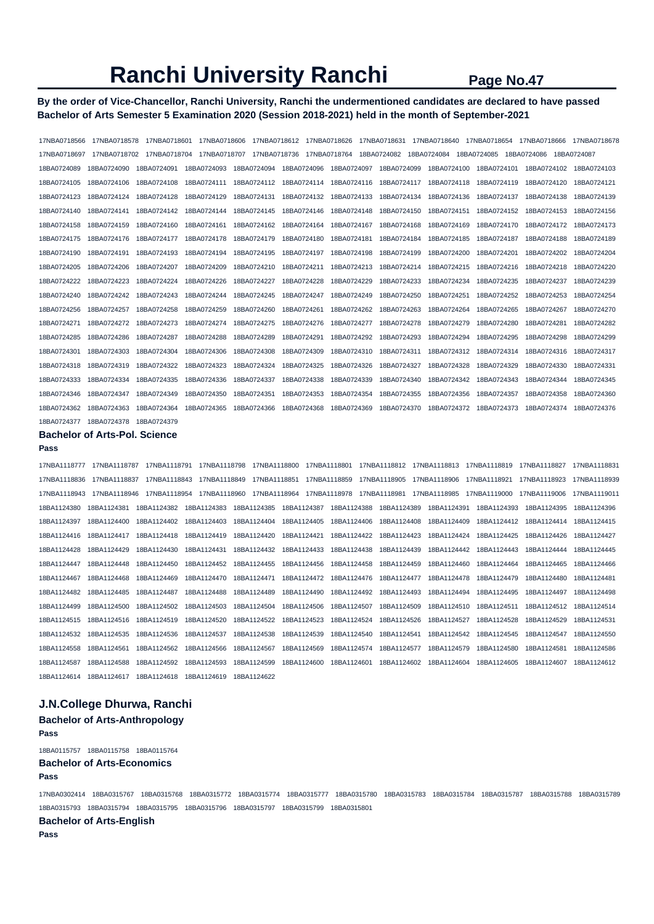## **By the order of Vice-Chancellor, Ranchi University, Ranchi the undermentioned candidates are declared to have passed Bachelor of Arts Semester 5 Examination 2020 (Session 2018-2021) held in the month of September-2021**

| 17NBA0718566            | 17NBA0718578 | 17NBA0718601 | 17NBA0718606                                                            |                                       | 17NBA0718612 17NBA0718626 |             | 17NBA0718631 | 17NBA0718640            | 17NBA0718654                                       | 17NBA0718666 | 17NBA0718678 |
|-------------------------|--------------|--------------|-------------------------------------------------------------------------|---------------------------------------|---------------------------|-------------|--------------|-------------------------|----------------------------------------------------|--------------|--------------|
| 17NBA0718697            | 17NBA0718702 | 17NBA0718704 | 17NBA0718707                                                            | 17NBA0718736                          |                           |             |              |                         | 18BA0724085                                        | 18BA0724086  | 18BA0724087  |
| 18BA0724089             | 18BA0724090  | 18BA0724091  | 18BA0724093                                                             | 18BA0724094                           |                           |             |              |                         |                                                    | 18BA0724102  | 18BA0724103  |
| 18BA0724105             | 18BA0724106  | 18BA0724108  | 18BA0724111                                                             | 18BA0724112  18BA0724114  18BA0724116 |                           |             |              |                         |                                                    | 18BA0724120  | 18BA0724121  |
| 18BA0724123             | 18BA0724124  | 18BA0724128  | 18BA0724129 18BA0724131 18BA0724132 18BA0724133 18BA0724134 18BA0724136 |                                       |                           |             |              |                         | 18BA0724137                                        | 18BA0724138  | 18BA0724139  |
| 18BA0724140             | 18BA0724141  | 18BA0724142  | 18BA0724144 18BA0724145                                                 |                                       | 18BA0724146 18BA0724148   |             |              |                         |                                                    |              | 18BA0724156  |
| 18BA0724158             | 18BA0724159  | 18BA0724160  | 18BA0724161                                                             | 18BA0724162                           | 18BA0724164               | 18BA0724167 |              | 18BA0724168 18BA0724169 | 18BA0724170                                        | 18BA0724172  | 18BA0724173  |
| 18BA0724175             | 18BA0724176  | 18BA0724177  | 18BA0724178                                                             | 18BA0724179                           | 18BA0724180               | 18BA0724181 | 18BA0724184  | 18BA0724185             | 18BA0724187                                        | 18BA0724188  | 18BA0724189  |
| 18BA0724190             | 18BA0724191  | 18BA0724193  | 18BA0724194                                                             | 18BA0724195                           | 18BA0724197               | 18BA0724198 | 18BA0724199  | 18BA0724200             | 18BA0724201                                        | 18BA0724202  | 18BA0724204  |
| 18BA0724205             | 18BA0724206  | 18BA0724207  | 18BA0724209                                                             | 18BA0724210                           | 18BA0724211               | 18BA0724213 |              | 18BA0724214 18BA0724215 | 18BA0724216                                        | 18BA0724218  | 18BA0724220  |
| 18BA0724222             | 18BA0724223  | 18BA0724224  | 18BA0724226                                                             | 18BA0724227                           | 18BA0724228               | 18BA0724229 |              |                         | 18BA0724235                                        | 18BA0724237  | 18BA0724239  |
| 18BA0724240             | 18BA0724242  | 18BA0724243  | 18BA0724244                                                             | 18BA0724245                           | 18BA0724247               | 18BA0724249 |              | 18BA0724250 18BA0724251 | 18BA0724252                                        | 18BA0724253  | 18BA0724254  |
| 18BA0724256             | 18BA0724257  | 18BA0724258  | 18BA0724259                                                             | 18BA0724260                           | 18BA0724261               | 18BA0724262 | 18BA0724263  | 18BA0724264             | 18BA0724265                                        | 18BA0724267  | 18BA0724270  |
| 18BA0724271             | 18BA0724272  | 18BA0724273  | 18BA0724274                                                             | 18BA0724275                           | 18BA0724276               | 18BA0724277 |              | 18BA0724278 18BA0724279 | 18BA0724280                                        | 18BA0724281  | 18BA0724282  |
| 18BA0724285             | 18BA0724286  | 18BA0724287  | 18BA0724288                                                             | 18BA0724289                           | 18BA0724291               | 18BA0724292 | 18BA0724293  | 18BA0724294             | 18BA0724295                                        | 18BA0724298  | 18BA0724299  |
| 18BA0724301             | 18BA0724303  | 18BA0724304  | 18BA0724306                                                             | 18BA0724308                           | 18BA0724309               |             |              |                         | 18BA0724310  18BA0724311  18BA0724312  18BA0724314 | 18BA0724316  | 18BA0724317  |
| 18BA0724318             | 18BA0724319  | 18BA0724322  | 18BA0724323                                                             | 18BA0724324                           | 18BA0724325               | 18BA0724326 |              | 18BA0724327 18BA0724328 | 18BA0724329                                        | 18BA0724330  | 18BA0724331  |
| 18BA0724333             | 18BA0724334  | 18BA0724335  | 18BA0724336                                                             | 18BA0724337                           | 18BA0724338               | 18BA0724339 |              | 18BA0724340 18BA0724342 | 18BA0724343                                        | 18BA0724344  | 18BA0724345  |
| 18BA0724346             | 18BA0724347  | 18BA0724349  | 18BA0724350                                                             | 18BA0724351                           | 18BA0724353               | 18BA0724354 | 18BA0724355  | 18BA0724356             | 18BA0724357                                        | 18BA0724358  | 18BA0724360  |
| 18BA0724362             | 18BA0724363  | 18BA0724364  | 18BA0724365                                                             | 18BA0724366                           | 18BA0724368               | 18BA0724369 |              |                         |                                                    | 18BA0724374  | 18BA0724376  |
| 18BA0724377 18BA0724378 |              | 18BA0724379  |                                                                         |                                       |                           |             |              |                         |                                                    |              |              |

#### **Bachelor of Arts-Pol. Science**

**Pass** 

17NBA1118777 17NBA1118787 17NBA1118791 17NBA1118798 17NBA1118800 17NBA1118801 17NBA1118812 17NBA1118813 17NBA1118819 17NBA1118827 17NBA1118831 17NBA1118836 17NBA1118837 17NBA1118843 17NBA1118849 17NBA1118851 17NBA1118859 17NBA1118905 17NBA1118906 17NBA1118921 17NBA1118923 17NBA1118939 17NBA1118943 17NBA1118946 17NBA1118954 17NBA1118960 17NBA1118964 17NBA1118978 17NBA1118981 17NBA1118985 17NBA1119000 17NBA1119006 17NBA1119011 18BA1124380 18BA1124381 18BA1124382 18BA1124383 18BA1124385 18BA1124387 18BA1124388 18BA1124389 18BA1124391 18BA1124393 18BA1124395 18BA1124396 18BA1124397 18BA1124400 18BA1124402 18BA1124403 18BA1124404 18BA1124405 18BA1124406 18BA1124408 18BA1124409 18BA1124412 18BA1124414 18BA1124415 18BA1124416 18BA1124417 18BA1124418 18BA1124419 18BA1124420 18BA1124421 18BA1124422 18BA1124423 18BA1124424 18BA1124425 18BA1124426 18BA1124427 18BA1124428 18BA1124429 18BA1124430 18BA1124431 18BA1124432 18BA1124433 18BA1124438 18BA1124439 18BA1124442 18BA1124443 18BA1124444 18BA1124445 18BA1124447 18BA1124448 18BA1124450 18BA1124452 18BA1124455 18BA1124456 18BA1124458 18BA1124459 18BA1124460 18BA1124464 18BA1124465 18BA1124466 18BA1124467 18BA1124468 18BA1124469 18BA1124470 18BA1124471 18BA1124472 18BA1124476 18BA1124477 18BA1124478 18BA1124479 18BA1124480 18BA1124481 18BA1124482 18BA1124485 18BA1124487 18BA1124488 18BA1124489 18BA1124490 18BA1124492 18BA1124493 18BA1124494 18BA1124495 18BA1124497 18BA1124498 18BA1124499 18BA1124500 18BA1124502 18BA1124503 18BA1124504 18BA1124506 18BA1124507 18BA1124509 18BA1124510 18BA1124511 18BA1124512 18BA1124514 18BA1124515 18BA1124516 18BA1124519 18BA1124520 18BA1124522 18BA1124523 18BA1124524 18BA1124526 18BA1124527 18BA1124528 18BA1124529 18BA1124531 18BA1124532 18BA1124535 18BA1124536 18BA1124537 18BA1124538 18BA1124539 18BA1124540 18BA1124541 18BA1124542 18BA1124545 18BA1124547 18BA1124550 18BA1124558 18BA1124561 18BA1124562 18BA1124566 18BA1124567 18BA1124569 18BA1124574 18BA1124577 18BA1124579 18BA1124580 18BA1124581 18BA1124586 18BA1124587 18BA1124588 18BA1124592 18BA1124593 18BA1124599 18BA1124600 18BA1124601 18BA1124602 18BA1124604 18BA1124605 18BA1124607 18BA1124612 18BA1124614 18BA1124617 18BA1124618 18BA1124619 18BA1124622

## **J.N.College Dhurwa, Ranchi**

**Bachelor of Arts-Anthropology Pass** 

18BA0115757 18BA0115758 18BA0115764

**Bachelor of Arts-Economics** 

#### **Pass**

17NBA0302414 18BA0315767 18BA0315768 18BA0315772 18BA0315774 18BA0315777 18BA0315780 18BA0315783 18BA0315784 18BA0315787 18BA0315788 18BA0315789 18BA0315793 18BA0315794 18BA0315795 18BA0315796 18BA0315797 18BA0315799 18BA0315801

#### **Bachelor of Arts-English**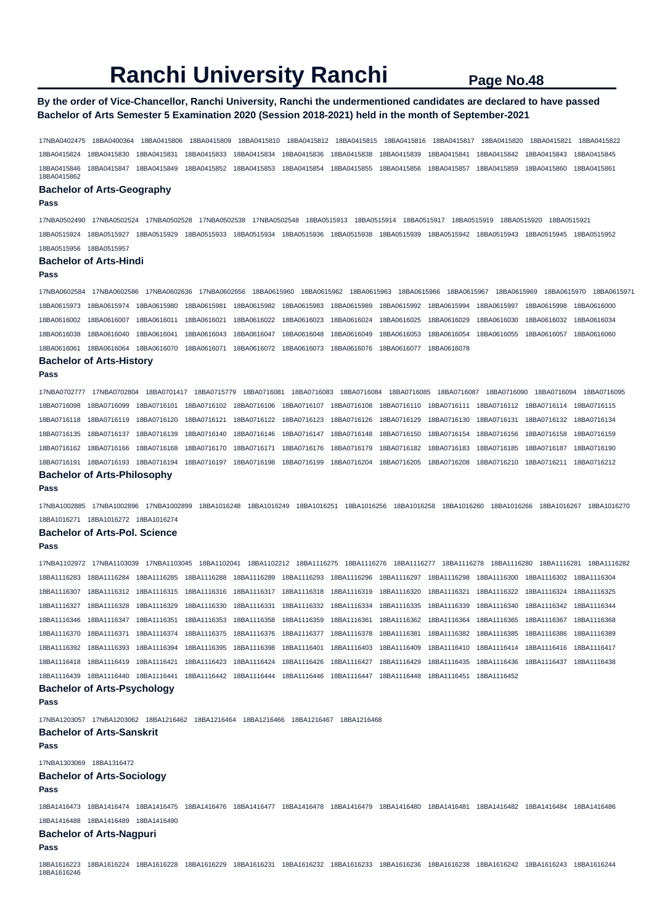## **By the order of Vice-Chancellor, Ranchi University, Ranchi the undermentioned candidates are declared to have passed Bachelor of Arts Semester 5 Examination 2020 (Session 2018-2021) held in the month of September-2021**

17NBA0402475 18BA0400364 18BA0415806 18BA0415809 18BA0415810 18BA0415812 18BA0415815 18BA0415816 18BA0415817 18BA0415820 18BA0415821 18BA0415822 18BA0415824 18BA0415830 18BA0415831 18BA0415833 18BA0415834 18BA0415836 18BA0415838 18BA0415839 18BA0415841 18BA0415842 18BA0415843 18BA0415845 18BA0415846 18BA0415847 18BA0415849 18BA0415852 18BA0415853 18BA0415854 18BA0415855 18BA0415856 18BA0415857 18BA0415859 18BA0415860 18BA0415861 18BA0415862

#### **Bachelor of Arts-Geography**

#### **Pass**

17NBA0502490 17NBA0502524 17NBA0502528 17NBA0502538 17NBA0502548 18BA0515913 18BA0515914 18BA0515917 18BA0515919 18BA0515920 18BA0515921 18BA0515924 18BA0515927 18BA0515929 18BA0515933 18BA0515934 18BA0515936 18BA0515938 18BA0515939 18BA0515942 18BA0515943 18BA0515945 18BA0515952 18BA0515956 18BA0515957

#### **Bachelor of Arts-Hindi**

#### **Pass**

17NBA0602584 17NBA0602586 17NBA0602636 17NBA0602656 18BA0615960 18BA0615962 18BA0615963 18BA0615966 18BA0615967 18BA0615969 18BA0615970 18BA0615971 18BA0615973 18BA0615974 18BA0615980 18BA0615981 18BA0615982 18BA0615983 18BA0615989 18BA0615992 18BA0615994 18BA0615997 18BA0615998 18BA0616000 18BA0616002 18BA0616007 18BA0616011 18BA0616021 18BA0616022 18BA0616023 18BA0616024 18BA0616025 18BA0616029 18BA0616030 18BA0616032 18BA0616034 18BA0616038 18BA0616040 18BA0616041 18BA0616043 18BA0616047 18BA0616048 18BA0616049 18BA0616053 18BA0616054 18BA0616055 18BA0616057 18BA0616060 18BA0616061 18BA0616064 18BA0616070 18BA0616071 18BA0616072 18BA0616073 18BA0616076 18BA0616077 18BA0616078

#### **Bachelor of Arts-History**

#### **Pass**

17NBA0702777 17NBA0702804 18BA0701417 18BA0715779 18BA0716081 18BA0716083 18BA0716084 18BA0716085 18BA0716087 18BA0716090 18BA0716094 18BA0716095 18BA0716098 18BA0716099 18BA0716101 18BA0716102 18BA0716106 18BA0716107 18BA0716108 18BA0716110 18BA0716111 18BA0716112 18BA0716114 18BA0716115 18BA0716118 18BA0716119 18BA0716120 18BA0716121 18BA0716122 18BA0716123 18BA0716126 18BA0716129 18BA0716130 18BA0716131 18BA0716132 18BA0716134 18BA0716135 18BA0716137 18BA0716139 18BA0716140 18BA0716146 18BA0716147 18BA0716148 18BA0716150 18BA0716154 18BA0716156 18BA0716158 18BA0716159 18BA0716162 18BA0716166 18BA0716168 18BA0716170 18BA0716171 18BA0716176 18BA0716179 18BA0716182 18BA0716183 18BA0716185 18BA0716187 18BA0716190 18BA0716191 18BA0716193 18BA0716194 18BA0716197 18BA0716198 18BA0716199 18BA0716204 18BA0716205 18BA0716208 18BA0716210 18BA0716211 18BA0716212

## **Bachelor of Arts-Philosophy**

**Pass** 

17NBA1002885 17NBA1002896 17NBA1002899 18BA1016248 18BA1016249 18BA1016251 18BA1016256 18BA1016258 18BA1016260 18BA1016266 18BA1016267 18BA1016270 18BA1016271 18BA1016272 18BA1016274

#### **Bachelor of Arts-Pol. Science**

#### **Pass**

17NBA1102972 17NBA1103039 17NBA1103045 18BA1102041 18BA1102212 18BA1116275 18BA1116276 18BA1116277 18BA1116278 18BA1116280 18BA1116281 18BA1116282 18BA1116283 18BA1116284 18BA1116285 18BA1116288 18BA1116289 18BA1116293 18BA1116296 18BA1116297 18BA1116298 18BA1116300 18BA1116302 18BA1116304 18BA1116307 18BA1116312 18BA1116315 18BA1116316 18BA1116317 18BA1116318 18BA1116319 18BA1116320 18BA1116321 18BA1116322 18BA1116324 18BA1116325 18BA1116327 18BA1116328 18BA1116329 18BA1116330 18BA1116331 18BA1116332 18BA1116334 18BA1116335 18BA1116339 18BA1116340 18BA1116342 18BA1116344 18BA1116346 18BA1116347 18BA1116351 18BA1116353 18BA1116358 18BA1116359 18BA1116361 18BA1116362 18BA1116364 18BA1116365 18BA1116367 18BA1116368 18BA1116370 18BA1116371 18BA1116374 18BA1116375 18BA1116376 18BA1116377 18BA1116378 18BA1116381 18BA1116382 18BA1116385 18BA1116386 18BA1116389 18BA1116392 18BA1116393 18BA1116394 18BA1116395 18BA1116398 18BA1116401 18BA1116403 18BA1116409 18BA1116410 18BA1116414 18BA1116416 18BA1116417 18BA1116418 18BA1116419 18BA1116421 18BA1116423 18BA1116424 18BA1116426 18BA1116427 18BA1116429 18BA1116435 18BA1116436 18BA1116437 18BA1116438 18BA1116439 18BA1116440 18BA1116441 18BA1116442 18BA1116444 18BA1116446 18BA1116447 18BA1116448 18BA1116451 18BA1116452

#### **Bachelor of Arts-Psychology**

#### **Pass**

17NBA1203057 17NBA1203062 18BA1216462 18BA1216464 18BA1216466 18BA1216467 18BA1216468

### **Bachelor of Arts-Sanskrit**

### **Pass**

17NBA1303069 18BA1316472

## **Bachelor of Arts-Sociology**

**Pass** 

18BA1416473 18BA1416474 18BA1416475 18BA1416476 18BA1416477 18BA1416478 18BA1416479 18BA1416480 18BA1416481 18BA1416482 18BA1416484 18BA1416486 18BA1416488 18BA1416489 18BA1416490

## **Bachelor of Arts-Nagpuri**

**Pass** 

18BA1616223 18BA1616224 18BA1616228 18BA1616229 18BA1616231 18BA1616232 18BA1616233 18BA1616236 18BA1616238 18BA1616242 18BA1616243 18BA1616244 18BA1616246